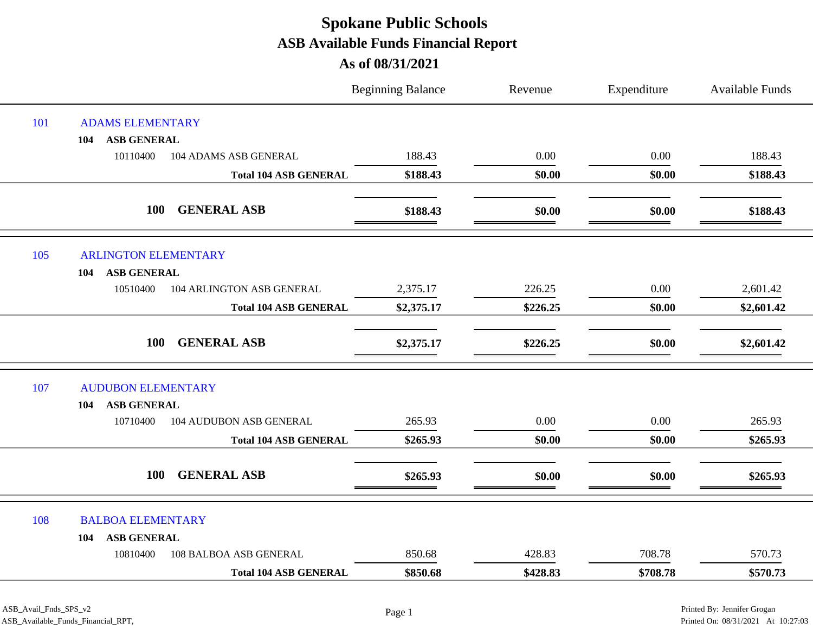|     |                                                   | <b>Beginning Balance</b> | Revenue  | Expenditure | <b>Available Funds</b> |
|-----|---------------------------------------------------|--------------------------|----------|-------------|------------------------|
| 101 | <b>ADAMS ELEMENTARY</b>                           |                          |          |             |                        |
|     | <b>ASB GENERAL</b><br>104                         |                          |          |             |                        |
|     | 10110400<br>104 ADAMS ASB GENERAL                 | 188.43                   | 0.00     | 0.00        | 188.43                 |
|     | <b>Total 104 ASB GENERAL</b>                      | \$188.43                 | \$0.00   | \$0.00      | \$188.43               |
|     |                                                   |                          |          |             |                        |
|     | <b>GENERAL ASB</b><br><b>100</b>                  | \$188.43                 | \$0.00   | \$0.00      | \$188.43               |
|     |                                                   |                          |          |             |                        |
| 105 | <b>ARLINGTON ELEMENTARY</b><br><b>ASB GENERAL</b> |                          |          |             |                        |
|     | 104<br>104 ARLINGTON ASB GENERAL<br>10510400      | 2,375.17                 | 226.25   | 0.00        | 2,601.42               |
|     | <b>Total 104 ASB GENERAL</b>                      | \$2,375.17               | \$226.25 | \$0.00      | \$2,601.42             |
|     |                                                   |                          |          |             |                        |
|     | <b>GENERAL ASB</b><br><b>100</b>                  | \$2,375.17               | \$226.25 | \$0.00      | \$2,601.42             |
| 107 | <b>AUDUBON ELEMENTARY</b>                         |                          |          |             |                        |
|     | <b>ASB GENERAL</b><br>104                         |                          |          |             |                        |
|     | <b>104 AUDUBON ASB GENERAL</b><br>10710400        | 265.93                   | 0.00     | 0.00        | 265.93                 |
|     | <b>Total 104 ASB GENERAL</b>                      | \$265.93                 | \$0.00   | \$0.00      | \$265.93               |
|     | <b>GENERAL ASB</b><br><b>100</b>                  | \$265.93                 | \$0.00   | \$0.00      | \$265.93               |
| 108 | <b>BALBOA ELEMENTARY</b>                          |                          |          |             |                        |
|     | <b>ASB GENERAL</b><br>104                         |                          |          |             |                        |
|     | 108 BALBOA ASB GENERAL<br>10810400                | 850.68                   | 428.83   | 708.78      | 570.73                 |
|     | <b>Total 104 ASB GENERAL</b>                      | \$850.68                 | \$428.83 | \$708.78    | \$570.73               |
|     |                                                   |                          |          |             |                        |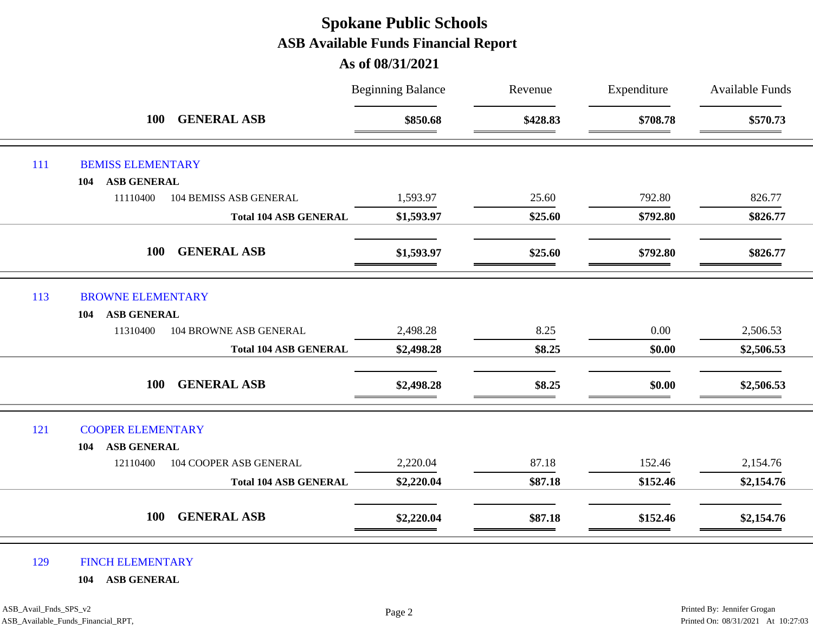|     |                                                                        | <b>Beginning Balance</b> | Revenue  | Expenditure | <b>Available Funds</b> |
|-----|------------------------------------------------------------------------|--------------------------|----------|-------------|------------------------|
|     | <b>GENERAL ASB</b><br><b>100</b>                                       | \$850.68                 | \$428.83 | \$708.78    | \$570.73               |
| 111 | <b>BEMISS ELEMENTARY</b>                                               |                          |          |             |                        |
|     | <b>ASB GENERAL</b><br>104                                              |                          |          |             |                        |
|     | 11110400<br><b>104 BEMISS ASB GENERAL</b>                              | 1,593.97                 | 25.60    | 792.80      | 826.77                 |
|     | <b>Total 104 ASB GENERAL</b>                                           | \$1,593.97               | \$25.60  | \$792.80    | \$826.77               |
|     | <b>GENERAL ASB</b><br><b>100</b>                                       | \$1,593.97               | \$25.60  | \$792.80    | \$826.77               |
| 113 | <b>BROWNE ELEMENTARY</b>                                               |                          |          |             |                        |
|     | <b>ASB GENERAL</b><br>104<br>11310400<br><b>104 BROWNE ASB GENERAL</b> | 2,498.28                 | 8.25     | 0.00        | 2,506.53               |
|     |                                                                        |                          |          |             |                        |
|     | <b>Total 104 ASB GENERAL</b>                                           | \$2,498.28               | \$8.25   | \$0.00      | \$2,506.53             |
|     | <b>GENERAL ASB</b><br><b>100</b>                                       | \$2,498.28               | \$8.25   | \$0.00      | \$2,506.53             |
| 121 | <b>COOPER ELEMENTARY</b>                                               |                          |          |             |                        |
|     | <b>ASB GENERAL</b><br>104                                              |                          |          |             |                        |
|     | 12110400<br>104 COOPER ASB GENERAL                                     | 2,220.04                 | 87.18    | 152.46      | 2,154.76               |
|     | <b>Total 104 ASB GENERAL</b>                                           | \$2,220.04               | \$87.18  | \$152.46    | \$2,154.76             |
|     | <b>GENERAL ASB</b><br><b>100</b>                                       | \$2,220.04               | \$87.18  | \$152.46    | \$2,154.76             |

#### 129 FINCH ELEMENTARY

**104 ASB GENERAL**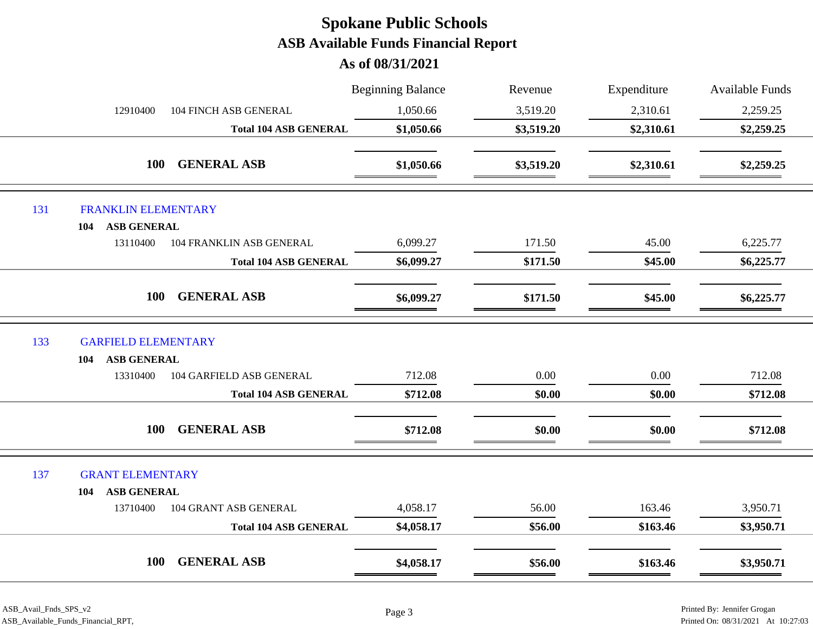|                                                                | <b>Beginning Balance</b> | Revenue    | Expenditure | <b>Available Funds</b> |
|----------------------------------------------------------------|--------------------------|------------|-------------|------------------------|
| 12910400<br>104 FINCH ASB GENERAL                              | 1,050.66                 | 3,519.20   | 2,310.61    | 2,259.25               |
| <b>Total 104 ASB GENERAL</b>                                   | \$1,050.66               | \$3,519.20 | \$2,310.61  | \$2,259.25             |
| <b>GENERAL ASB</b><br><b>100</b>                               | \$1,050.66               | \$3,519.20 | \$2,310.61  | \$2,259.25             |
| 131<br><b>FRANKLIN ELEMENTARY</b>                              |                          |            |             |                        |
| <b>ASB GENERAL</b><br>104                                      |                          |            |             |                        |
| 13110400<br>104 FRANKLIN ASB GENERAL                           | 6,099.27                 | 171.50     | 45.00       | 6,225.77               |
| <b>Total 104 ASB GENERAL</b>                                   | \$6,099.27               | \$171.50   | \$45.00     | \$6,225.77             |
| <b>GENERAL ASB</b><br><b>100</b>                               | \$6,099.27               | \$171.50   | \$45.00     | \$6,225.77             |
| 133<br><b>GARFIELD ELEMENTARY</b><br><b>ASB GENERAL</b><br>104 |                          |            |             |                        |
| 104 GARFIELD ASB GENERAL<br>13310400                           | 712.08                   | 0.00       | 0.00        | 712.08                 |
| <b>Total 104 ASB GENERAL</b>                                   | \$712.08                 | \$0.00     | \$0.00      | \$712.08               |
| <b>100</b><br><b>GENERAL ASB</b>                               | \$712.08                 | \$0.00     | \$0.00      | \$712.08               |
| 137<br><b>GRANT ELEMENTARY</b><br><b>ASB GENERAL</b><br>104    |                          |            |             |                        |
| 104 GRANT ASB GENERAL<br>13710400                              | 4,058.17                 | 56.00      | 163.46      | 3,950.71               |
| <b>Total 104 ASB GENERAL</b>                                   | \$4,058.17               | \$56.00    | \$163.46    | \$3,950.71             |
| <b>GENERAL ASB</b><br><b>100</b>                               | \$4,058.17               | \$56.00    | \$163.46    | \$3,950.71             |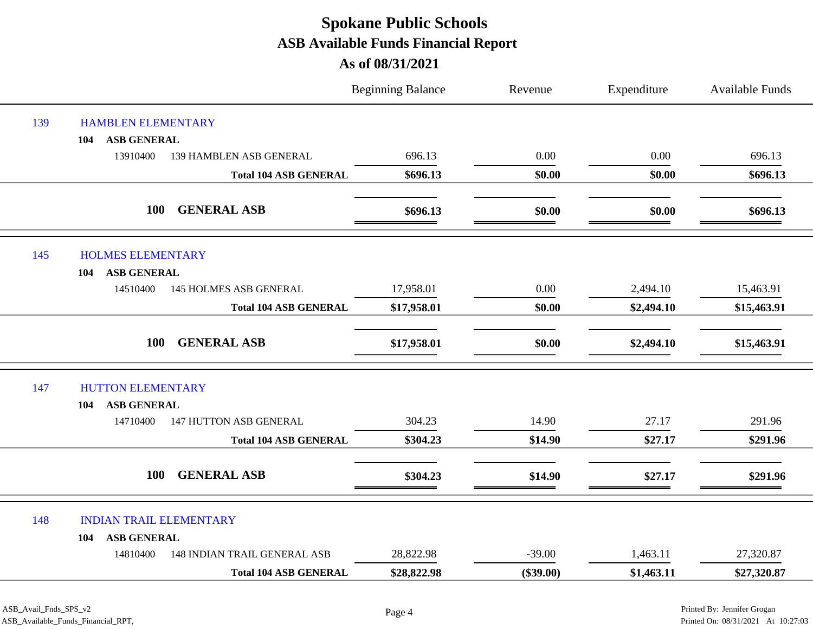| 139<br><b>HAMBLEN ELEMENTARY</b><br><b>ASB GENERAL</b><br>104<br>696.13<br>0.00<br>0.00<br>696.13<br>13910400<br>139 HAMBLEN ASB GENERAL<br>\$696.13<br>\$0.00<br>\$0.00<br><b>Total 104 ASB GENERAL</b><br><b>GENERAL ASB</b><br><b>100</b><br>\$696.13<br>\$0.00<br>\$0.00<br>145<br><b>HOLMES ELEMENTARY</b><br><b>ASB GENERAL</b><br>104<br><b>145 HOLMES ASB GENERAL</b><br>17,958.01<br>2,494.10<br>14510400<br>0.00<br>15,463.91<br>\$2,494.10<br>\$17,958.01<br>\$0.00<br><b>Total 104 ASB GENERAL</b><br><b>GENERAL ASB</b><br><b>100</b><br>\$2,494.10<br>\$17,958.01<br>\$0.00<br>147<br><b>HUTTON ELEMENTARY</b><br><b>ASB GENERAL</b><br>104<br>304.23<br>14.90<br>27.17<br>291.96<br><b>147 HUTTON ASB GENERAL</b><br>14710400<br>\$304.23<br>\$14.90<br>\$27.17<br><b>Total 104 ASB GENERAL</b><br><b>GENERAL ASB</b><br><b>100</b><br>\$304.23<br>\$14.90<br>\$27.17<br>148<br><b>INDIAN TRAIL ELEMENTARY</b><br><b>ASB GENERAL</b><br>104 |                                                 | <b>Beginning Balance</b> | Revenue  | Expenditure | Available Funds |
|------------------------------------------------------------------------------------------------------------------------------------------------------------------------------------------------------------------------------------------------------------------------------------------------------------------------------------------------------------------------------------------------------------------------------------------------------------------------------------------------------------------------------------------------------------------------------------------------------------------------------------------------------------------------------------------------------------------------------------------------------------------------------------------------------------------------------------------------------------------------------------------------------------------------------------------------------------|-------------------------------------------------|--------------------------|----------|-------------|-----------------|
|                                                                                                                                                                                                                                                                                                                                                                                                                                                                                                                                                                                                                                                                                                                                                                                                                                                                                                                                                            |                                                 |                          |          |             |                 |
|                                                                                                                                                                                                                                                                                                                                                                                                                                                                                                                                                                                                                                                                                                                                                                                                                                                                                                                                                            |                                                 |                          |          |             |                 |
|                                                                                                                                                                                                                                                                                                                                                                                                                                                                                                                                                                                                                                                                                                                                                                                                                                                                                                                                                            |                                                 |                          |          |             |                 |
|                                                                                                                                                                                                                                                                                                                                                                                                                                                                                                                                                                                                                                                                                                                                                                                                                                                                                                                                                            |                                                 |                          |          |             | \$696.13        |
|                                                                                                                                                                                                                                                                                                                                                                                                                                                                                                                                                                                                                                                                                                                                                                                                                                                                                                                                                            |                                                 |                          |          |             | \$696.13        |
|                                                                                                                                                                                                                                                                                                                                                                                                                                                                                                                                                                                                                                                                                                                                                                                                                                                                                                                                                            |                                                 |                          |          |             |                 |
|                                                                                                                                                                                                                                                                                                                                                                                                                                                                                                                                                                                                                                                                                                                                                                                                                                                                                                                                                            |                                                 |                          |          |             |                 |
|                                                                                                                                                                                                                                                                                                                                                                                                                                                                                                                                                                                                                                                                                                                                                                                                                                                                                                                                                            |                                                 |                          |          |             |                 |
|                                                                                                                                                                                                                                                                                                                                                                                                                                                                                                                                                                                                                                                                                                                                                                                                                                                                                                                                                            |                                                 |                          |          |             | \$15,463.91     |
|                                                                                                                                                                                                                                                                                                                                                                                                                                                                                                                                                                                                                                                                                                                                                                                                                                                                                                                                                            |                                                 |                          |          |             |                 |
|                                                                                                                                                                                                                                                                                                                                                                                                                                                                                                                                                                                                                                                                                                                                                                                                                                                                                                                                                            |                                                 |                          |          |             | \$15,463.91     |
|                                                                                                                                                                                                                                                                                                                                                                                                                                                                                                                                                                                                                                                                                                                                                                                                                                                                                                                                                            |                                                 |                          |          |             |                 |
|                                                                                                                                                                                                                                                                                                                                                                                                                                                                                                                                                                                                                                                                                                                                                                                                                                                                                                                                                            |                                                 |                          |          |             |                 |
|                                                                                                                                                                                                                                                                                                                                                                                                                                                                                                                                                                                                                                                                                                                                                                                                                                                                                                                                                            |                                                 |                          |          |             |                 |
|                                                                                                                                                                                                                                                                                                                                                                                                                                                                                                                                                                                                                                                                                                                                                                                                                                                                                                                                                            |                                                 |                          |          |             | \$291.96        |
|                                                                                                                                                                                                                                                                                                                                                                                                                                                                                                                                                                                                                                                                                                                                                                                                                                                                                                                                                            |                                                 |                          |          |             |                 |
|                                                                                                                                                                                                                                                                                                                                                                                                                                                                                                                                                                                                                                                                                                                                                                                                                                                                                                                                                            |                                                 |                          |          |             | \$291.96        |
|                                                                                                                                                                                                                                                                                                                                                                                                                                                                                                                                                                                                                                                                                                                                                                                                                                                                                                                                                            |                                                 |                          |          |             |                 |
|                                                                                                                                                                                                                                                                                                                                                                                                                                                                                                                                                                                                                                                                                                                                                                                                                                                                                                                                                            |                                                 |                          |          |             |                 |
|                                                                                                                                                                                                                                                                                                                                                                                                                                                                                                                                                                                                                                                                                                                                                                                                                                                                                                                                                            | <b>148 INDIAN TRAIL GENERAL ASB</b><br>14810400 | 28,822.98                | $-39.00$ | 1,463.11    | 27,320.87       |
| \$28,822.98<br>$(\$39.00)$<br>\$1,463.11<br><b>Total 104 ASB GENERAL</b>                                                                                                                                                                                                                                                                                                                                                                                                                                                                                                                                                                                                                                                                                                                                                                                                                                                                                   |                                                 |                          |          |             | \$27,320.87     |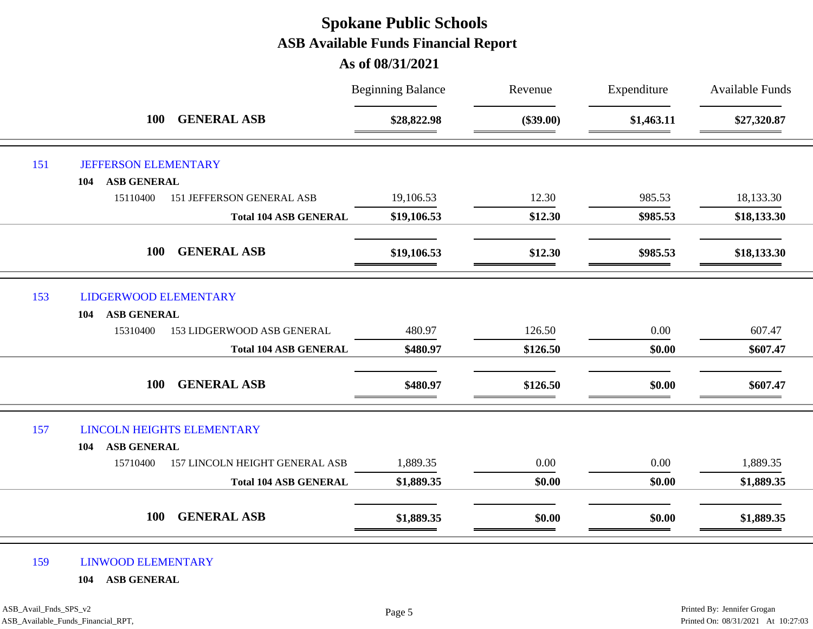|     |                                                    | <b>Beginning Balance</b> | Revenue     | Expenditure | <b>Available Funds</b> |
|-----|----------------------------------------------------|--------------------------|-------------|-------------|------------------------|
|     | <b>GENERAL ASB</b><br><b>100</b>                   | \$28,822.98              | $(\$39.00)$ | \$1,463.11  | \$27,320.87            |
| 151 | <b>JEFFERSON ELEMENTARY</b>                        |                          |             |             |                        |
|     | <b>ASB GENERAL</b><br>104                          |                          |             |             |                        |
|     | 15110400<br><b>151 JEFFERSON GENERAL ASB</b>       | 19,106.53                | 12.30       | 985.53      | 18,133.30              |
|     | <b>Total 104 ASB GENERAL</b>                       | \$19,106.53              | \$12.30     | \$985.53    | \$18,133.30            |
|     | <b>GENERAL ASB</b><br><b>100</b>                   | \$19,106.53              | \$12.30     | \$985.53    | \$18,133.30            |
| 153 | LIDGERWOOD ELEMENTARY<br><b>ASB GENERAL</b><br>104 |                          |             |             |                        |
|     | 153 LIDGERWOOD ASB GENERAL<br>15310400             | 480.97                   | 126.50      | 0.00        | 607.47                 |
|     | <b>Total 104 ASB GENERAL</b>                       | \$480.97                 | \$126.50    | \$0.00      | \$607.47               |
|     | <b>GENERAL ASB</b><br><b>100</b>                   | \$480.97                 | \$126.50    | \$0.00      | \$607.47               |
| 157 | <b>LINCOLN HEIGHTS ELEMENTARY</b>                  |                          |             |             |                        |
|     | <b>ASB GENERAL</b><br>104                          |                          |             |             |                        |
|     | 157 LINCOLN HEIGHT GENERAL ASB<br>15710400         | 1,889.35                 | 0.00        | 0.00        | 1,889.35               |
|     | <b>Total 104 ASB GENERAL</b>                       | \$1,889.35               | \$0.00      | \$0.00      | \$1,889.35             |
|     | <b>GENERAL ASB</b><br><b>100</b>                   | \$1,889.35               | \$0.00      | \$0.00      | \$1,889.35             |

#### 159 LINWOOD ELEMENTARY

**104 ASB GENERAL**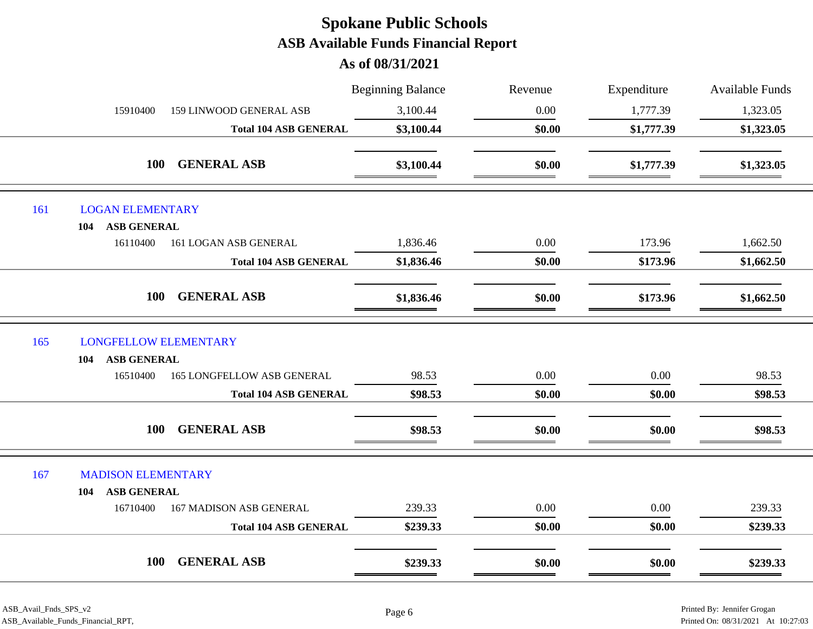|     |                                                           | <b>Beginning Balance</b> | Revenue | Expenditure | <b>Available Funds</b> |
|-----|-----------------------------------------------------------|--------------------------|---------|-------------|------------------------|
|     | 15910400<br>159 LINWOOD GENERAL ASB                       | 3,100.44                 | 0.00    | 1,777.39    | 1,323.05               |
|     | <b>Total 104 ASB GENERAL</b>                              | \$3,100.44               | \$0.00  | \$1,777.39  | \$1,323.05             |
|     | <b>GENERAL ASB</b><br><b>100</b>                          | \$3,100.44               | \$0.00  | \$1,777.39  | \$1,323.05             |
| 161 | <b>LOGAN ELEMENTARY</b>                                   |                          |         |             |                        |
|     | ASB GENERAL<br>104                                        |                          |         |             |                        |
|     | 16110400<br>161 LOGAN ASB GENERAL                         | 1,836.46                 | 0.00    | 173.96      | 1,662.50               |
|     | <b>Total 104 ASB GENERAL</b>                              | \$1,836.46               | \$0.00  | \$173.96    | \$1,662.50             |
|     | <b>GENERAL ASB</b><br><b>100</b>                          | \$1,836.46               | \$0.00  | \$173.96    | \$1,662.50             |
| 165 | <b>LONGFELLOW ELEMENTARY</b><br><b>ASB GENERAL</b><br>104 |                          |         |             |                        |
|     | 16510400<br><b>165 LONGFELLOW ASB GENERAL</b>             | 98.53                    | 0.00    | 0.00        | 98.53                  |
|     | <b>Total 104 ASB GENERAL</b>                              | \$98.53                  | \$0.00  | \$0.00      | \$98.53                |
|     | <b>GENERAL ASB</b><br><b>100</b>                          | \$98.53                  | \$0.00  | \$0.00      | \$98.53                |
| 167 | <b>MADISON ELEMENTARY</b><br><b>ASB GENERAL</b><br>104    |                          |         |             |                        |
|     | <b>167 MADISON ASB GENERAL</b><br>16710400                | 239.33                   | 0.00    | 0.00        | 239.33                 |
|     | <b>Total 104 ASB GENERAL</b>                              | \$239.33                 | \$0.00  | \$0.00      | \$239.33               |
|     | <b>GENERAL ASB</b><br><b>100</b>                          | \$239.33                 | \$0.00  | \$0.00      | \$239.33               |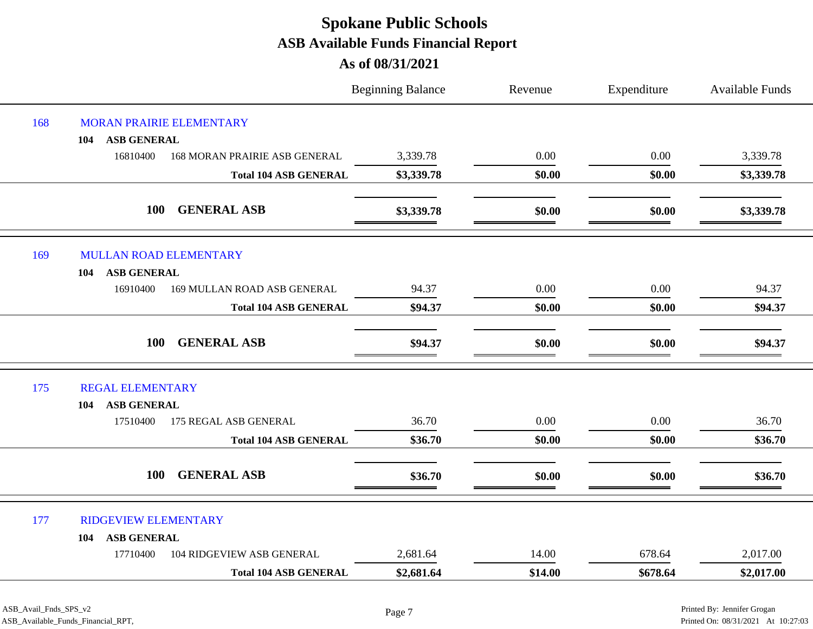|     |                                                  | <b>Beginning Balance</b> | Revenue | Expenditure | Available Funds |
|-----|--------------------------------------------------|--------------------------|---------|-------------|-----------------|
| 168 | MORAN PRAIRIE ELEMENTARY                         |                          |         |             |                 |
|     | <b>ASB GENERAL</b><br>104                        |                          |         |             |                 |
|     | 16810400<br><b>168 MORAN PRAIRIE ASB GENERAL</b> | 3,339.78                 | 0.00    | 0.00        | 3,339.78        |
|     | <b>Total 104 ASB GENERAL</b>                     | \$3,339.78               | \$0.00  | \$0.00      | \$3,339.78      |
|     | <b>GENERAL ASB</b><br><b>100</b>                 | \$3,339.78               | \$0.00  | \$0.00      | \$3,339.78      |
| 169 | <b>MULLAN ROAD ELEMENTARY</b>                    |                          |         |             |                 |
|     | <b>ASB GENERAL</b><br>104                        |                          |         |             |                 |
|     | 169 MULLAN ROAD ASB GENERAL<br>16910400          | 94.37                    | 0.00    | 0.00        | 94.37           |
|     | <b>Total 104 ASB GENERAL</b>                     | \$94.37                  | \$0.00  | \$0.00      | \$94.37         |
|     |                                                  |                          |         |             |                 |
|     | <b>GENERAL ASB</b><br><b>100</b>                 | \$94.37                  | \$0.00  | \$0.00      | \$94.37         |
| 175 | <b>REGAL ELEMENTARY</b>                          |                          |         |             |                 |
|     | <b>ASB GENERAL</b><br>104                        |                          |         |             |                 |
|     | 175 REGAL ASB GENERAL<br>17510400                | 36.70                    | 0.00    | 0.00        | 36.70           |
|     | <b>Total 104 ASB GENERAL</b>                     | \$36.70                  | \$0.00  | \$0.00      | \$36.70         |
|     | <b>GENERAL ASB</b><br><b>100</b>                 | \$36.70                  | \$0.00  | \$0.00      | \$36.70         |
| 177 | <b>RIDGEVIEW ELEMENTARY</b>                      |                          |         |             |                 |
|     | ASB GENERAL<br>104                               |                          |         |             |                 |
|     | 104 RIDGEVIEW ASB GENERAL<br>17710400            | 2,681.64                 | 14.00   | 678.64      | 2,017.00        |
|     | <b>Total 104 ASB GENERAL</b>                     | \$2,681.64               | \$14.00 | \$678.64    | \$2,017.00      |
|     |                                                  |                          |         |             |                 |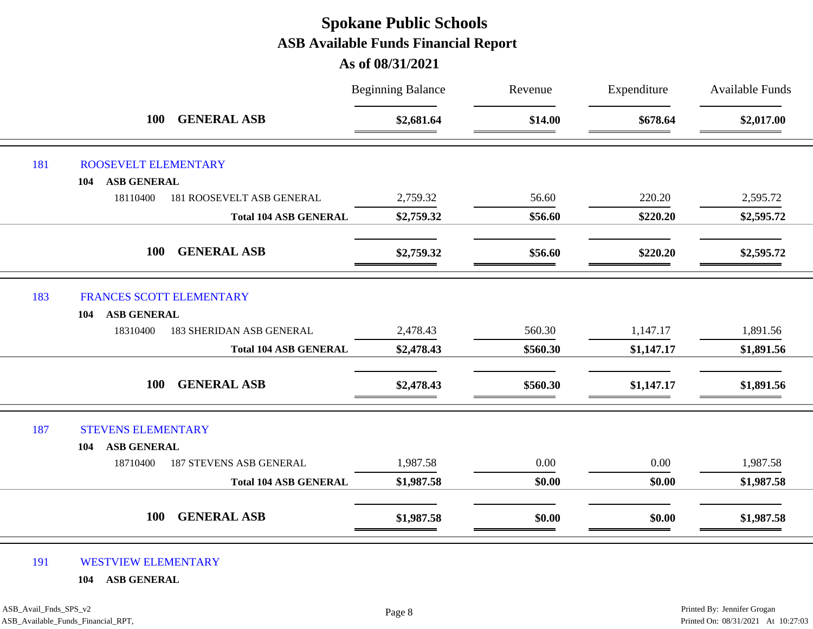|     |                                                              | <b>Beginning Balance</b> | Revenue  | Expenditure | <b>Available Funds</b> |
|-----|--------------------------------------------------------------|--------------------------|----------|-------------|------------------------|
|     | <b>GENERAL ASB</b><br><b>100</b>                             | \$2,681.64               | \$14.00  | \$678.64    | \$2,017.00             |
| 181 | ROOSEVELT ELEMENTARY                                         |                          |          |             |                        |
|     | <b>ASB GENERAL</b><br>104                                    |                          |          |             |                        |
|     | 18110400<br>181 ROOSEVELT ASB GENERAL                        | 2,759.32                 | 56.60    | 220.20      | 2,595.72               |
|     | <b>Total 104 ASB GENERAL</b>                                 | \$2,759.32               | \$56.60  | \$220.20    | \$2,595.72             |
|     | <b>GENERAL ASB</b><br><b>100</b>                             | \$2,759.32               | \$56.60  | \$220.20    | \$2,595.72             |
| 183 | <b>FRANCES SCOTT ELEMENTARY</b><br><b>ASB GENERAL</b><br>104 |                          |          |             |                        |
|     | 18310400<br><b>183 SHERIDAN ASB GENERAL</b>                  | 2,478.43                 | 560.30   | 1,147.17    | 1,891.56               |
|     | <b>Total 104 ASB GENERAL</b>                                 | \$2,478.43               | \$560.30 | \$1,147.17  | \$1,891.56             |
|     | <b>GENERAL ASB</b><br><b>100</b>                             | \$2,478.43               | \$560.30 | \$1,147.17  | \$1,891.56             |
| 187 | <b>STEVENS ELEMENTARY</b>                                    |                          |          |             |                        |
|     | <b>ASB GENERAL</b><br>104                                    |                          |          |             |                        |
|     | <b>187 STEVENS ASB GENERAL</b><br>18710400                   | 1,987.58                 | 0.00     | 0.00        | 1,987.58               |
|     | <b>Total 104 ASB GENERAL</b>                                 | \$1,987.58               | \$0.00   | \$0.00      | \$1,987.58             |
|     | <b>GENERAL ASB</b><br><b>100</b>                             | \$1,987.58               | \$0.00   | \$0.00      | \$1,987.58             |

#### 191 WESTVIEW ELEMENTARY

**104 ASB GENERAL**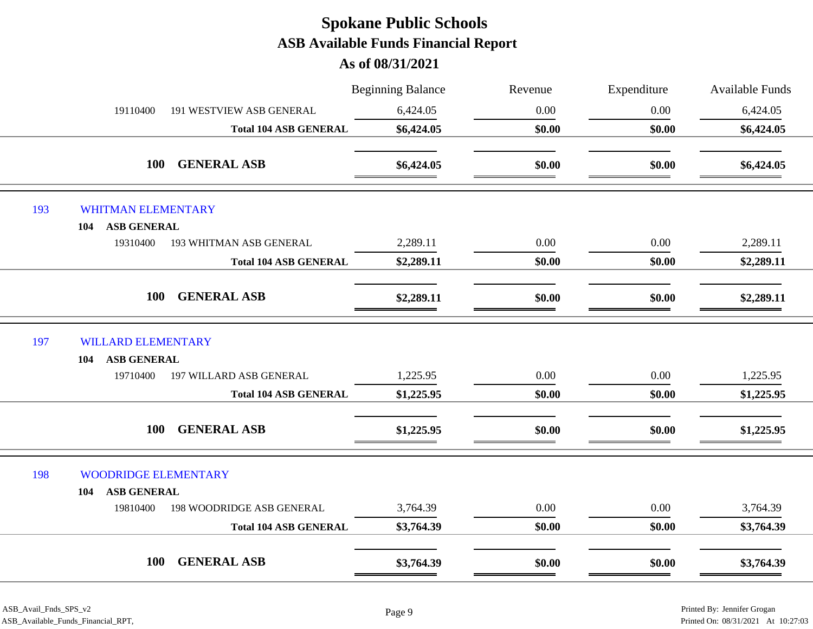|     |                                                          | <b>Beginning Balance</b> | Revenue  | Expenditure | <b>Available Funds</b> |
|-----|----------------------------------------------------------|--------------------------|----------|-------------|------------------------|
|     | 19110400<br>191 WESTVIEW ASB GENERAL                     | 6,424.05                 | 0.00     | 0.00        | 6,424.05               |
|     | <b>Total 104 ASB GENERAL</b>                             | \$6,424.05               | \$0.00   | \$0.00      | \$6,424.05             |
|     | <b>GENERAL ASB</b><br><b>100</b>                         | \$6,424.05               | \$0.00   | \$0.00      | \$6,424.05             |
| 193 | <b>WHITMAN ELEMENTARY</b>                                |                          |          |             |                        |
|     | <b>ASB GENERAL</b><br>104                                |                          |          |             |                        |
|     | 19310400<br>193 WHITMAN ASB GENERAL                      | 2,289.11                 | 0.00     | 0.00        | 2,289.11               |
|     | <b>Total 104 ASB GENERAL</b>                             | \$2,289.11               | \$0.00   | \$0.00      | \$2,289.11             |
|     | <b>100</b><br><b>GENERAL ASB</b>                         | \$2,289.11               | \$0.00   | \$0.00      | \$2,289.11             |
| 197 | <b>WILLARD ELEMENTARY</b><br><b>ASB GENERAL</b><br>104   |                          |          |             |                        |
|     | 19710400<br>197 WILLARD ASB GENERAL                      | 1,225.95                 | $0.00\,$ | $0.00\,$    | 1,225.95               |
|     | <b>Total 104 ASB GENERAL</b>                             | \$1,225.95               | \$0.00   | \$0.00      | \$1,225.95             |
|     | <b>GENERAL ASB</b><br><b>100</b>                         | \$1,225.95               | \$0.00   | \$0.00      | \$1,225.95             |
| 198 | <b>WOODRIDGE ELEMENTARY</b><br><b>ASB GENERAL</b><br>104 |                          |          |             |                        |
|     | 198 WOODRIDGE ASB GENERAL<br>19810400                    | 3,764.39                 | 0.00     | $0.00\,$    | 3,764.39               |
|     | <b>Total 104 ASB GENERAL</b>                             | \$3,764.39               | \$0.00   | \$0.00      | \$3,764.39             |
|     | <b>GENERAL ASB</b><br><b>100</b>                         | \$3,764.39               | \$0.00   | \$0.00      | \$3,764.39             |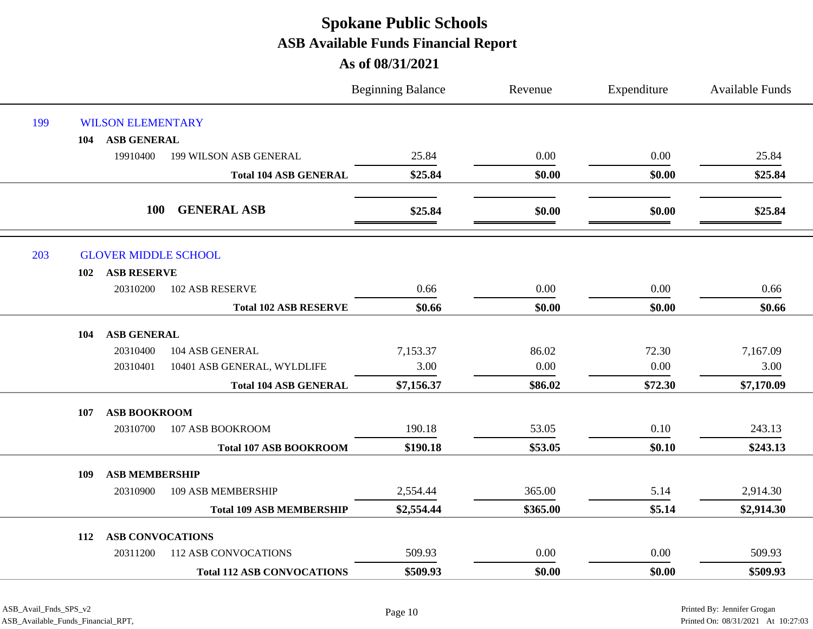|     |                              |                                   | <b>Beginning Balance</b> | Revenue  | Expenditure | Available Funds |
|-----|------------------------------|-----------------------------------|--------------------------|----------|-------------|-----------------|
| 199 | <b>WILSON ELEMENTARY</b>     |                                   |                          |          |             |                 |
|     | <b>ASB GENERAL</b><br>104    |                                   |                          |          |             |                 |
|     | 19910400                     | <b>199 WILSON ASB GENERAL</b>     | 25.84                    | 0.00     | 0.00        | 25.84           |
|     |                              | <b>Total 104 ASB GENERAL</b>      | \$25.84                  | \$0.00   | \$0.00      | \$25.84         |
|     |                              | <b>GENERAL ASB</b><br><b>100</b>  | \$25.84                  | \$0.00   | \$0.00      | \$25.84         |
|     |                              |                                   |                          |          |             |                 |
| 203 | <b>GLOVER MIDDLE SCHOOL</b>  |                                   |                          |          |             |                 |
|     | <b>ASB RESERVE</b><br>102    |                                   |                          |          |             |                 |
|     | 20310200                     | 102 ASB RESERVE                   | 0.66                     | 0.00     | 0.00        | 0.66            |
|     |                              | <b>Total 102 ASB RESERVE</b>      | \$0.66                   | \$0.00   | \$0.00      | \$0.66          |
|     | <b>ASB GENERAL</b><br>104    |                                   |                          |          |             |                 |
|     | 20310400                     | 104 ASB GENERAL                   | 7,153.37                 | 86.02    | 72.30       | 7,167.09        |
|     | 20310401                     | 10401 ASB GENERAL, WYLDLIFE       | 3.00                     | 0.00     | 0.00        | 3.00            |
|     |                              | <b>Total 104 ASB GENERAL</b>      | \$7,156.37               | \$86.02  | \$72.30     | \$7,170.09      |
|     | <b>ASB BOOKROOM</b><br>107   |                                   |                          |          |             |                 |
|     | 20310700                     | 107 ASB BOOKROOM                  | 190.18                   | 53.05    | 0.10        | 243.13          |
|     |                              | <b>Total 107 ASB BOOKROOM</b>     | \$190.18                 | \$53.05  | \$0.10      | \$243.13        |
|     | <b>ASB MEMBERSHIP</b><br>109 |                                   |                          |          |             |                 |
|     | 20310900                     | 109 ASB MEMBERSHIP                | 2,554.44                 | 365.00   | 5.14        | 2,914.30        |
|     |                              | <b>Total 109 ASB MEMBERSHIP</b>   | \$2,554.44               | \$365.00 | \$5.14      | \$2,914.30      |
|     | 112                          | <b>ASB CONVOCATIONS</b>           |                          |          |             |                 |
|     | 20311200                     | <b>112 ASB CONVOCATIONS</b>       | 509.93                   | 0.00     | 0.00        | 509.93          |
|     |                              | <b>Total 112 ASB CONVOCATIONS</b> | \$509.93                 | \$0.00   | \$0.00      | \$509.93        |
|     |                              |                                   |                          |          |             |                 |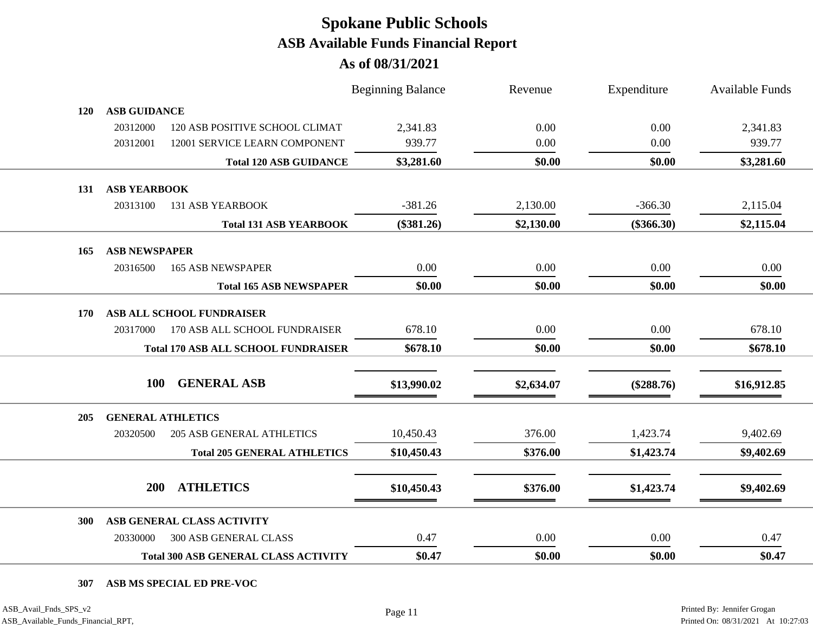| <b>Beginning Balance</b>                               | Revenue        | Expenditure  | <b>Available Funds</b> |
|--------------------------------------------------------|----------------|--------------|------------------------|
|                                                        |                |              |                        |
| 2,341.83<br>120 ASB POSITIVE SCHOOL CLIMAT             | 0.00           | 0.00         | 2,341.83               |
| 939.77<br>12001 SERVICE LEARN COMPONENT                | 0.00           | 0.00         | 939.77                 |
| \$3,281.60<br><b>Total 120 ASB GUIDANCE</b>            | \$0.00         | \$0.00       | \$3,281.60             |
|                                                        |                |              |                        |
| $-381.26$                                              | 2,130.00       | $-366.30$    | 2,115.04               |
| $(\$381.26)$<br><b>Total 131 ASB YEARBOOK</b>          | \$2,130.00     | $(\$366.30)$ | \$2,115.04             |
|                                                        |                |              |                        |
| 0.00                                                   | 0.00           | 0.00         | 0.00                   |
| \$0.00<br><b>Total 165 ASB NEWSPAPER</b>               | \$0.00         | \$0.00       | \$0.00                 |
|                                                        |                |              |                        |
| 170 ASB ALL SCHOOL FUNDRAISER                          |                |              | 678.10                 |
| \$678.10<br><b>Total 170 ASB ALL SCHOOL FUNDRAISER</b> | \$0.00         | \$0.00       | \$678.10               |
|                                                        |                |              |                        |
| \$13,990.02                                            | \$2,634.07     | $(\$288.76)$ | \$16,912.85            |
|                                                        |                |              |                        |
| 10,450.43                                              | 376.00         | 1,423.74     | 9,402.69               |
| <b>Total 205 GENERAL ATHLETICS</b><br>\$10,450.43      | \$376.00       | \$1,423.74   | \$9,402.69             |
|                                                        |                |              |                        |
| \$10,450.43                                            | \$376.00       | \$1,423.74   | \$9,402.69             |
|                                                        |                |              |                        |
|                                                        | 0.00           | 0.00         | 0.47                   |
| \$0.47<br><b>Total 300 ASB GENERAL CLASS ACTIVITY</b>  | \$0.00         | \$0.00       | \$0.47                 |
|                                                        | 678.10<br>0.47 | 0.00         | 0.00                   |

**307 ASB MS SPECIAL ED PRE-VOC**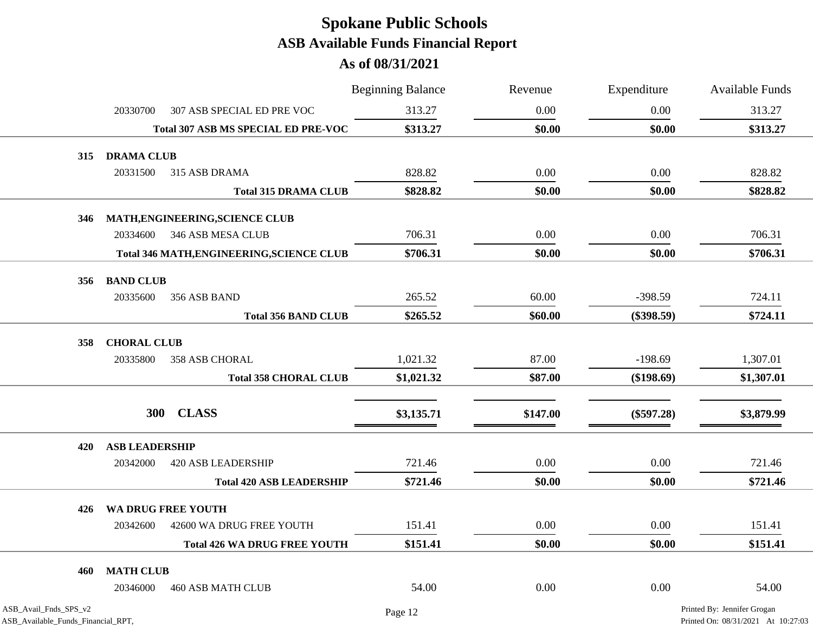|                                                             |                              |                                           | <b>Beginning Balance</b> | Revenue  | Expenditure  | <b>Available Funds</b>                                            |
|-------------------------------------------------------------|------------------------------|-------------------------------------------|--------------------------|----------|--------------|-------------------------------------------------------------------|
|                                                             | 20330700                     | 307 ASB SPECIAL ED PRE VOC                | 313.27                   | 0.00     | 0.00         | 313.27                                                            |
|                                                             |                              | Total 307 ASB MS SPECIAL ED PRE-VOC       | \$313.27                 | \$0.00   | \$0.00       | \$313.27                                                          |
| 315                                                         | <b>DRAMA CLUB</b>            |                                           |                          |          |              |                                                                   |
|                                                             | 20331500                     | 315 ASB DRAMA                             | 828.82                   | 0.00     | 0.00         | 828.82                                                            |
|                                                             |                              | <b>Total 315 DRAMA CLUB</b>               | \$828.82                 | \$0.00   | \$0.00       | \$828.82                                                          |
|                                                             |                              |                                           |                          |          |              |                                                                   |
| 346                                                         |                              | MATH, ENGINEERING, SCIENCE CLUB           |                          |          |              |                                                                   |
|                                                             | 20334600                     | 346 ASB MESA CLUB                         | 706.31                   | 0.00     | 0.00         | 706.31                                                            |
|                                                             |                              | Total 346 MATH, ENGINEERING, SCIENCE CLUB | \$706.31                 | \$0.00   | \$0.00       | \$706.31                                                          |
| 356                                                         | <b>BAND CLUB</b>             |                                           |                          |          |              |                                                                   |
|                                                             | 20335600                     | 356 ASB BAND                              | 265.52                   | 60.00    | $-398.59$    | 724.11                                                            |
|                                                             |                              | <b>Total 356 BAND CLUB</b>                | \$265.52                 | \$60.00  | $(\$398.59)$ | \$724.11                                                          |
| 358                                                         | <b>CHORAL CLUB</b>           |                                           |                          |          |              |                                                                   |
|                                                             | 20335800                     | 358 ASB CHORAL                            | 1,021.32                 | 87.00    | $-198.69$    | 1,307.01                                                          |
|                                                             |                              |                                           | \$1,021.32               | \$87.00  | $(\$198.69)$ | \$1,307.01                                                        |
|                                                             |                              | <b>Total 358 CHORAL CLUB</b>              |                          |          |              |                                                                   |
|                                                             |                              | 300 CLASS                                 | \$3,135.71               | \$147.00 | $(\$597.28)$ | \$3,879.99                                                        |
|                                                             |                              |                                           |                          |          |              |                                                                   |
| 420                                                         | <b>ASB LEADERSHIP</b>        |                                           |                          |          |              |                                                                   |
|                                                             | 20342000                     | <b>420 ASB LEADERSHIP</b>                 | 721.46                   | 0.00     | 0.00         | 721.46                                                            |
|                                                             |                              | <b>Total 420 ASB LEADERSHIP</b>           | \$721.46                 | \$0.00   | \$0.00       | \$721.46                                                          |
| 426                                                         |                              | WA DRUG FREE YOUTH                        |                          |          |              |                                                                   |
|                                                             | 20342600                     | 42600 WA DRUG FREE YOUTH                  | 151.41                   | 0.00     | 0.00         | 151.41                                                            |
|                                                             |                              | <b>Total 426 WA DRUG FREE YOUTH</b>       | \$151.41                 | \$0.00   | \$0.00       | \$151.41                                                          |
|                                                             |                              |                                           |                          |          |              |                                                                   |
| 460                                                         | <b>MATH CLUB</b><br>20346000 | <b>460 ASB MATH CLUB</b>                  | 54.00                    | 0.00     | 0.00         | 54.00                                                             |
|                                                             |                              |                                           |                          |          |              |                                                                   |
| ASB_Avail_Fnds_SPS_v2<br>ASB_Available_Funds_Financial_RPT, |                              |                                           | Page 12                  |          |              | Printed By: Jennifer Grogan<br>Printed On: 08/31/2021 At 10:27:03 |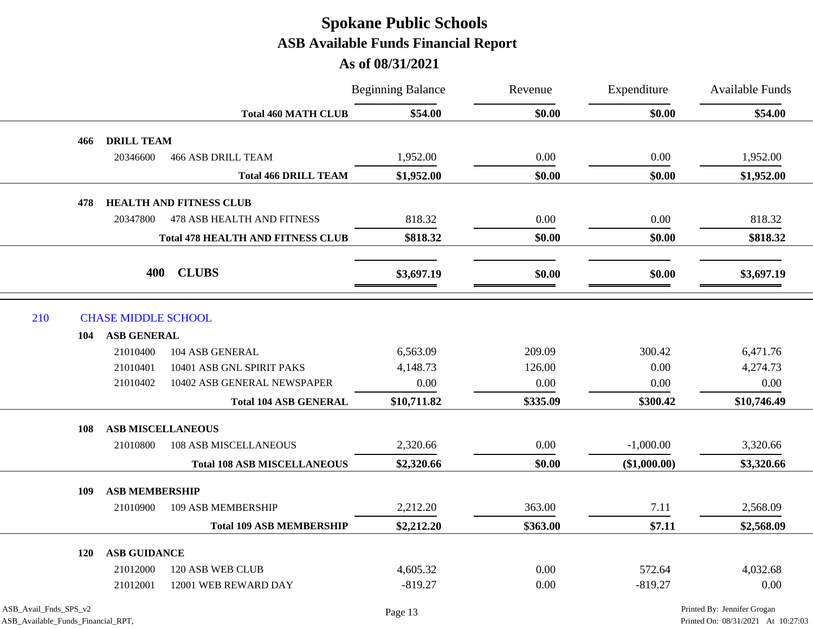**As of 08/31/2021**

|     |     |                            |                                          | <b>Beginning Balance</b> | Revenue  | Expenditure  | <b>Available Funds</b> |
|-----|-----|----------------------------|------------------------------------------|--------------------------|----------|--------------|------------------------|
|     |     |                            | <b>Total 460 MATH CLUB</b>               | \$54.00                  | \$0.00   | \$0.00       | \$54.00                |
|     | 466 | <b>DRILL TEAM</b>          |                                          |                          |          |              |                        |
|     |     | 20346600                   | <b>466 ASB DRILL TEAM</b>                | 1,952.00                 | 0.00     | 0.00         | 1,952.00               |
|     |     |                            | <b>Total 466 DRILL TEAM</b>              | \$1,952.00               | \$0.00   | \$0.00       | \$1,952.00             |
|     | 478 |                            | <b>HEALTH AND FITNESS CLUB</b>           |                          |          |              |                        |
|     |     | 20347800                   | <b>478 ASB HEALTH AND FITNESS</b>        | 818.32                   | 0.00     | 0.00         | 818.32                 |
|     |     |                            | <b>Total 478 HEALTH AND FITNESS CLUB</b> | \$818.32                 | \$0.00   | \$0.00       | \$818.32               |
|     |     |                            |                                          |                          |          |              |                        |
|     |     | 400                        | <b>CLUBS</b>                             | \$3,697.19               | \$0.00   | \$0.00       | \$3,697.19             |
|     |     |                            |                                          |                          |          |              |                        |
| 210 |     | <b>CHASE MIDDLE SCHOOL</b> |                                          |                          |          |              |                        |
|     | 104 | <b>ASB GENERAL</b>         |                                          |                          |          |              |                        |
|     |     | 21010400                   | 104 ASB GENERAL                          | 6,563.09                 | 209.09   | 300.42       | 6,471.76               |
|     |     | 21010401                   | 10401 ASB GNL SPIRIT PAKS                | 4,148.73                 | 126.00   | 0.00         | 4,274.73               |
|     |     | 21010402                   | 10402 ASB GENERAL NEWSPAPER              | 0.00                     | $0.00\,$ | 0.00         | 0.00                   |
|     |     |                            | <b>Total 104 ASB GENERAL</b>             | \$10,711.82              | \$335.09 | \$300.42     | \$10,746.49            |
|     | 108 | <b>ASB MISCELLANEOUS</b>   |                                          |                          |          |              |                        |
|     |     | 21010800                   | 108 ASB MISCELLANEOUS                    | 2,320.66                 | $0.00\,$ | $-1,000.00$  | 3,320.66               |
|     |     |                            | <b>Total 108 ASB MISCELLANEOUS</b>       | \$2,320.66               | \$0.00   | (\$1,000.00) | \$3,320.66             |
|     | 109 | <b>ASB MEMBERSHIP</b>      |                                          |                          |          |              |                        |
|     |     | 21010900                   | 109 ASB MEMBERSHIP                       | 2,212.20                 | 363.00   | 7.11         | 2,568.09               |
|     |     |                            | <b>Total 109 ASB MEMBERSHIP</b>          | \$2,212.20               | \$363.00 | \$7.11       | \$2,568.09             |
|     | 120 | <b>ASB GUIDANCE</b>        |                                          |                          |          |              |                        |
|     |     | 21012000                   | 120 ASB WEB CLUB                         | 4,605.32                 | 0.00     | 572.64       | 4,032.68               |
|     |     | 21012001                   | 12001 WEB REWARD DAY                     | $-819.27$                | 0.00     | $-819.27$    | 0.00                   |
|     |     |                            |                                          |                          |          |              |                        |

Ξ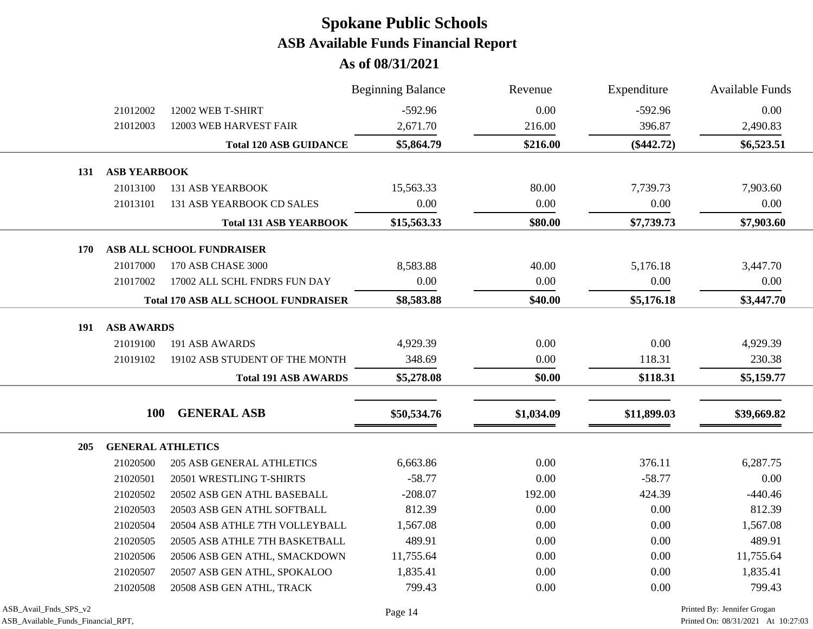|     |                          |                                            | <b>Beginning Balance</b> | Revenue    | Expenditure  | <b>Available Funds</b> |
|-----|--------------------------|--------------------------------------------|--------------------------|------------|--------------|------------------------|
|     | 21012002                 | 12002 WEB T-SHIRT                          | $-592.96$                | 0.00       | $-592.96$    | 0.00                   |
|     | 21012003                 | 12003 WEB HARVEST FAIR                     | 2,671.70                 | 216.00     | 396.87       | 2,490.83               |
|     |                          | <b>Total 120 ASB GUIDANCE</b>              | \$5,864.79               | \$216.00   | $(\$442.72)$ | \$6,523.51             |
| 131 | <b>ASB YEARBOOK</b>      |                                            |                          |            |              |                        |
|     | 21013100                 | <b>131 ASB YEARBOOK</b>                    | 15,563.33                | 80.00      | 7,739.73     | 7,903.60               |
|     | 21013101                 | 131 ASB YEARBOOK CD SALES                  | 0.00                     | 0.00       | 0.00         | 0.00                   |
|     |                          | <b>Total 131 ASB YEARBOOK</b>              | \$15,563.33              | \$80.00    | \$7,739.73   | \$7,903.60             |
| 170 |                          | ASB ALL SCHOOL FUNDRAISER                  |                          |            |              |                        |
|     | 21017000                 | 170 ASB CHASE 3000                         | 8,583.88                 | 40.00      | 5,176.18     | 3,447.70               |
|     | 21017002                 | 17002 ALL SCHL FNDRS FUN DAY               | 0.00                     | 0.00       | 0.00         | 0.00                   |
|     |                          | <b>Total 170 ASB ALL SCHOOL FUNDRAISER</b> | \$8,583.88               | \$40.00    | \$5,176.18   | \$3,447.70             |
| 191 | <b>ASB AWARDS</b>        |                                            |                          |            |              |                        |
|     | 21019100                 | 191 ASB AWARDS                             | 4,929.39                 | 0.00       | 0.00         | 4,929.39               |
|     | 21019102                 | 19102 ASB STUDENT OF THE MONTH             | 348.69                   | 0.00       | 118.31       | 230.38                 |
|     |                          | <b>Total 191 ASB AWARDS</b>                | \$5,278.08               | \$0.00     | \$118.31     | \$5,159.77             |
|     |                          |                                            |                          |            |              |                        |
|     | <b>100</b>               | <b>GENERAL ASB</b>                         | \$50,534.76              | \$1,034.09 | \$11,899.03  | \$39,669.82            |
| 205 | <b>GENERAL ATHLETICS</b> |                                            |                          |            |              |                        |
|     | 21020500                 | <b>205 ASB GENERAL ATHLETICS</b>           | 6,663.86                 | 0.00       | 376.11       | 6,287.75               |
|     | 21020501                 | 20501 WRESTLING T-SHIRTS                   | $-58.77$                 | 0.00       | $-58.77$     | 0.00                   |
|     | 21020502                 | 20502 ASB GEN ATHL BASEBALL                | $-208.07$                | 192.00     | 424.39       | $-440.46$              |
|     | 21020503                 | 20503 ASB GEN ATHL SOFTBALL                | 812.39                   | 0.00       | 0.00         | 812.39                 |
|     | 21020504                 | 20504 ASB ATHLE 7TH VOLLEYBALL             | 1,567.08                 | 0.00       | 0.00         | 1,567.08               |
|     | 21020505                 | 20505 ASB ATHLE 7TH BASKETBALL             | 489.91                   | 0.00       | 0.00         | 489.91                 |
|     | 21020506                 | 20506 ASB GEN ATHL, SMACKDOWN              | 11,755.64                | 0.00       | 0.00         | 11,755.64              |
|     | 21020507                 | 20507 ASB GEN ATHL, SPOKALOO               | 1,835.41                 | 0.00       | 0.00         | 1,835.41               |
|     | 21020508                 | 20508 ASB GEN ATHL, TRACK                  | 799.43                   | 0.00       | 0.00         | 799.43                 |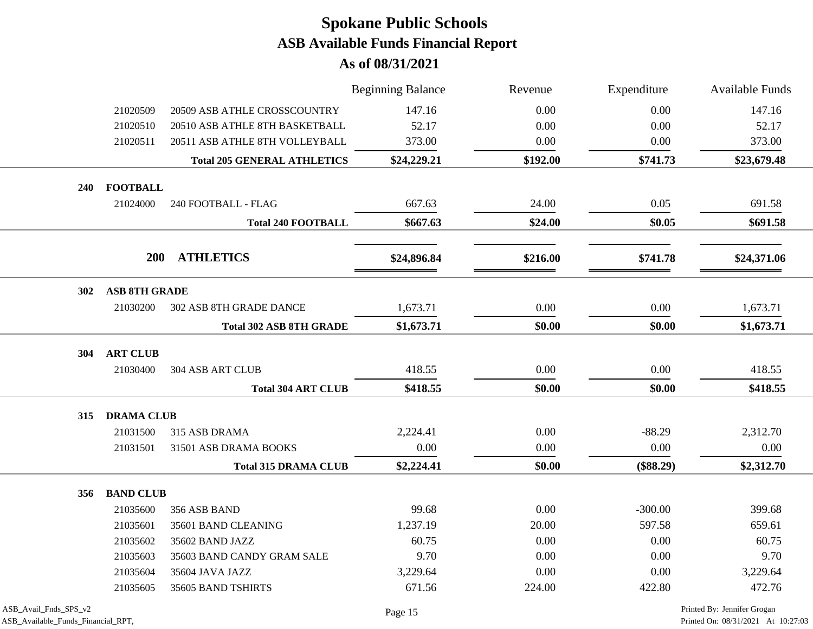|     |                      |                                    | <b>Beginning Balance</b> | Revenue  | Expenditure | <b>Available Funds</b> |
|-----|----------------------|------------------------------------|--------------------------|----------|-------------|------------------------|
|     | 21020509             | 20509 ASB ATHLE CROSSCOUNTRY       | 147.16                   | 0.00     | 0.00        | 147.16                 |
|     | 21020510             | 20510 ASB ATHLE 8TH BASKETBALL     | 52.17                    | 0.00     | 0.00        | 52.17                  |
|     | 21020511             | 20511 ASB ATHLE 8TH VOLLEYBALL     | 373.00                   | 0.00     | 0.00        | 373.00                 |
|     |                      | <b>Total 205 GENERAL ATHLETICS</b> | \$24,229.21              | \$192.00 | \$741.73    | \$23,679.48            |
| 240 | <b>FOOTBALL</b>      |                                    |                          |          |             |                        |
|     | 21024000             | 240 FOOTBALL - FLAG                | 667.63                   | 24.00    | 0.05        | 691.58                 |
|     |                      | <b>Total 240 FOOTBALL</b>          | \$667.63                 | \$24.00  | \$0.05      | \$691.58               |
|     |                      |                                    |                          |          |             |                        |
|     | 200                  | <b>ATHLETICS</b>                   | \$24,896.84              | \$216.00 | \$741.78    | \$24,371.06            |
| 302 | <b>ASB 8TH GRADE</b> |                                    |                          |          |             |                        |
|     | 21030200             | <b>302 ASB 8TH GRADE DANCE</b>     | 1,673.71                 | 0.00     | 0.00        | 1,673.71               |
|     |                      | <b>Total 302 ASB 8TH GRADE</b>     | \$1,673.71               | \$0.00   | \$0.00      | \$1,673.71             |
| 304 | <b>ART CLUB</b>      |                                    |                          |          |             |                        |
|     | 21030400             | 304 ASB ART CLUB                   | 418.55                   | 0.00     | 0.00        | 418.55                 |
|     |                      | <b>Total 304 ART CLUB</b>          | \$418.55                 | \$0.00   | \$0.00      | \$418.55               |
| 315 | <b>DRAMA CLUB</b>    |                                    |                          |          |             |                        |
|     | 21031500             | 315 ASB DRAMA                      | 2,224.41                 | 0.00     | $-88.29$    | 2,312.70               |
|     | 21031501             | 31501 ASB DRAMA BOOKS              | 0.00                     | 0.00     | 0.00        | 0.00                   |
|     |                      | <b>Total 315 DRAMA CLUB</b>        | \$2,224.41               | \$0.00   | $(\$88.29)$ | \$2,312.70             |
| 356 |                      |                                    |                          |          |             |                        |
|     | <b>BAND CLUB</b>     | 356 ASB BAND                       | 99.68                    | 0.00     | $-300.00$   | 399.68                 |
|     | 21035600<br>21035601 | 35601 BAND CLEANING                | 1,237.19                 | 20.00    | 597.58      | 659.61                 |
|     |                      |                                    | 60.75                    |          |             |                        |
|     | 21035602             | 35602 BAND JAZZ                    |                          | 0.00     | 0.00        | 60.75                  |
|     | 21035603             | 35603 BAND CANDY GRAM SALE         | 9.70                     | 0.00     | 0.00        | 9.70                   |
|     | 21035604             | 35604 JAVA JAZZ                    | 3,229.64                 | 0.00     | 0.00        | 3,229.64               |
|     | 21035605             | 35605 BAND TSHIRTS                 | 671.56                   | 224.00   | 422.80      | 472.76                 |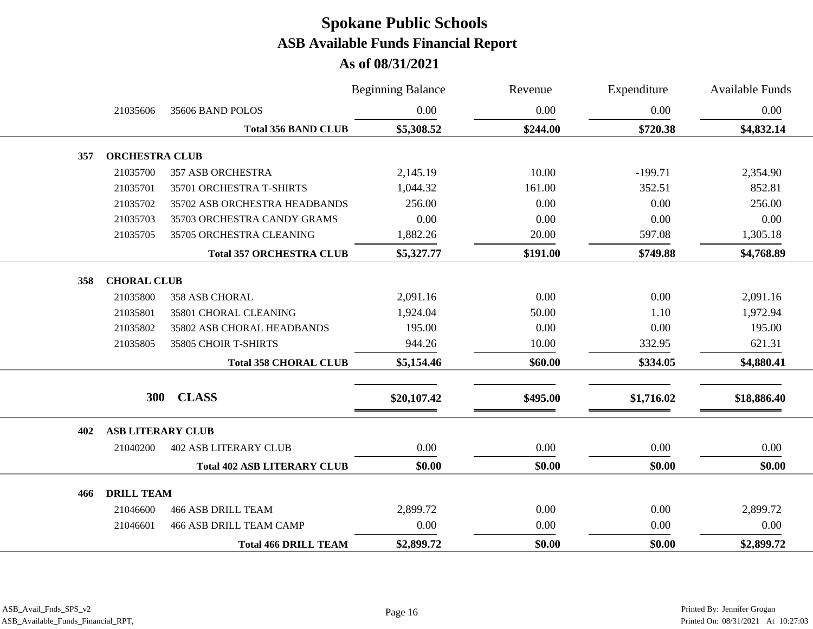|     |                          |                                    | <b>Beginning Balance</b> | Revenue  | Expenditure | <b>Available Funds</b> |
|-----|--------------------------|------------------------------------|--------------------------|----------|-------------|------------------------|
|     | 21035606                 | 35606 BAND POLOS                   | 0.00                     | 0.00     | 0.00        | 0.00                   |
|     |                          | <b>Total 356 BAND CLUB</b>         | \$5,308.52               | \$244.00 | \$720.38    | \$4,832.14             |
| 357 | <b>ORCHESTRA CLUB</b>    |                                    |                          |          |             |                        |
|     | 21035700                 | <b>357 ASB ORCHESTRA</b>           | 2,145.19                 | 10.00    | $-199.71$   | 2,354.90               |
|     | 21035701                 | 35701 ORCHESTRA T-SHIRTS           | 1,044.32                 | 161.00   | 352.51      | 852.81                 |
|     | 21035702                 | 35702 ASB ORCHESTRA HEADBANDS      | 256.00                   | 0.00     | 0.00        | 256.00                 |
|     | 21035703                 | 35703 ORCHESTRA CANDY GRAMS        | 0.00                     | 0.00     | 0.00        | 0.00                   |
|     | 21035705                 | 35705 ORCHESTRA CLEANING           | 1,882.26                 | 20.00    | 597.08      | 1,305.18               |
|     |                          | <b>Total 357 ORCHESTRA CLUB</b>    | \$5,327.77               | \$191.00 | \$749.88    | \$4,768.89             |
| 358 | <b>CHORAL CLUB</b>       |                                    |                          |          |             |                        |
|     | 21035800                 | <b>358 ASB CHORAL</b>              | 2,091.16                 | 0.00     | 0.00        | 2,091.16               |
|     | 21035801                 | 35801 CHORAL CLEANING              | 1,924.04                 | 50.00    | 1.10        | 1,972.94               |
|     | 21035802                 | 35802 ASB CHORAL HEADBANDS         | 195.00                   | 0.00     | 0.00        | 195.00                 |
|     | 21035805                 | 35805 CHOIR T-SHIRTS               | 944.26                   | 10.00    | 332.95      | 621.31                 |
|     |                          | <b>Total 358 CHORAL CLUB</b>       | \$5,154.46               | \$60.00  | \$334.05    | \$4,880.41             |
|     |                          |                                    |                          |          |             |                        |
|     | <b>300</b>               | <b>CLASS</b>                       | \$20,107.42              | \$495.00 | \$1,716.02  | \$18,886.40            |
| 402 | <b>ASB LITERARY CLUB</b> |                                    |                          |          |             |                        |
|     | 21040200                 | <b>402 ASB LITERARY CLUB</b>       | $0.00\,$                 | 0.00     | 0.00        | 0.00                   |
|     |                          | <b>Total 402 ASB LITERARY CLUB</b> | \$0.00                   | \$0.00   | \$0.00      | \$0.00                 |
| 466 | <b>DRILL TEAM</b>        |                                    |                          |          |             |                        |
|     | 21046600                 | <b>466 ASB DRILL TEAM</b>          | 2,899.72                 | 0.00     | 0.00        | 2,899.72               |
|     | 21046601                 | <b>466 ASB DRILL TEAM CAMP</b>     | 0.00                     | 0.00     | 0.00        | 0.00                   |
|     |                          | <b>Total 466 DRILL TEAM</b>        | \$2,899.72               | \$0.00   | \$0.00      | \$2,899.72             |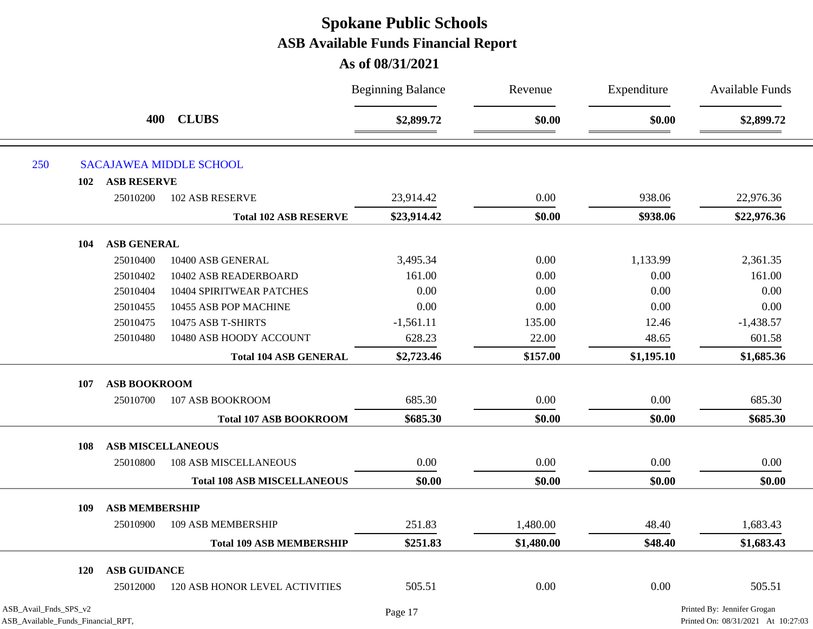|                                                             | 400                            |                                    |             | <b>Beginning Balance</b> | Revenue    | Expenditure                                                       | <b>Available Funds</b> |  |  |  |
|-------------------------------------------------------------|--------------------------------|------------------------------------|-------------|--------------------------|------------|-------------------------------------------------------------------|------------------------|--|--|--|
|                                                             |                                | <b>CLUBS</b>                       | \$2,899.72  | \$0.00                   | \$0.00     | \$2,899.72                                                        |                        |  |  |  |
| 250                                                         | <b>SACAJAWEA MIDDLE SCHOOL</b> |                                    |             |                          |            |                                                                   |                        |  |  |  |
| 102                                                         | <b>ASB RESERVE</b>             |                                    |             |                          |            |                                                                   |                        |  |  |  |
|                                                             | 25010200                       | 102 ASB RESERVE                    | 23,914.42   | 0.00                     | 938.06     | 22,976.36                                                         |                        |  |  |  |
|                                                             |                                | <b>Total 102 ASB RESERVE</b>       | \$23,914.42 | \$0.00                   | \$938.06   | \$22,976.36                                                       |                        |  |  |  |
| 104                                                         | <b>ASB GENERAL</b>             |                                    |             |                          |            |                                                                   |                        |  |  |  |
|                                                             | 25010400                       | 10400 ASB GENERAL                  | 3,495.34    | 0.00                     | 1,133.99   | 2,361.35                                                          |                        |  |  |  |
|                                                             | 25010402                       | 10402 ASB READERBOARD              | 161.00      | 0.00                     | 0.00       | 161.00                                                            |                        |  |  |  |
|                                                             | 25010404                       | 10404 SPIRITWEAR PATCHES           | 0.00        | 0.00                     | 0.00       | 0.00                                                              |                        |  |  |  |
|                                                             | 25010455                       | 10455 ASB POP MACHINE              | 0.00        | 0.00                     | 0.00       | 0.00                                                              |                        |  |  |  |
|                                                             | 25010475                       | 10475 ASB T-SHIRTS                 | $-1,561.11$ | 135.00                   | 12.46      | $-1,438.57$                                                       |                        |  |  |  |
|                                                             | 25010480                       | 10480 ASB HOODY ACCOUNT            | 628.23      | 22.00                    | 48.65      | 601.58                                                            |                        |  |  |  |
|                                                             |                                | <b>Total 104 ASB GENERAL</b>       | \$2,723.46  | \$157.00                 | \$1,195.10 | \$1,685.36                                                        |                        |  |  |  |
| 107                                                         | <b>ASB BOOKROOM</b>            |                                    |             |                          |            |                                                                   |                        |  |  |  |
|                                                             | 25010700                       | 107 ASB BOOKROOM                   | 685.30      | 0.00                     | 0.00       | 685.30                                                            |                        |  |  |  |
|                                                             |                                | <b>Total 107 ASB BOOKROOM</b>      | \$685.30    | \$0.00                   | \$0.00     | \$685.30                                                          |                        |  |  |  |
| 108                                                         | <b>ASB MISCELLANEOUS</b>       |                                    |             |                          |            |                                                                   |                        |  |  |  |
|                                                             | 25010800                       | <b>108 ASB MISCELLANEOUS</b>       | 0.00        | 0.00                     | 0.00       | 0.00                                                              |                        |  |  |  |
|                                                             |                                | <b>Total 108 ASB MISCELLANEOUS</b> | \$0.00      | \$0.00                   | \$0.00     | \$0.00                                                            |                        |  |  |  |
| 109                                                         | <b>ASB MEMBERSHIP</b>          |                                    |             |                          |            |                                                                   |                        |  |  |  |
|                                                             | 25010900                       | <b>109 ASB MEMBERSHIP</b>          | 251.83      | 1,480.00                 | 48.40      | 1,683.43                                                          |                        |  |  |  |
|                                                             |                                | <b>Total 109 ASB MEMBERSHIP</b>    | \$251.83    | \$1,480.00               | \$48.40    | \$1,683.43                                                        |                        |  |  |  |
| <b>120</b>                                                  | <b>ASB GUIDANCE</b>            |                                    |             |                          |            |                                                                   |                        |  |  |  |
|                                                             | 25012000                       | 120 ASB HONOR LEVEL ACTIVITIES     | 505.51      | 0.00                     | 0.00       | 505.51                                                            |                        |  |  |  |
| ASB_Avail_Fnds_SPS_v2<br>ASB_Available_Funds_Financial_RPT, |                                |                                    | Page 17     |                          |            | Printed By: Jennifer Grogan<br>Printed On: 08/31/2021 At 10:27:03 |                        |  |  |  |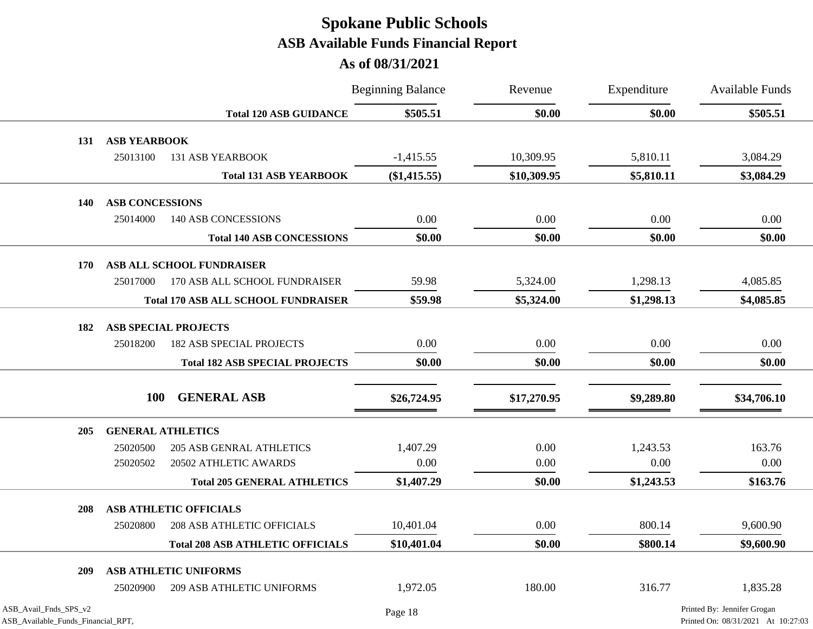|                                                             |                        |                                            | <b>Beginning Balance</b> | Revenue<br>\$0.00 | Expenditure<br>\$0.00 | <b>Available Funds</b><br>\$505.51                                |
|-------------------------------------------------------------|------------------------|--------------------------------------------|--------------------------|-------------------|-----------------------|-------------------------------------------------------------------|
|                                                             |                        | <b>Total 120 ASB GUIDANCE</b>              | \$505.51                 |                   |                       |                                                                   |
| 131                                                         | <b>ASB YEARBOOK</b>    |                                            |                          |                   |                       |                                                                   |
|                                                             | 25013100               | <b>131 ASB YEARBOOK</b>                    | $-1,415.55$              | 10,309.95         | 5,810.11              | 3,084.29                                                          |
|                                                             |                        | <b>Total 131 ASB YEARBOOK</b>              | (\$1,415.55)             | \$10,309.95       | \$5,810.11            | \$3,084.29                                                        |
| <b>140</b>                                                  | <b>ASB CONCESSIONS</b> |                                            |                          |                   |                       |                                                                   |
|                                                             | 25014000               | <b>140 ASB CONCESSIONS</b>                 | 0.00                     | 0.00              | 0.00                  | 0.00                                                              |
|                                                             |                        | <b>Total 140 ASB CONCESSIONS</b>           | \$0.00                   | \$0.00            | \$0.00                | \$0.00                                                            |
| 170                                                         |                        | ASB ALL SCHOOL FUNDRAISER                  |                          |                   |                       |                                                                   |
|                                                             | 25017000               | 170 ASB ALL SCHOOL FUNDRAISER              | 59.98                    | 5,324.00          | 1,298.13              | 4,085.85                                                          |
|                                                             |                        | <b>Total 170 ASB ALL SCHOOL FUNDRAISER</b> | \$59.98                  | \$5,324.00        | \$1,298.13            | \$4,085.85                                                        |
| 182                                                         |                        | <b>ASB SPECIAL PROJECTS</b>                |                          |                   |                       |                                                                   |
|                                                             | 25018200               | <b>182 ASB SPECIAL PROJECTS</b>            | 0.00                     | 0.00              | 0.00                  | 0.00                                                              |
|                                                             |                        | <b>Total 182 ASB SPECIAL PROJECTS</b>      | \$0.00                   | \$0.00            | \$0.00                | \$0.00                                                            |
|                                                             |                        |                                            |                          |                   |                       |                                                                   |
|                                                             | <b>100</b>             | <b>GENERAL ASB</b>                         | \$26,724.95              | \$17,270.95       | \$9,289.80            | \$34,706.10                                                       |
| 205                                                         |                        | <b>GENERAL ATHLETICS</b>                   |                          |                   |                       |                                                                   |
|                                                             | 25020500               | <b>205 ASB GENRAL ATHLETICS</b>            | 1,407.29                 | 0.00              | 1,243.53              | 163.76                                                            |
|                                                             | 25020502               | 20502 ATHLETIC AWARDS                      | 0.00                     | 0.00              | 0.00                  | 0.00                                                              |
|                                                             |                        | <b>Total 205 GENERAL ATHLETICS</b>         | \$1,407.29               | \$0.00            | \$1,243.53            | \$163.76                                                          |
| 208                                                         |                        | <b>ASB ATHLETIC OFFICIALS</b>              |                          |                   |                       |                                                                   |
|                                                             | 25020800               | <b>208 ASB ATHLETIC OFFICIALS</b>          | 10,401.04                | 0.00              | 800.14                | 9,600.90                                                          |
|                                                             |                        | <b>Total 208 ASB ATHLETIC OFFICIALS</b>    | \$10,401.04              | \$0.00            | \$800.14              | \$9,600.90                                                        |
| 209                                                         |                        | ASB ATHLETIC UNIFORMS                      |                          |                   |                       |                                                                   |
|                                                             | 25020900               | 209 ASB ATHLETIC UNIFORMS                  | 1,972.05                 | 180.00            | 316.77                | 1,835.28                                                          |
| ASB_Avail_Fnds_SPS_v2<br>ASB_Available_Funds_Financial_RPT, |                        |                                            | Page 18                  |                   |                       | Printed By: Jennifer Grogan<br>Printed On: 08/31/2021 At 10:27:03 |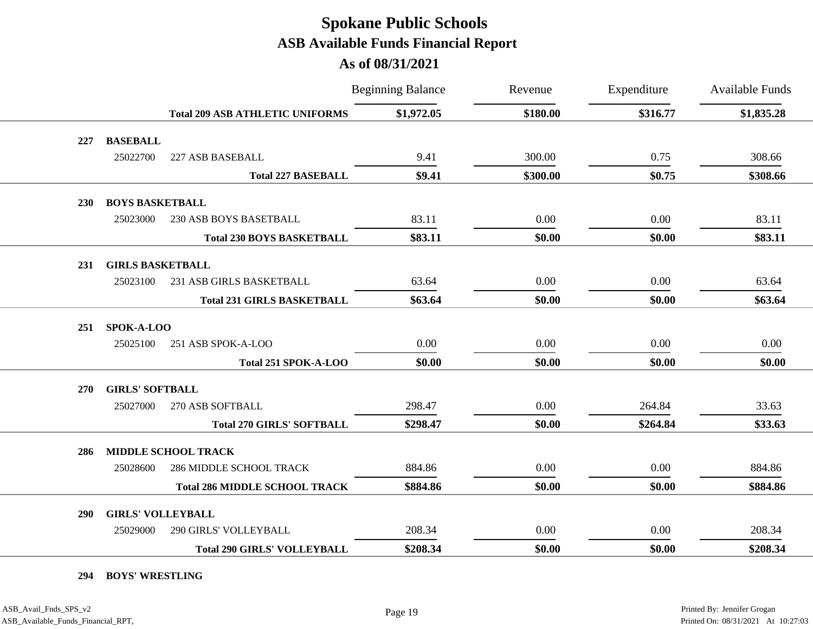**As of 08/31/2021**

|     |                          |                                        | <b>Beginning Balance</b> | Revenue  | Expenditure | <b>Available Funds</b> |
|-----|--------------------------|----------------------------------------|--------------------------|----------|-------------|------------------------|
|     |                          | <b>Total 209 ASB ATHLETIC UNIFORMS</b> | \$1,972.05               | \$180.00 | \$316.77    | \$1,835.28             |
| 227 | <b>BASEBALL</b>          |                                        |                          |          |             |                        |
|     | 25022700                 | 227 ASB BASEBALL                       | 9.41                     | 300.00   | 0.75        | 308.66                 |
|     |                          | <b>Total 227 BASEBALL</b>              | \$9.41                   | \$300.00 | \$0.75      | \$308.66               |
| 230 | <b>BOYS BASKETBALL</b>   |                                        |                          |          |             |                        |
|     | 25023000                 | 230 ASB BOYS BASETBALL                 | 83.11                    | 0.00     | 0.00        | 83.11                  |
|     |                          | <b>Total 230 BOYS BASKETBALL</b>       | \$83.11                  | \$0.00   | \$0.00      | \$83.11                |
| 231 | <b>GIRLS BASKETBALL</b>  |                                        |                          |          |             |                        |
|     | 25023100                 | 231 ASB GIRLS BASKETBALL               | 63.64                    | 0.00     | 0.00        | 63.64                  |
|     |                          | <b>Total 231 GIRLS BASKETBALL</b>      | \$63.64                  | \$0.00   | \$0.00      | \$63.64                |
|     |                          |                                        |                          |          |             |                        |
| 251 | SPOK-A-LOO               |                                        | 0.00                     |          | 0.00        | 0.00                   |
|     | 25025100                 | 251 ASB SPOK-A-LOO                     |                          | 0.00     |             |                        |
|     |                          | Total 251 SPOK-A-LOO                   | \$0.00                   | \$0.00   | \$0.00      | \$0.00                 |
| 270 | <b>GIRLS' SOFTBALL</b>   |                                        |                          |          |             |                        |
|     | 25027000                 | 270 ASB SOFTBALL                       | 298.47                   | 0.00     | 264.84      | 33.63                  |
|     |                          | <b>Total 270 GIRLS' SOFTBALL</b>       | \$298.47                 | \$0.00   | \$264.84    | \$33.63                |
| 286 |                          | <b>MIDDLE SCHOOL TRACK</b>             |                          |          |             |                        |
|     | 25028600                 | <b>286 MIDDLE SCHOOL TRACK</b>         | 884.86                   | $0.00\,$ | 0.00        | 884.86                 |
|     |                          | <b>Total 286 MIDDLE SCHOOL TRACK</b>   | \$884.86                 | \$0.00   | \$0.00      | \$884.86               |
| 290 | <b>GIRLS' VOLLEYBALL</b> |                                        |                          |          |             |                        |
|     | 25029000                 | 290 GIRLS' VOLLEYBALL                  | 208.34                   | 0.00     | 0.00        | 208.34                 |
|     |                          | <b>Total 290 GIRLS' VOLLEYBALL</b>     | \$208.34                 | \$0.00   | \$0.00      | \$208.34               |
|     |                          |                                        |                          |          |             |                        |

**294 BOYS' WRESTLING**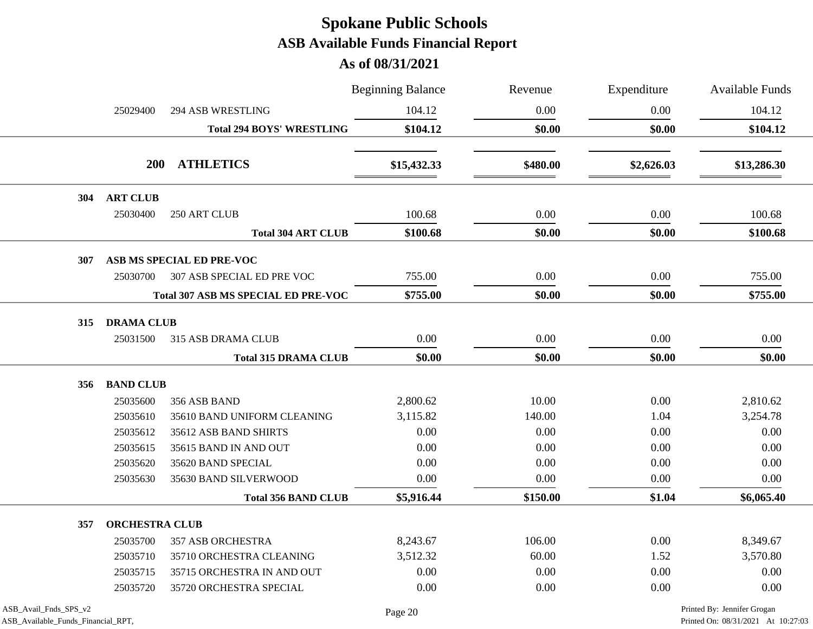|     |                       |                                            | <b>Beginning Balance</b> | Revenue  | Expenditure | Available Funds |
|-----|-----------------------|--------------------------------------------|--------------------------|----------|-------------|-----------------|
|     | 25029400              | <b>294 ASB WRESTLING</b>                   | 104.12                   | 0.00     | 0.00        | 104.12          |
|     |                       | <b>Total 294 BOYS' WRESTLING</b>           | \$104.12                 | \$0.00   | \$0.00      | \$104.12        |
|     | <b>200</b>            | <b>ATHLETICS</b>                           | \$15,432.33              | \$480.00 | \$2,626.03  | \$13,286.30     |
| 304 | <b>ART CLUB</b>       |                                            |                          |          |             |                 |
|     | 25030400              | 250 ART CLUB                               | 100.68                   | 0.00     | 0.00        | 100.68          |
|     |                       | <b>Total 304 ART CLUB</b>                  | \$100.68                 | \$0.00   | \$0.00      | \$100.68        |
| 307 |                       | ASB MS SPECIAL ED PRE-VOC                  |                          |          |             |                 |
|     | 25030700              | 307 ASB SPECIAL ED PRE VOC                 | 755.00                   | 0.00     | 0.00        | 755.00          |
|     |                       | <b>Total 307 ASB MS SPECIAL ED PRE-VOC</b> | \$755.00                 | \$0.00   | \$0.00      | \$755.00        |
| 315 | <b>DRAMA CLUB</b>     |                                            |                          |          |             |                 |
|     | 25031500              | <b>315 ASB DRAMA CLUB</b>                  | 0.00                     | 0.00     | 0.00        | 0.00            |
|     |                       | <b>Total 315 DRAMA CLUB</b>                | \$0.00                   | \$0.00   | \$0.00      | \$0.00          |
| 356 | <b>BAND CLUB</b>      |                                            |                          |          |             |                 |
|     | 25035600              | 356 ASB BAND                               | 2,800.62                 | 10.00    | 0.00        | 2,810.62        |
|     | 25035610              | 35610 BAND UNIFORM CLEANING                | 3,115.82                 | 140.00   | 1.04        | 3,254.78        |
|     | 25035612              | 35612 ASB BAND SHIRTS                      | 0.00                     | 0.00     | 0.00        | 0.00            |
|     | 25035615              | 35615 BAND IN AND OUT                      | 0.00                     | 0.00     | 0.00        | 0.00            |
|     | 25035620              | 35620 BAND SPECIAL                         | 0.00                     | 0.00     | 0.00        | 0.00            |
|     | 25035630              | 35630 BAND SILVERWOOD                      | 0.00                     | 0.00     | 0.00        | 0.00            |
|     |                       | <b>Total 356 BAND CLUB</b>                 | \$5,916.44               | \$150.00 | \$1.04      | \$6,065.40      |
| 357 | <b>ORCHESTRA CLUB</b> |                                            |                          |          |             |                 |
|     | 25035700              | <b>357 ASB ORCHESTRA</b>                   | 8,243.67                 | 106.00   | 0.00        | 8,349.67        |
|     | 25035710              | 35710 ORCHESTRA CLEANING                   | 3,512.32                 | 60.00    | 1.52        | 3,570.80        |
|     | 25035715              | 35715 ORCHESTRA IN AND OUT                 | 0.00                     | 0.00     | 0.00        | 0.00            |
|     | 25035720              | 35720 ORCHESTRA SPECIAL                    | 0.00                     | 0.00     | 0.00        | 0.00            |
|     |                       |                                            |                          |          |             |                 |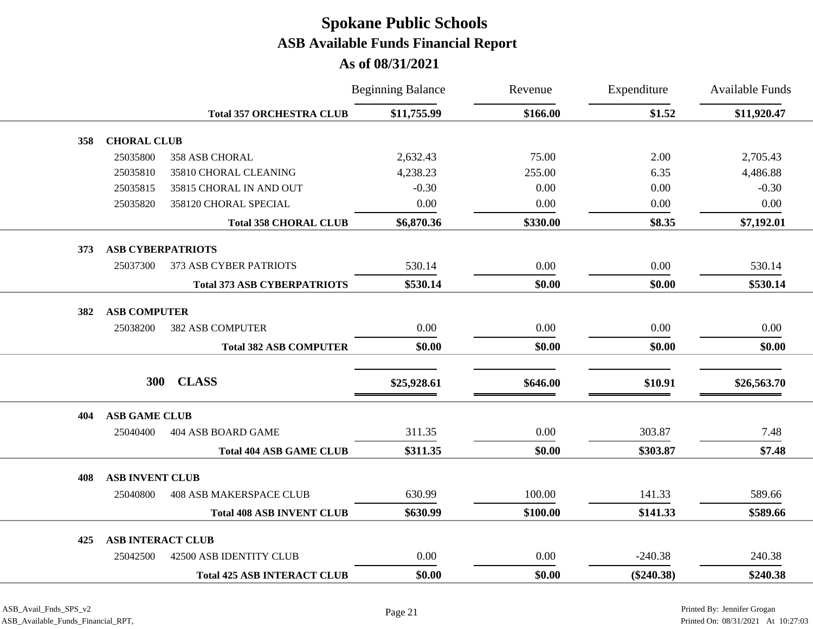|     |                          |                                    | <b>Beginning Balance</b> | Revenue  | Expenditure  | <b>Available Funds</b> |
|-----|--------------------------|------------------------------------|--------------------------|----------|--------------|------------------------|
|     |                          | <b>Total 357 ORCHESTRA CLUB</b>    | \$11,755.99              | \$166.00 | \$1.52       | \$11,920.47            |
| 358 | <b>CHORAL CLUB</b>       |                                    |                          |          |              |                        |
|     | 25035800                 | 358 ASB CHORAL                     | 2,632.43                 | 75.00    | 2.00         | 2,705.43               |
|     | 25035810                 | 35810 CHORAL CLEANING              | 4,238.23                 | 255.00   | 6.35         | 4,486.88               |
|     | 25035815                 | 35815 CHORAL IN AND OUT            | $-0.30$                  | 0.00     | 0.00         | $-0.30$                |
|     | 25035820                 | 358120 CHORAL SPECIAL              | 0.00                     | $0.00\,$ | 0.00         | 0.00                   |
|     |                          | <b>Total 358 CHORAL CLUB</b>       | \$6,870.36               | \$330.00 | \$8.35       | \$7,192.01             |
| 373 | <b>ASB CYBERPATRIOTS</b> |                                    |                          |          |              |                        |
|     | 25037300                 | 373 ASB CYBER PATRIOTS             | 530.14                   | 0.00     | 0.00         | 530.14                 |
|     |                          | <b>Total 373 ASB CYBERPATRIOTS</b> | \$530.14                 | \$0.00   | \$0.00       | \$530.14               |
| 382 | <b>ASB COMPUTER</b>      |                                    |                          |          |              |                        |
|     | 25038200                 | <b>382 ASB COMPUTER</b>            | 0.00                     | 0.00     | 0.00         | 0.00                   |
|     |                          | <b>Total 382 ASB COMPUTER</b>      | \$0.00                   | \$0.00   | \$0.00       | \$0.00                 |
|     |                          |                                    |                          |          |              |                        |
|     | 300                      | <b>CLASS</b>                       | \$25,928.61              | \$646.00 | \$10.91      | \$26,563.70            |
| 404 | <b>ASB GAME CLUB</b>     |                                    |                          |          |              |                        |
|     | 25040400                 | 404 ASB BOARD GAME                 | 311.35                   | 0.00     | 303.87       | 7.48                   |
|     |                          | <b>Total 404 ASB GAME CLUB</b>     | \$311.35                 | \$0.00   | \$303.87     | \$7.48                 |
|     |                          |                                    |                          |          |              |                        |
| 408 | <b>ASB INVENT CLUB</b>   |                                    |                          |          |              |                        |
|     | 25040800                 | <b>408 ASB MAKERSPACE CLUB</b>     | 630.99                   | 100.00   | 141.33       | 589.66                 |
|     |                          | <b>Total 408 ASB INVENT CLUB</b>   | \$630.99                 | \$100.00 | \$141.33     | \$589.66               |
| 425 | <b>ASB INTERACT CLUB</b> |                                    |                          |          |              |                        |
|     | 25042500                 | 42500 ASB IDENTITY CLUB            | 0.00                     | 0.00     | $-240.38$    | 240.38                 |
|     |                          | <b>Total 425 ASB INTERACT CLUB</b> | \$0.00                   | \$0.00   | $(\$240.38)$ | \$240.38               |
|     |                          |                                    |                          |          |              |                        |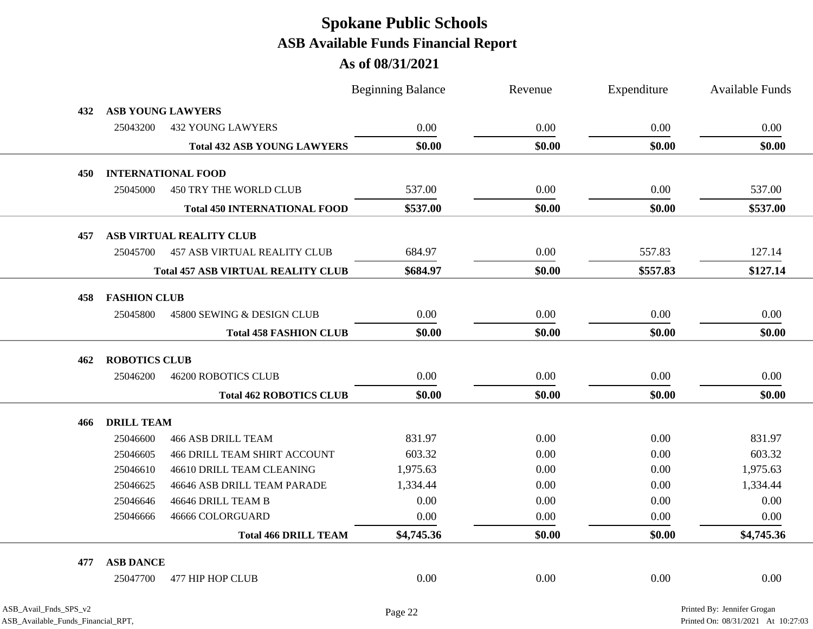|     |                      |                                           | <b>Beginning Balance</b> | Revenue | Expenditure | <b>Available Funds</b> |
|-----|----------------------|-------------------------------------------|--------------------------|---------|-------------|------------------------|
| 432 |                      | <b>ASB YOUNG LAWYERS</b>                  |                          |         |             |                        |
|     | 25043200             | <b>432 YOUNG LAWYERS</b>                  | $0.00\,$                 | 0.00    | 0.00        | 0.00                   |
|     |                      | <b>Total 432 ASB YOUNG LAWYERS</b>        | \$0.00                   | \$0.00  | \$0.00      | \$0.00                 |
|     |                      |                                           |                          |         |             |                        |
| 450 |                      | <b>INTERNATIONAL FOOD</b>                 |                          |         |             |                        |
|     | 25045000             | <b>450 TRY THE WORLD CLUB</b>             | 537.00                   | 0.00    | 0.00        | 537.00                 |
|     |                      | <b>Total 450 INTERNATIONAL FOOD</b>       | \$537.00                 | \$0.00  | \$0.00      | \$537.00               |
| 457 |                      | ASB VIRTUAL REALITY CLUB                  |                          |         |             |                        |
|     | 25045700             | <b>457 ASB VIRTUAL REALITY CLUB</b>       | 684.97                   | 0.00    | 557.83      | 127.14                 |
|     |                      | <b>Total 457 ASB VIRTUAL REALITY CLUB</b> | \$684.97                 | \$0.00  | \$557.83    | \$127.14               |
|     |                      |                                           |                          |         |             |                        |
| 458 | <b>FASHION CLUB</b>  |                                           |                          |         |             |                        |
|     | 25045800             | 45800 SEWING & DESIGN CLUB                | $0.00\,$                 | 0.00    | 0.00        | 0.00                   |
|     |                      | <b>Total 458 FASHION CLUB</b>             | \$0.00                   | \$0.00  | \$0.00      | \$0.00                 |
| 462 | <b>ROBOTICS CLUB</b> |                                           |                          |         |             |                        |
|     | 25046200             | <b>46200 ROBOTICS CLUB</b>                | $0.00\,$                 | 0.00    | 0.00        | 0.00                   |
|     |                      | <b>Total 462 ROBOTICS CLUB</b>            | \$0.00                   | \$0.00  | \$0.00      | \$0.00                 |
| 466 | <b>DRILL TEAM</b>    |                                           |                          |         |             |                        |
|     | 25046600             | <b>466 ASB DRILL TEAM</b>                 | 831.97                   | 0.00    | 0.00        | 831.97                 |
|     | 25046605             | <b>466 DRILL TEAM SHIRT ACCOUNT</b>       | 603.32                   | 0.00    | 0.00        | 603.32                 |
|     | 25046610             | 46610 DRILL TEAM CLEANING                 | 1,975.63                 | 0.00    | 0.00        | 1,975.63               |
|     | 25046625             | 46646 ASB DRILL TEAM PARADE               | 1,334.44                 | 0.00    | 0.00        | 1,334.44               |
|     | 25046646             | 46646 DRILL TEAM B                        | 0.00                     | 0.00    | 0.00        | 0.00                   |
|     | 25046666             | 46666 COLORGUARD                          | $0.00\,$                 | 0.00    | 0.00        | 0.00                   |
|     |                      | <b>Total 466 DRILL TEAM</b>               | \$4,745.36               | \$0.00  | \$0.00      | \$4,745.36             |
|     |                      |                                           |                          |         |             |                        |
| 477 | <b>ASB DANCE</b>     |                                           |                          |         |             |                        |
|     | 25047700             | 477 HIP HOP CLUB                          | 0.00                     | 0.00    | 0.00        | 0.00                   |
|     |                      |                                           |                          |         |             |                        |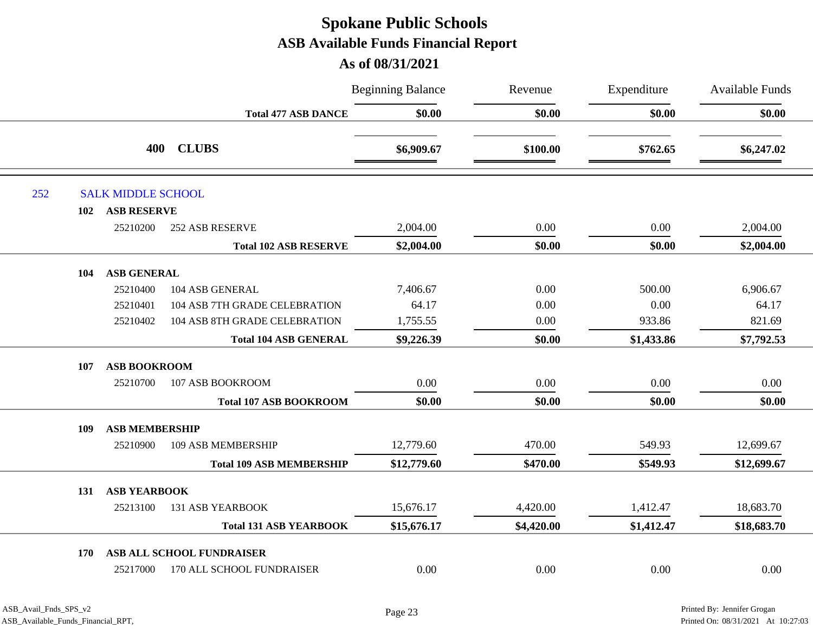|     |                           |                                 | <b>Beginning Balance</b> | Revenue    | Expenditure | <b>Available Funds</b> |
|-----|---------------------------|---------------------------------|--------------------------|------------|-------------|------------------------|
|     |                           | <b>Total 477 ASB DANCE</b>      | \$0.00                   | \$0.00     | \$0.00      | \$0.00                 |
|     | 400                       | <b>CLUBS</b>                    | \$6,909.67               | \$100.00   | \$762.65    | \$6,247.02             |
| 252 | <b>SALK MIDDLE SCHOOL</b> |                                 |                          |            |             |                        |
| 102 | <b>ASB RESERVE</b>        |                                 |                          |            |             |                        |
|     | 25210200                  | <b>252 ASB RESERVE</b>          | 2,004.00                 | 0.00       | 0.00        | 2,004.00               |
|     |                           | <b>Total 102 ASB RESERVE</b>    | \$2,004.00               | \$0.00     | \$0.00      | \$2,004.00             |
| 104 | <b>ASB GENERAL</b>        |                                 |                          |            |             |                        |
|     | 25210400                  | 104 ASB GENERAL                 | 7,406.67                 | 0.00       | 500.00      | 6,906.67               |
|     | 25210401                  | 104 ASB 7TH GRADE CELEBRATION   | 64.17                    | 0.00       | 0.00        | 64.17                  |
|     | 25210402                  | 104 ASB 8TH GRADE CELEBRATION   | 1,755.55                 | 0.00       | 933.86      | 821.69                 |
|     |                           | <b>Total 104 ASB GENERAL</b>    | \$9,226.39               | \$0.00     | \$1,433.86  | \$7,792.53             |
| 107 | <b>ASB BOOKROOM</b>       |                                 |                          |            |             |                        |
|     | 25210700                  | 107 ASB BOOKROOM                | 0.00                     | 0.00       | 0.00        | 0.00                   |
|     |                           | <b>Total 107 ASB BOOKROOM</b>   | \$0.00                   | \$0.00     | \$0.00      | \$0.00                 |
| 109 | <b>ASB MEMBERSHIP</b>     |                                 |                          |            |             |                        |
|     | 25210900                  | 109 ASB MEMBERSHIP              | 12,779.60                | 470.00     | 549.93      | 12,699.67              |
|     |                           | <b>Total 109 ASB MEMBERSHIP</b> | \$12,779.60              | \$470.00   | \$549.93    | \$12,699.67            |
| 131 | <b>ASB YEARBOOK</b>       |                                 |                          |            |             |                        |
|     | 25213100                  | <b>131 ASB YEARBOOK</b>         | 15,676.17                | 4,420.00   | 1,412.47    | 18,683.70              |
|     |                           | <b>Total 131 ASB YEARBOOK</b>   | \$15,676.17              | \$4,420.00 | \$1,412.47  | \$18,683.70            |
| 170 |                           | ASB ALL SCHOOL FUNDRAISER       |                          |            |             |                        |
|     | 25217000                  | 170 ALL SCHOOL FUNDRAISER       | 0.00                     | 0.00       | 0.00        | 0.00                   |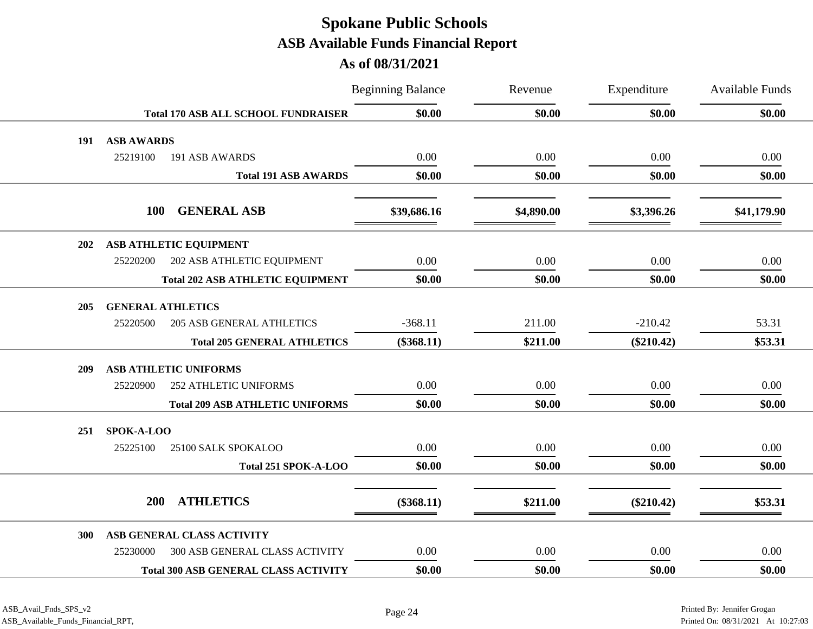|                                              | <b>Beginning Balance</b> | Revenue    | Expenditure  | <b>Available Funds</b> |
|----------------------------------------------|--------------------------|------------|--------------|------------------------|
| <b>Total 170 ASB ALL SCHOOL FUNDRAISER</b>   | \$0.00                   | \$0.00     | \$0.00       | \$0.00                 |
| <b>ASB AWARDS</b><br>191                     |                          |            |              |                        |
| 25219100<br>191 ASB AWARDS                   | 0.00                     | 0.00       | 0.00         | 0.00                   |
| <b>Total 191 ASB AWARDS</b>                  | \$0.00                   | \$0.00     | \$0.00       | \$0.00                 |
| 100<br><b>GENERAL ASB</b>                    | \$39,686.16              | \$4,890.00 | \$3,396.26   | \$41,179.90            |
| ASB ATHLETIC EQUIPMENT<br>202                |                          |            |              |                        |
| 202 ASB ATHLETIC EQUIPMENT<br>25220200       | 0.00                     | 0.00       | 0.00         | 0.00                   |
| <b>Total 202 ASB ATHLETIC EQUIPMENT</b>      | \$0.00                   | \$0.00     | \$0.00       | \$0.00                 |
| <b>GENERAL ATHLETICS</b><br><b>205</b>       |                          |            |              |                        |
| <b>205 ASB GENERAL ATHLETICS</b><br>25220500 | $-368.11$                | 211.00     | $-210.42$    | 53.31                  |
| <b>Total 205 GENERAL ATHLETICS</b>           | $(\$368.11)$             | \$211.00   | $(\$210.42)$ | \$53.31                |
| <b>ASB ATHLETIC UNIFORMS</b><br>209          |                          |            |              |                        |
| <b>252 ATHLETIC UNIFORMS</b><br>25220900     | 0.00                     | 0.00       | 0.00         | 0.00                   |
| <b>Total 209 ASB ATHLETIC UNIFORMS</b>       | \$0.00                   | \$0.00     | \$0.00       | \$0.00                 |
| SPOK-A-LOO<br>251                            |                          |            |              |                        |
| 25100 SALK SPOKALOO<br>25225100              | 0.00                     | 0.00       | 0.00         | 0.00                   |
| Total 251 SPOK-A-LOO                         | \$0.00                   | \$0.00     | \$0.00       | \$0.00                 |
| <b>ATHLETICS</b><br><b>200</b>               | $(\$368.11)$             | \$211.00   | $(\$210.42)$ | \$53.31                |
| ASB GENERAL CLASS ACTIVITY<br>300            |                          |            |              |                        |
| 300 ASB GENERAL CLASS ACTIVITY<br>25230000   | 0.00                     | 0.00       | 0.00         | 0.00                   |
| <b>Total 300 ASB GENERAL CLASS ACTIVITY</b>  | \$0.00                   | \$0.00     | \$0.00       | \$0.00                 |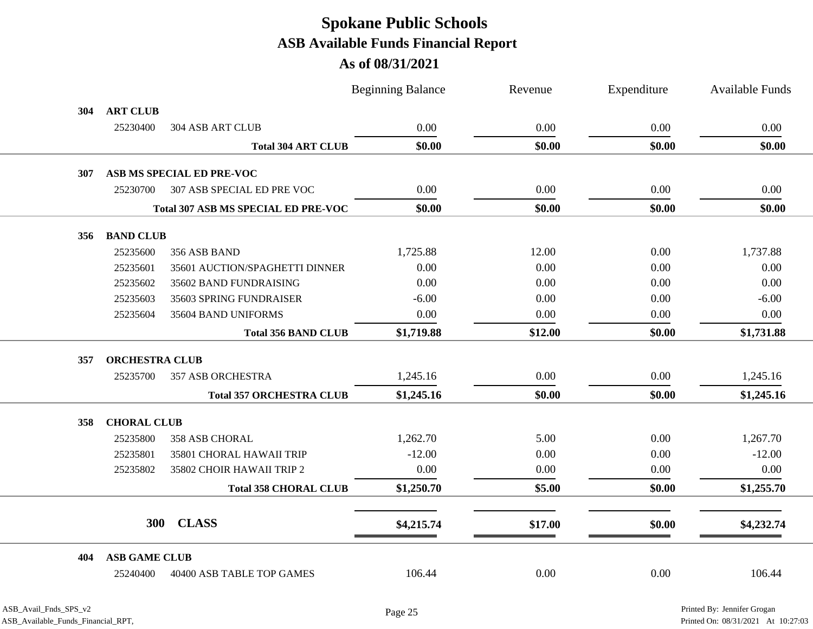|            |              |              | <b>Beginning Balance</b> |                                            |                                            |     |
|------------|--------------|--------------|--------------------------|--------------------------------------------|--------------------------------------------|-----|
|            |              |              |                          |                                            | <b>ART CLUB</b>                            | 304 |
| 0.00       | 0.00         | 0.00         | 0.00                     | <b>304 ASB ART CLUB</b>                    | 25230400                                   |     |
| \$0.00     | \$0.00       | \$0.00       | \$0.00                   | <b>Total 304 ART CLUB</b>                  |                                            |     |
|            |              |              |                          |                                            |                                            |     |
|            |              |              |                          | ASB MS SPECIAL ED PRE-VOC                  |                                            | 307 |
| 0.00       | 0.00         | 0.00         | 0.00                     | 307 ASB SPECIAL ED PRE VOC                 | 25230700                                   |     |
| \$0.00     | \$0.00       | \$0.00       | \$0.00                   | Total 307 ASB MS SPECIAL ED PRE-VOC        |                                            |     |
|            |              |              |                          |                                            | <b>BAND CLUB</b>                           | 356 |
| 1,737.88   | 0.00         | 12.00        | 1,725.88                 | 356 ASB BAND                               | 25235600                                   |     |
| 0.00       | 0.00         | 0.00         | 0.00                     | 35601 AUCTION/SPAGHETTI DINNER             | 25235601                                   |     |
| 0.00       | 0.00         | 0.00         | 0.00                     | 35602 BAND FUNDRAISING                     | 25235602                                   |     |
| $-6.00$    | 0.00         | 0.00         | $-6.00$                  | 35603 SPRING FUNDRAISER                    | 25235603                                   |     |
| $0.00\,$   | 0.00         | 0.00         | 0.00                     | 35604 BAND UNIFORMS                        | 25235604                                   |     |
| \$1,731.88 | \$0.00       | \$12.00      | \$1,719.88               | <b>Total 356 BAND CLUB</b>                 |                                            |     |
|            |              |              |                          |                                            | <b>ORCHESTRA CLUB</b>                      | 357 |
| 1,245.16   | 0.00         | 0.00         | 1,245.16                 | <b>357 ASB ORCHESTRA</b>                   | 25235700                                   |     |
| \$1,245.16 | \$0.00       | \$0.00       | \$1,245.16               | <b>Total 357 ORCHESTRA CLUB</b>            |                                            |     |
|            |              |              |                          |                                            |                                            |     |
| 1,267.70   |              |              |                          |                                            |                                            |     |
| $-12.00$   |              |              |                          |                                            |                                            |     |
| 0.00       | 0.00         | 0.00         | 0.00                     | 35802 CHOIR HAWAII TRIP 2                  | 25235802                                   |     |
| \$1,255.70 | \$0.00       | \$5.00       | \$1,250.70               | <b>Total 358 CHORAL CLUB</b>               |                                            |     |
|            |              |              |                          |                                            |                                            |     |
| \$4,232.74 | \$0.00       | \$17.00      | \$4,215.74               | <b>CLASS</b>                               | <b>300</b>                                 |     |
|            |              |              |                          |                                            | <b>ASB GAME CLUB</b>                       | 404 |
|            | 0.00         | 0.00         | 106.44                   | 40400 ASB TABLE TOP GAMES                  | 25240400                                   |     |
|            | 0.00<br>0.00 | 5.00<br>0.00 | 1,262.70<br>$-12.00$     | 358 ASB CHORAL<br>35801 CHORAL HAWAII TRIP | <b>CHORAL CLUB</b><br>25235800<br>25235801 | 358 |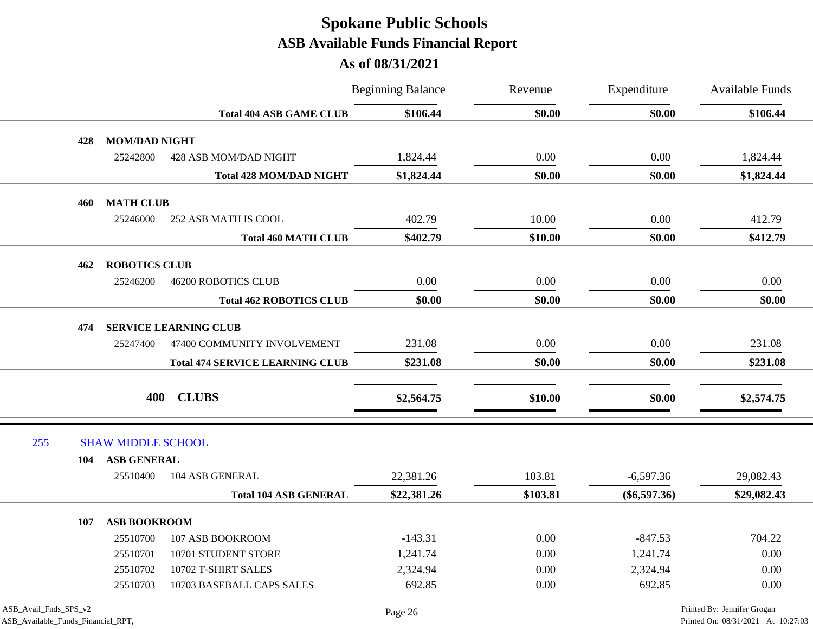**As of 08/31/2021**

|                                         |                                        | <b>Beginning Balance</b> | Revenue  | Expenditure    | <b>Available Funds</b> |
|-----------------------------------------|----------------------------------------|--------------------------|----------|----------------|------------------------|
|                                         | <b>Total 404 ASB GAME CLUB</b>         | \$106.44                 | \$0.00   | \$0.00         | \$106.44               |
| <b>MOM/DAD NIGHT</b><br>428             |                                        |                          |          |                |                        |
| 25242800                                | 428 ASB MOM/DAD NIGHT                  | 1,824.44                 | 0.00     | 0.00           | 1,824.44               |
|                                         | <b>Total 428 MOM/DAD NIGHT</b>         | \$1,824.44               | \$0.00   | \$0.00         | \$1,824.44             |
| <b>MATH CLUB</b><br>460                 |                                        |                          |          |                |                        |
| 25246000                                | 252 ASB MATH IS COOL                   | 402.79                   | 10.00    | 0.00           | 412.79                 |
|                                         | <b>Total 460 MATH CLUB</b>             | \$402.79                 | \$10.00  | \$0.00         | \$412.79               |
|                                         |                                        |                          |          |                |                        |
| <b>ROBOTICS CLUB</b><br>462<br>25246200 | <b>46200 ROBOTICS CLUB</b>             | 0.00                     | 0.00     | 0.00           | 0.00                   |
|                                         | <b>Total 462 ROBOTICS CLUB</b>         | \$0.00                   | \$0.00   | \$0.00         | \$0.00                 |
|                                         |                                        |                          |          |                |                        |
| 474                                     | <b>SERVICE LEARNING CLUB</b>           |                          |          |                |                        |
| 25247400                                | 47400 COMMUNITY INVOLVEMENT            | 231.08                   | 0.00     | 0.00           | 231.08                 |
|                                         | <b>Total 474 SERVICE LEARNING CLUB</b> | \$231.08                 | \$0.00   | \$0.00         | \$231.08               |
|                                         |                                        |                          |          |                |                        |
|                                         | 400 CLUBS                              | \$2,564.75               | \$10.00  | \$0.00         | \$2,574.75             |
|                                         |                                        |                          |          |                |                        |
| 255<br><b>SHAW MIDDLE SCHOOL</b>        |                                        |                          |          |                |                        |
| <b>ASB GENERAL</b><br>104               |                                        |                          |          |                |                        |
| 25510400                                | 104 ASB GENERAL                        | 22,381.26                | 103.81   | $-6,597.36$    | 29,082.43              |
|                                         | <b>Total 104 ASB GENERAL</b>           | \$22,381.26              | \$103.81 | $(\$6,597.36)$ | \$29,082.43            |
| ASB BOOKROOM<br>107                     |                                        |                          |          |                |                        |
| 25510700                                | 107 ASB BOOKROOM                       | $-143.31$                | 0.00     | $-847.53$      | 704.22                 |
| 25510701                                | 10701 STUDENT STORE                    | 1,241.74                 | 0.00     | 1,241.74       | 0.00                   |
| 25510702                                | 10702 T-SHIRT SALES                    | 2,324.94                 | 0.00     | 2,324.94       | 0.00                   |
| 25510703                                | 10703 BASEBALL CAPS SALES              | 692.85                   | 0.00     | 692.85         | 0.00                   |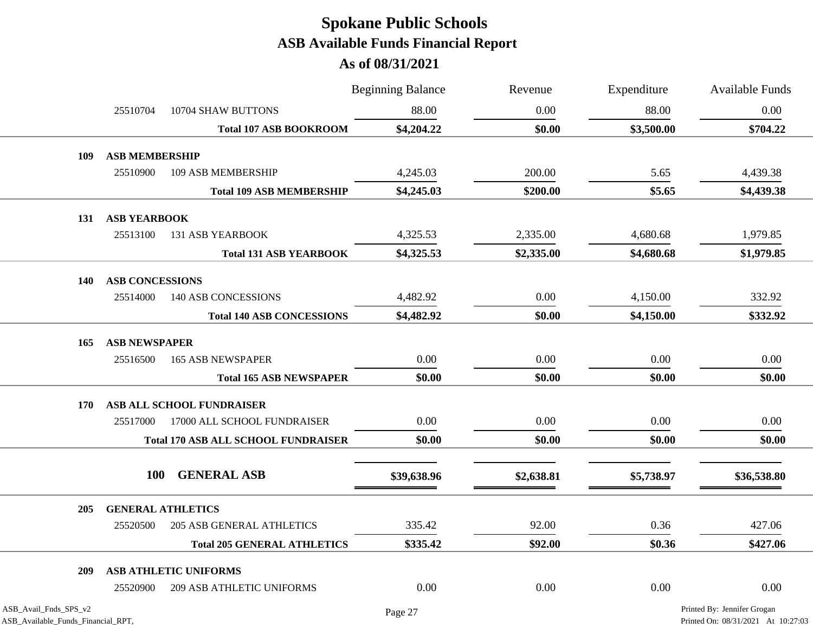|                                                             |                                    |                                            | <b>Beginning Balance</b> | Revenue    | Expenditure | <b>Available Funds</b>                                            |
|-------------------------------------------------------------|------------------------------------|--------------------------------------------|--------------------------|------------|-------------|-------------------------------------------------------------------|
|                                                             | 25510704                           | 10704 SHAW BUTTONS                         | 88.00                    | 0.00       | 88.00       | 0.00                                                              |
|                                                             |                                    | <b>Total 107 ASB BOOKROOM</b>              | \$4,204.22               | \$0.00     | \$3,500.00  | \$704.22                                                          |
| 109                                                         | <b>ASB MEMBERSHIP</b>              |                                            |                          |            |             |                                                                   |
|                                                             | 25510900                           | 109 ASB MEMBERSHIP                         | 4,245.03                 | 200.00     | 5.65        | 4,439.38                                                          |
|                                                             |                                    | <b>Total 109 ASB MEMBERSHIP</b>            | \$4,245.03               | \$200.00   | \$5.65      | \$4,439.38                                                        |
| 131                                                         | <b>ASB YEARBOOK</b>                |                                            |                          |            |             |                                                                   |
|                                                             | 25513100                           | <b>131 ASB YEARBOOK</b>                    | 4,325.53                 | 2,335.00   | 4,680.68    | 1,979.85                                                          |
|                                                             |                                    | <b>Total 131 ASB YEARBOOK</b>              | \$4,325.53               | \$2,335.00 | \$4,680.68  | \$1,979.85                                                        |
|                                                             |                                    |                                            |                          |            |             |                                                                   |
| <b>140</b>                                                  | <b>ASB CONCESSIONS</b><br>25514000 | 140 ASB CONCESSIONS                        | 4,482.92                 | 0.00       | 4,150.00    | 332.92                                                            |
|                                                             |                                    | <b>Total 140 ASB CONCESSIONS</b>           | \$4,482.92               | \$0.00     | \$4,150.00  | \$332.92                                                          |
|                                                             |                                    |                                            |                          |            |             |                                                                   |
| 165                                                         | <b>ASB NEWSPAPER</b>               |                                            |                          |            |             |                                                                   |
|                                                             | 25516500                           | <b>165 ASB NEWSPAPER</b>                   | 0.00                     | 0.00       | 0.00        | 0.00                                                              |
|                                                             |                                    | <b>Total 165 ASB NEWSPAPER</b>             | \$0.00                   | \$0.00     | \$0.00      | \$0.00                                                            |
| 170                                                         |                                    | ASB ALL SCHOOL FUNDRAISER                  |                          |            |             |                                                                   |
|                                                             | 25517000                           | 17000 ALL SCHOOL FUNDRAISER                | 0.00                     | 0.00       | 0.00        | 0.00                                                              |
|                                                             |                                    | <b>Total 170 ASB ALL SCHOOL FUNDRAISER</b> | \$0.00                   | \$0.00     | \$0.00      | \$0.00                                                            |
|                                                             |                                    |                                            |                          |            |             |                                                                   |
|                                                             | <b>100</b>                         | <b>GENERAL ASB</b>                         | \$39,638.96              | \$2,638.81 | \$5,738.97  | \$36,538.80                                                       |
| 205                                                         | <b>GENERAL ATHLETICS</b>           |                                            |                          |            |             |                                                                   |
|                                                             | 25520500                           | <b>205 ASB GENERAL ATHLETICS</b>           | 335.42                   | 92.00      | 0.36        | 427.06                                                            |
|                                                             |                                    | <b>Total 205 GENERAL ATHLETICS</b>         | \$335.42                 | \$92.00    | \$0.36      | \$427.06                                                          |
| 209                                                         |                                    | ASB ATHLETIC UNIFORMS                      |                          |            |             |                                                                   |
|                                                             | 25520900                           | 209 ASB ATHLETIC UNIFORMS                  | 0.00                     | 0.00       | 0.00        | 0.00                                                              |
| ASB_Avail_Fnds_SPS_v2<br>ASB Available Funds Financial RPT, |                                    |                                            | Page 27                  |            |             | Printed By: Jennifer Grogan<br>Printed On: 08/31/2021 At 10:27:03 |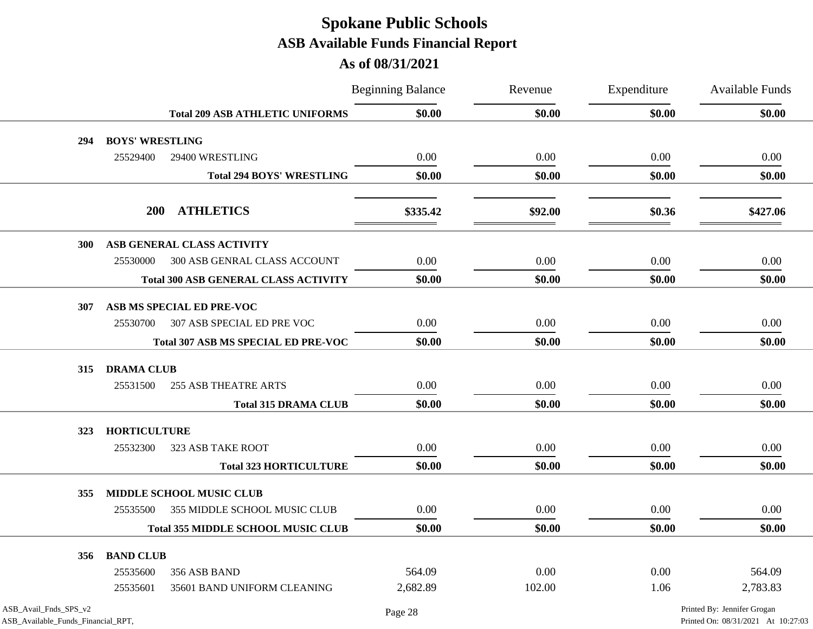|                       |                        |                                             | <b>Beginning Balance</b> | Revenue | Expenditure | <b>Available Funds</b>      |
|-----------------------|------------------------|---------------------------------------------|--------------------------|---------|-------------|-----------------------------|
|                       |                        | <b>Total 209 ASB ATHLETIC UNIFORMS</b>      | \$0.00                   | \$0.00  | \$0.00      | \$0.00                      |
| 294                   | <b>BOYS' WRESTLING</b> |                                             |                          |         |             |                             |
|                       | 25529400               | 29400 WRESTLING                             | 0.00                     | 0.00    | 0.00        | 0.00                        |
|                       |                        | <b>Total 294 BOYS' WRESTLING</b>            | \$0.00                   | \$0.00  | \$0.00      | \$0.00                      |
|                       |                        | 200 ATHLETICS                               | \$335.42                 | \$92.00 | \$0.36      | \$427.06                    |
| <b>300</b>            |                        | ASB GENERAL CLASS ACTIVITY                  |                          |         |             |                             |
|                       | 25530000               | 300 ASB GENRAL CLASS ACCOUNT                | 0.00                     | 0.00    | 0.00        | 0.00                        |
|                       |                        | <b>Total 300 ASB GENERAL CLASS ACTIVITY</b> | \$0.00                   | \$0.00  | \$0.00      | \$0.00                      |
| 307                   |                        | ASB MS SPECIAL ED PRE-VOC                   |                          |         |             |                             |
|                       | 25530700               | 307 ASB SPECIAL ED PRE VOC                  | 0.00                     | 0.00    | 0.00        | 0.00                        |
|                       |                        | Total 307 ASB MS SPECIAL ED PRE-VOC         | \$0.00                   | \$0.00  | \$0.00      | \$0.00                      |
| 315                   | <b>DRAMA CLUB</b>      |                                             |                          |         |             |                             |
|                       | 25531500               | <b>255 ASB THEATRE ARTS</b>                 | $0.00\,$                 | 0.00    | 0.00        | 0.00                        |
|                       |                        | <b>Total 315 DRAMA CLUB</b>                 | \$0.00                   | \$0.00  | \$0.00      | \$0.00                      |
| 323                   | <b>HORTICULTURE</b>    |                                             |                          |         |             |                             |
|                       | 25532300               | 323 ASB TAKE ROOT                           | 0.00                     | 0.00    | 0.00        | 0.00                        |
|                       |                        | <b>Total 323 HORTICULTURE</b>               | \$0.00                   | \$0.00  | \$0.00      | \$0.00                      |
| 355                   |                        | <b>MIDDLE SCHOOL MUSIC CLUB</b>             |                          |         |             |                             |
|                       | 25535500               | 355 MIDDLE SCHOOL MUSIC CLUB                | 0.00                     | 0.00    | 0.00        | 0.00                        |
|                       |                        | <b>Total 355 MIDDLE SCHOOL MUSIC CLUB</b>   | \$0.00                   | \$0.00  | \$0.00      | \$0.00                      |
| 356                   | <b>BAND CLUB</b>       |                                             |                          |         |             |                             |
|                       | 25535600               | 356 ASB BAND                                | 564.09                   | 0.00    | 0.00        | 564.09                      |
|                       | 25535601               | 35601 BAND UNIFORM CLEANING                 | 2,682.89                 | 102.00  | 1.06        | 2,783.83                    |
| ASB_Avail_Fnds_SPS_v2 |                        |                                             | Page 28                  |         |             | Printed By: Jennifer Grogan |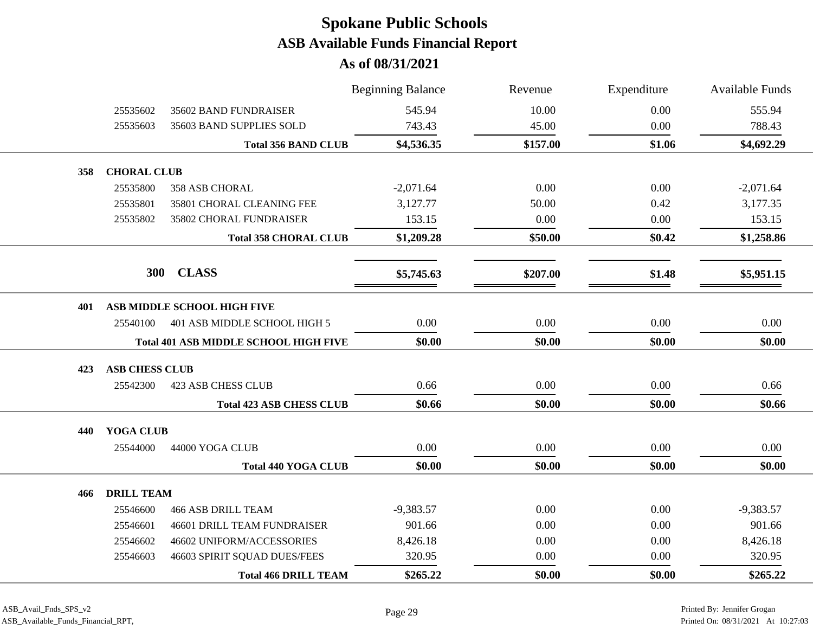|     |                       |                                              | <b>Beginning Balance</b> | Revenue  | Expenditure | <b>Available Funds</b> |
|-----|-----------------------|----------------------------------------------|--------------------------|----------|-------------|------------------------|
|     | 25535602              | 35602 BAND FUNDRAISER                        | 545.94                   | 10.00    | 0.00        | 555.94                 |
|     | 25535603              | 35603 BAND SUPPLIES SOLD                     | 743.43                   | 45.00    | 0.00        | 788.43                 |
|     |                       | <b>Total 356 BAND CLUB</b>                   | \$4,536.35               | \$157.00 | \$1.06      | \$4,692.29             |
| 358 | <b>CHORAL CLUB</b>    |                                              |                          |          |             |                        |
|     | 25535800              | 358 ASB CHORAL                               | $-2,071.64$              | 0.00     | 0.00        | $-2,071.64$            |
|     | 25535801              | 35801 CHORAL CLEANING FEE                    | 3,127.77                 | 50.00    | 0.42        | 3,177.35               |
|     | 25535802              | 35802 CHORAL FUNDRAISER                      | 153.15                   | 0.00     | 0.00        | 153.15                 |
|     |                       | <b>Total 358 CHORAL CLUB</b>                 | \$1,209.28               | \$50.00  | \$0.42      | \$1,258.86             |
|     | <b>300</b>            | <b>CLASS</b>                                 | \$5,745.63               | \$207.00 | \$1.48      | \$5,951.15             |
| 401 |                       | ASB MIDDLE SCHOOL HIGH FIVE                  |                          |          |             |                        |
|     | 25540100              | 401 ASB MIDDLE SCHOOL HIGH 5                 | 0.00                     | 0.00     | 0.00        | 0.00                   |
|     |                       | <b>Total 401 ASB MIDDLE SCHOOL HIGH FIVE</b> | \$0.00                   | \$0.00   | \$0.00      | \$0.00                 |
| 423 | <b>ASB CHESS CLUB</b> |                                              |                          |          |             |                        |
|     | 25542300              | <b>423 ASB CHESS CLUB</b>                    | 0.66                     | 0.00     | 0.00        | 0.66                   |
|     |                       | <b>Total 423 ASB CHESS CLUB</b>              | \$0.66                   | \$0.00   | \$0.00      | \$0.66                 |
| 440 | YOGA CLUB             |                                              |                          |          |             |                        |
|     | 25544000              | 44000 YOGA CLUB                              | 0.00                     | 0.00     | 0.00        | 0.00                   |
|     |                       | <b>Total 440 YOGA CLUB</b>                   | \$0.00                   | \$0.00   | \$0.00      | \$0.00                 |
| 466 | <b>DRILL TEAM</b>     |                                              |                          |          |             |                        |
|     | 25546600              | <b>466 ASB DRILL TEAM</b>                    | $-9,383.57$              | 0.00     | 0.00        | $-9,383.57$            |
|     | 25546601              | <b>46601 DRILL TEAM FUNDRAISER</b>           | 901.66                   | 0.00     | 0.00        | 901.66                 |
|     | 25546602              | 46602 UNIFORM/ACCESSORIES                    | 8,426.18                 | 0.00     | 0.00        | 8,426.18               |
|     | 25546603              | 46603 SPIRIT SQUAD DUES/FEES                 | 320.95                   | 0.00     | 0.00        | 320.95                 |
|     |                       | <b>Total 466 DRILL TEAM</b>                  | \$265.22                 | \$0.00   | \$0.00      | \$265.22               |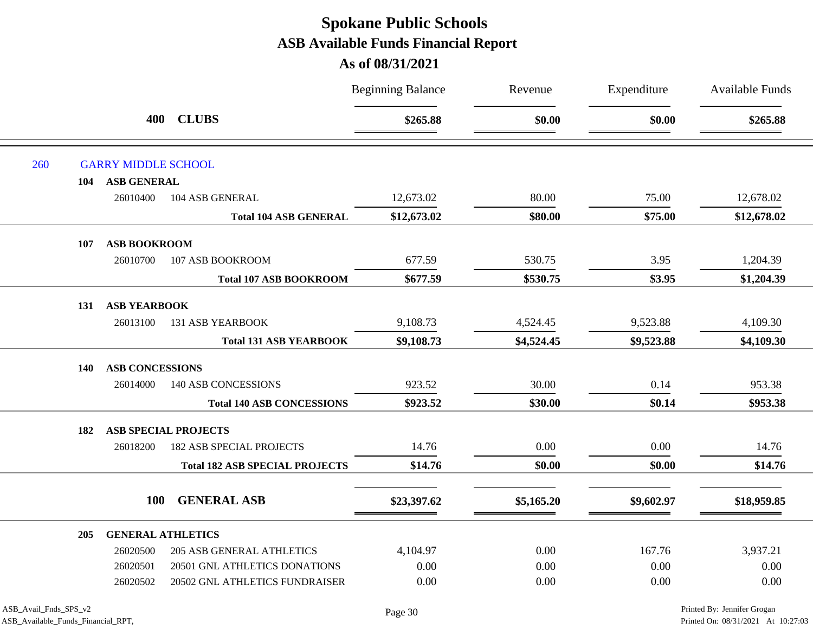### **As of 08/31/2021**

|     |                                    |                                       | <b>Beginning Balance</b> | Revenue    | Expenditure | <b>Available Funds</b> |
|-----|------------------------------------|---------------------------------------|--------------------------|------------|-------------|------------------------|
|     | 400                                | <b>CLUBS</b>                          | \$265.88                 | \$0.00     | \$0.00      | \$265.88               |
| 260 | <b>GARRY MIDDLE SCHOOL</b>         |                                       |                          |            |             |                        |
| 104 | <b>ASB GENERAL</b>                 |                                       |                          |            |             |                        |
|     | 26010400                           | 104 ASB GENERAL                       | 12,673.02                | 80.00      | 75.00       | 12,678.02              |
|     |                                    | <b>Total 104 ASB GENERAL</b>          | \$12,673.02              | \$80.00    | \$75.00     | \$12,678.02            |
| 107 | <b>ASB BOOKROOM</b>                |                                       |                          |            |             |                        |
|     | 26010700                           | 107 ASB BOOKROOM                      | 677.59                   | 530.75     | 3.95        | 1,204.39               |
|     |                                    | <b>Total 107 ASB BOOKROOM</b>         | \$677.59                 | \$530.75   | \$3.95      | \$1,204.39             |
| 131 | <b>ASB YEARBOOK</b>                |                                       |                          |            |             |                        |
|     | 26013100                           | <b>131 ASB YEARBOOK</b>               | 9,108.73                 | 4,524.45   | 9,523.88    | 4,109.30               |
|     |                                    | <b>Total 131 ASB YEARBOOK</b>         | \$9,108.73               | \$4,524.45 | \$9,523.88  | \$4,109.30             |
|     |                                    |                                       |                          |            |             |                        |
| 140 | <b>ASB CONCESSIONS</b><br>26014000 | <b>140 ASB CONCESSIONS</b>            | 923.52                   | 30.00      | 0.14        | 953.38                 |
|     |                                    | <b>Total 140 ASB CONCESSIONS</b>      | \$923.52                 | \$30.00    | \$0.14      | \$953.38               |
|     |                                    |                                       |                          |            |             |                        |
| 182 |                                    | <b>ASB SPECIAL PROJECTS</b>           |                          |            |             |                        |
|     | 26018200                           | <b>182 ASB SPECIAL PROJECTS</b>       | 14.76                    | 0.00       | 0.00        | 14.76                  |
|     |                                    | <b>Total 182 ASB SPECIAL PROJECTS</b> | \$14.76                  | \$0.00     | \$0.00      | \$14.76                |
|     | <b>100</b>                         | <b>GENERAL ASB</b>                    | \$23,397.62              | \$5,165.20 | \$9,602.97  | \$18,959.85            |
|     |                                    |                                       |                          |            |             |                        |
| 205 | <b>GENERAL ATHLETICS</b>           |                                       |                          |            |             |                        |
|     | 26020500                           | <b>205 ASB GENERAL ATHLETICS</b>      | 4,104.97                 | 0.00       | 167.76      | 3,937.21               |
|     | 26020501                           | 20501 GNL ATHLETICS DONATIONS         | 0.00                     | 0.00       | 0.00        | 0.00                   |
|     | 26020502                           | 20502 GNL ATHLETICS FUNDRAISER        | 0.00                     | 0.00       | 0.00        | 0.00                   |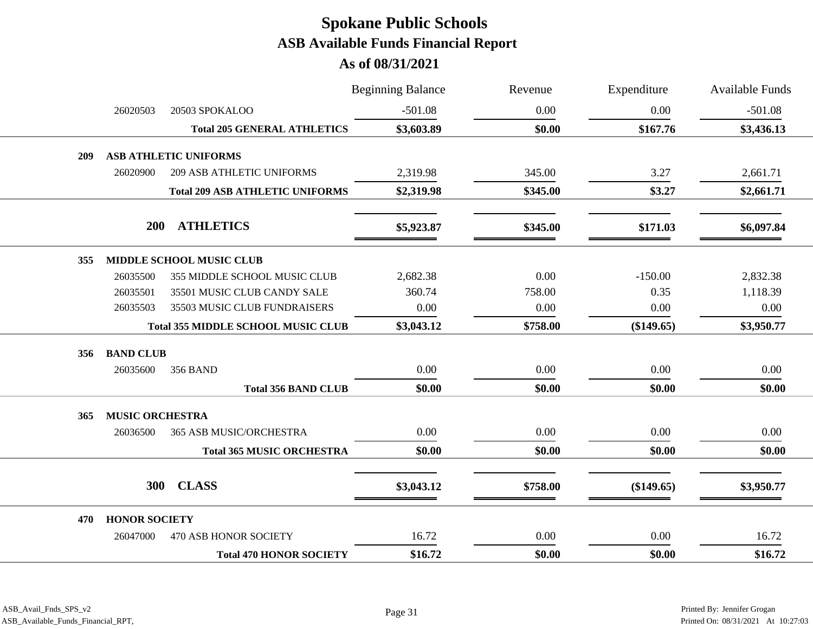| <b>Beginning Balance</b>                                | Revenue  | Expenditure  | <b>Available Funds</b> |
|---------------------------------------------------------|----------|--------------|------------------------|
| $-501.08$                                               | 0.00     | 0.00         | $-501.08$              |
| \$3,603.89<br><b>Total 205 GENERAL ATHLETICS</b>        | \$0.00   | \$167.76     | \$3,436.13             |
|                                                         |          |              |                        |
| 2,319.98                                                | 345.00   | 3.27         | 2,661.71               |
| \$2,319.98<br><b>Total 209 ASB ATHLETIC UNIFORMS</b>    | \$345.00 | \$3.27       | \$2,661.71             |
| \$5,923.87                                              | \$345.00 | \$171.03     | \$6,097.84             |
|                                                         |          |              |                        |
| 2,682.38<br>355 MIDDLE SCHOOL MUSIC CLUB                | 0.00     | $-150.00$    | 2,832.38               |
| 360.74                                                  | 758.00   | 0.35         | 1,118.39               |
| 0.00<br>35503 MUSIC CLUB FUNDRAISERS                    | 0.00     | 0.00         | 0.00                   |
| \$3,043.12<br><b>Total 355 MIDDLE SCHOOL MUSIC CLUB</b> | \$758.00 | $(\$149.65)$ | \$3,950.77             |
|                                                         |          |              |                        |
| 0.00                                                    | 0.00     | 0.00         | $0.00\,$               |
| \$0.00<br><b>Total 356 BAND CLUB</b>                    | \$0.00   | \$0.00       | \$0.00                 |
|                                                         |          |              |                        |
| 0.00                                                    | 0.00     | 0.00         | 0.00                   |
| \$0.00<br><b>Total 365 MUSIC ORCHESTRA</b>              | \$0.00   | \$0.00       | \$0.00                 |
| \$3,043.12                                              | \$758.00 | (\$149.65)   | \$3,950.77             |
|                                                         |          |              |                        |
| 16.72                                                   | 0.00     | 0.00         | 16.72                  |
| \$16.72<br><b>Total 470 HONOR SOCIETY</b>               | \$0.00   | \$0.00       | \$16.72                |
|                                                         |          |              |                        |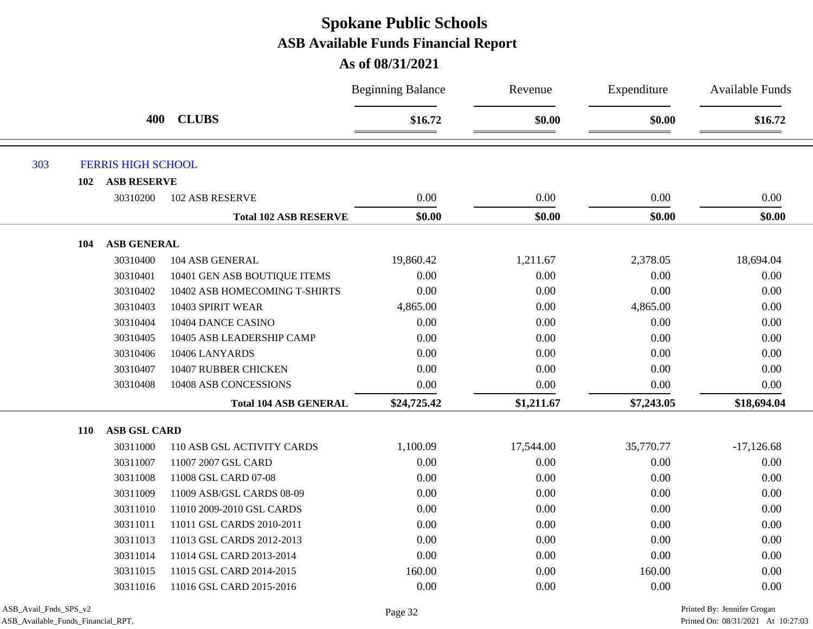#### **As of 08/31/2021**

|     |                                   |                               | <b>Beginning Balance</b> | Revenue    | Expenditure | Available Funds |
|-----|-----------------------------------|-------------------------------|--------------------------|------------|-------------|-----------------|
|     | 400                               | <b>CLUBS</b>                  | \$16.72                  | \$0.00     | \$0.00      | \$16.72         |
| 303 | <b>FERRIS HIGH SCHOOL</b>         |                               |                          |            |             |                 |
|     | <b>ASB RESERVE</b><br>102         |                               |                          |            |             |                 |
|     | 30310200                          | <b>102 ASB RESERVE</b>        | 0.00                     | 0.00       | 0.00        | 0.00            |
|     |                                   | <b>Total 102 ASB RESERVE</b>  | \$0.00                   | \$0.00     | \$0.00      | \$0.00          |
|     | <b>ASB GENERAL</b><br>104         |                               |                          |            |             |                 |
|     | 30310400                          | 104 ASB GENERAL               | 19,860.42                | 1,211.67   | 2,378.05    | 18,694.04       |
|     | 30310401                          | 10401 GEN ASB BOUTIQUE ITEMS  | 0.00                     | 0.00       | 0.00        | 0.00            |
|     | 30310402                          | 10402 ASB HOMECOMING T-SHIRTS | 0.00                     | 0.00       | 0.00        | 0.00            |
|     | 30310403                          | 10403 SPIRIT WEAR             | 4,865.00                 | 0.00       | 4,865.00    | 0.00            |
|     | 30310404                          | 10404 DANCE CASINO            | $0.00\,$                 | $0.00\,$   | 0.00        | 0.00            |
|     | 30310405                          | 10405 ASB LEADERSHIP CAMP     | $0.00\,$                 | $0.00\,$   | 0.00        | 0.00            |
|     | 30310406                          | 10406 LANYARDS                | 0.00                     | 0.00       | 0.00        | 0.00            |
|     | 30310407                          | 10407 RUBBER CHICKEN          | 0.00                     | 0.00       | 0.00        | 0.00            |
|     | 30310408                          | 10408 ASB CONCESSIONS         | $0.00\,$                 | $0.00\,$   | 0.00        | $0.00\,$        |
|     |                                   | <b>Total 104 ASB GENERAL</b>  | \$24,725.42              | \$1,211.67 | \$7,243.05  | \$18,694.04     |
|     | <b>ASB GSL CARD</b><br><b>110</b> |                               |                          |            |             |                 |
|     | 30311000                          | 110 ASB GSL ACTIVITY CARDS    | 1,100.09                 | 17,544.00  | 35,770.77   | $-17,126.68$    |
|     | 30311007                          | 11007 2007 GSL CARD           | 0.00                     | 0.00       | 0.00        | 0.00            |
|     | 30311008                          | 11008 GSL CARD 07-08          | $0.00\,$                 | 0.00       | 0.00        | 0.00            |
|     | 30311009                          | 11009 ASB/GSL CARDS 08-09     | $0.00\,$                 | 0.00       | 0.00        | 0.00            |
|     | 30311010                          | 11010 2009-2010 GSL CARDS     | $0.00\,$                 | 0.00       | 0.00        | 0.00            |
|     | 30311011                          | 11011 GSL CARDS 2010-2011     | 0.00                     | 0.00       | 0.00        | 0.00            |
|     | 30311013                          | 11013 GSL CARDS 2012-2013     | 0.00                     | 0.00       | 0.00        | 0.00            |
|     | 30311014                          | 11014 GSL CARD 2013-2014      | 0.00                     | $0.00\,$   | 0.00        | 0.00            |
|     | 30311015                          | 11015 GSL CARD 2014-2015      | 160.00                   | 0.00       | 160.00      | 0.00            |
|     | 30311016                          | 11016 GSL CARD 2015-2016      | 0.00                     | 0.00       | 0.00        | 0.00            |

ASB\_Avail\_Fnds\_SPS\_v2 Printed By: Jennifer Grogan Page 32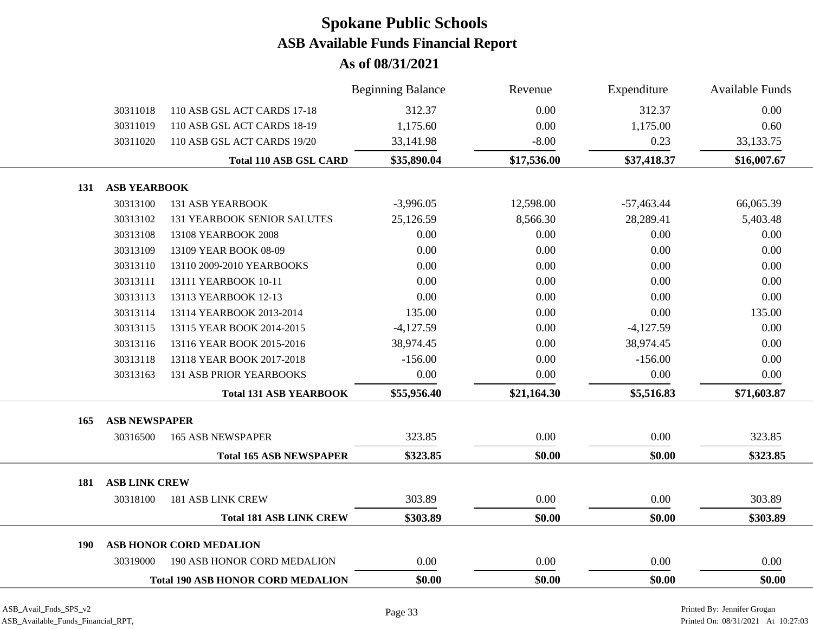|            |                      |                                          | <b>Beginning Balance</b> | Revenue     | Expenditure  | <b>Available Funds</b> |
|------------|----------------------|------------------------------------------|--------------------------|-------------|--------------|------------------------|
|            | 30311018             | 110 ASB GSL ACT CARDS 17-18              | 312.37                   | 0.00        | 312.37       | 0.00                   |
|            | 30311019             | 110 ASB GSL ACT CARDS 18-19              | 1,175.60                 | 0.00        | 1,175.00     | 0.60                   |
|            | 30311020             | 110 ASB GSL ACT CARDS 19/20              | 33,141.98                | $-8.00$     | 0.23         | 33,133.75              |
|            |                      | <b>Total 110 ASB GSL CARD</b>            | \$35,890.04              | \$17,536.00 | \$37,418.37  | \$16,007.67            |
| 131        | <b>ASB YEARBOOK</b>  |                                          |                          |             |              |                        |
|            | 30313100             | <b>131 ASB YEARBOOK</b>                  | $-3,996.05$              | 12,598.00   | $-57,463.44$ | 66,065.39              |
|            | 30313102             | <b>131 YEARBOOK SENIOR SALUTES</b>       | 25,126.59                | 8,566.30    | 28,289.41    | 5,403.48               |
|            | 30313108             | 13108 YEARBOOK 2008                      | 0.00                     | 0.00        | 0.00         | 0.00                   |
|            | 30313109             | 13109 YEAR BOOK 08-09                    | 0.00                     | 0.00        | 0.00         | 0.00                   |
|            | 30313110             | 13110 2009-2010 YEARBOOKS                | 0.00                     | 0.00        | 0.00         | 0.00                   |
|            | 30313111             | 13111 YEARBOOK 10-11                     | 0.00                     | 0.00        | 0.00         | 0.00                   |
|            | 30313113             | 13113 YEARBOOK 12-13                     | 0.00                     | 0.00        | 0.00         | 0.00                   |
|            | 30313114             | 13114 YEARBOOK 2013-2014                 | 135.00                   | 0.00        | 0.00         | 135.00                 |
|            | 30313115             | 13115 YEAR BOOK 2014-2015                | $-4,127.59$              | 0.00        | $-4,127.59$  | 0.00                   |
|            | 30313116             | 13116 YEAR BOOK 2015-2016                | 38,974.45                | 0.00        | 38,974.45    | 0.00                   |
|            | 30313118             | 13118 YEAR BOOK 2017-2018                | $-156.00$                | 0.00        | $-156.00$    | 0.00                   |
|            | 30313163             | <b>131 ASB PRIOR YEARBOOKS</b>           | 0.00                     | 0.00        | 0.00         | 0.00                   |
|            |                      | <b>Total 131 ASB YEARBOOK</b>            | \$55,956.40              | \$21,164.30 | \$5,516.83   | \$71,603.87            |
| 165        | <b>ASB NEWSPAPER</b> |                                          |                          |             |              |                        |
|            | 30316500             | <b>165 ASB NEWSPAPER</b>                 | 323.85                   | 0.00        | 0.00         | 323.85                 |
|            |                      | <b>Total 165 ASB NEWSPAPER</b>           | \$323.85                 | \$0.00      | \$0.00       | \$323.85               |
| 181        | <b>ASB LINK CREW</b> |                                          |                          |             |              |                        |
|            | 30318100             | <b>181 ASB LINK CREW</b>                 | 303.89                   | 0.00        | 0.00         | 303.89                 |
|            |                      | <b>Total 181 ASB LINK CREW</b>           | \$303.89                 | \$0.00      | \$0.00       | \$303.89               |
| <b>190</b> |                      | ASB HONOR CORD MEDALION                  |                          |             |              |                        |
|            | 30319000             | 190 ASB HONOR CORD MEDALION              | 0.00                     | 0.00        | 0.00         | 0.00                   |
|            |                      | <b>Total 190 ASB HONOR CORD MEDALION</b> | \$0.00                   | \$0.00      | \$0.00       | \$0.00                 |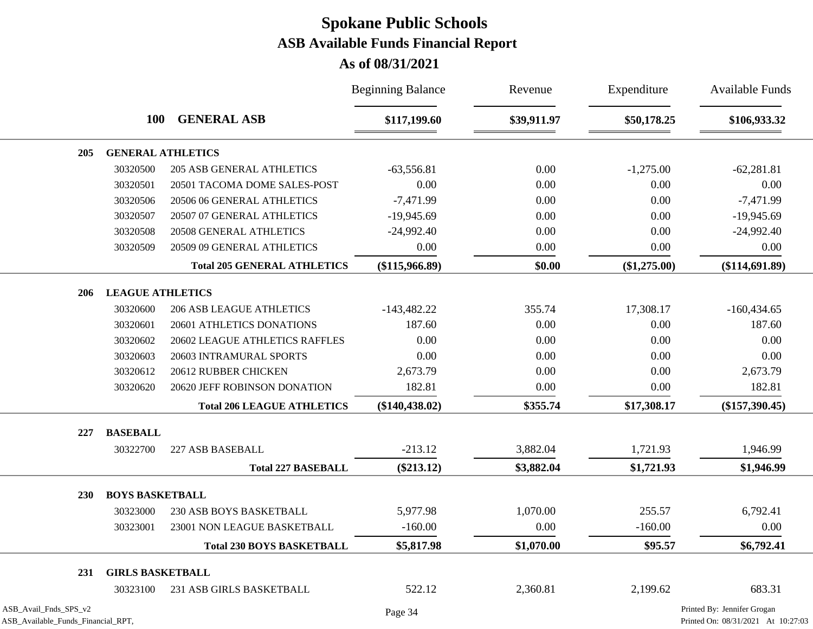|     |                          |                                    | <b>Beginning Balance</b> | Revenue     | Expenditure    | <b>Available Funds</b> |
|-----|--------------------------|------------------------------------|--------------------------|-------------|----------------|------------------------|
|     | <b>100</b>               | <b>GENERAL ASB</b>                 | \$117,199.60             | \$39,911.97 | \$50,178.25    | \$106,933.32           |
| 205 | <b>GENERAL ATHLETICS</b> |                                    |                          |             |                |                        |
|     | 30320500                 | <b>205 ASB GENERAL ATHLETICS</b>   | $-63,556.81$             | 0.00        | $-1,275.00$    | $-62,281.81$           |
|     | 30320501                 | 20501 TACOMA DOME SALES-POST       | 0.00                     | 0.00        | 0.00           | 0.00                   |
|     | 30320506                 | 20506 06 GENERAL ATHLETICS         | $-7,471.99$              | 0.00        | 0.00           | $-7,471.99$            |
|     | 30320507                 | 20507 07 GENERAL ATHLETICS         | $-19,945.69$             | 0.00        | 0.00           | $-19,945.69$           |
|     | 30320508                 | 20508 GENERAL ATHLETICS            | $-24,992.40$             | 0.00        | 0.00           | $-24,992.40$           |
|     | 30320509                 | 20509 09 GENERAL ATHLETICS         | 0.00                     | 0.00        | 0.00           | 0.00                   |
|     |                          | <b>Total 205 GENERAL ATHLETICS</b> | $(\$115,966.89)$         | \$0.00      | $(\$1,275.00)$ | $(\$114,691.89)$       |
| 206 | <b>LEAGUE ATHLETICS</b>  |                                    |                          |             |                |                        |
|     | 30320600                 | <b>206 ASB LEAGUE ATHLETICS</b>    | $-143,482.22$            | 355.74      | 17,308.17      | $-160,434.65$          |
|     | 30320601                 | 20601 ATHLETICS DONATIONS          | 187.60                   | 0.00        | 0.00           | 187.60                 |
|     | 30320602                 | 20602 LEAGUE ATHLETICS RAFFLES     | 0.00                     | 0.00        | 0.00           | 0.00                   |
|     | 30320603                 | 20603 INTRAMURAL SPORTS            | 0.00                     | 0.00        | 0.00           | 0.00                   |
|     | 30320612                 | 20612 RUBBER CHICKEN               | 2,673.79                 | 0.00        | 0.00           | 2,673.79               |
|     | 30320620                 | 20620 JEFF ROBINSON DONATION       | 182.81                   | 0.00        | 0.00           | 182.81                 |
|     |                          | <b>Total 206 LEAGUE ATHLETICS</b>  | $(\$140,438.02)$         | \$355.74    | \$17,308.17    | $(\$157,390.45)$       |
| 227 | <b>BASEBALL</b>          |                                    |                          |             |                |                        |
|     | 30322700                 | 227 ASB BASEBALL                   | $-213.12$                | 3,882.04    | 1,721.93       | 1,946.99               |
|     |                          | <b>Total 227 BASEBALL</b>          | $(\$213.12)$             | \$3,882.04  | \$1,721.93     | \$1,946.99             |
| 230 | <b>BOYS BASKETBALL</b>   |                                    |                          |             |                |                        |
|     | 30323000                 | 230 ASB BOYS BASKETBALL            | 5,977.98                 | 1,070.00    | 255.57         | 6,792.41               |
|     | 30323001                 | 23001 NON LEAGUE BASKETBALL        | $-160.00$                | 0.00        | $-160.00$      | 0.00                   |
|     |                          | <b>Total 230 BOYS BASKETBALL</b>   | \$5,817.98               | \$1,070.00  | \$95.57        | \$6,792.41             |
| 231 | <b>GIRLS BASKETBALL</b>  |                                    |                          |             |                |                        |
|     | 30323100                 | 231 ASB GIRLS BASKETBALL           | 522.12                   | 2,360.81    | 2,199.62       | 683.31                 |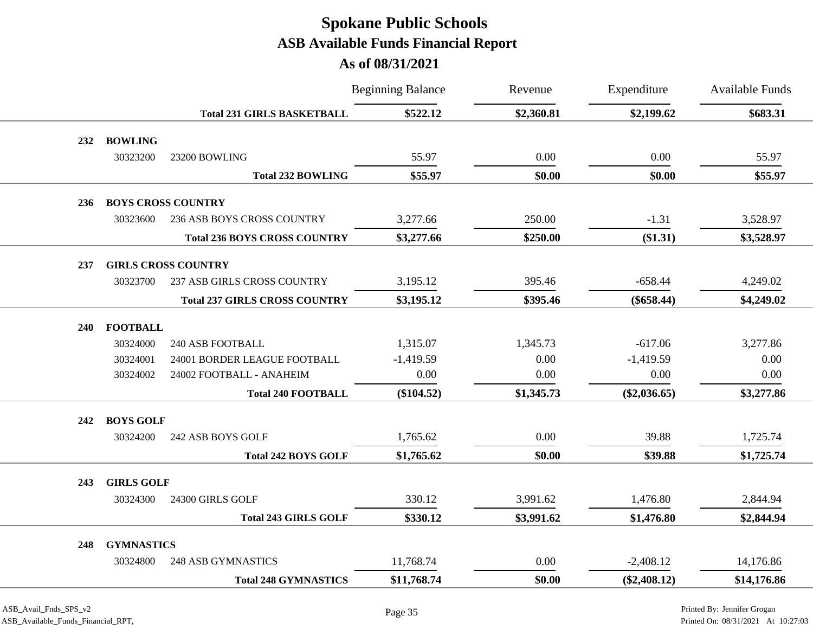|            |                   |                                      | <b>Beginning Balance</b> | Revenue    | Expenditure    | <b>Available Funds</b> |
|------------|-------------------|--------------------------------------|--------------------------|------------|----------------|------------------------|
|            |                   | <b>Total 231 GIRLS BASKETBALL</b>    | \$522.12                 | \$2,360.81 | \$2,199.62     | \$683.31               |
| 232        | <b>BOWLING</b>    |                                      |                          |            |                |                        |
|            | 30323200          | 23200 BOWLING                        | 55.97                    | 0.00       | 0.00           | 55.97                  |
|            |                   | <b>Total 232 BOWLING</b>             | \$55.97                  | \$0.00     | \$0.00         | \$55.97                |
| <b>236</b> |                   | <b>BOYS CROSS COUNTRY</b>            |                          |            |                |                        |
|            | 30323600          | 236 ASB BOYS CROSS COUNTRY           | 3,277.66                 | 250.00     | $-1.31$        | 3,528.97               |
|            |                   | <b>Total 236 BOYS CROSS COUNTRY</b>  | \$3,277.66               | \$250.00   | (\$1.31)       | \$3,528.97             |
| 237        |                   | <b>GIRLS CROSS COUNTRY</b>           |                          |            |                |                        |
|            | 30323700          | <b>237 ASB GIRLS CROSS COUNTRY</b>   | 3,195.12                 | 395.46     | $-658.44$      | 4,249.02               |
|            |                   | <b>Total 237 GIRLS CROSS COUNTRY</b> | \$3,195.12               | \$395.46   | $(\$658.44)$   | \$4,249.02             |
| 240        | <b>FOOTBALL</b>   |                                      |                          |            |                |                        |
|            | 30324000          | <b>240 ASB FOOTBALL</b>              | 1,315.07                 | 1,345.73   | $-617.06$      | 3,277.86               |
|            | 30324001          | 24001 BORDER LEAGUE FOOTBALL         | $-1,419.59$              | 0.00       | $-1,419.59$    | 0.00                   |
|            | 30324002          | 24002 FOOTBALL - ANAHEIM             | 0.00                     |            | 0.00           |                        |
|            |                   |                                      |                          | 0.00       |                | 0.00                   |
|            |                   | <b>Total 240 FOOTBALL</b>            | $(\$104.52)$             | \$1,345.73 | $(\$2,036.65)$ | \$3,277.86             |
| 242        | <b>BOYS GOLF</b>  |                                      |                          |            |                |                        |
|            | 30324200          | 242 ASB BOYS GOLF                    | 1,765.62                 | 0.00       | 39.88          | 1,725.74               |
|            |                   | <b>Total 242 BOYS GOLF</b>           | \$1,765.62               | \$0.00     | \$39.88        | \$1,725.74             |
| 243        | <b>GIRLS GOLF</b> |                                      |                          |            |                |                        |
|            | 30324300          | 24300 GIRLS GOLF                     | 330.12                   | 3,991.62   | 1,476.80       | 2,844.94               |
|            |                   | <b>Total 243 GIRLS GOLF</b>          | \$330.12                 | \$3,991.62 | \$1,476.80     | \$2,844.94             |
| 248        | <b>GYMNASTICS</b> |                                      |                          |            |                |                        |
|            | 30324800          | <b>248 ASB GYMNASTICS</b>            | 11,768.74                | 0.00       | $-2,408.12$    | 14,176.86              |
|            |                   | <b>Total 248 GYMNASTICS</b>          | \$11,768.74              | \$0.00     | $(\$2,408.12)$ | \$14,176.86            |
|            |                   |                                      |                          |            |                |                        |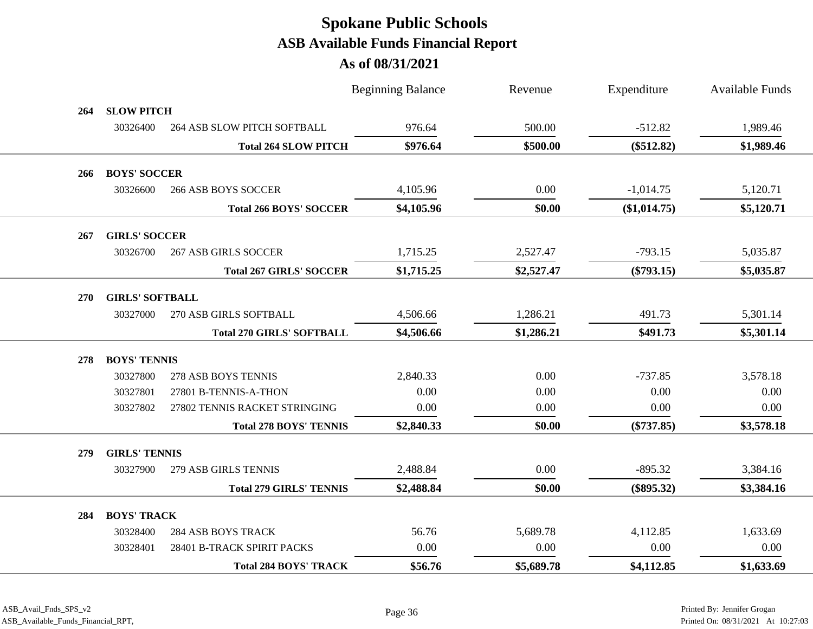|     |                        |                                  | <b>Beginning Balance</b> | Revenue    | Expenditure  | Available Funds |
|-----|------------------------|----------------------------------|--------------------------|------------|--------------|-----------------|
| 264 | <b>SLOW PITCH</b>      |                                  |                          |            |              |                 |
|     | 30326400               | 264 ASB SLOW PITCH SOFTBALL      | 976.64                   | 500.00     | $-512.82$    | 1,989.46        |
|     |                        | <b>Total 264 SLOW PITCH</b>      | \$976.64                 | \$500.00   | $(\$512.82)$ | \$1,989.46      |
| 266 | <b>BOYS' SOCCER</b>    |                                  |                          |            |              |                 |
|     | 30326600               | <b>266 ASB BOYS SOCCER</b>       | 4,105.96                 | 0.00       | $-1,014.75$  | 5,120.71        |
|     |                        | <b>Total 266 BOYS' SOCCER</b>    | \$4,105.96               | \$0.00     | (\$1,014.75) | \$5,120.71      |
|     |                        |                                  |                          |            |              |                 |
| 267 | <b>GIRLS' SOCCER</b>   |                                  |                          |            |              |                 |
|     | 30326700               | <b>267 ASB GIRLS SOCCER</b>      | 1,715.25                 | 2,527.47   | $-793.15$    | 5,035.87        |
|     |                        | <b>Total 267 GIRLS' SOCCER</b>   | \$1,715.25               | \$2,527.47 | $(\$793.15)$ | \$5,035.87      |
| 270 | <b>GIRLS' SOFTBALL</b> |                                  |                          |            |              |                 |
|     | 30327000               | 270 ASB GIRLS SOFTBALL           | 4,506.66                 | 1,286.21   | 491.73       | 5,301.14        |
|     |                        | <b>Total 270 GIRLS' SOFTBALL</b> | \$4,506.66               | \$1,286.21 | \$491.73     | \$5,301.14      |
| 278 | <b>BOYS' TENNIS</b>    |                                  |                          |            |              |                 |
|     | 30327800               | 278 ASB BOYS TENNIS              | 2,840.33                 | 0.00       | $-737.85$    | 3,578.18        |
|     | 30327801               | 27801 B-TENNIS-A-THON            | 0.00                     | 0.00       | 0.00         | 0.00            |
|     | 30327802               | 27802 TENNIS RACKET STRINGING    | 0.00                     | 0.00       | 0.00         | 0.00            |
|     |                        | <b>Total 278 BOYS' TENNIS</b>    | \$2,840.33               | \$0.00     | $(\$737.85)$ | \$3,578.18      |
| 279 | <b>GIRLS' TENNIS</b>   |                                  |                          |            |              |                 |
|     | 30327900               | 279 ASB GIRLS TENNIS             | 2,488.84                 | 0.00       | $-895.32$    | 3,384.16        |
|     |                        |                                  |                          |            |              |                 |
|     |                        | <b>Total 279 GIRLS' TENNIS</b>   | \$2,488.84               | \$0.00     | $(\$895.32)$ | \$3,384.16      |
| 284 | <b>BOYS' TRACK</b>     |                                  |                          |            |              |                 |
|     | 30328400               | <b>284 ASB BOYS TRACK</b>        | 56.76                    | 5,689.78   | 4,112.85     | 1,633.69        |
|     | 30328401               | 28401 B-TRACK SPIRIT PACKS       | 0.00                     | 0.00       | 0.00         | 0.00            |
|     |                        | <b>Total 284 BOYS' TRACK</b>     | \$56.76                  | \$5,689.78 | \$4,112.85   | \$1,633.69      |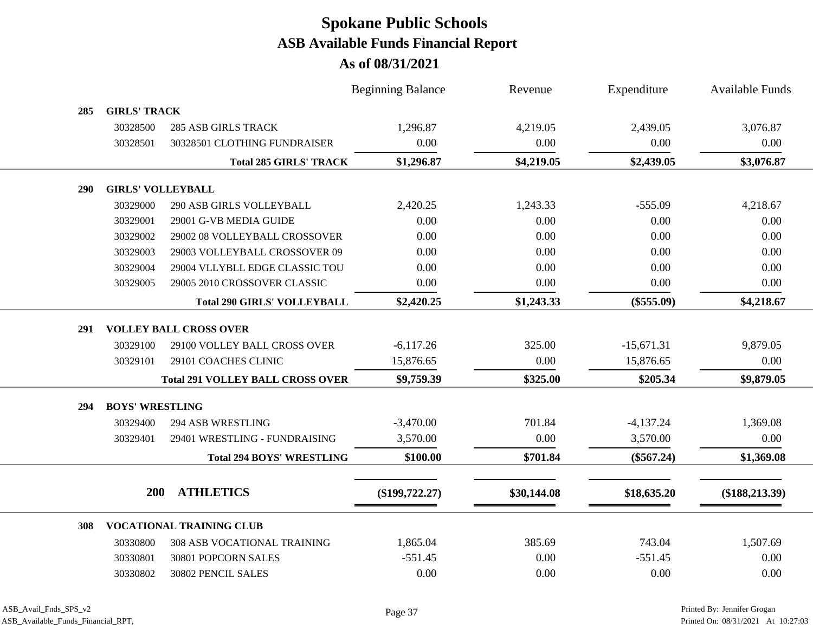|            |                          |                                         | <b>Beginning Balance</b> | Revenue     | Expenditure  | <b>Available Funds</b> |
|------------|--------------------------|-----------------------------------------|--------------------------|-------------|--------------|------------------------|
| 285        | <b>GIRLS' TRACK</b>      |                                         |                          |             |              |                        |
|            | 30328500                 | <b>285 ASB GIRLS TRACK</b>              | 1,296.87                 | 4,219.05    | 2,439.05     | 3,076.87               |
|            | 30328501                 | 30328501 CLOTHING FUNDRAISER            | 0.00                     | 0.00        | 0.00         | 0.00                   |
|            |                          | <b>Total 285 GIRLS' TRACK</b>           | \$1,296.87               | \$4,219.05  | \$2,439.05   | \$3,076.87             |
| <b>290</b> | <b>GIRLS' VOLLEYBALL</b> |                                         |                          |             |              |                        |
|            | 30329000                 | 290 ASB GIRLS VOLLEYBALL                | 2,420.25                 | 1,243.33    | $-555.09$    | 4,218.67               |
|            | 30329001                 | 29001 G-VB MEDIA GUIDE                  | 0.00                     | 0.00        | 0.00         | 0.00                   |
|            | 30329002                 | 29002 08 VOLLEYBALL CROSSOVER           | 0.00                     | 0.00        | 0.00         | 0.00                   |
|            | 30329003                 | 29003 VOLLEYBALL CROSSOVER 09           | 0.00                     | 0.00        | 0.00         | 0.00                   |
|            | 30329004                 | 29004 VLLYBLL EDGE CLASSIC TOU          | 0.00                     | 0.00        | 0.00         | 0.00                   |
|            | 30329005                 | 29005 2010 CROSSOVER CLASSIC            | 0.00                     | 0.00        | 0.00         | 0.00                   |
|            |                          | <b>Total 290 GIRLS' VOLLEYBALL</b>      | \$2,420.25               | \$1,243.33  | $(\$555.09)$ | \$4,218.67             |
| 291        |                          | <b>VOLLEY BALL CROSS OVER</b>           |                          |             |              |                        |
|            | 30329100                 | 29100 VOLLEY BALL CROSS OVER            | $-6,117.26$              | 325.00      | $-15,671.31$ | 9,879.05               |
|            | 30329101                 | 29101 COACHES CLINIC                    | 15,876.65                | 0.00        | 15,876.65    | 0.00                   |
|            |                          | <b>Total 291 VOLLEY BALL CROSS OVER</b> | \$9,759.39               | \$325.00    | \$205.34     | \$9,879.05             |
| 294        | <b>BOYS' WRESTLING</b>   |                                         |                          |             |              |                        |
|            | 30329400                 | <b>294 ASB WRESTLING</b>                | $-3,470.00$              | 701.84      | $-4,137.24$  | 1,369.08               |
|            | 30329401                 | 29401 WRESTLING - FUNDRAISING           | 3,570.00                 | 0.00        | 3,570.00     | 0.00                   |
|            |                          | <b>Total 294 BOYS' WRESTLING</b>        | \$100.00                 | \$701.84    | $(\$567.24)$ | \$1,369.08             |
|            |                          |                                         |                          |             |              |                        |
|            | <b>200</b>               | <b>ATHLETICS</b>                        | $(\$199,722.27)$         | \$30,144.08 | \$18,635.20  | $(\$188,213.39)$       |
| 308        |                          | <b>VOCATIONAL TRAINING CLUB</b>         |                          |             |              |                        |
|            | 30330800                 | 308 ASB VOCATIONAL TRAINING             | 1,865.04                 | 385.69      | 743.04       | 1,507.69               |
|            | 30330801                 | 30801 POPCORN SALES                     | $-551.45$                | 0.00        | $-551.45$    | 0.00                   |
|            | 30330802                 | 30802 PENCIL SALES                      | 0.00                     | 0.00        | 0.00         | 0.00                   |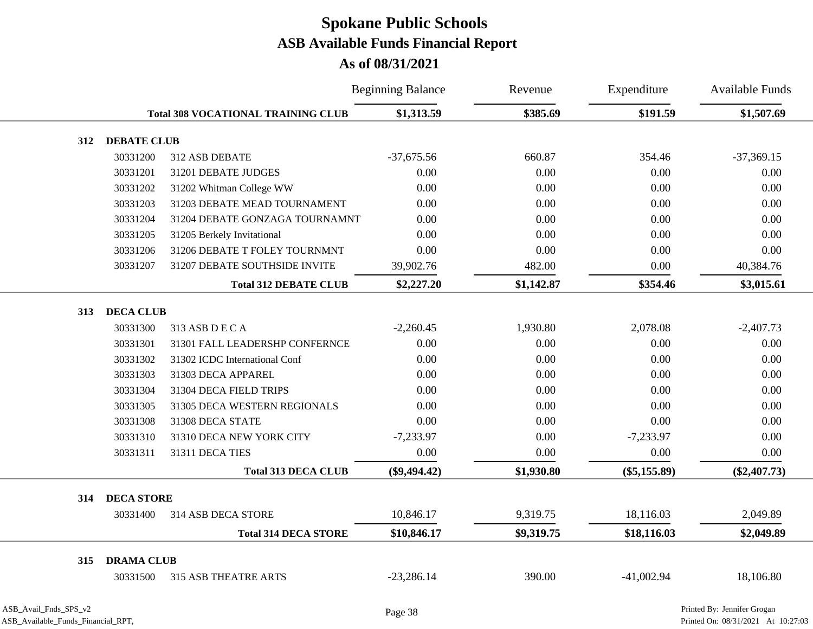**As of 08/31/2021**

|     |                               |                                           | <b>Beginning Balance</b> | Revenue    | Expenditure    | <b>Available Funds</b> |
|-----|-------------------------------|-------------------------------------------|--------------------------|------------|----------------|------------------------|
|     |                               | <b>Total 308 VOCATIONAL TRAINING CLUB</b> | \$1,313.59               | \$385.69   | \$191.59       | \$1,507.69             |
| 312 | <b>DEBATE CLUB</b>            |                                           |                          |            |                |                        |
|     | 30331200                      | 312 ASB DEBATE                            | $-37,675.56$             | 660.87     | 354.46         | $-37,369.15$           |
|     | 30331201                      | 31201 DEBATE JUDGES                       | 0.00                     | 0.00       | 0.00           | 0.00                   |
|     | 30331202                      | 31202 Whitman College WW                  | 0.00                     | 0.00       | 0.00           | 0.00                   |
|     | 30331203                      | 31203 DEBATE MEAD TOURNAMENT              | 0.00                     | 0.00       | 0.00           | 0.00                   |
|     | 30331204                      | 31204 DEBATE GONZAGA TOURNAMNT            | 0.00                     | 0.00       | 0.00           | 0.00                   |
|     | 30331205                      | 31205 Berkely Invitational                | 0.00                     | 0.00       | 0.00           | 0.00                   |
|     | 30331206                      | 31206 DEBATE T FOLEY TOURNMNT             | 0.00                     | 0.00       | 0.00           | 0.00                   |
|     | 30331207                      | 31207 DEBATE SOUTHSIDE INVITE             | 39,902.76                | 482.00     | $0.00\,$       | 40,384.76              |
|     |                               | <b>Total 312 DEBATE CLUB</b>              | \$2,227.20               | \$1,142.87 | \$354.46       | \$3,015.61             |
| 313 | <b>DECA CLUB</b>              |                                           |                          |            |                |                        |
|     | 30331300                      | 313 ASB D E C A                           | $-2,260.45$              | 1,930.80   | 2,078.08       | $-2,407.73$            |
|     | 30331301                      | 31301 FALL LEADERSHP CONFERNCE            | 0.00                     | 0.00       | 0.00           | 0.00                   |
|     | 30331302                      | 31302 ICDC International Conf             | 0.00                     | 0.00       | 0.00           | 0.00                   |
|     | 30331303                      | 31303 DECA APPAREL                        | 0.00                     | 0.00       | 0.00           | 0.00                   |
|     | 30331304                      | 31304 DECA FIELD TRIPS                    | 0.00                     | 0.00       | 0.00           | 0.00                   |
|     | 30331305                      | 31305 DECA WESTERN REGIONALS              | 0.00                     | 0.00       | 0.00           | 0.00                   |
|     | 30331308                      | 31308 DECA STATE                          | 0.00                     | 0.00       | 0.00           | 0.00                   |
|     | 30331310                      | 31310 DECA NEW YORK CITY                  | $-7,233.97$              | 0.00       | $-7,233.97$    | 0.00                   |
|     | 30331311                      | 31311 DECA TIES                           | 0.00                     | 0.00       | 0.00           | 0.00                   |
|     |                               | <b>Total 313 DECA CLUB</b>                | $(\$9,494.42)$           | \$1,930.80 | $(\$5,155.89)$ | $(\$2,407.73)$         |
| 314 | <b>DECA STORE</b>             |                                           |                          |            |                |                        |
|     | 30331400                      | 314 ASB DECA STORE                        | 10,846.17                | 9,319.75   | 18,116.03      | 2,049.89               |
|     |                               | <b>Total 314 DECA STORE</b>               | \$10,846.17              | \$9,319.75 | \$18,116.03    | \$2,049.89             |
|     |                               |                                           |                          |            |                |                        |
| 315 | <b>DRAMA CLUB</b><br>30331500 | <b>315 ASB THEATRE ARTS</b>               | $-23,286.14$             | 390.00     | $-41,002.94$   | 18,106.80              |
|     |                               |                                           |                          |            |                |                        |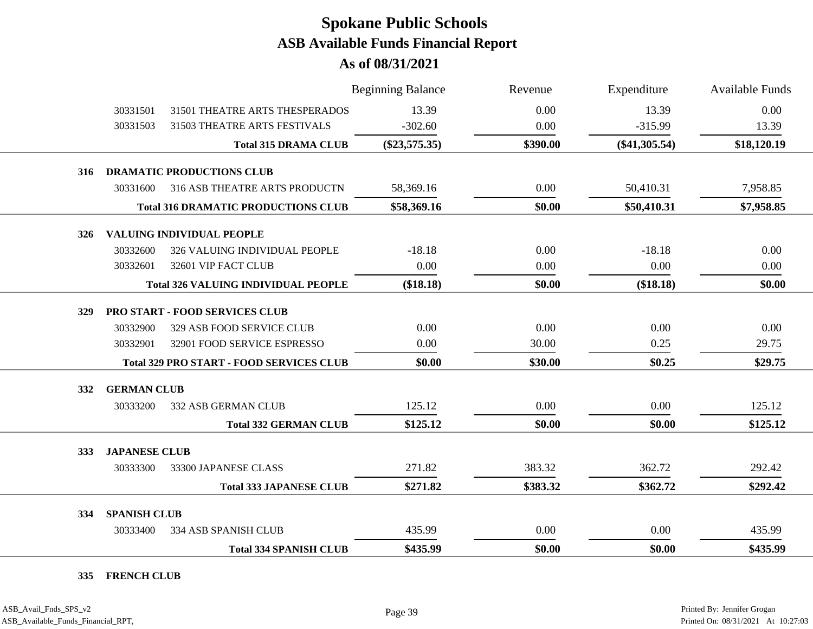|     |                      |                                                 | <b>Beginning Balance</b> | Revenue  | Expenditure     | <b>Available Funds</b> |
|-----|----------------------|-------------------------------------------------|--------------------------|----------|-----------------|------------------------|
|     | 30331501             | 31501 THEATRE ARTS THESPERADOS                  | 13.39                    | 0.00     | 13.39           | 0.00                   |
|     | 30331503             | 31503 THEATRE ARTS FESTIVALS                    | $-302.60$                | 0.00     | $-315.99$       | 13.39                  |
|     |                      | <b>Total 315 DRAMA CLUB</b>                     | $(\$23,575.35)$          | \$390.00 | $(\$41,305.54)$ | \$18,120.19            |
| 316 |                      | <b>DRAMATIC PRODUCTIONS CLUB</b>                |                          |          |                 |                        |
|     | 30331600             | 316 ASB THEATRE ARTS PRODUCTN                   | 58,369.16                | 0.00     | 50,410.31       | 7,958.85               |
|     |                      | <b>Total 316 DRAMATIC PRODUCTIONS CLUB</b>      | \$58,369.16              | \$0.00   | \$50,410.31     | \$7,958.85             |
| 326 |                      | VALUING INDIVIDUAL PEOPLE                       |                          |          |                 |                        |
|     | 30332600             | 326 VALUING INDIVIDUAL PEOPLE                   | $-18.18$                 | 0.00     | $-18.18$        | 0.00                   |
|     | 30332601             | 32601 VIP FACT CLUB                             | 0.00                     | 0.00     | 0.00            | 0.00                   |
|     |                      | <b>Total 326 VALUING INDIVIDUAL PEOPLE</b>      | (\$18.18)                | \$0.00   | (\$18.18)       | \$0.00                 |
| 329 |                      | PRO START - FOOD SERVICES CLUB                  |                          |          |                 |                        |
|     | 30332900             | 329 ASB FOOD SERVICE CLUB                       | 0.00                     | 0.00     | 0.00            | 0.00                   |
|     | 30332901             | 32901 FOOD SERVICE ESPRESSO                     | 0.00                     | 30.00    | 0.25            | 29.75                  |
|     |                      | <b>Total 329 PRO START - FOOD SERVICES CLUB</b> | \$0.00                   | \$30.00  | \$0.25          | \$29.75                |
| 332 | <b>GERMAN CLUB</b>   |                                                 |                          |          |                 |                        |
|     | 30333200             | 332 ASB GERMAN CLUB                             | 125.12                   | 0.00     | 0.00            | 125.12                 |
|     |                      | <b>Total 332 GERMAN CLUB</b>                    | \$125.12                 | \$0.00   | \$0.00          | \$125.12               |
| 333 | <b>JAPANESE CLUB</b> |                                                 |                          |          |                 |                        |
|     | 30333300             | 33300 JAPANESE CLASS                            | 271.82                   | 383.32   | 362.72          | 292.42                 |
|     |                      | <b>Total 333 JAPANESE CLUB</b>                  | \$271.82                 | \$383.32 | \$362.72        | \$292.42               |
| 334 | <b>SPANISH CLUB</b>  |                                                 |                          |          |                 |                        |
|     | 30333400             | 334 ASB SPANISH CLUB                            | 435.99                   | 0.00     | 0.00            | 435.99                 |
|     |                      | <b>Total 334 SPANISH CLUB</b>                   | \$435.99                 | \$0.00   | \$0.00          | \$435.99               |
|     |                      |                                                 |                          |          |                 |                        |

**335 FRENCH CLUB**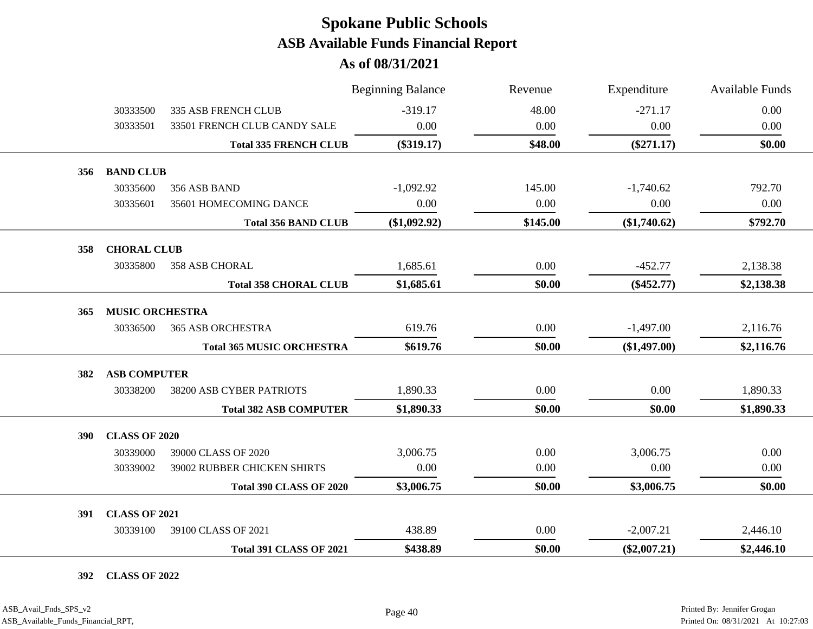|     |                        |                                  | <b>Beginning Balance</b> | Revenue  | Expenditure    | Available Funds |
|-----|------------------------|----------------------------------|--------------------------|----------|----------------|-----------------|
|     | 30333500               | 335 ASB FRENCH CLUB              | $-319.17$                | 48.00    | $-271.17$      | 0.00            |
|     | 30333501               | 33501 FRENCH CLUB CANDY SALE     | 0.00                     | 0.00     | 0.00           | 0.00            |
|     |                        | <b>Total 335 FRENCH CLUB</b>     | $(\$319.17)$             | \$48.00  | $(\$271.17)$   | \$0.00          |
| 356 | <b>BAND CLUB</b>       |                                  |                          |          |                |                 |
|     | 30335600               | 356 ASB BAND                     | $-1,092.92$              | 145.00   | $-1,740.62$    | 792.70          |
|     | 30335601               | 35601 HOMECOMING DANCE           | 0.00                     | 0.00     | 0.00           | 0.00            |
|     |                        | <b>Total 356 BAND CLUB</b>       | $(\$1,092.92)$           | \$145.00 | (\$1,740.62)   | \$792.70        |
| 358 | <b>CHORAL CLUB</b>     |                                  |                          |          |                |                 |
|     | 30335800               | <b>358 ASB CHORAL</b>            | 1,685.61                 | 0.00     | $-452.77$      | 2,138.38        |
|     |                        | <b>Total 358 CHORAL CLUB</b>     | \$1,685.61               | \$0.00   | $(\$452.77)$   | \$2,138.38      |
| 365 | <b>MUSIC ORCHESTRA</b> |                                  |                          |          |                |                 |
|     | 30336500               | <b>365 ASB ORCHESTRA</b>         | 619.76                   | 0.00     | $-1,497.00$    | 2,116.76        |
|     |                        | <b>Total 365 MUSIC ORCHESTRA</b> | \$619.76                 | \$0.00   | $(\$1,497.00)$ | \$2,116.76      |
| 382 | <b>ASB COMPUTER</b>    |                                  |                          |          |                |                 |
|     | 30338200               | 38200 ASB CYBER PATRIOTS         | 1,890.33                 | 0.00     | 0.00           | 1,890.33        |
|     |                        | <b>Total 382 ASB COMPUTER</b>    | \$1,890.33               | \$0.00   | \$0.00         | \$1,890.33      |
| 390 | <b>CLASS OF 2020</b>   |                                  |                          |          |                |                 |
|     | 30339000               | 39000 CLASS OF 2020              | 3,006.75                 | 0.00     | 3,006.75       | 0.00            |
|     | 30339002               | 39002 RUBBER CHICKEN SHIRTS      | 0.00                     | 0.00     | 0.00           | 0.00            |
|     |                        | <b>Total 390 CLASS OF 2020</b>   | \$3,006.75               | \$0.00   | \$3,006.75     | \$0.00          |
| 391 | <b>CLASS OF 2021</b>   |                                  |                          |          |                |                 |
|     | 30339100               | 39100 CLASS OF 2021              | 438.89                   | 0.00     | $-2,007.21$    | 2,446.10        |
|     |                        | <b>Total 391 CLASS OF 2021</b>   | \$438.89                 | \$0.00   | $(\$2,007.21)$ | \$2,446.10      |
|     |                        |                                  |                          |          |                |                 |

**392 CLASS OF 2022**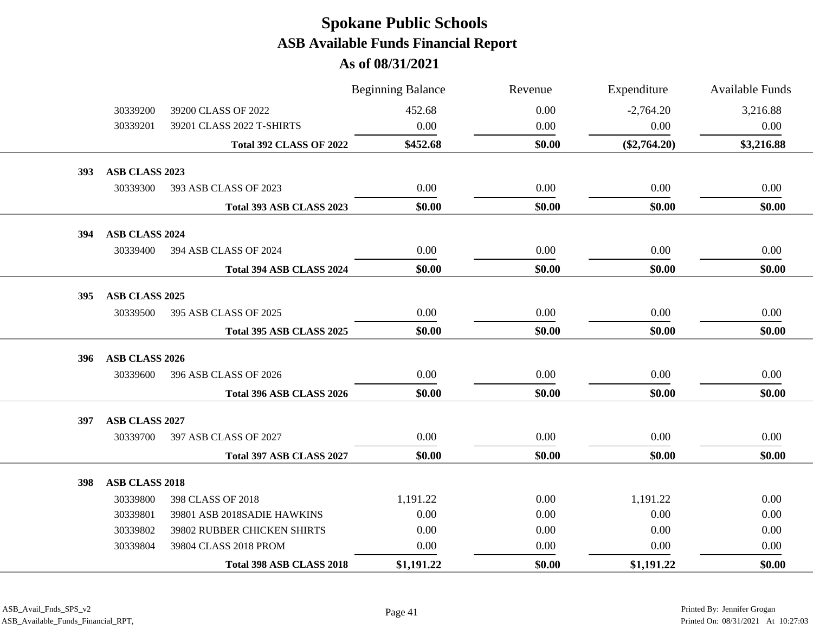|     |                |                                | <b>Beginning Balance</b> | Revenue | Expenditure    | Available Funds |
|-----|----------------|--------------------------------|--------------------------|---------|----------------|-----------------|
|     | 30339200       | 39200 CLASS OF 2022            | 452.68                   | 0.00    | $-2,764.20$    | 3,216.88        |
|     | 30339201       | 39201 CLASS 2022 T-SHIRTS      | 0.00                     | 0.00    | 0.00           | 0.00            |
|     |                | <b>Total 392 CLASS OF 2022</b> | \$452.68                 | \$0.00  | $(\$2,764.20)$ | \$3,216.88      |
| 393 | ASB CLASS 2023 |                                |                          |         |                |                 |
|     | 30339300       | 393 ASB CLASS OF 2023          | 0.00                     | 0.00    | 0.00           | 0.00            |
|     |                | Total 393 ASB CLASS 2023       | \$0.00                   | \$0.00  | \$0.00         | \$0.00          |
| 394 | ASB CLASS 2024 |                                |                          |         |                |                 |
|     | 30339400       | 394 ASB CLASS OF 2024          | 0.00                     | 0.00    | 0.00           | 0.00            |
|     |                | Total 394 ASB CLASS 2024       | \$0.00                   | \$0.00  | \$0.00         | \$0.00          |
| 395 | ASB CLASS 2025 |                                |                          |         |                |                 |
|     | 30339500       | 395 ASB CLASS OF 2025          | 0.00                     | 0.00    | 0.00           | 0.00            |
|     |                | Total 395 ASB CLASS 2025       | \$0.00                   | \$0.00  | \$0.00         | \$0.00          |
| 396 | ASB CLASS 2026 |                                |                          |         |                |                 |
|     | 30339600       | 396 ASB CLASS OF 2026          | 0.00                     | 0.00    | 0.00           | 0.00            |
|     |                |                                |                          |         |                |                 |
|     |                | Total 396 ASB CLASS 2026       | \$0.00                   | \$0.00  | \$0.00         | \$0.00          |
| 397 | ASB CLASS 2027 |                                |                          |         |                |                 |
|     | 30339700       | 397 ASB CLASS OF 2027          | 0.00                     | 0.00    | 0.00           | 0.00            |
|     |                | Total 397 ASB CLASS 2027       | \$0.00                   | \$0.00  | \$0.00         | \$0.00          |
| 398 | ASB CLASS 2018 |                                |                          |         |                |                 |
|     | 30339800       | 398 CLASS OF 2018              | 1,191.22                 | 0.00    | 1,191.22       | 0.00            |
|     | 30339801       | 39801 ASB 2018SADIE HAWKINS    | 0.00                     | 0.00    | 0.00           | 0.00            |
|     | 30339802       | 39802 RUBBER CHICKEN SHIRTS    | 0.00                     | 0.00    | 0.00           | 0.00            |
|     | 30339804       | 39804 CLASS 2018 PROM          | 0.00                     | 0.00    | 0.00           | 0.00            |
|     |                | Total 398 ASB CLASS 2018       | \$1,191.22               | \$0.00  | \$1,191.22     | \$0.00          |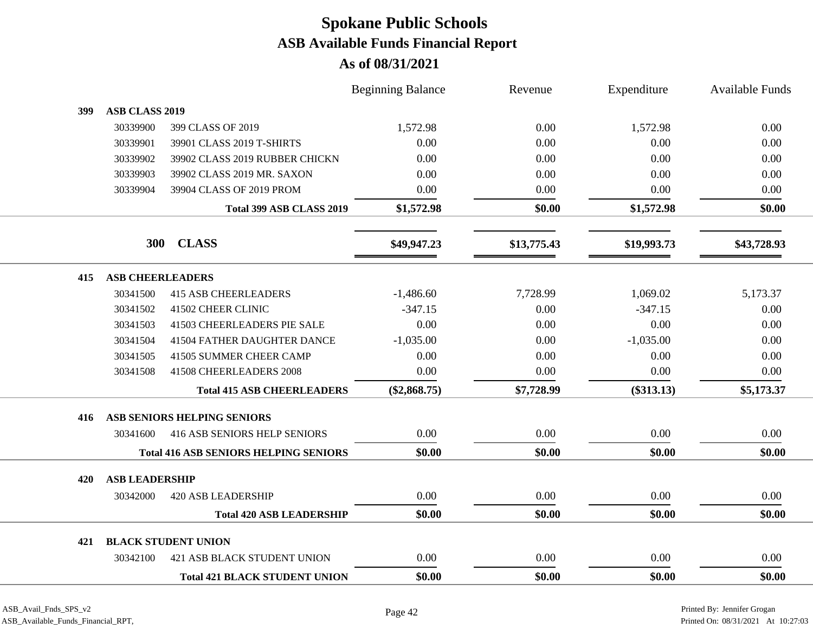|     |                         |                                              | <b>Beginning Balance</b> | Revenue     | Expenditure  | <b>Available Funds</b> |
|-----|-------------------------|----------------------------------------------|--------------------------|-------------|--------------|------------------------|
| 399 | <b>ASB CLASS 2019</b>   |                                              |                          |             |              |                        |
|     | 30339900                | 399 CLASS OF 2019                            | 1,572.98                 | 0.00        | 1,572.98     | 0.00                   |
|     | 30339901                | 39901 CLASS 2019 T-SHIRTS                    | 0.00                     | 0.00        | 0.00         | 0.00                   |
|     | 30339902                | 39902 CLASS 2019 RUBBER CHICKN               | 0.00                     | 0.00        | 0.00         | 0.00                   |
|     | 30339903                | 39902 CLASS 2019 MR. SAXON                   | 0.00                     | 0.00        | 0.00         | 0.00                   |
|     | 30339904                | 39904 CLASS OF 2019 PROM                     | 0.00                     | 0.00        | 0.00         | 0.00                   |
|     |                         | Total 399 ASB CLASS 2019                     | \$1,572.98               | \$0.00      | \$1,572.98   | \$0.00                 |
|     | <b>300</b>              | <b>CLASS</b>                                 | \$49,947.23              | \$13,775.43 | \$19,993.73  | \$43,728.93            |
| 415 | <b>ASB CHEERLEADERS</b> |                                              |                          |             |              |                        |
|     | 30341500                | <b>415 ASB CHEERLEADERS</b>                  | $-1,486.60$              | 7,728.99    | 1,069.02     | 5,173.37               |
|     | 30341502                | 41502 CHEER CLINIC                           | $-347.15$                | 0.00        | $-347.15$    | 0.00                   |
|     | 30341503                | 41503 CHEERLEADERS PIE SALE                  | 0.00                     | 0.00        | 0.00         | 0.00                   |
|     | 30341504                | 41504 FATHER DAUGHTER DANCE                  | $-1,035.00$              | 0.00        | $-1,035.00$  | 0.00                   |
|     | 30341505                | 41505 SUMMER CHEER CAMP                      | 0.00                     | 0.00        | 0.00         | 0.00                   |
|     | 30341508                | 41508 CHEERLEADERS 2008                      | 0.00                     | 0.00        | 0.00         | 0.00                   |
|     |                         | <b>Total 415 ASB CHEERLEADERS</b>            | $(\$2,868.75)$           | \$7,728.99  | $(\$313.13)$ | \$5,173.37             |
| 416 |                         | ASB SENIORS HELPING SENIORS                  |                          |             |              |                        |
|     | 30341600                | <b>416 ASB SENIORS HELP SENIORS</b>          | 0.00                     | 0.00        | $0.00\,$     | 0.00                   |
|     |                         | <b>Total 416 ASB SENIORS HELPING SENIORS</b> | \$0.00                   | \$0.00      | \$0.00       | \$0.00                 |
| 420 | <b>ASB LEADERSHIP</b>   |                                              |                          |             |              |                        |
|     | 30342000                | <b>420 ASB LEADERSHIP</b>                    | 0.00                     | 0.00        | 0.00         | 0.00                   |
|     |                         | <b>Total 420 ASB LEADERSHIP</b>              | \$0.00                   | \$0.00      | \$0.00       | \$0.00                 |
| 421 |                         | <b>BLACK STUDENT UNION</b>                   |                          |             |              |                        |
|     | 30342100                | <b>421 ASB BLACK STUDENT UNION</b>           | 0.00                     | 0.00        | 0.00         | 0.00                   |
|     |                         | <b>Total 421 BLACK STUDENT UNION</b>         | \$0.00                   | \$0.00      | \$0.00       | \$0.00                 |
|     |                         |                                              |                          |             |              |                        |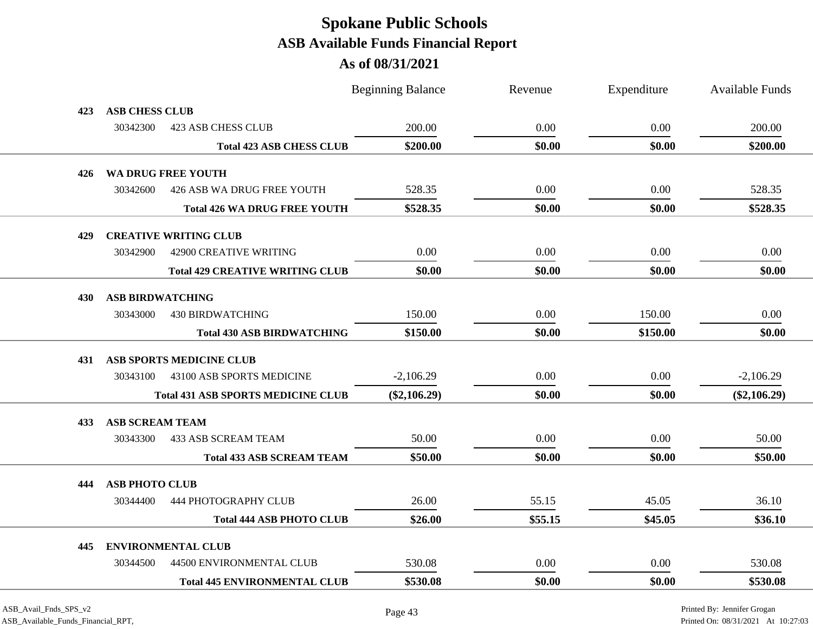|     |                                     |                                                       | <b>Beginning Balance</b> | Revenue | Expenditure | <b>Available Funds</b> |
|-----|-------------------------------------|-------------------------------------------------------|--------------------------|---------|-------------|------------------------|
| 423 | <b>ASB CHESS CLUB</b>               |                                                       |                          |         |             |                        |
|     | 30342300                            | <b>423 ASB CHESS CLUB</b>                             | 200.00                   | 0.00    | 0.00        | 200.00                 |
|     |                                     | <b>Total 423 ASB CHESS CLUB</b>                       | \$200.00                 | \$0.00  | \$0.00      | \$200.00               |
| 426 |                                     | WA DRUG FREE YOUTH                                    |                          |         |             |                        |
|     | 30342600                            | 426 ASB WA DRUG FREE YOUTH                            | 528.35                   | 0.00    | 0.00        | 528.35                 |
|     |                                     | <b>Total 426 WA DRUG FREE YOUTH</b>                   | \$528.35                 | \$0.00  | \$0.00      | \$528.35               |
| 429 |                                     | <b>CREATIVE WRITING CLUB</b>                          |                          |         |             |                        |
|     | 30342900                            | 42900 CREATIVE WRITING                                | 0.00                     | 0.00    | 0.00        | 0.00                   |
|     |                                     | <b>Total 429 CREATIVE WRITING CLUB</b>                | \$0.00                   | \$0.00  | \$0.00      | \$0.00                 |
|     |                                     |                                                       |                          |         |             |                        |
| 430 | <b>ASB BIRDWATCHING</b><br>30343000 | <b>430 BIRDWATCHING</b>                               | 150.00                   | 0.00    | 150.00      | 0.00                   |
|     |                                     | <b>Total 430 ASB BIRDWATCHING</b>                     | \$150.00                 | \$0.00  | \$150.00    | \$0.00                 |
|     |                                     |                                                       |                          |         |             |                        |
| 431 |                                     | <b>ASB SPORTS MEDICINE CLUB</b>                       |                          |         |             |                        |
|     | 30343100                            | 43100 ASB SPORTS MEDICINE                             | $-2,106.29$              | 0.00    | 0.00        | $-2,106.29$            |
|     |                                     | <b>Total 431 ASB SPORTS MEDICINE CLUB</b>             | $(\$2,106.29)$           | \$0.00  | \$0.00      | $(\$2,106.29)$         |
| 433 | <b>ASB SCREAM TEAM</b>              |                                                       |                          |         |             |                        |
|     | 30343300                            | <b>433 ASB SCREAM TEAM</b>                            | 50.00                    | 0.00    | 0.00        | 50.00                  |
|     |                                     | <b>Total 433 ASB SCREAM TEAM</b>                      | \$50.00                  | \$0.00  | \$0.00      | \$50.00                |
| 444 | <b>ASB PHOTO CLUB</b>               |                                                       |                          |         |             |                        |
|     | 30344400                            | 444 PHOTOGRAPHY CLUB                                  | 26.00                    | 55.15   | 45.05       | 36.10                  |
|     |                                     | <b>Total 444 ASB PHOTO CLUB</b>                       | \$26.00                  | \$55.15 | \$45.05     | \$36.10                |
|     |                                     |                                                       |                          |         |             |                        |
| 445 | 30344500                            | <b>ENVIRONMENTAL CLUB</b><br>44500 ENVIRONMENTAL CLUB | 530.08                   | 0.00    | 0.00        | 530.08                 |
|     |                                     | <b>Total 445 ENVIRONMENTAL CLUB</b>                   | \$530.08                 | \$0.00  | \$0.00      | \$530.08               |
|     |                                     |                                                       |                          |         |             |                        |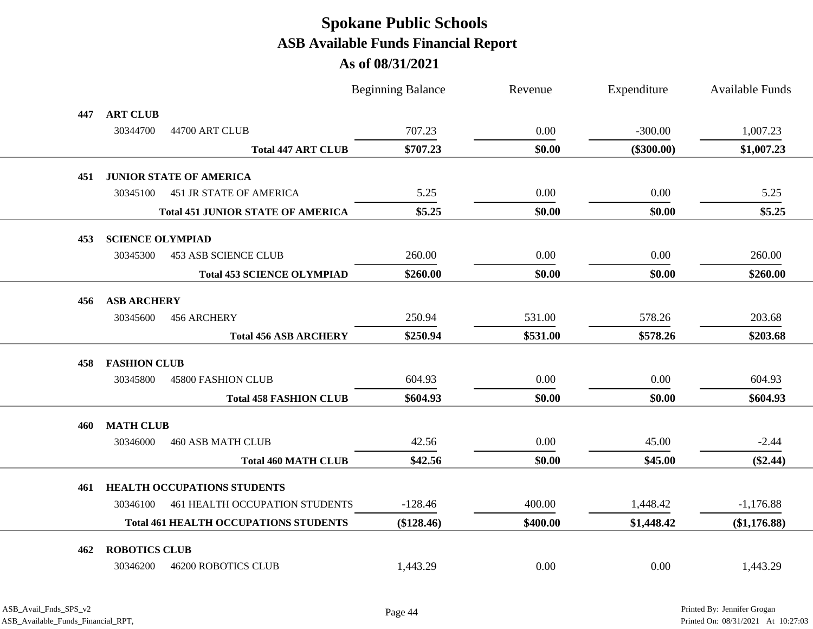|     |                         |                                              | <b>Beginning Balance</b> | Revenue  | Expenditure  | <b>Available Funds</b> |
|-----|-------------------------|----------------------------------------------|--------------------------|----------|--------------|------------------------|
| 447 | <b>ART CLUB</b>         |                                              |                          |          |              |                        |
|     | 30344700                | 44700 ART CLUB                               | 707.23                   | 0.00     | $-300.00$    | 1,007.23               |
|     |                         | <b>Total 447 ART CLUB</b>                    | \$707.23                 | \$0.00   | $(\$300.00)$ | \$1,007.23             |
| 451 |                         | <b>JUNIOR STATE OF AMERICA</b>               |                          |          |              |                        |
|     | 30345100                | <b>451 JR STATE OF AMERICA</b>               | 5.25                     | 0.00     | 0.00         | 5.25                   |
|     |                         | <b>Total 451 JUNIOR STATE OF AMERICA</b>     | \$5.25                   | \$0.00   | \$0.00       | \$5.25                 |
| 453 | <b>SCIENCE OLYMPIAD</b> |                                              |                          |          |              |                        |
|     | 30345300                | <b>453 ASB SCIENCE CLUB</b>                  | 260.00                   | 0.00     | 0.00         | 260.00                 |
|     |                         | <b>Total 453 SCIENCE OLYMPIAD</b>            | \$260.00                 | \$0.00   | \$0.00       | \$260.00               |
| 456 | <b>ASB ARCHERY</b>      |                                              |                          |          |              |                        |
|     | 30345600                | 456 ARCHERY                                  | 250.94                   | 531.00   | 578.26       | 203.68                 |
|     |                         | <b>Total 456 ASB ARCHERY</b>                 | \$250.94                 | \$531.00 | \$578.26     | \$203.68               |
| 458 | <b>FASHION CLUB</b>     |                                              |                          |          |              |                        |
|     | 30345800                | <b>45800 FASHION CLUB</b>                    | 604.93                   | 0.00     | 0.00         | 604.93                 |
|     |                         | <b>Total 458 FASHION CLUB</b>                | \$604.93                 | \$0.00   | \$0.00       | \$604.93               |
| 460 | <b>MATH CLUB</b>        |                                              |                          |          |              |                        |
|     | 30346000                | <b>460 ASB MATH CLUB</b>                     | 42.56                    | 0.00     | 45.00        | $-2.44$                |
|     |                         | <b>Total 460 MATH CLUB</b>                   | \$42.56                  | \$0.00   | \$45.00      | $(\$2.44)$             |
| 461 |                         | HEALTH OCCUPATIONS STUDENTS                  |                          |          |              |                        |
|     | 30346100                | <b>461 HEALTH OCCUPATION STUDENTS</b>        | $-128.46$                | 400.00   | 1,448.42     | $-1,176.88$            |
|     |                         | <b>Total 461 HEALTH OCCUPATIONS STUDENTS</b> | (\$128.46)               | \$400.00 | \$1,448.42   | (\$1,176.88)           |
|     |                         |                                              |                          |          |              |                        |
| 462 | <b>ROBOTICS CLUB</b>    |                                              | 1,443.29                 | 0.00     | 0.00         | 1,443.29               |
|     | 30346200                | <b>46200 ROBOTICS CLUB</b>                   |                          |          |              |                        |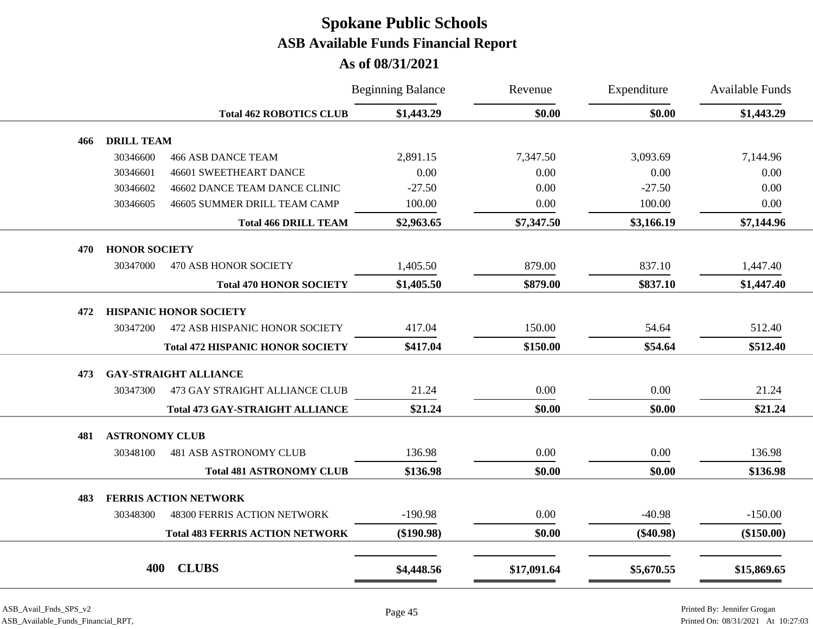**As of 08/31/2021**

|     |                       |                                         | <b>Beginning Balance</b> | Revenue     | Expenditure | <b>Available Funds</b> |
|-----|-----------------------|-----------------------------------------|--------------------------|-------------|-------------|------------------------|
|     |                       | <b>Total 462 ROBOTICS CLUB</b>          | \$1,443.29               | \$0.00      | \$0.00      | \$1,443.29             |
| 466 | <b>DRILL TEAM</b>     |                                         |                          |             |             |                        |
|     | 30346600              | <b>466 ASB DANCE TEAM</b>               | 2,891.15                 | 7,347.50    | 3,093.69    | 7,144.96               |
|     | 30346601              | <b>46601 SWEETHEART DANCE</b>           | 0.00                     | 0.00        | 0.00        | 0.00                   |
|     | 30346602              | 46602 DANCE TEAM DANCE CLINIC           | $-27.50$                 | 0.00        | $-27.50$    | 0.00                   |
|     | 30346605              | 46605 SUMMER DRILL TEAM CAMP            | 100.00                   | 0.00        | 100.00      | 0.00                   |
|     |                       | <b>Total 466 DRILL TEAM</b>             | \$2,963.65               | \$7,347.50  | \$3,166.19  | \$7,144.96             |
| 470 | <b>HONOR SOCIETY</b>  |                                         |                          |             |             |                        |
|     | 30347000              | 470 ASB HONOR SOCIETY                   | 1,405.50                 | 879.00      | 837.10      | 1,447.40               |
|     |                       | <b>Total 470 HONOR SOCIETY</b>          | \$1,405.50               | \$879.00    | \$837.10    | \$1,447.40             |
| 472 |                       | <b>HISPANIC HONOR SOCIETY</b>           |                          |             |             |                        |
|     | 30347200              | 472 ASB HISPANIC HONOR SOCIETY          | 417.04                   | 150.00      | 54.64       | 512.40                 |
|     |                       | <b>Total 472 HISPANIC HONOR SOCIETY</b> | \$417.04                 | \$150.00    | \$54.64     | \$512.40               |
| 473 |                       | <b>GAY-STRAIGHT ALLIANCE</b>            |                          |             |             |                        |
|     | 30347300              | 473 GAY STRAIGHT ALLIANCE CLUB          | 21.24                    | 0.00        | 0.00        | 21.24                  |
|     |                       | <b>Total 473 GAY-STRAIGHT ALLIANCE</b>  | \$21.24                  | \$0.00      | \$0.00      | \$21.24                |
| 481 | <b>ASTRONOMY CLUB</b> |                                         |                          |             |             |                        |
|     | 30348100              | <b>481 ASB ASTRONOMY CLUB</b>           | 136.98                   | 0.00        | 0.00        | 136.98                 |
|     |                       | <b>Total 481 ASTRONOMY CLUB</b>         | \$136.98                 | \$0.00      | \$0.00      | \$136.98               |
| 483 |                       | <b>FERRIS ACTION NETWORK</b>            |                          |             |             |                        |
|     | 30348300              | 48300 FERRIS ACTION NETWORK             | $-190.98$                | 0.00        | $-40.98$    | $-150.00$              |
|     |                       | <b>Total 483 FERRIS ACTION NETWORK</b>  | (\$190.98)               | \$0.00      | $(\$40.98)$ | $(\$150.00)$           |
|     |                       |                                         |                          |             |             |                        |
|     | 400                   | <b>CLUBS</b>                            | \$4,448.56               | \$17,091.64 | \$5,670.55  | \$15,869.65            |
|     |                       |                                         |                          |             |             |                        |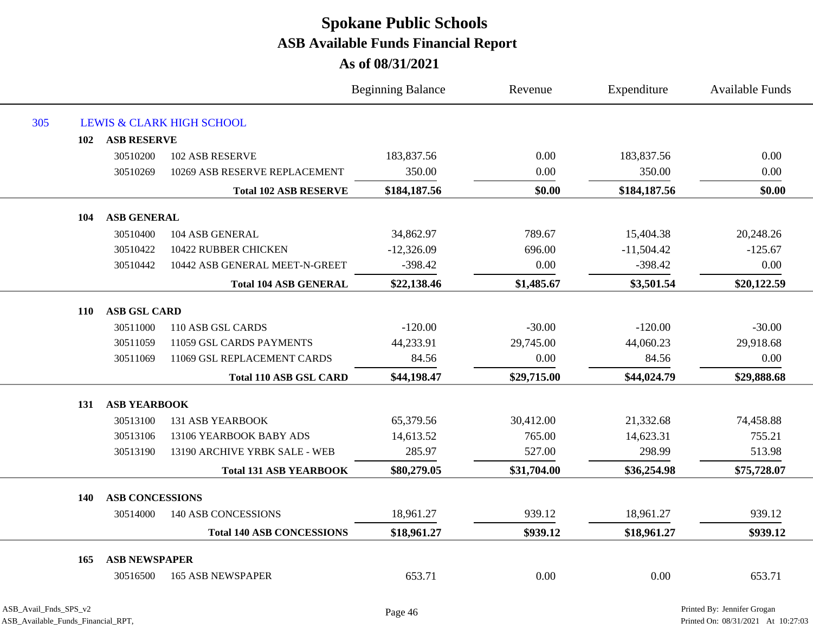|     |            |                        |                                      | <b>Beginning Balance</b> | Revenue     | Expenditure  | <b>Available Funds</b> |
|-----|------------|------------------------|--------------------------------------|--------------------------|-------------|--------------|------------------------|
| 305 |            |                        | <b>LEWIS &amp; CLARK HIGH SCHOOL</b> |                          |             |              |                        |
|     | 102        | <b>ASB RESERVE</b>     |                                      |                          |             |              |                        |
|     |            | 30510200               | <b>102 ASB RESERVE</b>               | 183,837.56               | 0.00        | 183,837.56   | 0.00                   |
|     |            | 30510269               | 10269 ASB RESERVE REPLACEMENT        | 350.00                   | 0.00        | 350.00       | 0.00                   |
|     |            |                        | <b>Total 102 ASB RESERVE</b>         | \$184,187.56             | \$0.00      | \$184,187.56 | \$0.00                 |
|     | 104        | <b>ASB GENERAL</b>     |                                      |                          |             |              |                        |
|     |            | 30510400               | 104 ASB GENERAL                      | 34,862.97                | 789.67      | 15,404.38    | 20,248.26              |
|     |            | 30510422               | 10422 RUBBER CHICKEN                 | $-12,326.09$             | 696.00      | $-11,504.42$ | $-125.67$              |
|     |            | 30510442               | 10442 ASB GENERAL MEET-N-GREET       | $-398.42$                | 0.00        | $-398.42$    | 0.00                   |
|     |            |                        | <b>Total 104 ASB GENERAL</b>         | \$22,138.46              | \$1,485.67  | \$3,501.54   | \$20,122.59            |
|     |            |                        |                                      |                          |             |              |                        |
|     | 110        | <b>ASB GSL CARD</b>    |                                      |                          |             |              |                        |
|     |            | 30511000               | 110 ASB GSL CARDS                    | $-120.00$                | $-30.00$    | $-120.00$    | $-30.00$               |
|     |            | 30511059               | 11059 GSL CARDS PAYMENTS             | 44,233.91                | 29,745.00   | 44,060.23    | 29,918.68              |
|     |            | 30511069               | 11069 GSL REPLACEMENT CARDS          | 84.56                    | 0.00        | 84.56        | 0.00                   |
|     |            |                        | <b>Total 110 ASB GSL CARD</b>        | \$44,198.47              | \$29,715.00 | \$44,024.79  | \$29,888.68            |
|     | 131        | <b>ASB YEARBOOK</b>    |                                      |                          |             |              |                        |
|     |            | 30513100               | <b>131 ASB YEARBOOK</b>              | 65,379.56                | 30,412.00   | 21,332.68    | 74,458.88              |
|     |            | 30513106               | 13106 YEARBOOK BABY ADS              | 14,613.52                | 765.00      | 14,623.31    | 755.21                 |
|     |            | 30513190               | 13190 ARCHIVE YRBK SALE - WEB        | 285.97                   | 527.00      | 298.99       | 513.98                 |
|     |            |                        | <b>Total 131 ASB YEARBOOK</b>        | \$80,279.05              | \$31,704.00 | \$36,254.98  | \$75,728.07            |
|     | <b>140</b> | <b>ASB CONCESSIONS</b> |                                      |                          |             |              |                        |
|     |            | 30514000               | <b>140 ASB CONCESSIONS</b>           | 18,961.27                | 939.12      | 18,961.27    | 939.12                 |
|     |            |                        | <b>Total 140 ASB CONCESSIONS</b>     | \$18,961.27              | \$939.12    | \$18,961.27  | \$939.12               |
|     | 165        | <b>ASB NEWSPAPER</b>   |                                      |                          |             |              |                        |
|     |            | 30516500               | <b>165 ASB NEWSPAPER</b>             | 653.71                   | 0.00        | 0.00         | 653.71                 |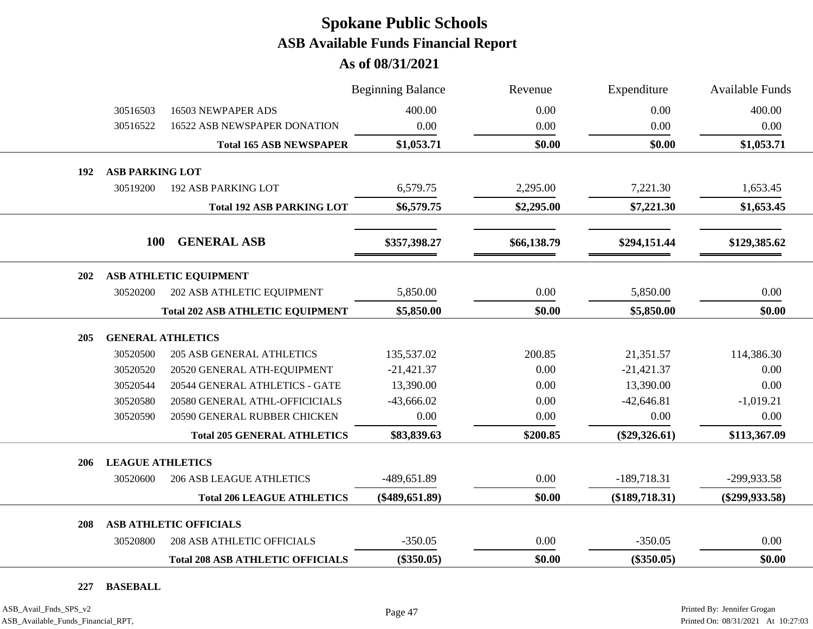|          |                                         |                                                                                                                                                                                                          | Revenue                  | Expenditure      | <b>Available Funds</b> |
|----------|-----------------------------------------|----------------------------------------------------------------------------------------------------------------------------------------------------------------------------------------------------------|--------------------------|------------------|------------------------|
| 30516503 | 16503 NEWPAPER ADS                      | 400.00                                                                                                                                                                                                   | 0.00                     | 0.00             | 400.00                 |
| 30516522 | 16522 ASB NEWSPAPER DONATION            | 0.00                                                                                                                                                                                                     | 0.00                     | 0.00             | 0.00                   |
|          | <b>Total 165 ASB NEWSPAPER</b>          | \$1,053.71                                                                                                                                                                                               | \$0.00                   | \$0.00           | \$1,053.71             |
|          |                                         |                                                                                                                                                                                                          |                          |                  |                        |
| 30519200 | <b>192 ASB PARKING LOT</b>              | 6,579.75                                                                                                                                                                                                 | 2,295.00                 | 7,221.30         | 1,653.45               |
|          | <b>Total 192 ASB PARKING LOT</b>        | \$6,579.75                                                                                                                                                                                               | \$2,295.00               | \$7,221.30       | \$1,653.45             |
|          | <b>GENERAL ASB</b>                      | \$357,398.27                                                                                                                                                                                             | \$66,138.79              | \$294,151.44     | \$129,385.62           |
|          |                                         |                                                                                                                                                                                                          |                          |                  |                        |
| 30520200 | 202 ASB ATHLETIC EQUIPMENT              | 5,850.00                                                                                                                                                                                                 | 0.00                     | 5,850.00         | 0.00                   |
|          |                                         | \$5,850.00                                                                                                                                                                                               | \$0.00                   | \$5,850.00       | \$0.00                 |
|          |                                         |                                                                                                                                                                                                          |                          |                  |                        |
| 30520500 | <b>205 ASB GENERAL ATHLETICS</b>        | 135,537.02                                                                                                                                                                                               | 200.85                   | 21,351.57        | 114,386.30             |
| 30520520 | 20520 GENERAL ATH-EQUIPMENT             | $-21,421.37$                                                                                                                                                                                             | 0.00                     | $-21,421.37$     | 0.00                   |
| 30520544 | 20544 GENERAL ATHLETICS - GATE          | 13,390.00                                                                                                                                                                                                | 0.00                     | 13,390.00        | 0.00                   |
| 30520580 | 20580 GENERAL ATHL-OFFICICIALS          | $-43,666.02$                                                                                                                                                                                             | 0.00                     | $-42,646.81$     | $-1,019.21$            |
| 30520590 | 20590 GENERAL RUBBER CHICKEN            | 0.00                                                                                                                                                                                                     | 0.00                     | 0.00             | 0.00                   |
|          | <b>Total 205 GENERAL ATHLETICS</b>      | \$83,839.63                                                                                                                                                                                              | \$200.85                 | $(\$29,326.61)$  | \$113,367.09           |
|          |                                         |                                                                                                                                                                                                          |                          |                  |                        |
| 30520600 | <b>206 ASB LEAGUE ATHLETICS</b>         | -489,651.89                                                                                                                                                                                              | 0.00                     | $-189,718.31$    | -299,933.58            |
|          | <b>Total 206 LEAGUE ATHLETICS</b>       | $(\$489,651.89)$                                                                                                                                                                                         | \$0.00                   | $(\$189,718.31)$ | $(\$299,933.58)$       |
|          |                                         |                                                                                                                                                                                                          |                          |                  |                        |
| 30520800 | <b>208 ASB ATHLETIC OFFICIALS</b>       | $-350.05$                                                                                                                                                                                                | 0.00                     | $-350.05$        | 0.00                   |
|          | <b>Total 208 ASB ATHLETIC OFFICIALS</b> | $(\$350.05)$                                                                                                                                                                                             | \$0.00                   | $(\$350.05)$     | \$0.00                 |
|          |                                         | <b>ASB PARKING LOT</b><br><b>100</b><br><b>ASB ATHLETIC EQUIPMENT</b><br><b>Total 202 ASB ATHLETIC EQUIPMENT</b><br><b>GENERAL ATHLETICS</b><br><b>LEAGUE ATHLETICS</b><br><b>ASB ATHLETIC OFFICIALS</b> | <b>Beginning Balance</b> |                  |                        |

#### **227 BASEBALL**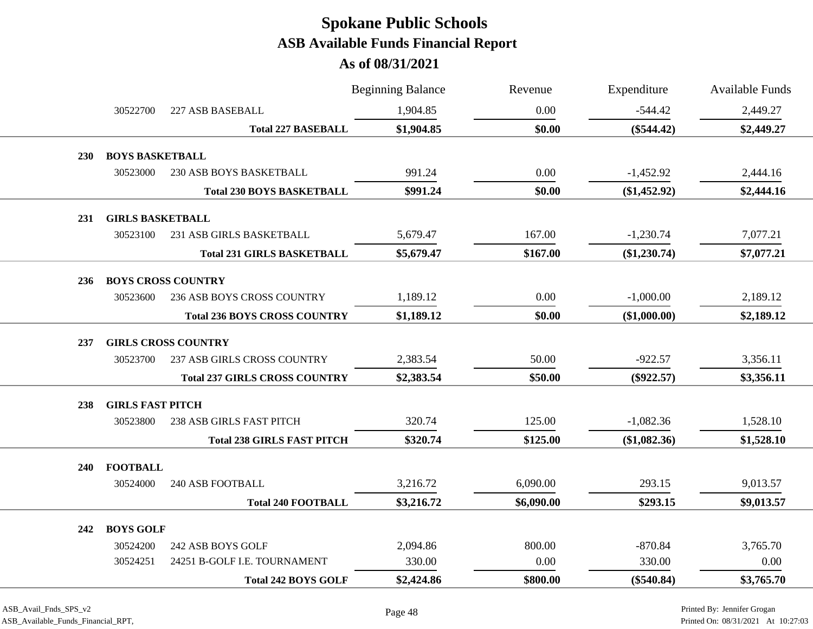|            |                         |                                      | <b>Beginning Balance</b> | Revenue    | Expenditure    | <b>Available Funds</b> |
|------------|-------------------------|--------------------------------------|--------------------------|------------|----------------|------------------------|
|            | 30522700                | 227 ASB BASEBALL                     | 1,904.85                 | 0.00       | $-544.42$      | 2,449.27               |
|            |                         | <b>Total 227 BASEBALL</b>            | \$1,904.85               | \$0.00     | $(\$544.42)$   | \$2,449.27             |
| <b>230</b> | <b>BOYS BASKETBALL</b>  |                                      |                          |            |                |                        |
|            | 30523000                | 230 ASB BOYS BASKETBALL              | 991.24                   | 0.00       | $-1,452.92$    | 2,444.16               |
|            |                         | <b>Total 230 BOYS BASKETBALL</b>     | \$991.24                 | \$0.00     | $(\$1,452.92)$ | \$2,444.16             |
| 231        | <b>GIRLS BASKETBALL</b> |                                      |                          |            |                |                        |
|            | 30523100                | 231 ASB GIRLS BASKETBALL             | 5,679.47                 | 167.00     | $-1,230.74$    | 7,077.21               |
|            |                         | <b>Total 231 GIRLS BASKETBALL</b>    | \$5,679.47               | \$167.00   | $(\$1,230.74)$ | \$7,077.21             |
| <b>236</b> |                         | <b>BOYS CROSS COUNTRY</b>            |                          |            |                |                        |
|            | 30523600                | 236 ASB BOYS CROSS COUNTRY           | 1,189.12                 | 0.00       | $-1,000.00$    | 2,189.12               |
|            |                         | <b>Total 236 BOYS CROSS COUNTRY</b>  | \$1,189.12               | \$0.00     | (\$1,000.00)   | \$2,189.12             |
| 237        |                         | <b>GIRLS CROSS COUNTRY</b>           |                          |            |                |                        |
|            | 30523700                | 237 ASB GIRLS CROSS COUNTRY          | 2,383.54                 | 50.00      | $-922.57$      | 3,356.11               |
|            |                         | <b>Total 237 GIRLS CROSS COUNTRY</b> | \$2,383.54               | \$50.00    | $(\$922.57)$   | \$3,356.11             |
| 238        | <b>GIRLS FAST PITCH</b> |                                      |                          |            |                |                        |
|            | 30523800                | 238 ASB GIRLS FAST PITCH             | 320.74                   | 125.00     | $-1,082.36$    | 1,528.10               |
|            |                         | <b>Total 238 GIRLS FAST PITCH</b>    | \$320.74                 | \$125.00   | (\$1,082.36)   | \$1,528.10             |
| <b>240</b> | <b>FOOTBALL</b>         |                                      |                          |            |                |                        |
|            | 30524000                | <b>240 ASB FOOTBALL</b>              | 3,216.72                 | 6,090.00   | 293.15         | 9,013.57               |
|            |                         | <b>Total 240 FOOTBALL</b>            | \$3,216.72               | \$6,090.00 | \$293.15       | \$9,013.57             |
|            |                         |                                      |                          |            |                |                        |
| 242        | <b>BOYS GOLF</b>        |                                      |                          |            |                |                        |
|            | 30524200                | 242 ASB BOYS GOLF                    | 2,094.86                 | 800.00     | $-870.84$      | 3,765.70               |
|            | 30524251                | 24251 B-GOLF I.E. TOURNAMENT         | 330.00                   | $0.00\,$   | 330.00         | 0.00                   |
|            |                         | <b>Total 242 BOYS GOLF</b>           | \$2,424.86               | \$800.00   | $(\$540.84)$   | \$3,765.70             |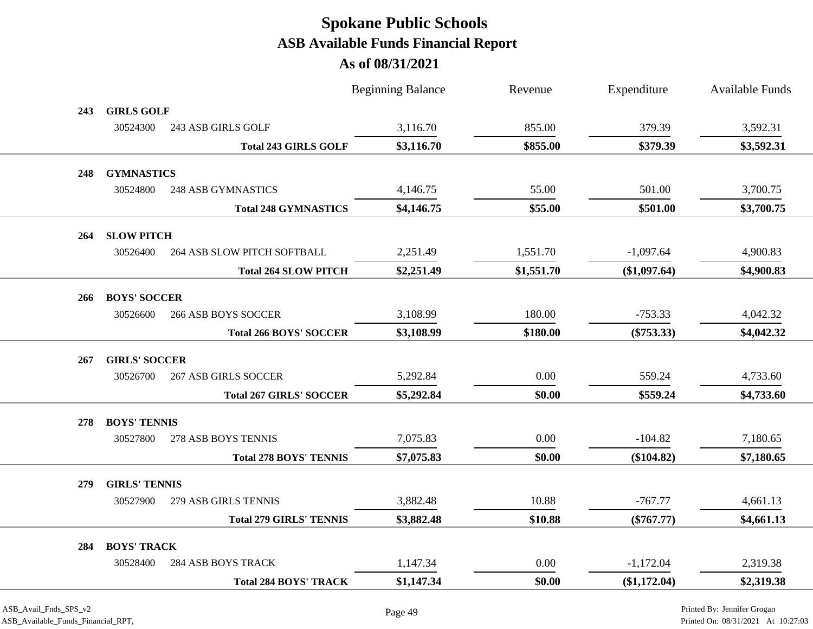|     |                                                |                                | <b>Beginning Balance</b> | Revenue    | Expenditure  | <b>Available Funds</b> |
|-----|------------------------------------------------|--------------------------------|--------------------------|------------|--------------|------------------------|
| 243 | <b>GIRLS GOLF</b>                              |                                |                          |            |              |                        |
|     | 30524300<br>243 ASB GIRLS GOLF                 |                                | 3,116.70                 | 855.00     | 379.39       | 3,592.31               |
|     |                                                | <b>Total 243 GIRLS GOLF</b>    | \$3,116.70               | \$855.00   | \$379.39     | \$3,592.31             |
| 248 | <b>GYMNASTICS</b>                              |                                |                          |            |              |                        |
|     | 30524800<br><b>248 ASB GYMNASTICS</b>          |                                | 4,146.75                 | 55.00      | 501.00       | 3,700.75               |
|     |                                                | <b>Total 248 GYMNASTICS</b>    | \$4,146.75               | \$55.00    | \$501.00     | \$3,700.75             |
|     |                                                |                                |                          |            |              |                        |
| 264 | <b>SLOW PITCH</b>                              |                                |                          |            |              |                        |
|     | <b>264 ASB SLOW PITCH SOFTBALL</b><br>30526400 |                                | 2,251.49                 | 1,551.70   | $-1,097.64$  | 4,900.83               |
|     |                                                | <b>Total 264 SLOW PITCH</b>    | \$2,251.49               | \$1,551.70 | (\$1,097.64) | \$4,900.83             |
| 266 | <b>BOYS' SOCCER</b>                            |                                |                          |            |              |                        |
|     | 30526600<br><b>266 ASB BOYS SOCCER</b>         |                                | 3,108.99                 | 180.00     | $-753.33$    | 4,042.32               |
|     |                                                | <b>Total 266 BOYS' SOCCER</b>  | \$3,108.99               | \$180.00   | $(\$753.33)$ | \$4,042.32             |
|     |                                                |                                |                          |            |              |                        |
| 267 | <b>GIRLS' SOCCER</b>                           |                                |                          |            |              |                        |
|     | <b>267 ASB GIRLS SOCCER</b><br>30526700        |                                | 5,292.84                 | $0.00\,$   | 559.24       | 4,733.60               |
|     |                                                | <b>Total 267 GIRLS' SOCCER</b> | \$5,292.84               | \$0.00     | \$559.24     | \$4,733.60             |
| 278 | <b>BOYS' TENNIS</b>                            |                                |                          |            |              |                        |
|     | 30527800<br>278 ASB BOYS TENNIS                |                                | 7,075.83                 | 0.00       | $-104.82$    | 7,180.65               |
|     |                                                | <b>Total 278 BOYS' TENNIS</b>  | \$7,075.83               | \$0.00     | $(\$104.82)$ | \$7,180.65             |
| 279 | <b>GIRLS' TENNIS</b>                           |                                |                          |            |              |                        |
|     | 279 ASB GIRLS TENNIS<br>30527900               |                                | 3,882.48                 | 10.88      | $-767.77$    | 4,661.13               |
|     |                                                |                                |                          |            |              |                        |
|     |                                                | <b>Total 279 GIRLS' TENNIS</b> | \$3,882.48               | \$10.88    | $(\$767.77)$ | \$4,661.13             |
| 284 | <b>BOYS' TRACK</b>                             |                                |                          |            |              |                        |
|     | <b>284 ASB BOYS TRACK</b><br>30528400          |                                | 1,147.34                 | $0.00\,$   | $-1,172.04$  | 2,319.38               |
|     |                                                | <b>Total 284 BOYS' TRACK</b>   | \$1,147.34               | \$0.00     | (\$1,172.04) | \$2,319.38             |
|     |                                                |                                |                          |            |              |                        |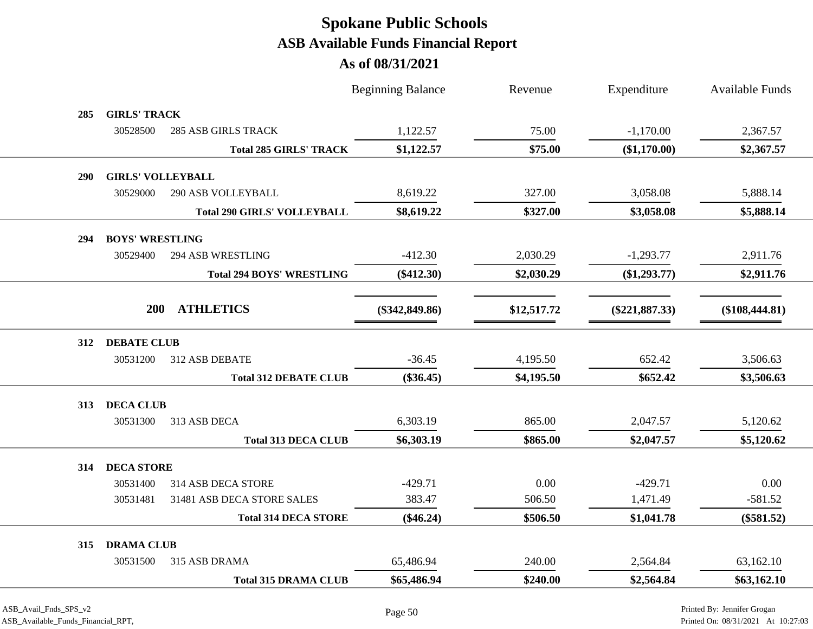|            |                          |                                    | <b>Beginning Balance</b> | Revenue     | Expenditure      | <b>Available Funds</b> |
|------------|--------------------------|------------------------------------|--------------------------|-------------|------------------|------------------------|
| 285        | <b>GIRLS' TRACK</b>      |                                    |                          |             |                  |                        |
|            | 30528500                 | <b>285 ASB GIRLS TRACK</b>         | 1,122.57                 | 75.00       | $-1,170.00$      | 2,367.57               |
|            |                          | <b>Total 285 GIRLS' TRACK</b>      | \$1,122.57               | \$75.00     | (\$1,170.00)     | \$2,367.57             |
| <b>290</b> | <b>GIRLS' VOLLEYBALL</b> |                                    |                          |             |                  |                        |
|            | 30529000                 | <b>290 ASB VOLLEYBALL</b>          | 8,619.22                 | 327.00      | 3,058.08         | 5,888.14               |
|            |                          | <b>Total 290 GIRLS' VOLLEYBALL</b> | \$8,619.22               | \$327.00    | \$3,058.08       | \$5,888.14             |
| 294        | <b>BOYS' WRESTLING</b>   |                                    |                          |             |                  |                        |
|            | 30529400                 | <b>294 ASB WRESTLING</b>           | $-412.30$                | 2,030.29    | $-1,293.77$      | 2,911.76               |
|            |                          | <b>Total 294 BOYS' WRESTLING</b>   | $(\$412.30)$             | \$2,030.29  | $(\$1,293.77)$   | \$2,911.76             |
|            |                          |                                    |                          |             |                  |                        |
|            | 200                      | <b>ATHLETICS</b>                   | $(\$342,849.86)$         | \$12,517.72 | $(\$221,887.33)$ | $(\$108,444.81)$       |
| 312        | <b>DEBATE CLUB</b>       |                                    |                          |             |                  |                        |
|            | 30531200                 | 312 ASB DEBATE                     | $-36.45$                 | 4,195.50    | 652.42           | 3,506.63               |
|            |                          | <b>Total 312 DEBATE CLUB</b>       | $(\$36.45)$              | \$4,195.50  | \$652.42         | \$3,506.63             |
| 313        | <b>DECA CLUB</b>         |                                    |                          |             |                  |                        |
|            | 30531300                 | 313 ASB DECA                       | 6,303.19                 | 865.00      | 2,047.57         | 5,120.62               |
|            |                          | <b>Total 313 DECA CLUB</b>         | \$6,303.19               | \$865.00    | \$2,047.57       | \$5,120.62             |
| 314        | <b>DECA STORE</b>        |                                    |                          |             |                  |                        |
|            | 30531400                 | 314 ASB DECA STORE                 | $-429.71$                | 0.00        | $-429.71$        | 0.00                   |
|            | 30531481                 | 31481 ASB DECA STORE SALES         | 383.47                   | 506.50      | 1,471.49         | $-581.52$              |
|            |                          | <b>Total 314 DECA STORE</b>        | $(\$46.24)$              | \$506.50    | \$1,041.78       | $(\$581.52)$           |
| 315        | <b>DRAMA CLUB</b>        |                                    |                          |             |                  |                        |
|            | 30531500                 | 315 ASB DRAMA                      | 65,486.94                | 240.00      | 2,564.84         | 63,162.10              |
|            |                          | <b>Total 315 DRAMA CLUB</b>        | \$65,486.94              | \$240.00    | \$2,564.84       | \$63,162.10            |
|            |                          |                                    |                          |             |                  |                        |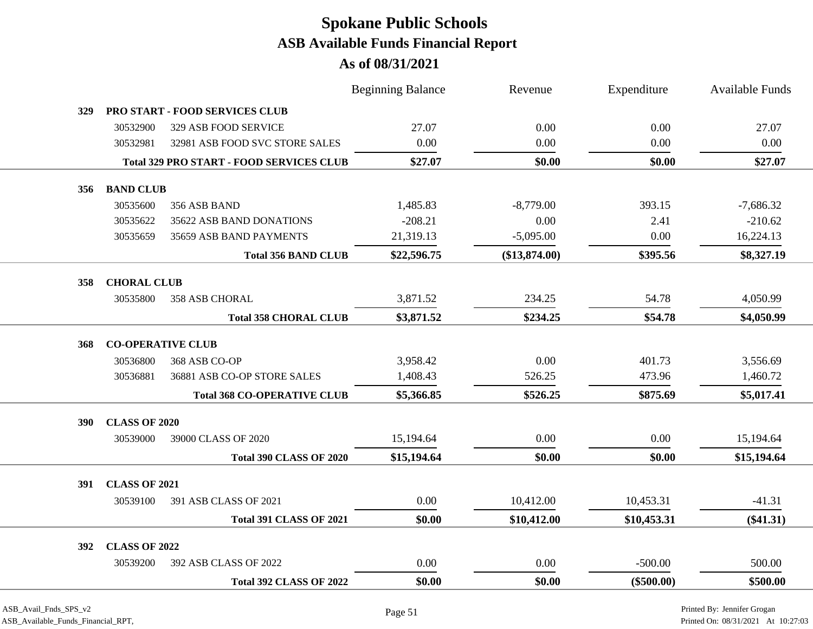|            |                      |                                                 | <b>Beginning Balance</b> | Revenue       | Expenditure  | <b>Available Funds</b> |
|------------|----------------------|-------------------------------------------------|--------------------------|---------------|--------------|------------------------|
| 329        |                      | <b>PRO START - FOOD SERVICES CLUB</b>           |                          |               |              |                        |
|            | 30532900             | 329 ASB FOOD SERVICE                            | 27.07                    | 0.00          | 0.00         | 27.07                  |
|            | 30532981             | 32981 ASB FOOD SVC STORE SALES                  | 0.00                     | 0.00          | 0.00         | 0.00                   |
|            |                      | <b>Total 329 PRO START - FOOD SERVICES CLUB</b> | \$27.07                  | \$0.00        | \$0.00       | \$27.07                |
| 356        | <b>BAND CLUB</b>     |                                                 |                          |               |              |                        |
|            | 30535600             | 356 ASB BAND                                    | 1,485.83                 | $-8,779.00$   | 393.15       | $-7,686.32$            |
|            | 30535622             | 35622 ASB BAND DONATIONS                        | $-208.21$                | 0.00          | 2.41         | $-210.62$              |
|            | 30535659             | 35659 ASB BAND PAYMENTS                         | 21,319.13                | $-5,095.00$   | 0.00         | 16,224.13              |
|            |                      | <b>Total 356 BAND CLUB</b>                      | \$22,596.75              | (\$13,874.00) | \$395.56     | \$8,327.19             |
| 358        | <b>CHORAL CLUB</b>   |                                                 |                          |               |              |                        |
|            | 30535800             | 358 ASB CHORAL                                  | 3,871.52                 | 234.25        | 54.78        | 4,050.99               |
|            |                      | <b>Total 358 CHORAL CLUB</b>                    | \$3,871.52               | \$234.25      | \$54.78      | \$4,050.99             |
| 368        |                      | <b>CO-OPERATIVE CLUB</b>                        |                          |               |              |                        |
|            | 30536800             | 368 ASB CO-OP                                   | 3,958.42                 | 0.00          | 401.73       | 3,556.69               |
|            | 30536881             | 36881 ASB CO-OP STORE SALES                     | 1,408.43                 | 526.25        | 473.96       | 1,460.72               |
|            |                      | <b>Total 368 CO-OPERATIVE CLUB</b>              | \$5,366.85               | \$526.25      | \$875.69     | \$5,017.41             |
| 390        | <b>CLASS OF 2020</b> |                                                 |                          |               |              |                        |
|            | 30539000             | 39000 CLASS OF 2020                             | 15,194.64                | 0.00          | 0.00         | 15,194.64              |
|            |                      | <b>Total 390 CLASS OF 2020</b>                  | \$15,194.64              | \$0.00        | \$0.00       | \$15,194.64            |
| 391        | <b>CLASS OF 2021</b> |                                                 |                          |               |              |                        |
|            | 30539100             | 391 ASB CLASS OF 2021                           | 0.00                     | 10,412.00     | 10,453.31    | $-41.31$               |
|            |                      | <b>Total 391 CLASS OF 2021</b>                  | \$0.00                   | \$10,412.00   | \$10,453.31  | $(\$41.31)$            |
| <b>392</b> | <b>CLASS OF 2022</b> |                                                 |                          |               |              |                        |
|            | 30539200             | 392 ASB CLASS OF 2022                           | 0.00                     | 0.00          | $-500.00$    | 500.00                 |
|            |                      | <b>Total 392 CLASS OF 2022</b>                  | \$0.00                   | \$0.00        | $(\$500.00)$ | \$500.00               |
|            |                      |                                                 |                          |               |              |                        |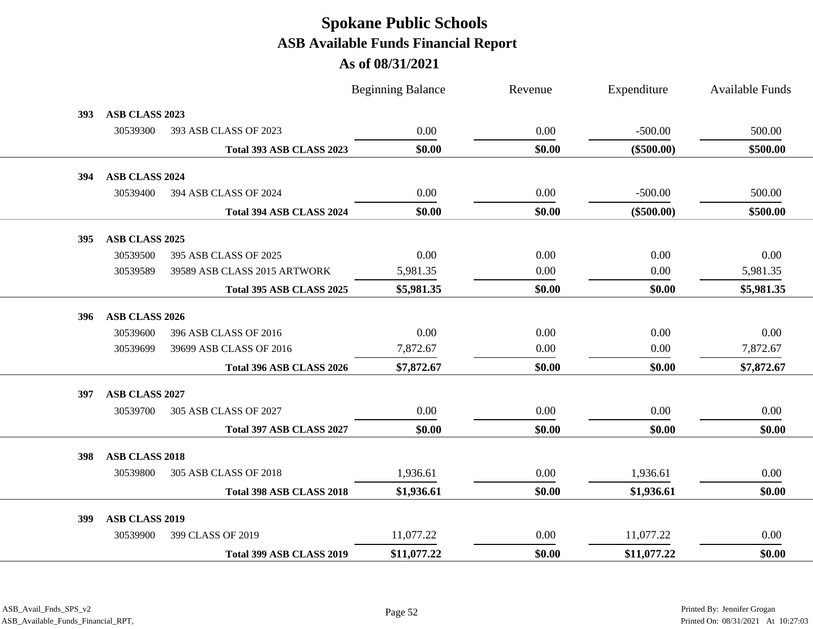**As of 08/31/2021**

|     |                       |                              | <b>Beginning Balance</b> | Revenue | Expenditure  | Available Funds |
|-----|-----------------------|------------------------------|--------------------------|---------|--------------|-----------------|
| 393 | ASB CLASS 2023        |                              |                          |         |              |                 |
|     | 30539300              | 393 ASB CLASS OF 2023        | 0.00                     | 0.00    | $-500.00$    | 500.00          |
|     |                       | Total 393 ASB CLASS 2023     | \$0.00                   | \$0.00  | $(\$500.00)$ | \$500.00        |
| 394 | ASB CLASS 2024        |                              |                          |         |              |                 |
|     | 30539400              | 394 ASB CLASS OF 2024        | 0.00                     | 0.00    | $-500.00$    | 500.00          |
|     |                       | Total 394 ASB CLASS 2024     | \$0.00                   | \$0.00  | $(\$500.00)$ | \$500.00        |
| 395 | ASB CLASS 2025        |                              |                          |         |              |                 |
|     | 30539500              | 395 ASB CLASS OF 2025        | 0.00                     | 0.00    | 0.00         | 0.00            |
|     | 30539589              | 39589 ASB CLASS 2015 ARTWORK | 5,981.35                 | 0.00    | 0.00         | 5,981.35        |
|     |                       | Total 395 ASB CLASS 2025     | \$5,981.35               | \$0.00  | \$0.00       | \$5,981.35      |
| 396 | ASB CLASS 2026        |                              |                          |         |              |                 |
|     | 30539600              | 396 ASB CLASS OF 2016        | 0.00                     | 0.00    | 0.00         | 0.00            |
|     | 30539699              | 39699 ASB CLASS OF 2016      | 7,872.67                 | 0.00    | 0.00         | 7,872.67        |
|     |                       | Total 396 ASB CLASS 2026     | \$7,872.67               | \$0.00  | \$0.00       | \$7,872.67      |
| 397 | ASB CLASS 2027        |                              |                          |         |              |                 |
|     | 30539700              | 305 ASB CLASS OF 2027        | 0.00                     | 0.00    | 0.00         | 0.00            |
|     |                       | Total 397 ASB CLASS 2027     | \$0.00                   | \$0.00  | \$0.00       | \$0.00          |
| 398 | <b>ASB CLASS 2018</b> |                              |                          |         |              |                 |
|     | 30539800              | 305 ASB CLASS OF 2018        | 1,936.61                 | 0.00    | 1,936.61     | 0.00            |
|     |                       | Total 398 ASB CLASS 2018     | \$1,936.61               | \$0.00  | \$1,936.61   | \$0.00          |
| 399 | ASB CLASS 2019        |                              |                          |         |              |                 |
|     | 30539900              | 399 CLASS OF 2019            | 11,077.22                | 0.00    | 11,077.22    | 0.00            |
|     |                       | Total 399 ASB CLASS 2019     | \$11,077.22              | \$0.00  | \$11,077.22  | \$0.00          |
|     |                       |                              |                          |         |              |                 |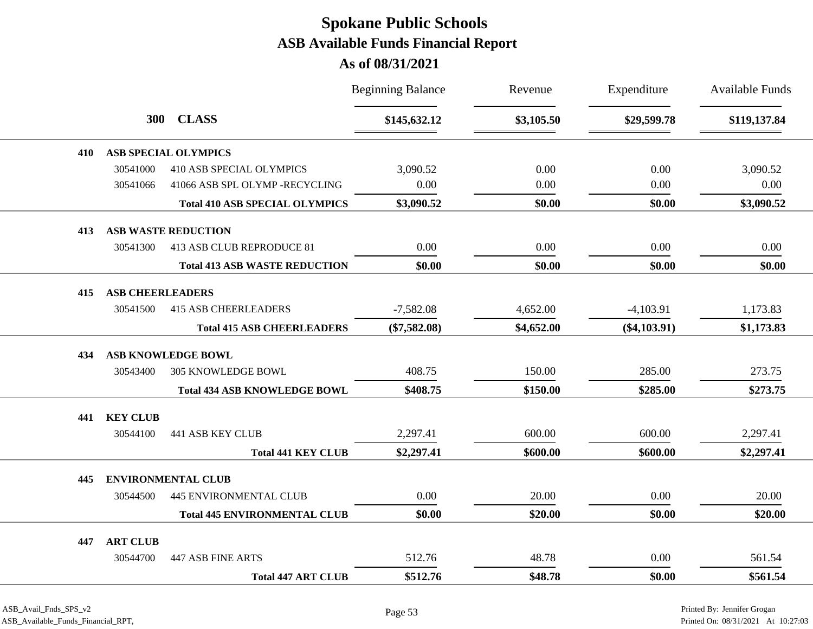|     |                         |                                       | <b>Beginning Balance</b> | Revenue    | Expenditure    | <b>Available Funds</b> |
|-----|-------------------------|---------------------------------------|--------------------------|------------|----------------|------------------------|
|     |                         | 300 CLASS                             | \$145,632.12             | \$3,105.50 | \$29,599.78    | \$119,137.84           |
| 410 |                         | <b>ASB SPECIAL OLYMPICS</b>           |                          |            |                |                        |
|     | 30541000                | <b>410 ASB SPECIAL OLYMPICS</b>       | 3,090.52                 | 0.00       | 0.00           | 3,090.52               |
|     | 30541066                | 41066 ASB SPL OLYMP -RECYCLING        | 0.00                     | 0.00       | 0.00           | 0.00                   |
|     |                         | <b>Total 410 ASB SPECIAL OLYMPICS</b> | \$3,090.52               | \$0.00     | \$0.00         | \$3,090.52             |
| 413 |                         | <b>ASB WASTE REDUCTION</b>            |                          |            |                |                        |
|     | 30541300                | 413 ASB CLUB REPRODUCE 81             | 0.00                     | 0.00       | 0.00           | 0.00                   |
|     |                         | <b>Total 413 ASB WASTE REDUCTION</b>  | \$0.00                   | \$0.00     | \$0.00         | \$0.00                 |
| 415 | <b>ASB CHEERLEADERS</b> |                                       |                          |            |                |                        |
|     | 30541500                | <b>415 ASB CHEERLEADERS</b>           | $-7,582.08$              | 4,652.00   | $-4,103.91$    | 1,173.83               |
|     |                         | <b>Total 415 ASB CHEERLEADERS</b>     | $(\$7,582.08)$           | \$4,652.00 | $(\$4,103.91)$ | \$1,173.83             |
|     |                         |                                       |                          |            |                |                        |
| 434 |                         | <b>ASB KNOWLEDGE BOWL</b>             |                          |            |                |                        |
|     | 30543400                | 305 KNOWLEDGE BOWL                    | 408.75                   | 150.00     | 285.00         | 273.75                 |
|     |                         | <b>Total 434 ASB KNOWLEDGE BOWL</b>   | \$408.75                 | \$150.00   | \$285.00       | \$273.75               |
| 441 | <b>KEY CLUB</b>         |                                       |                          |            |                |                        |
|     | 30544100                | 441 ASB KEY CLUB                      | 2,297.41                 | 600.00     | 600.00         | 2,297.41               |
|     |                         | <b>Total 441 KEY CLUB</b>             | \$2,297.41               | \$600.00   | \$600.00       | \$2,297.41             |
| 445 |                         | <b>ENVIRONMENTAL CLUB</b>             |                          |            |                |                        |
|     | 30544500                | <b>445 ENVIRONMENTAL CLUB</b>         | 0.00                     | 20.00      | 0.00           | 20.00                  |
|     |                         | <b>Total 445 ENVIRONMENTAL CLUB</b>   | \$0.00                   | \$20.00    | \$0.00         | \$20.00                |
| 447 | <b>ART CLUB</b>         |                                       |                          |            |                |                        |
|     | 30544700                | <b>447 ASB FINE ARTS</b>              | 512.76                   | 48.78      | 0.00           | 561.54                 |
|     |                         | <b>Total 447 ART CLUB</b>             | \$512.76                 | \$48.78    | \$0.00         | \$561.54               |
|     |                         |                                       |                          |            |                |                        |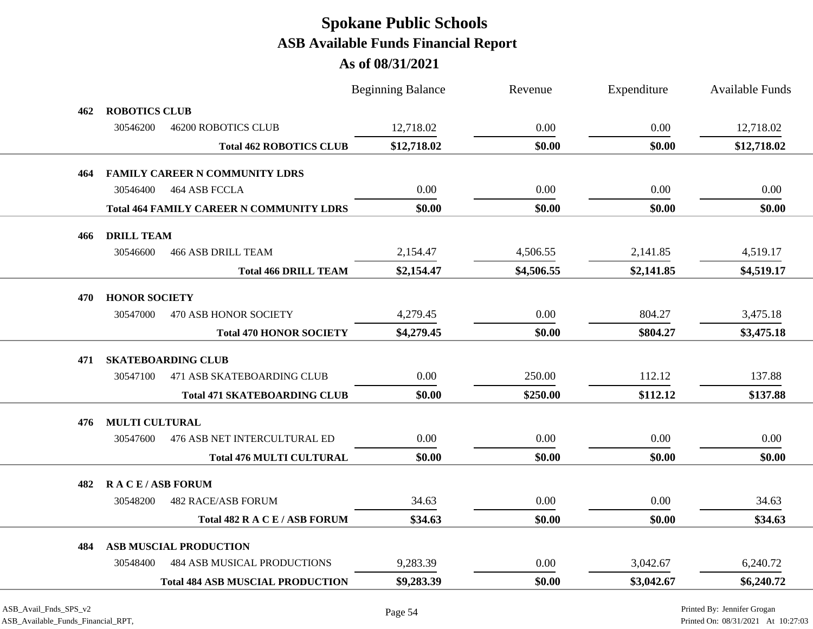|     |                               |                                                 | <b>Beginning Balance</b> | Revenue    | Expenditure | <b>Available Funds</b> |
|-----|-------------------------------|-------------------------------------------------|--------------------------|------------|-------------|------------------------|
| 462 | <b>ROBOTICS CLUB</b>          |                                                 |                          |            |             |                        |
|     | 30546200                      | <b>46200 ROBOTICS CLUB</b>                      | 12,718.02                | 0.00       | 0.00        | 12,718.02              |
|     |                               | <b>Total 462 ROBOTICS CLUB</b>                  | \$12,718.02              | \$0.00     | \$0.00      | \$12,718.02            |
| 464 |                               | <b>FAMILY CAREER N COMMUNITY LDRS</b>           |                          |            |             |                        |
|     | 30546400                      | 464 ASB FCCLA                                   | 0.00                     | 0.00       | 0.00        | 0.00                   |
|     |                               | <b>Total 464 FAMILY CAREER N COMMUNITY LDRS</b> | \$0.00                   | \$0.00     | \$0.00      | \$0.00                 |
|     |                               |                                                 |                          |            |             |                        |
| 466 | <b>DRILL TEAM</b><br>30546600 | <b>466 ASB DRILL TEAM</b>                       | 2,154.47                 | 4,506.55   | 2,141.85    | 4,519.17               |
|     |                               | <b>Total 466 DRILL TEAM</b>                     | \$2,154.47               | \$4,506.55 | \$2,141.85  | \$4,519.17             |
|     |                               |                                                 |                          |            |             |                        |
| 470 | <b>HONOR SOCIETY</b>          |                                                 |                          |            |             |                        |
|     | 30547000                      | 470 ASB HONOR SOCIETY                           | 4,279.45                 | 0.00       | 804.27      | 3,475.18               |
|     |                               | <b>Total 470 HONOR SOCIETY</b>                  | \$4,279.45               | \$0.00     | \$804.27    | \$3,475.18             |
| 471 |                               | <b>SKATEBOARDING CLUB</b>                       |                          |            |             |                        |
|     | 30547100                      | 471 ASB SKATEBOARDING CLUB                      | 0.00                     | 250.00     | 112.12      | 137.88                 |
|     |                               | <b>Total 471 SKATEBOARDING CLUB</b>             | \$0.00                   | \$250.00   | \$112.12    | \$137.88               |
| 476 | <b>MULTI CULTURAL</b>         |                                                 |                          |            |             |                        |
|     | 30547600                      | 476 ASB NET INTERCULTURAL ED                    | 0.00                     | 0.00       | 0.00        | 0.00                   |
|     |                               | <b>Total 476 MULTI CULTURAL</b>                 | \$0.00                   | \$0.00     | \$0.00      | \$0.00                 |
|     |                               |                                                 |                          |            |             |                        |
| 482 | <b>RACE/ASB FORUM</b>         |                                                 |                          |            |             |                        |
|     | 30548200                      | <b>482 RACE/ASB FORUM</b>                       | 34.63                    | 0.00       | 0.00        | 34.63                  |
|     |                               | Total 482 R A C E / ASB FORUM                   | \$34.63                  | \$0.00     | \$0.00      | \$34.63                |
| 484 |                               | ASB MUSCIAL PRODUCTION                          |                          |            |             |                        |
|     | 30548400                      | <b>484 ASB MUSICAL PRODUCTIONS</b>              | 9,283.39                 | 0.00       | 3,042.67    | 6,240.72               |
|     |                               | <b>Total 484 ASB MUSCIAL PRODUCTION</b>         | \$9,283.39               | \$0.00     | \$3,042.67  | \$6,240.72             |
|     |                               |                                                 |                          |            |             |                        |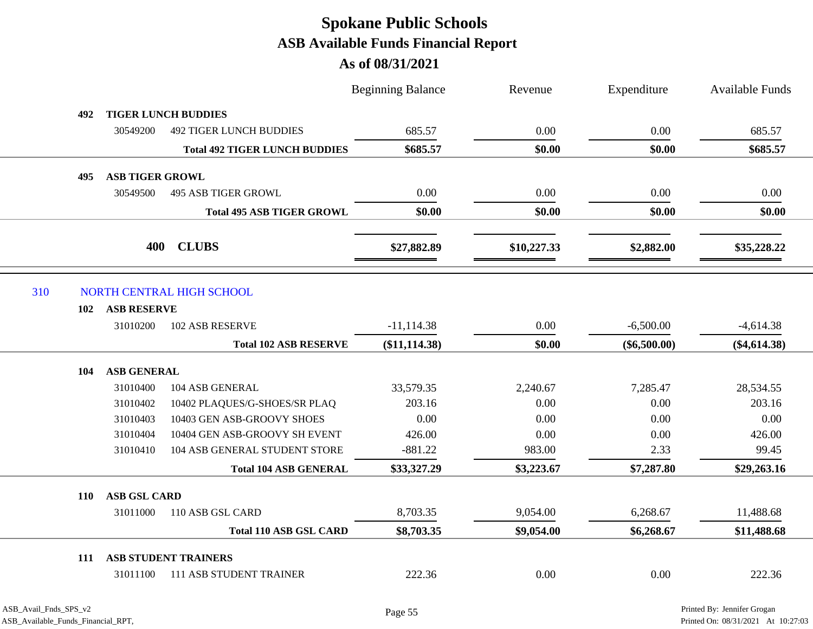|     |                                           |                                                             | <b>Beginning Balance</b> | Revenue          | Expenditure      | <b>Available Funds</b> |
|-----|-------------------------------------------|-------------------------------------------------------------|--------------------------|------------------|------------------|------------------------|
|     | 492                                       | <b>TIGER LUNCH BUDDIES</b>                                  |                          |                  |                  |                        |
|     | 30549200                                  | <b>492 TIGER LUNCH BUDDIES</b>                              | 685.57                   | 0.00             | 0.00             | 685.57                 |
|     |                                           | <b>Total 492 TIGER LUNCH BUDDIES</b>                        | \$685.57                 | \$0.00           | \$0.00           | \$685.57               |
|     |                                           |                                                             |                          |                  |                  |                        |
|     | <b>ASB TIGER GROWL</b><br>495<br>30549500 | <b>495 ASB TIGER GROWL</b>                                  | 0.00                     | 0.00             | 0.00             | 0.00                   |
|     |                                           |                                                             |                          |                  |                  |                        |
|     |                                           | <b>Total 495 ASB TIGER GROWL</b>                            | \$0.00                   | \$0.00           | \$0.00           | \$0.00                 |
|     |                                           | <b>CLUBS</b><br>400                                         | \$27,882.89              | \$10,227.33      | \$2,882.00       | \$35,228.22            |
| 310 |                                           | NORTH CENTRAL HIGH SCHOOL                                   |                          |                  |                  |                        |
|     | <b>ASB RESERVE</b><br>102                 |                                                             |                          |                  |                  |                        |
|     | 31010200                                  | <b>102 ASB RESERVE</b>                                      | $-11,114.38$             | 0.00             | $-6,500.00$      | $-4,614.38$            |
|     |                                           | <b>Total 102 ASB RESERVE</b>                                | (\$11,114.38)            | \$0.00           | $(\$6,500.00)$   | $(\$4,614.38)$         |
|     | <b>ASB GENERAL</b><br>104                 |                                                             |                          |                  |                  |                        |
|     |                                           |                                                             |                          |                  |                  |                        |
|     |                                           |                                                             |                          |                  |                  |                        |
|     | 31010400                                  | 104 ASB GENERAL                                             | 33,579.35<br>203.16      | 2,240.67<br>0.00 | 7,285.47<br>0.00 | 28,534.55              |
|     | 31010402<br>31010403                      | 10402 PLAQUES/G-SHOES/SR PLAQ<br>10403 GEN ASB-GROOVY SHOES | 0.00                     | 0.00             | 0.00             | 203.16<br>0.00         |
|     | 31010404                                  | 10404 GEN ASB-GROOVY SH EVENT                               | 426.00                   | 0.00             | 0.00             | 426.00                 |
|     | 31010410                                  | 104 ASB GENERAL STUDENT STORE                               | $-881.22$                | 983.00           | 2.33             | 99.45                  |
|     |                                           | <b>Total 104 ASB GENERAL</b>                                | \$33,327.29              | \$3,223.67       | \$7,287.80       | \$29,263.16            |
|     |                                           |                                                             |                          |                  |                  |                        |
|     | <b>ASB GSL CARD</b><br><b>110</b>         |                                                             |                          |                  |                  |                        |
|     | 31011000                                  | 110 ASB GSL CARD                                            | 8,703.35                 | 9,054.00         | 6,268.67         | 11,488.68              |
|     |                                           | <b>Total 110 ASB GSL CARD</b>                               | \$8,703.35               | \$9,054.00       | \$6,268.67       | \$11,488.68            |
|     | 111                                       | <b>ASB STUDENT TRAINERS</b>                                 |                          |                  |                  |                        |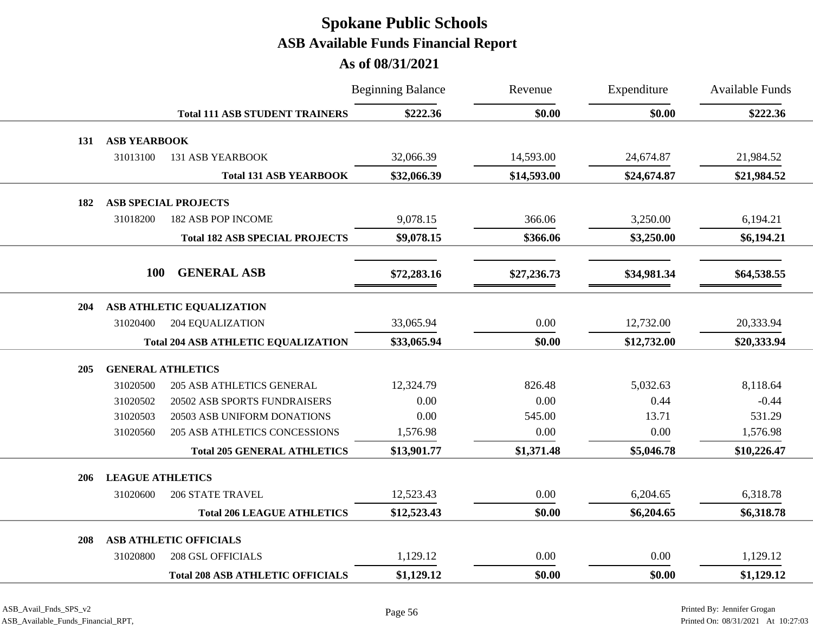|     |                         |                                            | <b>Beginning Balance</b> | Revenue     | Expenditure | <b>Available Funds</b> |
|-----|-------------------------|--------------------------------------------|--------------------------|-------------|-------------|------------------------|
|     |                         | <b>Total 111 ASB STUDENT TRAINERS</b>      | \$222.36                 | \$0.00      | \$0.00      | \$222.36               |
| 131 | <b>ASB YEARBOOK</b>     |                                            |                          |             |             |                        |
|     | 31013100                | <b>131 ASB YEARBOOK</b>                    | 32,066.39                | 14,593.00   | 24,674.87   | 21,984.52              |
|     |                         | <b>Total 131 ASB YEARBOOK</b>              | \$32,066.39              | \$14,593.00 | \$24,674.87 | \$21,984.52            |
| 182 |                         | <b>ASB SPECIAL PROJECTS</b>                |                          |             |             |                        |
|     | 31018200                | <b>182 ASB POP INCOME</b>                  | 9,078.15                 | 366.06      | 3,250.00    | 6,194.21               |
|     |                         | <b>Total 182 ASB SPECIAL PROJECTS</b>      | \$9,078.15               | \$366.06    | \$3,250.00  | \$6,194.21             |
|     |                         |                                            |                          |             |             |                        |
|     | <b>100</b>              | <b>GENERAL ASB</b>                         | \$72,283.16              | \$27,236.73 | \$34,981.34 | \$64,538.55            |
| 204 |                         | ASB ATHLETIC EQUALIZATION                  |                          |             |             |                        |
|     | 31020400                | 204 EQUALIZATION                           | 33,065.94                | 0.00        | 12,732.00   | 20,333.94              |
|     |                         | <b>Total 204 ASB ATHLETIC EQUALIZATION</b> | \$33,065.94              | \$0.00      | \$12,732.00 | \$20,333.94            |
| 205 |                         | <b>GENERAL ATHLETICS</b>                   |                          |             |             |                        |
|     | 31020500                | 205 ASB ATHLETICS GENERAL                  | 12,324.79                | 826.48      | 5,032.63    | 8,118.64               |
|     | 31020502                | 20502 ASB SPORTS FUNDRAISERS               | 0.00                     | 0.00        | 0.44        | $-0.44$                |
|     | 31020503                | 20503 ASB UNIFORM DONATIONS                | 0.00                     | 545.00      | 13.71       | 531.29                 |
|     | 31020560                | <b>205 ASB ATHLETICS CONCESSIONS</b>       | 1,576.98                 | 0.00        | 0.00        | 1,576.98               |
|     |                         | <b>Total 205 GENERAL ATHLETICS</b>         | \$13,901.77              | \$1,371.48  | \$5,046.78  | \$10,226.47            |
| 206 | <b>LEAGUE ATHLETICS</b> |                                            |                          |             |             |                        |
|     | 31020600                | <b>206 STATE TRAVEL</b>                    | 12,523.43                | 0.00        | 6,204.65    | 6,318.78               |
|     |                         | <b>Total 206 LEAGUE ATHLETICS</b>          | \$12,523.43              | \$0.00      | \$6,204.65  | \$6,318.78             |
| 208 |                         | <b>ASB ATHLETIC OFFICIALS</b>              |                          |             |             |                        |
|     | 31020800                | <b>208 GSL OFFICIALS</b>                   | 1,129.12                 | 0.00        | 0.00        | 1,129.12               |
|     |                         | <b>Total 208 ASB ATHLETIC OFFICIALS</b>    | \$1,129.12               | \$0.00      | \$0.00      | \$1,129.12             |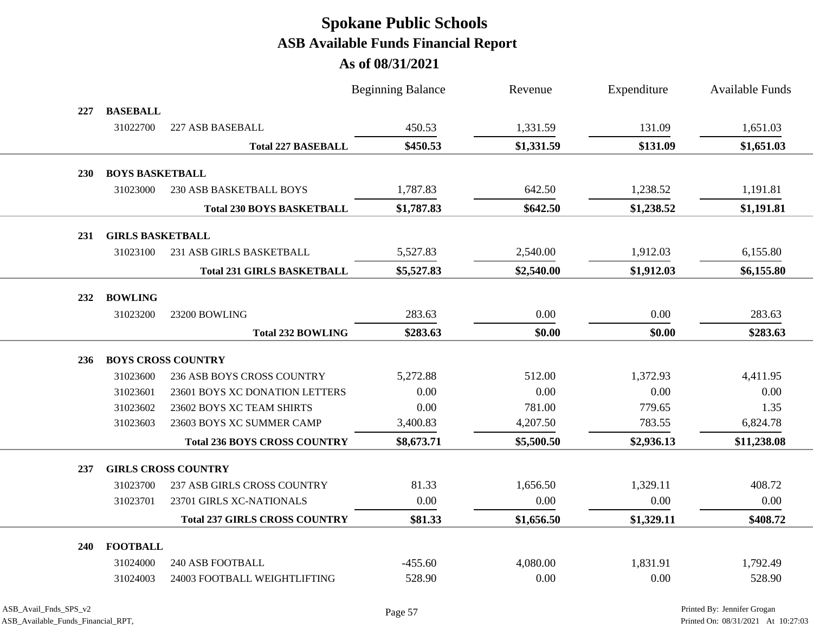|            |                         |                                      | <b>Beginning Balance</b> | Revenue    | Expenditure | <b>Available Funds</b> |
|------------|-------------------------|--------------------------------------|--------------------------|------------|-------------|------------------------|
| 227        | <b>BASEBALL</b>         |                                      |                          |            |             |                        |
|            | 31022700                | 227 ASB BASEBALL                     | 450.53                   | 1,331.59   | 131.09      | 1,651.03               |
|            |                         | <b>Total 227 BASEBALL</b>            | \$450.53                 | \$1,331.59 | \$131.09    | \$1,651.03             |
| <b>230</b> | <b>BOYS BASKETBALL</b>  |                                      |                          |            |             |                        |
|            | 31023000                | 230 ASB BASKETBALL BOYS              | 1,787.83                 | 642.50     | 1,238.52    | 1,191.81               |
|            |                         | <b>Total 230 BOYS BASKETBALL</b>     | \$1,787.83               | \$642.50   | \$1,238.52  | \$1,191.81             |
|            |                         |                                      |                          |            |             |                        |
| 231        | <b>GIRLS BASKETBALL</b> |                                      |                          |            |             |                        |
|            | 31023100                | 231 ASB GIRLS BASKETBALL             | 5,527.83                 | 2,540.00   | 1,912.03    | 6,155.80               |
|            |                         | <b>Total 231 GIRLS BASKETBALL</b>    | \$5,527.83               | \$2,540.00 | \$1,912.03  | \$6,155.80             |
| 232        | <b>BOWLING</b>          |                                      |                          |            |             |                        |
|            | 31023200                | 23200 BOWLING                        | 283.63                   | 0.00       | 0.00        | 283.63                 |
|            |                         | <b>Total 232 BOWLING</b>             | \$283.63                 | \$0.00     | \$0.00      | \$283.63               |
|            |                         |                                      |                          |            |             |                        |
| 236        |                         | <b>BOYS CROSS COUNTRY</b>            |                          |            |             |                        |
|            | 31023600                | 236 ASB BOYS CROSS COUNTRY           | 5,272.88                 | 512.00     | 1,372.93    | 4,411.95               |
|            | 31023601                | 23601 BOYS XC DONATION LETTERS       | 0.00                     | 0.00       | 0.00        | 0.00                   |
|            | 31023602                | 23602 BOYS XC TEAM SHIRTS            | 0.00                     | 781.00     | 779.65      | 1.35                   |
|            | 31023603                | 23603 BOYS XC SUMMER CAMP            | 3,400.83                 | 4,207.50   | 783.55      | 6,824.78               |
|            |                         | <b>Total 236 BOYS CROSS COUNTRY</b>  | \$8,673.71               | \$5,500.50 | \$2,936.13  | \$11,238.08            |
| 237        |                         | <b>GIRLS CROSS COUNTRY</b>           |                          |            |             |                        |
|            | 31023700                | 237 ASB GIRLS CROSS COUNTRY          | 81.33                    | 1,656.50   | 1,329.11    | 408.72                 |
|            | 31023701                | 23701 GIRLS XC-NATIONALS             | 0.00                     | 0.00       | 0.00        | 0.00                   |
|            |                         | <b>Total 237 GIRLS CROSS COUNTRY</b> | \$81.33                  | \$1,656.50 | \$1,329.11  | \$408.72               |
| <b>240</b> | <b>FOOTBALL</b>         |                                      |                          |            |             |                        |
|            | 31024000                | <b>240 ASB FOOTBALL</b>              | $-455.60$                | 4,080.00   | 1,831.91    | 1,792.49               |
|            | 31024003                | 24003 FOOTBALL WEIGHTLIFTING         | 528.90                   | 0.00       | 0.00        | 528.90                 |
|            |                         |                                      |                          |            |             |                        |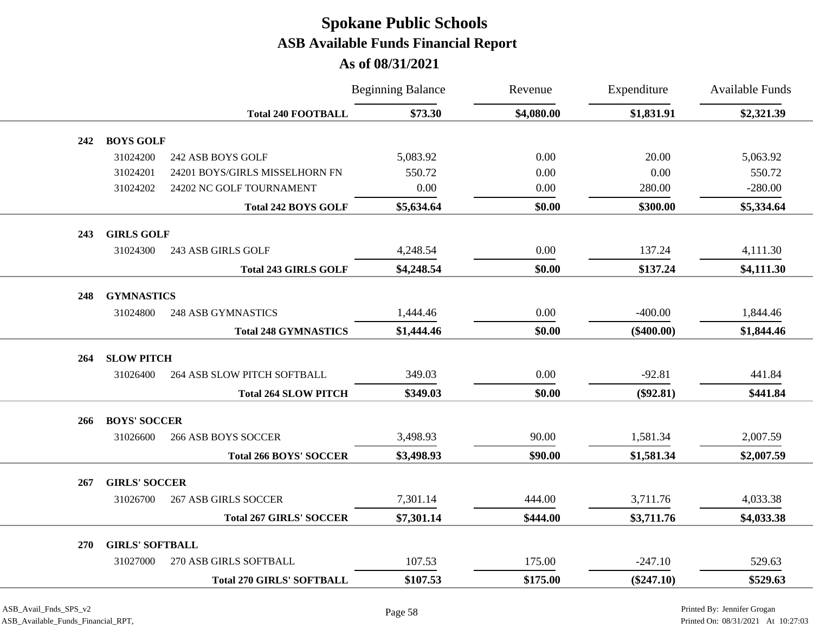|     |                        |                                  | <b>Beginning Balance</b> | Revenue    | Expenditure  | <b>Available Funds</b> |
|-----|------------------------|----------------------------------|--------------------------|------------|--------------|------------------------|
|     |                        | <b>Total 240 FOOTBALL</b>        | \$73.30                  | \$4,080.00 | \$1,831.91   | \$2,321.39             |
| 242 | <b>BOYS GOLF</b>       |                                  |                          |            |              |                        |
|     | 31024200               | 242 ASB BOYS GOLF                | 5,083.92                 | 0.00       | 20.00        | 5,063.92               |
|     | 31024201               | 24201 BOYS/GIRLS MISSELHORN FN   | 550.72                   | 0.00       | 0.00         | 550.72                 |
|     | 31024202               | 24202 NC GOLF TOURNAMENT         | $0.00\,$                 | 0.00       | 280.00       | $-280.00$              |
|     |                        | <b>Total 242 BOYS GOLF</b>       | \$5,634.64               | \$0.00     | \$300.00     | \$5,334.64             |
| 243 | <b>GIRLS GOLF</b>      |                                  |                          |            |              |                        |
|     | 31024300               | 243 ASB GIRLS GOLF               | 4,248.54                 | 0.00       | 137.24       | 4,111.30               |
|     |                        | <b>Total 243 GIRLS GOLF</b>      | \$4,248.54               | \$0.00     | \$137.24     | \$4,111.30             |
| 248 | <b>GYMNASTICS</b>      |                                  |                          |            |              |                        |
|     | 31024800               | <b>248 ASB GYMNASTICS</b>        | 1,444.46                 | $0.00\,$   | $-400.00$    | 1,844.46               |
|     |                        | <b>Total 248 GYMNASTICS</b>      | \$1,444.46               | \$0.00     | $(\$400.00)$ | \$1,844.46             |
| 264 | <b>SLOW PITCH</b>      |                                  |                          |            |              |                        |
|     | 31026400               | 264 ASB SLOW PITCH SOFTBALL      | 349.03                   | 0.00       | $-92.81$     | 441.84                 |
|     |                        | <b>Total 264 SLOW PITCH</b>      | \$349.03                 | \$0.00     | $(\$92.81)$  | \$441.84               |
|     |                        |                                  |                          |            |              |                        |
| 266 | <b>BOYS' SOCCER</b>    |                                  |                          |            |              |                        |
|     | 31026600               | <b>266 ASB BOYS SOCCER</b>       | 3,498.93                 | 90.00      | 1,581.34     | 2,007.59               |
|     |                        | <b>Total 266 BOYS' SOCCER</b>    | \$3,498.93               | \$90.00    | \$1,581.34   | \$2,007.59             |
| 267 | <b>GIRLS' SOCCER</b>   |                                  |                          |            |              |                        |
|     | 31026700               | <b>267 ASB GIRLS SOCCER</b>      | 7,301.14                 | 444.00     | 3,711.76     | 4,033.38               |
|     |                        | <b>Total 267 GIRLS' SOCCER</b>   | \$7,301.14               | \$444.00   | \$3,711.76   | \$4,033.38             |
| 270 | <b>GIRLS' SOFTBALL</b> |                                  |                          |            |              |                        |
|     | 31027000               | 270 ASB GIRLS SOFTBALL           | 107.53                   | 175.00     | $-247.10$    | 529.63                 |
|     |                        | <b>Total 270 GIRLS' SOFTBALL</b> | \$107.53                 | \$175.00   | $(\$247.10)$ | \$529.63               |
|     |                        |                                  |                          |            |              |                        |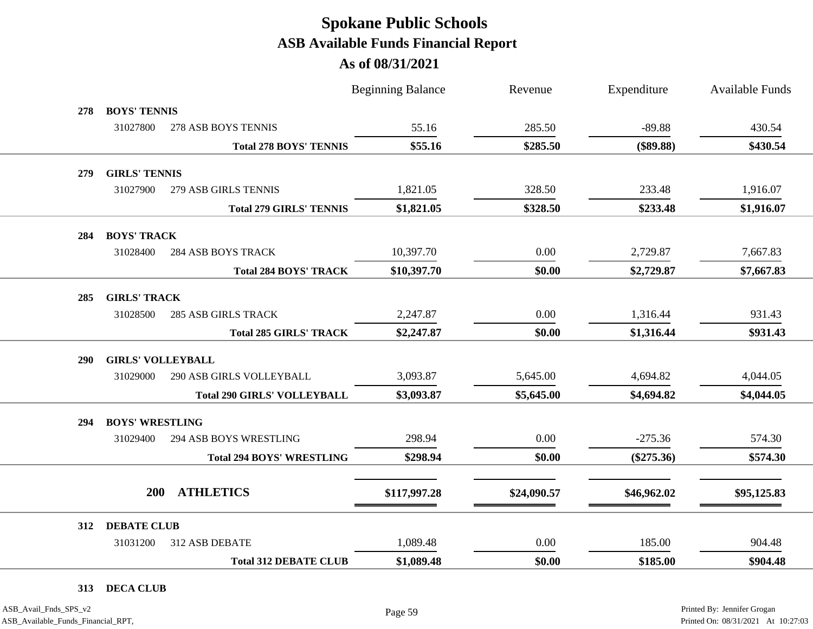|     |                          |                                    | <b>Beginning Balance</b> | Revenue     | Expenditure  | Available Funds |
|-----|--------------------------|------------------------------------|--------------------------|-------------|--------------|-----------------|
| 278 | <b>BOYS' TENNIS</b>      |                                    |                          |             |              |                 |
|     | 31027800                 | 278 ASB BOYS TENNIS                | 55.16                    | 285.50      | $-89.88$     | 430.54          |
|     |                          | <b>Total 278 BOYS' TENNIS</b>      | \$55.16                  | \$285.50    | $(\$89.88)$  | \$430.54        |
| 279 | <b>GIRLS' TENNIS</b>     |                                    |                          |             |              |                 |
|     | 31027900                 | <b>279 ASB GIRLS TENNIS</b>        | 1,821.05                 | 328.50      | 233.48       | 1,916.07        |
|     |                          | <b>Total 279 GIRLS' TENNIS</b>     | \$1,821.05               | \$328.50    | \$233.48     | \$1,916.07      |
| 284 | <b>BOYS' TRACK</b>       |                                    |                          |             |              |                 |
|     | 31028400                 | <b>284 ASB BOYS TRACK</b>          | 10,397.70                | $0.00\,$    | 2,729.87     | 7,667.83        |
|     |                          | <b>Total 284 BOYS' TRACK</b>       | \$10,397.70              | \$0.00      | \$2,729.87   | \$7,667.83      |
|     |                          |                                    |                          |             |              |                 |
| 285 | <b>GIRLS' TRACK</b>      |                                    |                          |             |              |                 |
|     | 31028500                 | <b>285 ASB GIRLS TRACK</b>         | 2,247.87                 | 0.00        | 1,316.44     | 931.43          |
|     |                          | <b>Total 285 GIRLS' TRACK</b>      | \$2,247.87               | \$0.00      | \$1,316.44   | \$931.43        |
| 290 | <b>GIRLS' VOLLEYBALL</b> |                                    |                          |             |              |                 |
|     | 31029000                 | 290 ASB GIRLS VOLLEYBALL           | 3,093.87                 | 5,645.00    | 4,694.82     | 4,044.05        |
|     |                          | <b>Total 290 GIRLS' VOLLEYBALL</b> | \$3,093.87               | \$5,645.00  | \$4,694.82   | \$4,044.05      |
| 294 | <b>BOYS' WRESTLING</b>   |                                    |                          |             |              |                 |
|     | 31029400                 | 294 ASB BOYS WRESTLING             | 298.94                   | 0.00        | $-275.36$    | 574.30          |
|     |                          | <b>Total 294 BOYS' WRESTLING</b>   | \$298.94                 | \$0.00      | $(\$275.36)$ | \$574.30        |
|     |                          |                                    |                          |             |              |                 |
|     | <b>200</b>               | <b>ATHLETICS</b>                   | \$117,997.28             | \$24,090.57 | \$46,962.02  | \$95,125.83     |
| 312 | <b>DEBATE CLUB</b>       |                                    |                          |             |              |                 |
|     | 31031200                 | 312 ASB DEBATE                     | 1,089.48                 | 0.00        | 185.00       | 904.48          |
|     |                          | <b>Total 312 DEBATE CLUB</b>       | \$1,089.48               | \$0.00      | \$185.00     | \$904.48        |
|     |                          |                                    |                          |             |              |                 |

**313 DECA CLUB**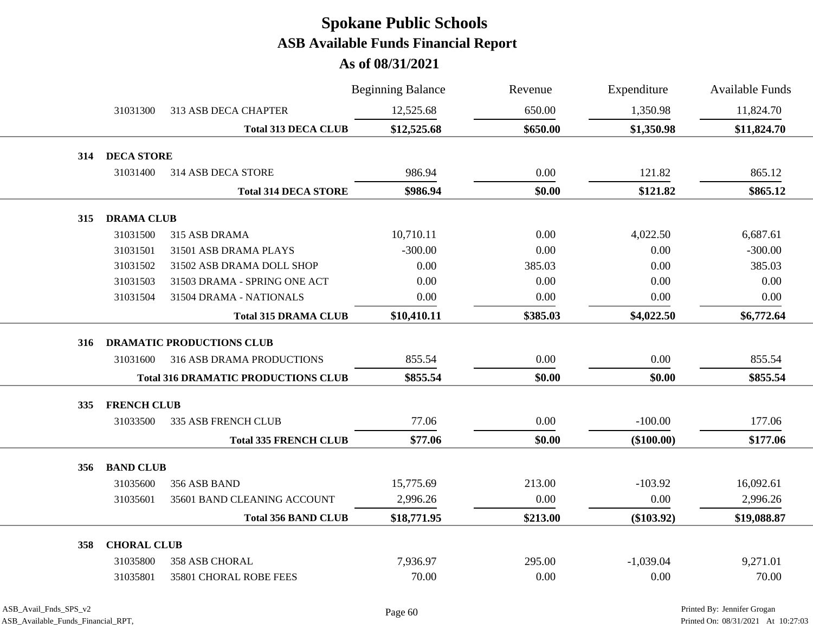|            |                    |                                            | <b>Beginning Balance</b> | Revenue  | Expenditure  | Available Funds |
|------------|--------------------|--------------------------------------------|--------------------------|----------|--------------|-----------------|
|            | 31031300           | 313 ASB DECA CHAPTER                       | 12,525.68                | 650.00   | 1,350.98     | 11,824.70       |
|            |                    | <b>Total 313 DECA CLUB</b>                 | \$12,525.68              | \$650.00 | \$1,350.98   | \$11,824.70     |
| 314        | <b>DECA STORE</b>  |                                            |                          |          |              |                 |
|            | 31031400           | 314 ASB DECA STORE                         | 986.94                   | 0.00     | 121.82       | 865.12          |
|            |                    | <b>Total 314 DECA STORE</b>                | \$986.94                 | \$0.00   | \$121.82     | \$865.12        |
|            |                    |                                            |                          |          |              |                 |
| 315        | <b>DRAMA CLUB</b>  |                                            |                          |          |              |                 |
|            | 31031500           | 315 ASB DRAMA                              | 10,710.11                | 0.00     | 4,022.50     | 6,687.61        |
|            | 31031501           | 31501 ASB DRAMA PLAYS                      | $-300.00$                | 0.00     | 0.00         | $-300.00$       |
|            | 31031502           | 31502 ASB DRAMA DOLL SHOP                  | 0.00                     | 385.03   | 0.00         | 385.03          |
|            | 31031503           | 31503 DRAMA - SPRING ONE ACT               | 0.00                     | 0.00     | 0.00         | 0.00            |
|            | 31031504           | 31504 DRAMA - NATIONALS                    | 0.00                     | 0.00     | 0.00         | 0.00            |
|            |                    | <b>Total 315 DRAMA CLUB</b>                | \$10,410.11              | \$385.03 | \$4,022.50   | \$6,772.64      |
| 316        |                    | <b>DRAMATIC PRODUCTIONS CLUB</b>           |                          |          |              |                 |
|            | 31031600           | 316 ASB DRAMA PRODUCTIONS                  | 855.54                   | 0.00     | 0.00         | 855.54          |
|            |                    | <b>Total 316 DRAMATIC PRODUCTIONS CLUB</b> | \$855.54                 | \$0.00   | \$0.00       | \$855.54        |
| <b>335</b> | <b>FRENCH CLUB</b> |                                            |                          |          |              |                 |
|            | 31033500           | <b>335 ASB FRENCH CLUB</b>                 | 77.06                    | 0.00     | $-100.00$    | 177.06          |
|            |                    | <b>Total 335 FRENCH CLUB</b>               | \$77.06                  | \$0.00   | $(\$100.00)$ | \$177.06        |
| 356        | <b>BAND CLUB</b>   |                                            |                          |          |              |                 |
|            | 31035600           | 356 ASB BAND                               | 15,775.69                | 213.00   | $-103.92$    | 16,092.61       |
|            | 31035601           | 35601 BAND CLEANING ACCOUNT                | 2,996.26                 | 0.00     | 0.00         | 2,996.26        |
|            |                    | <b>Total 356 BAND CLUB</b>                 | \$18,771.95              | \$213.00 | $(\$103.92)$ | \$19,088.87     |
|            |                    |                                            |                          |          |              |                 |
| 358        | <b>CHORAL CLUB</b> |                                            |                          |          |              |                 |
|            | 31035800           | <b>358 ASB CHORAL</b>                      | 7,936.97                 | 295.00   | $-1,039.04$  | 9,271.01        |
|            | 31035801           | 35801 CHORAL ROBE FEES                     | 70.00                    | 0.00     | 0.00         | 70.00           |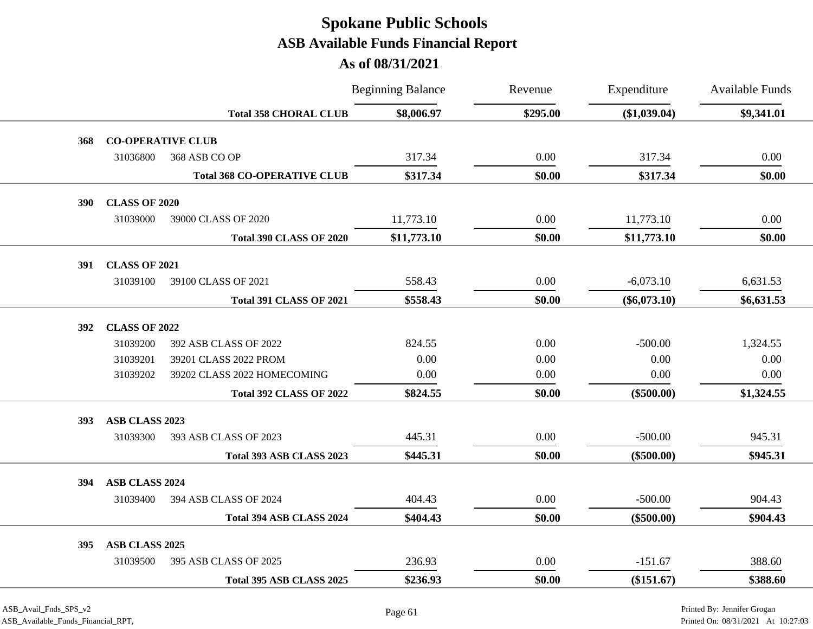**As of 08/31/2021**

|            |                          |                                    | <b>Beginning Balance</b> | Revenue  | Expenditure    | <b>Available Funds</b> |
|------------|--------------------------|------------------------------------|--------------------------|----------|----------------|------------------------|
|            |                          | <b>Total 358 CHORAL CLUB</b>       | \$8,006.97               | \$295.00 | (\$1,039.04)   | \$9,341.01             |
| 368        | <b>CO-OPERATIVE CLUB</b> |                                    |                          |          |                |                        |
|            | 31036800                 | 368 ASB CO OP                      | 317.34                   | 0.00     | 317.34         | 0.00                   |
|            |                          | <b>Total 368 CO-OPERATIVE CLUB</b> | \$317.34                 | \$0.00   | \$317.34       | \$0.00                 |
| <b>390</b> | <b>CLASS OF 2020</b>     |                                    |                          |          |                |                        |
|            | 31039000                 | 39000 CLASS OF 2020                | 11,773.10                | 0.00     | 11,773.10      | $0.00\,$               |
|            |                          | <b>Total 390 CLASS OF 2020</b>     | \$11,773.10              | \$0.00   | \$11,773.10    | \$0.00                 |
| 391        | <b>CLASS OF 2021</b>     |                                    |                          |          |                |                        |
|            | 31039100                 | 39100 CLASS OF 2021                | 558.43                   | 0.00     | $-6,073.10$    | 6,631.53               |
|            |                          | <b>Total 391 CLASS OF 2021</b>     | \$558.43                 | \$0.00   | $(\$6,073.10)$ | \$6,631.53             |
| <b>392</b> | <b>CLASS OF 2022</b>     |                                    |                          |          |                |                        |
|            | 31039200                 | 392 ASB CLASS OF 2022              | 824.55                   | 0.00     | $-500.00$      | 1,324.55               |
|            | 31039201                 | 39201 CLASS 2022 PROM              | 0.00                     | 0.00     | 0.00           | 0.00                   |
|            | 31039202                 | 39202 CLASS 2022 HOMECOMING        | 0.00                     | 0.00     | 0.00           | 0.00                   |
|            |                          | <b>Total 392 CLASS OF 2022</b>     | \$824.55                 | \$0.00   | $(\$500.00)$   | \$1,324.55             |
| <b>393</b> | ASB CLASS 2023           |                                    |                          |          |                |                        |
|            | 31039300                 | 393 ASB CLASS OF 2023              | 445.31                   | 0.00     | $-500.00$      | 945.31                 |
|            |                          | Total 393 ASB CLASS 2023           | \$445.31                 | \$0.00   | $(\$500.00)$   | \$945.31               |
| 394        | <b>ASB CLASS 2024</b>    |                                    |                          |          |                |                        |
|            | 31039400                 | 394 ASB CLASS OF 2024              | 404.43                   | 0.00     | $-500.00$      | 904.43                 |
|            |                          | Total 394 ASB CLASS 2024           | \$404.43                 | \$0.00   | $(\$500.00)$   | \$904.43               |
| 395        | ASB CLASS 2025           |                                    |                          |          |                |                        |
|            | 31039500                 | 395 ASB CLASS OF 2025              | 236.93                   | 0.00     | $-151.67$      | 388.60                 |
|            |                          | Total 395 ASB CLASS 2025           | \$236.93                 | \$0.00   | (\$151.67)     | \$388.60               |
|            |                          |                                    |                          |          |                |                        |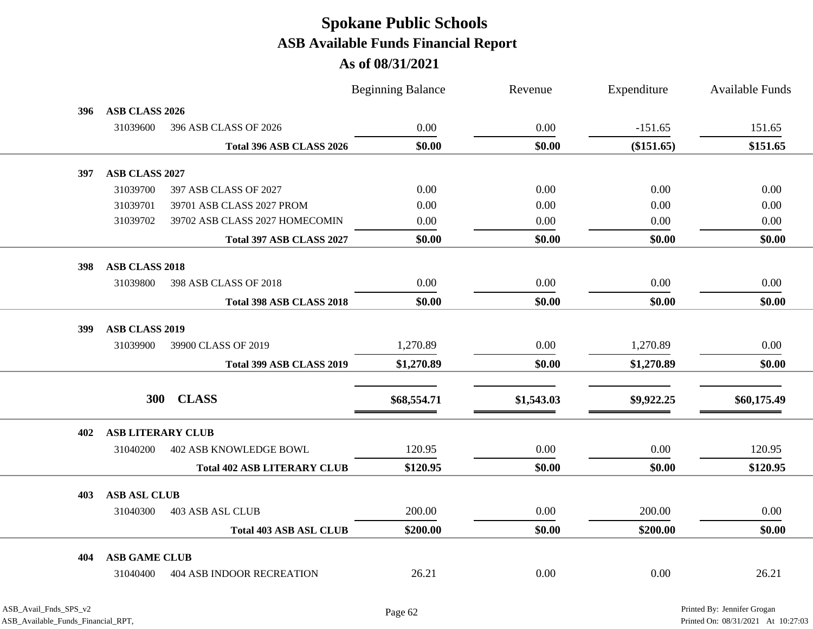|            |                          |                                    | <b>Beginning Balance</b> | Revenue    | Expenditure | Available Funds |
|------------|--------------------------|------------------------------------|--------------------------|------------|-------------|-----------------|
| 396        | ASB CLASS 2026           |                                    |                          |            |             |                 |
|            | 31039600                 | 396 ASB CLASS OF 2026              | 0.00                     | 0.00       | $-151.65$   | 151.65          |
|            |                          | Total 396 ASB CLASS 2026           | \$0.00                   | \$0.00     | (\$151.65)  | \$151.65        |
| <b>397</b> | ASB CLASS 2027           |                                    |                          |            |             |                 |
|            | 31039700                 | 397 ASB CLASS OF 2027              | 0.00                     | 0.00       | 0.00        | 0.00            |
|            | 31039701                 | 39701 ASB CLASS 2027 PROM          | 0.00                     | 0.00       | 0.00        | 0.00            |
|            | 31039702                 | 39702 ASB CLASS 2027 HOMECOMIN     | 0.00                     | 0.00       | 0.00        | 0.00            |
|            |                          | Total 397 ASB CLASS 2027           | \$0.00                   | \$0.00     | \$0.00      | \$0.00          |
| 398        | <b>ASB CLASS 2018</b>    |                                    |                          |            |             |                 |
|            | 31039800                 | 398 ASB CLASS OF 2018              | 0.00                     | 0.00       | 0.00        | 0.00            |
|            |                          | Total 398 ASB CLASS 2018           | \$0.00                   | \$0.00     | \$0.00      | \$0.00          |
| <b>399</b> | <b>ASB CLASS 2019</b>    |                                    |                          |            |             |                 |
|            | 31039900                 | 39900 CLASS OF 2019                | 1,270.89                 | 0.00       | 1,270.89    | 0.00            |
|            |                          | Total 399 ASB CLASS 2019           | \$1,270.89               | \$0.00     | \$1,270.89  | \$0.00          |
|            |                          |                                    |                          |            |             |                 |
|            | <b>300</b>               | <b>CLASS</b>                       | \$68,554.71              | \$1,543.03 | \$9,922.25  | \$60,175.49     |
| 402        | <b>ASB LITERARY CLUB</b> |                                    |                          |            |             |                 |
|            | 31040200                 | <b>402 ASB KNOWLEDGE BOWL</b>      | 120.95                   | 0.00       | 0.00        | 120.95          |
|            |                          | <b>Total 402 ASB LITERARY CLUB</b> | \$120.95                 | \$0.00     | \$0.00      | \$120.95        |
| 403        | <b>ASB ASL CLUB</b>      |                                    |                          |            |             |                 |
|            | 31040300                 | 403 ASB ASL CLUB                   | 200.00                   | 0.00       | 200.00      | $0.00\,$        |
|            |                          | <b>Total 403 ASB ASL CLUB</b>      | \$200.00                 | \$0.00     | \$200.00    | \$0.00          |
| 404        | <b>ASB GAME CLUB</b>     |                                    |                          |            |             |                 |
|            | 31040400                 | <b>404 ASB INDOOR RECREATION</b>   | 26.21                    | 0.00       | 0.00        | 26.21           |
|            |                          |                                    |                          |            |             |                 |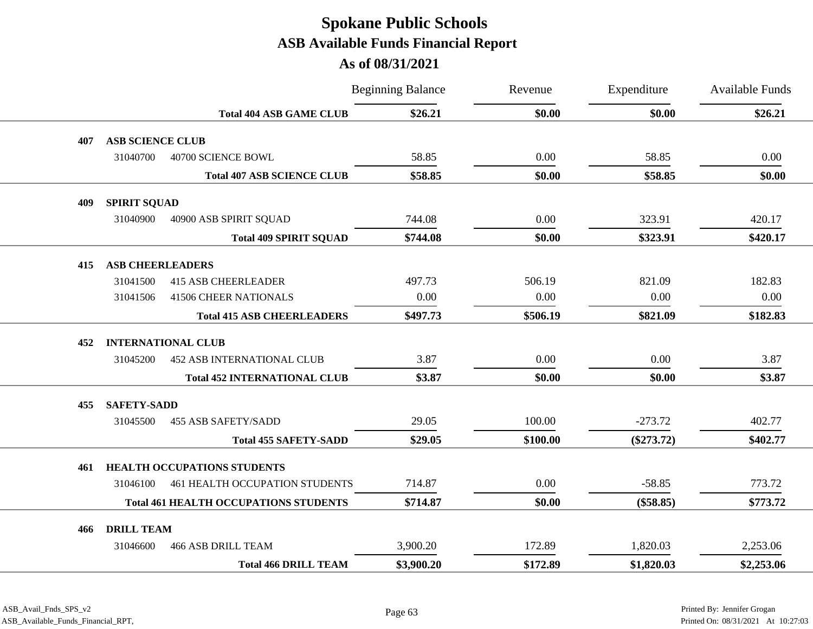#### **As of 08/31/2021**

|     |                         |                                              | <b>Beginning Balance</b> | Revenue  | Expenditure  | <b>Available Funds</b> |
|-----|-------------------------|----------------------------------------------|--------------------------|----------|--------------|------------------------|
|     |                         | <b>Total 404 ASB GAME CLUB</b>               | \$26.21                  | \$0.00   | \$0.00       | \$26.21                |
| 407 | <b>ASB SCIENCE CLUB</b> |                                              |                          |          |              |                        |
|     | 31040700                | 40700 SCIENCE BOWL                           | 58.85                    | 0.00     | 58.85        | 0.00                   |
|     |                         | <b>Total 407 ASB SCIENCE CLUB</b>            | \$58.85                  | \$0.00   | \$58.85      | \$0.00                 |
| 409 | <b>SPIRIT SQUAD</b>     |                                              |                          |          |              |                        |
|     | 31040900                | 40900 ASB SPIRIT SQUAD                       | 744.08                   | 0.00     | 323.91       | 420.17                 |
|     |                         | <b>Total 409 SPIRIT SQUAD</b>                | \$744.08                 | \$0.00   | \$323.91     | \$420.17               |
| 415 | <b>ASB CHEERLEADERS</b> |                                              |                          |          |              |                        |
|     | 31041500                | <b>415 ASB CHEERLEADER</b>                   | 497.73                   | 506.19   | 821.09       | 182.83                 |
|     | 31041506                | <b>41506 CHEER NATIONALS</b>                 | 0.00                     | 0.00     | 0.00         | 0.00                   |
|     |                         | <b>Total 415 ASB CHEERLEADERS</b>            | \$497.73                 | \$506.19 | \$821.09     | \$182.83               |
| 452 |                         | <b>INTERNATIONAL CLUB</b>                    |                          |          |              |                        |
|     | 31045200                | <b>452 ASB INTERNATIONAL CLUB</b>            | 3.87                     | 0.00     | 0.00         | 3.87                   |
|     |                         | <b>Total 452 INTERNATIONAL CLUB</b>          | \$3.87                   | \$0.00   | \$0.00       | \$3.87                 |
| 455 | <b>SAFETY-SADD</b>      |                                              |                          |          |              |                        |
|     | 31045500                | <b>455 ASB SAFETY/SADD</b>                   | 29.05                    | 100.00   | $-273.72$    | 402.77                 |
|     |                         | <b>Total 455 SAFETY-SADD</b>                 | \$29.05                  | \$100.00 | $(\$273.72)$ | \$402.77               |
| 461 |                         | <b>HEALTH OCCUPATIONS STUDENTS</b>           |                          |          |              |                        |
|     | 31046100                | <b>461 HEALTH OCCUPATION STUDENTS</b>        | 714.87                   | 0.00     | $-58.85$     | 773.72                 |
|     |                         | <b>Total 461 HEALTH OCCUPATIONS STUDENTS</b> | \$714.87                 | \$0.00   | $(\$58.85)$  | \$773.72               |
| 466 | <b>DRILL TEAM</b>       |                                              |                          |          |              |                        |
|     | 31046600                | <b>466 ASB DRILL TEAM</b>                    | 3,900.20                 | 172.89   | 1,820.03     | 2,253.06               |
|     |                         | <b>Total 466 DRILL TEAM</b>                  | \$3,900.20               | \$172.89 | \$1,820.03   | \$2,253.06             |
|     |                         |                                              |                          |          |              |                        |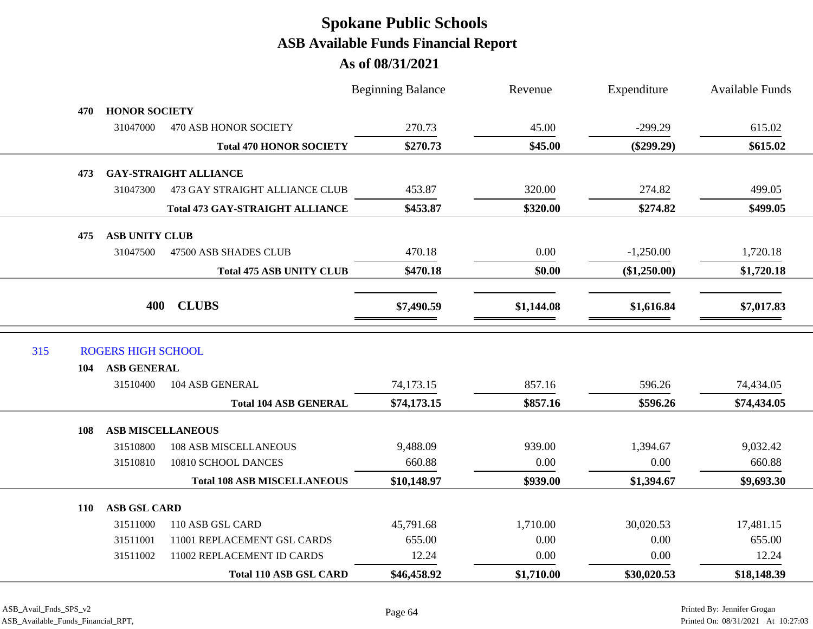|     |            |                           |                                        | <b>Beginning Balance</b> | Revenue    | Expenditure    | <b>Available Funds</b> |
|-----|------------|---------------------------|----------------------------------------|--------------------------|------------|----------------|------------------------|
|     | 470        | <b>HONOR SOCIETY</b>      |                                        |                          |            |                |                        |
|     |            | 31047000                  | 470 ASB HONOR SOCIETY                  | 270.73                   | 45.00      | $-299.29$      | 615.02                 |
|     |            |                           | <b>Total 470 HONOR SOCIETY</b>         | \$270.73                 | \$45.00    | $(\$299.29)$   | \$615.02               |
|     | 473        |                           | <b>GAY-STRAIGHT ALLIANCE</b>           |                          |            |                |                        |
|     |            | 31047300                  | 473 GAY STRAIGHT ALLIANCE CLUB         | 453.87                   | 320.00     | 274.82         | 499.05                 |
|     |            |                           | <b>Total 473 GAY-STRAIGHT ALLIANCE</b> | \$453.87                 | \$320.00   | \$274.82       | \$499.05               |
|     | 475        | <b>ASB UNITY CLUB</b>     |                                        |                          |            |                |                        |
|     |            | 31047500                  | 47500 ASB SHADES CLUB                  | 470.18                   | 0.00       | $-1,250.00$    | 1,720.18               |
|     |            |                           | <b>Total 475 ASB UNITY CLUB</b>        | \$470.18                 | \$0.00     | $(\$1,250.00)$ | \$1,720.18             |
|     |            |                           |                                        |                          |            |                |                        |
|     |            | 400                       | <b>CLUBS</b>                           | \$7,490.59               | \$1,144.08 | \$1,616.84     | \$7,017.83             |
|     |            |                           |                                        |                          |            |                |                        |
| 315 |            | <b>ROGERS HIGH SCHOOL</b> |                                        |                          |            |                |                        |
|     | 104        | ASB GENERAL               |                                        |                          |            |                |                        |
|     |            | 31510400                  | 104 ASB GENERAL                        | 74,173.15                | 857.16     | 596.26         | 74,434.05              |
|     |            |                           | <b>Total 104 ASB GENERAL</b>           | \$74,173.15              | \$857.16   | \$596.26       | \$74,434.05            |
|     | 108        |                           | <b>ASB MISCELLANEOUS</b>               |                          |            |                |                        |
|     |            | 31510800                  | <b>108 ASB MISCELLANEOUS</b>           | 9,488.09                 | 939.00     | 1,394.67       | 9,032.42               |
|     |            | 31510810                  | 10810 SCHOOL DANCES                    | 660.88                   | 0.00       | 0.00           | 660.88                 |
|     |            |                           | <b>Total 108 ASB MISCELLANEOUS</b>     | \$10,148.97              | \$939.00   | \$1,394.67     | \$9,693.30             |
|     | <b>110</b> | <b>ASB GSL CARD</b>       |                                        |                          |            |                |                        |
|     |            | 31511000                  | 110 ASB GSL CARD                       | 45,791.68                | 1,710.00   | 30,020.53      | 17,481.15              |
|     |            | 31511001                  | 11001 REPLACEMENT GSL CARDS            | 655.00                   | 0.00       | 0.00           | 655.00                 |
|     |            | 31511002                  | 11002 REPLACEMENT ID CARDS             | 12.24                    | 0.00       | 0.00           | 12.24                  |
|     |            |                           | <b>Total 110 ASB GSL CARD</b>          | \$46,458.92              | \$1,710.00 | \$30,020.53    | \$18,148.39            |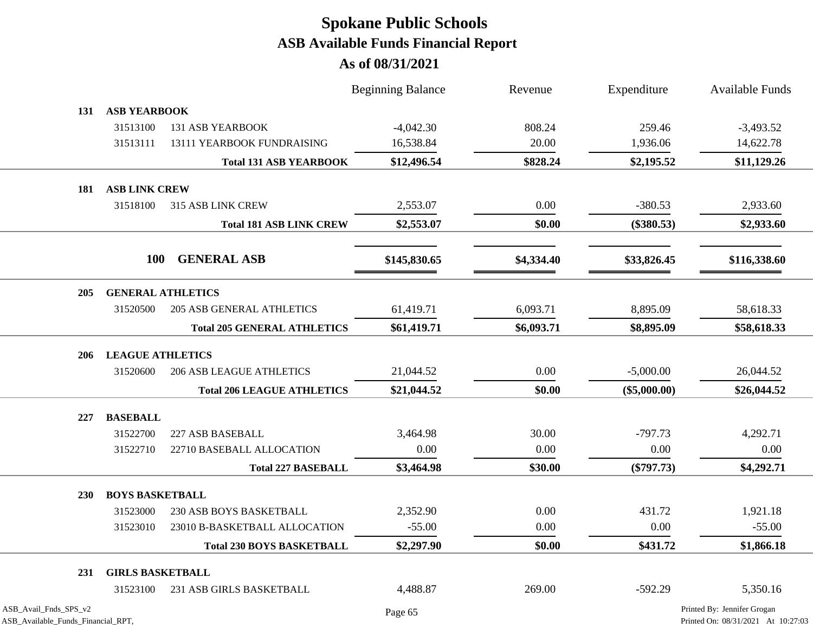|                                                             |                         |                                    | <b>Beginning Balance</b> | Revenue    | Expenditure    | <b>Available Funds</b>                                            |
|-------------------------------------------------------------|-------------------------|------------------------------------|--------------------------|------------|----------------|-------------------------------------------------------------------|
| 131                                                         | <b>ASB YEARBOOK</b>     |                                    |                          |            |                |                                                                   |
|                                                             | 31513100                | <b>131 ASB YEARBOOK</b>            | $-4,042.30$              | 808.24     | 259.46         | $-3,493.52$                                                       |
|                                                             | 31513111                | 13111 YEARBOOK FUNDRAISING         | 16,538.84                | 20.00      | 1,936.06       | 14,622.78                                                         |
|                                                             |                         | <b>Total 131 ASB YEARBOOK</b>      | \$12,496.54              | \$828.24   | \$2,195.52     | \$11,129.26                                                       |
| 181                                                         | <b>ASB LINK CREW</b>    |                                    |                          |            |                |                                                                   |
|                                                             | 31518100                | 315 ASB LINK CREW                  | 2,553.07                 | 0.00       | $-380.53$      | 2,933.60                                                          |
|                                                             |                         | <b>Total 181 ASB LINK CREW</b>     | \$2,553.07               | \$0.00     | $(\$380.53)$   | \$2,933.60                                                        |
|                                                             |                         |                                    |                          |            |                |                                                                   |
|                                                             | <b>100</b>              | <b>GENERAL ASB</b>                 | \$145,830.65             | \$4,334.40 | \$33,826.45    | \$116,338.60                                                      |
| 205                                                         |                         | <b>GENERAL ATHLETICS</b>           |                          |            |                |                                                                   |
|                                                             | 31520500                | <b>205 ASB GENERAL ATHLETICS</b>   | 61,419.71                | 6,093.71   | 8,895.09       | 58,618.33                                                         |
|                                                             |                         | <b>Total 205 GENERAL ATHLETICS</b> | \$61,419.71              | \$6,093.71 | \$8,895.09     | \$58,618.33                                                       |
| 206                                                         | <b>LEAGUE ATHLETICS</b> |                                    |                          |            |                |                                                                   |
|                                                             | 31520600                | <b>206 ASB LEAGUE ATHLETICS</b>    | 21,044.52                | 0.00       | $-5,000.00$    | 26,044.52                                                         |
|                                                             |                         | <b>Total 206 LEAGUE ATHLETICS</b>  | \$21,044.52              | \$0.00     | $(\$5,000.00)$ | \$26,044.52                                                       |
|                                                             |                         |                                    |                          |            |                |                                                                   |
| 227                                                         | <b>BASEBALL</b>         |                                    |                          |            |                |                                                                   |
|                                                             | 31522700                | 227 ASB BASEBALL                   | 3,464.98                 | 30.00      | $-797.73$      | 4,292.71                                                          |
|                                                             | 31522710                | 22710 BASEBALL ALLOCATION          | 0.00                     | 0.00       | 0.00           | 0.00                                                              |
|                                                             |                         | <b>Total 227 BASEBALL</b>          | \$3,464.98               | \$30.00    | $(\$797.73)$   | \$4,292.71                                                        |
| 230                                                         | <b>BOYS BASKETBALL</b>  |                                    |                          |            |                |                                                                   |
|                                                             | 31523000                | 230 ASB BOYS BASKETBALL            | 2,352.90                 | 0.00       | 431.72         | 1,921.18                                                          |
|                                                             | 31523010                | 23010 B-BASKETBALL ALLOCATION      | $-55.00$                 | 0.00       | 0.00           | $-55.00$                                                          |
|                                                             |                         | <b>Total 230 BOYS BASKETBALL</b>   | \$2,297.90               | \$0.00     | \$431.72       | \$1,866.18                                                        |
| 231                                                         | <b>GIRLS BASKETBALL</b> |                                    |                          |            |                |                                                                   |
|                                                             | 31523100                | 231 ASB GIRLS BASKETBALL           | 4,488.87                 | 269.00     | $-592.29$      | 5,350.16                                                          |
| ASB_Avail_Fnds_SPS_v2<br>ASB_Available_Funds_Financial_RPT, |                         |                                    | Page 65                  |            |                | Printed By: Jennifer Grogan<br>Printed On: 08/31/2021 At 10:27:03 |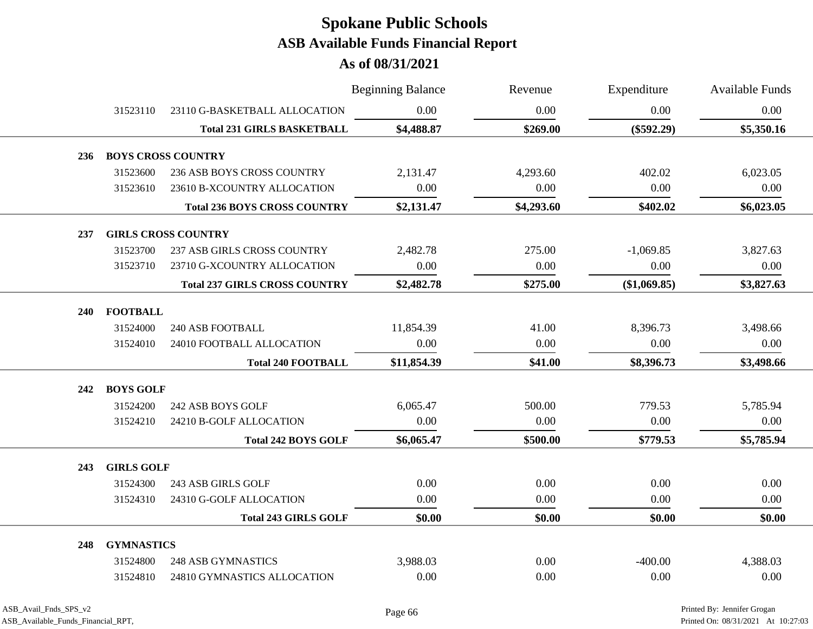|            |                   |                                      | <b>Beginning Balance</b> | Revenue    | Expenditure  | <b>Available Funds</b> |
|------------|-------------------|--------------------------------------|--------------------------|------------|--------------|------------------------|
|            | 31523110          | 23110 G-BASKETBALL ALLOCATION        | 0.00                     | 0.00       | 0.00         | 0.00                   |
|            |                   | <b>Total 231 GIRLS BASKETBALL</b>    | \$4,488.87               | \$269.00   | $(\$592.29)$ | \$5,350.16             |
| 236        |                   | <b>BOYS CROSS COUNTRY</b>            |                          |            |              |                        |
|            | 31523600          | 236 ASB BOYS CROSS COUNTRY           | 2,131.47                 | 4,293.60   | 402.02       | 6,023.05               |
|            | 31523610          | 23610 B-XCOUNTRY ALLOCATION          | 0.00                     | 0.00       | 0.00         | 0.00                   |
|            |                   | <b>Total 236 BOYS CROSS COUNTRY</b>  | \$2,131.47               | \$4,293.60 | \$402.02     | \$6,023.05             |
| 237        |                   | <b>GIRLS CROSS COUNTRY</b>           |                          |            |              |                        |
|            | 31523700          | 237 ASB GIRLS CROSS COUNTRY          | 2,482.78                 | 275.00     | $-1,069.85$  | 3,827.63               |
|            | 31523710          | 23710 G-XCOUNTRY ALLOCATION          | 0.00                     | 0.00       | 0.00         | 0.00                   |
|            |                   | <b>Total 237 GIRLS CROSS COUNTRY</b> | \$2,482.78               | \$275.00   | (\$1,069.85) | \$3,827.63             |
| <b>240</b> | <b>FOOTBALL</b>   |                                      |                          |            |              |                        |
|            | 31524000          | <b>240 ASB FOOTBALL</b>              | 11,854.39                | 41.00      | 8,396.73     | 3,498.66               |
|            | 31524010          | 24010 FOOTBALL ALLOCATION            | 0.00                     | 0.00       | 0.00         | 0.00                   |
|            |                   | <b>Total 240 FOOTBALL</b>            | \$11,854.39              | \$41.00    | \$8,396.73   | \$3,498.66             |
| 242        | <b>BOYS GOLF</b>  |                                      |                          |            |              |                        |
|            | 31524200          | 242 ASB BOYS GOLF                    | 6,065.47                 | 500.00     | 779.53       | 5,785.94               |
|            | 31524210          | 24210 B-GOLF ALLOCATION              | 0.00                     | 0.00       | 0.00         | 0.00                   |
|            |                   | <b>Total 242 BOYS GOLF</b>           | \$6,065.47               | \$500.00   | \$779.53     | \$5,785.94             |
| 243        | <b>GIRLS GOLF</b> |                                      |                          |            |              |                        |
|            | 31524300          | 243 ASB GIRLS GOLF                   | 0.00                     | 0.00       | 0.00         | 0.00                   |
|            | 31524310          | 24310 G-GOLF ALLOCATION              | 0.00                     | 0.00       | 0.00         | 0.00                   |
|            |                   | <b>Total 243 GIRLS GOLF</b>          | \$0.00                   | \$0.00     | \$0.00       | \$0.00                 |
| 248        | <b>GYMNASTICS</b> |                                      |                          |            |              |                        |
|            | 31524800          | <b>248 ASB GYMNASTICS</b>            | 3,988.03                 | 0.00       | $-400.00$    | 4,388.03               |
|            | 31524810          | 24810 GYMNASTICS ALLOCATION          | 0.00                     | 0.00       | 0.00         | 0.00                   |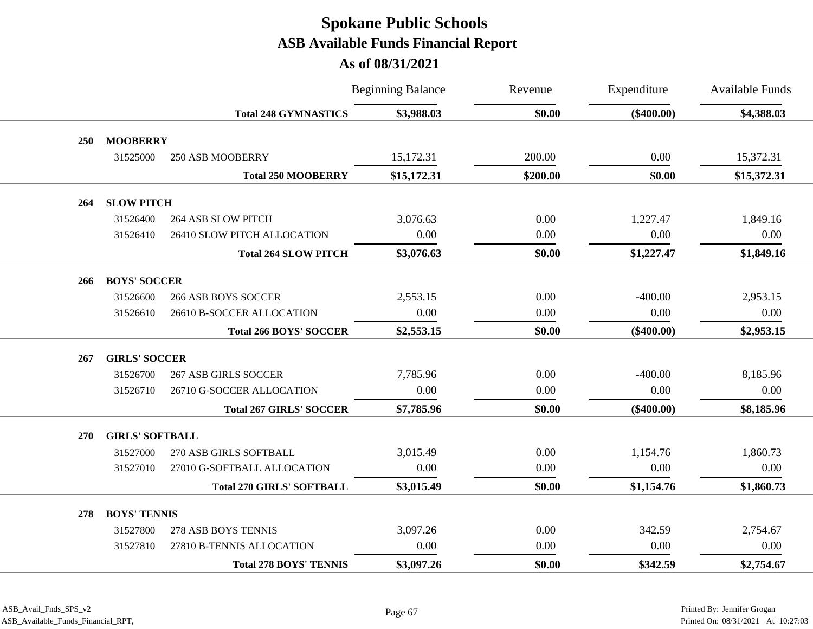| As of 08/31/2021 |  |  |
|------------------|--|--|
|------------------|--|--|

|     |                        |                                  | <b>Beginning Balance</b> | Revenue  | Expenditure  | <b>Available Funds</b> |
|-----|------------------------|----------------------------------|--------------------------|----------|--------------|------------------------|
|     |                        | <b>Total 248 GYMNASTICS</b>      | \$3,988.03               | \$0.00   | $(\$400.00)$ | \$4,388.03             |
| 250 | <b>MOOBERRY</b>        |                                  |                          |          |              |                        |
|     | 31525000               | 250 ASB MOOBERRY                 | 15,172.31                | 200.00   | 0.00         | 15,372.31              |
|     |                        | <b>Total 250 MOOBERRY</b>        | \$15,172.31              | \$200.00 | \$0.00       | \$15,372.31            |
| 264 | <b>SLOW PITCH</b>      |                                  |                          |          |              |                        |
|     | 31526400               | <b>264 ASB SLOW PITCH</b>        | 3,076.63                 | 0.00     | 1,227.47     | 1,849.16               |
|     | 31526410               | 26410 SLOW PITCH ALLOCATION      | 0.00                     | 0.00     | 0.00         | 0.00                   |
|     |                        | <b>Total 264 SLOW PITCH</b>      | \$3,076.63               | \$0.00   | \$1,227.47   | \$1,849.16             |
| 266 | <b>BOYS' SOCCER</b>    |                                  |                          |          |              |                        |
|     | 31526600               | <b>266 ASB BOYS SOCCER</b>       | 2,553.15                 | 0.00     | $-400.00$    | 2,953.15               |
|     | 31526610               | 26610 B-SOCCER ALLOCATION        | 0.00                     | $0.00\,$ | 0.00         | 0.00                   |
|     |                        | <b>Total 266 BOYS' SOCCER</b>    | \$2,553.15               | \$0.00   | $(\$400.00)$ | \$2,953.15             |
| 267 | <b>GIRLS' SOCCER</b>   |                                  |                          |          |              |                        |
|     | 31526700               | <b>267 ASB GIRLS SOCCER</b>      | 7,785.96                 | 0.00     | $-400.00$    | 8,185.96               |
|     | 31526710               | 26710 G-SOCCER ALLOCATION        | 0.00                     | 0.00     | 0.00         | 0.00                   |
|     |                        | <b>Total 267 GIRLS' SOCCER</b>   | \$7,785.96               | \$0.00   | $(\$400.00)$ | \$8,185.96             |
| 270 | <b>GIRLS' SOFTBALL</b> |                                  |                          |          |              |                        |
|     | 31527000               | 270 ASB GIRLS SOFTBALL           | 3,015.49                 | 0.00     | 1,154.76     | 1,860.73               |
|     | 31527010               | 27010 G-SOFTBALL ALLOCATION      | 0.00                     | 0.00     | 0.00         | 0.00                   |
|     |                        | <b>Total 270 GIRLS' SOFTBALL</b> | \$3,015.49               | \$0.00   | \$1,154.76   | \$1,860.73             |
| 278 | <b>BOYS' TENNIS</b>    |                                  |                          |          |              |                        |
|     | 31527800               | 278 ASB BOYS TENNIS              | 3,097.26                 | 0.00     | 342.59       | 2,754.67               |
|     | 31527810               | 27810 B-TENNIS ALLOCATION        | 0.00                     | 0.00     | 0.00         | 0.00                   |
|     |                        | <b>Total 278 BOYS' TENNIS</b>    | \$3,097.26               | \$0.00   | \$342.59     | \$2,754.67             |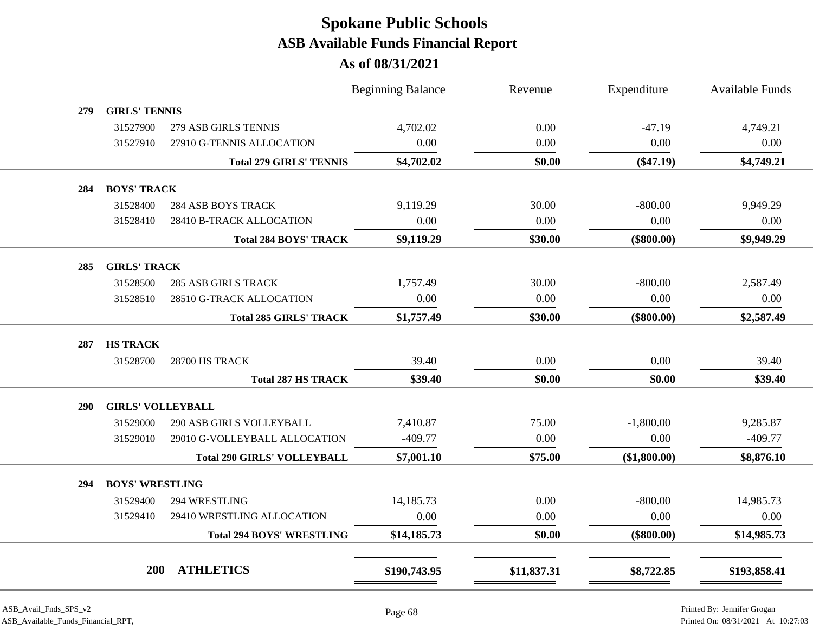|            |                          |                                    | <b>Beginning Balance</b> | Revenue     | Expenditure  | <b>Available Funds</b> |
|------------|--------------------------|------------------------------------|--------------------------|-------------|--------------|------------------------|
| 279        | <b>GIRLS' TENNIS</b>     |                                    |                          |             |              |                        |
|            | 31527900                 | 279 ASB GIRLS TENNIS               | 4,702.02                 | 0.00        | $-47.19$     | 4,749.21               |
|            | 31527910                 | 27910 G-TENNIS ALLOCATION          | 0.00                     | 0.00        | 0.00         | 0.00                   |
|            |                          | <b>Total 279 GIRLS' TENNIS</b>     | \$4,702.02               | \$0.00      | $(\$47.19)$  | \$4,749.21             |
| 284        | <b>BOYS' TRACK</b>       |                                    |                          |             |              |                        |
|            | 31528400                 | <b>284 ASB BOYS TRACK</b>          | 9,119.29                 | 30.00       | $-800.00$    | 9,949.29               |
|            | 31528410                 | 28410 B-TRACK ALLOCATION           | 0.00                     | 0.00        | 0.00         | 0.00                   |
|            |                          | <b>Total 284 BOYS' TRACK</b>       | \$9,119.29               | \$30.00     | $(\$800.00)$ | \$9,949.29             |
| 285        | <b>GIRLS' TRACK</b>      |                                    |                          |             |              |                        |
|            | 31528500                 | <b>285 ASB GIRLS TRACK</b>         | 1,757.49                 | 30.00       | $-800.00$    | 2,587.49               |
|            | 31528510                 | 28510 G-TRACK ALLOCATION           | 0.00                     | 0.00        | 0.00         | 0.00                   |
|            |                          | <b>Total 285 GIRLS' TRACK</b>      | \$1,757.49               | \$30.00     | $(\$800.00)$ | \$2,587.49             |
| 287        | <b>HS TRACK</b>          |                                    |                          |             |              |                        |
|            | 31528700                 | 28700 HS TRACK                     | 39.40                    | 0.00        | 0.00         | 39.40                  |
|            |                          | <b>Total 287 HS TRACK</b>          | \$39.40                  | \$0.00      | \$0.00       | \$39.40                |
| <b>290</b> | <b>GIRLS' VOLLEYBALL</b> |                                    |                          |             |              |                        |
|            | 31529000                 | 290 ASB GIRLS VOLLEYBALL           | 7,410.87                 | 75.00       | $-1,800.00$  | 9,285.87               |
|            | 31529010                 | 29010 G-VOLLEYBALL ALLOCATION      | $-409.77$                | 0.00        | 0.00         | $-409.77$              |
|            |                          | <b>Total 290 GIRLS' VOLLEYBALL</b> | \$7,001.10               | \$75.00     | (\$1,800.00) | \$8,876.10             |
| 294        | <b>BOYS' WRESTLING</b>   |                                    |                          |             |              |                        |
|            | 31529400                 | 294 WRESTLING                      | 14,185.73                | 0.00        | $-800.00$    | 14,985.73              |
|            | 31529410                 | 29410 WRESTLING ALLOCATION         | 0.00                     | 0.00        | 0.00         | 0.00                   |
|            |                          | <b>Total 294 BOYS' WRESTLING</b>   | \$14,185.73              | \$0.00      | $(\$800.00)$ | \$14,985.73            |
|            | 200                      | <b>ATHLETICS</b>                   |                          |             |              |                        |
|            |                          |                                    | \$190,743.95             | \$11,837.31 | \$8,722.85   | \$193,858.41           |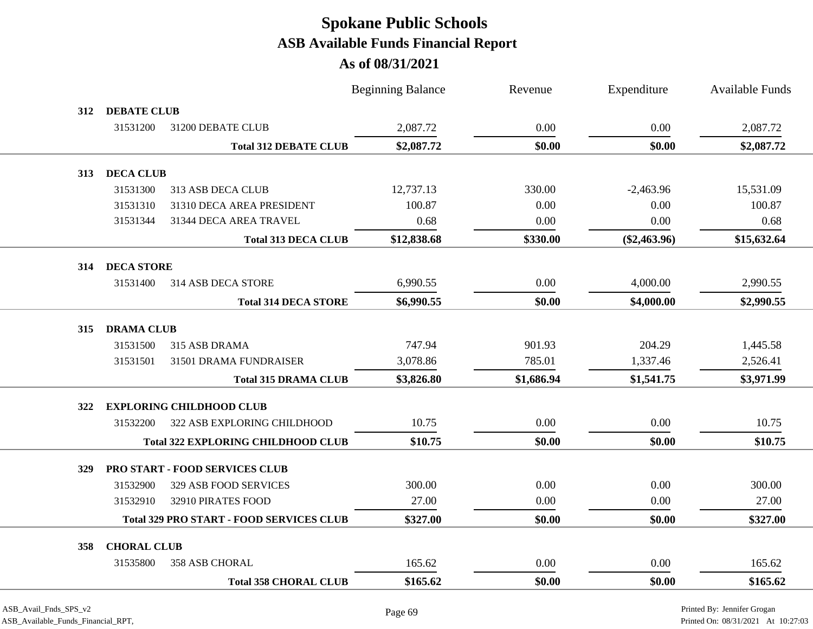|     |                    |                                                 | <b>Beginning Balance</b> | Revenue    | Expenditure    | <b>Available Funds</b> |
|-----|--------------------|-------------------------------------------------|--------------------------|------------|----------------|------------------------|
| 312 | <b>DEBATE CLUB</b> |                                                 |                          |            |                |                        |
|     | 31531200           | 31200 DEBATE CLUB                               | 2,087.72                 | 0.00       | 0.00           | 2,087.72               |
|     |                    | <b>Total 312 DEBATE CLUB</b>                    | \$2,087.72               | \$0.00     | \$0.00         | \$2,087.72             |
| 313 | <b>DECA CLUB</b>   |                                                 |                          |            |                |                        |
|     | 31531300           | 313 ASB DECA CLUB                               | 12,737.13                | 330.00     | $-2,463.96$    | 15,531.09              |
|     | 31531310           | 31310 DECA AREA PRESIDENT                       | 100.87                   | 0.00       | 0.00           | 100.87                 |
|     | 31531344           | 31344 DECA AREA TRAVEL                          | 0.68                     | 0.00       | 0.00           | 0.68                   |
|     |                    | <b>Total 313 DECA CLUB</b>                      | \$12,838.68              | \$330.00   | $(\$2,463.96)$ | \$15,632.64            |
| 314 | <b>DECA STORE</b>  |                                                 |                          |            |                |                        |
|     | 31531400           | 314 ASB DECA STORE                              | 6,990.55                 | 0.00       | 4,000.00       | 2,990.55               |
|     |                    | <b>Total 314 DECA STORE</b>                     | \$6,990.55               | \$0.00     | \$4,000.00     | \$2,990.55             |
|     | <b>DRAMA CLUB</b>  |                                                 |                          |            |                |                        |
| 315 | 31531500           | 315 ASB DRAMA                                   | 747.94                   | 901.93     | 204.29         | 1,445.58               |
|     | 31531501           | 31501 DRAMA FUNDRAISER                          | 3,078.86                 | 785.01     | 1,337.46       | 2,526.41               |
|     |                    |                                                 |                          |            |                |                        |
|     |                    | <b>Total 315 DRAMA CLUB</b>                     | \$3,826.80               | \$1,686.94 | \$1,541.75     | \$3,971.99             |
| 322 |                    | <b>EXPLORING CHILDHOOD CLUB</b>                 |                          |            |                |                        |
|     | 31532200           | 322 ASB EXPLORING CHILDHOOD                     | 10.75                    | 0.00       | 0.00           | 10.75                  |
|     |                    | <b>Total 322 EXPLORING CHILDHOOD CLUB</b>       | \$10.75                  | \$0.00     | \$0.00         | \$10.75                |
| 329 |                    | PRO START - FOOD SERVICES CLUB                  |                          |            |                |                        |
|     | 31532900           | <b>329 ASB FOOD SERVICES</b>                    | 300.00                   | 0.00       | 0.00           | 300.00                 |
|     | 31532910           | 32910 PIRATES FOOD                              | 27.00                    | 0.00       | 0.00           | 27.00                  |
|     |                    | <b>Total 329 PRO START - FOOD SERVICES CLUB</b> | \$327.00                 | \$0.00     | \$0.00         | \$327.00               |
| 358 | <b>CHORAL CLUB</b> |                                                 |                          |            |                |                        |
|     | 31535800           | 358 ASB CHORAL                                  | 165.62                   | 0.00       | 0.00           | 165.62                 |
|     |                    | <b>Total 358 CHORAL CLUB</b>                    | \$165.62                 | \$0.00     | \$0.00         | \$165.62               |
|     |                    |                                                 |                          |            |                |                        |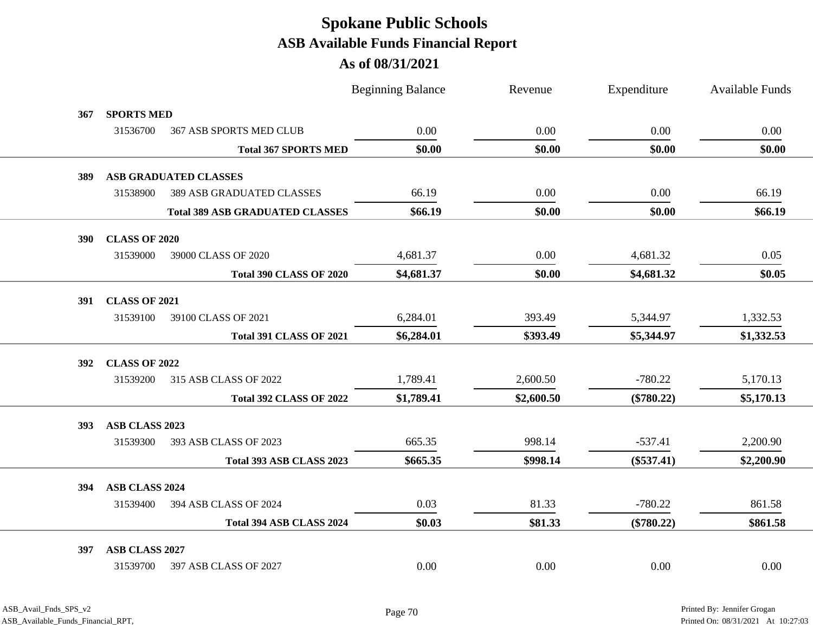|            |                      |                                        | <b>Beginning Balance</b> | Revenue    | Expenditure  | <b>Available Funds</b> |
|------------|----------------------|----------------------------------------|--------------------------|------------|--------------|------------------------|
| 367        | <b>SPORTS MED</b>    |                                        |                          |            |              |                        |
|            | 31536700             | <b>367 ASB SPORTS MED CLUB</b>         | 0.00                     | 0.00       | 0.00         | 0.00                   |
|            |                      | <b>Total 367 SPORTS MED</b>            | \$0.00                   | \$0.00     | \$0.00       | \$0.00                 |
| 389        |                      | ASB GRADUATED CLASSES                  |                          |            |              |                        |
|            | 31538900             | <b>389 ASB GRADUATED CLASSES</b>       | 66.19                    | 0.00       | 0.00         | 66.19                  |
|            |                      | <b>Total 389 ASB GRADUATED CLASSES</b> | \$66.19                  | \$0.00     | \$0.00       | \$66.19                |
| <b>390</b> | <b>CLASS OF 2020</b> |                                        |                          |            |              |                        |
|            | 31539000             | 39000 CLASS OF 2020                    | 4,681.37                 | 0.00       | 4,681.32     | 0.05                   |
|            |                      | <b>Total 390 CLASS OF 2020</b>         | \$4,681.37               | \$0.00     | \$4,681.32   | \$0.05                 |
| 391        | <b>CLASS OF 2021</b> |                                        |                          |            |              |                        |
|            | 31539100             | 39100 CLASS OF 2021                    | 6,284.01                 | 393.49     | 5,344.97     | 1,332.53               |
|            |                      | <b>Total 391 CLASS OF 2021</b>         | \$6,284.01               | \$393.49   | \$5,344.97   | \$1,332.53             |
| 392        | <b>CLASS OF 2022</b> |                                        |                          |            |              |                        |
|            | 31539200             | 315 ASB CLASS OF 2022                  | 1,789.41                 | 2,600.50   | $-780.22$    | 5,170.13               |
|            |                      | <b>Total 392 CLASS OF 2022</b>         | \$1,789.41               | \$2,600.50 | $(\$780.22)$ | \$5,170.13             |
| 393        | ASB CLASS 2023       |                                        |                          |            |              |                        |
|            | 31539300             | 393 ASB CLASS OF 2023                  | 665.35                   | 998.14     | $-537.41$    | 2,200.90               |
|            |                      | Total 393 ASB CLASS 2023               | \$665.35                 | \$998.14   | $(\$537.41)$ | \$2,200.90             |
| 394        | ASB CLASS 2024       |                                        |                          |            |              |                        |
|            | 31539400             | 394 ASB CLASS OF 2024                  | 0.03                     | 81.33      | $-780.22$    | 861.58                 |
|            |                      | Total 394 ASB CLASS 2024               | \$0.03                   | \$81.33    | $(\$780.22)$ | \$861.58               |
| 397        | ASB CLASS 2027       |                                        |                          |            |              |                        |
|            | 31539700             | 397 ASB CLASS OF 2027                  | 0.00                     | 0.00       | 0.00         | 0.00                   |
|            |                      |                                        |                          |            |              |                        |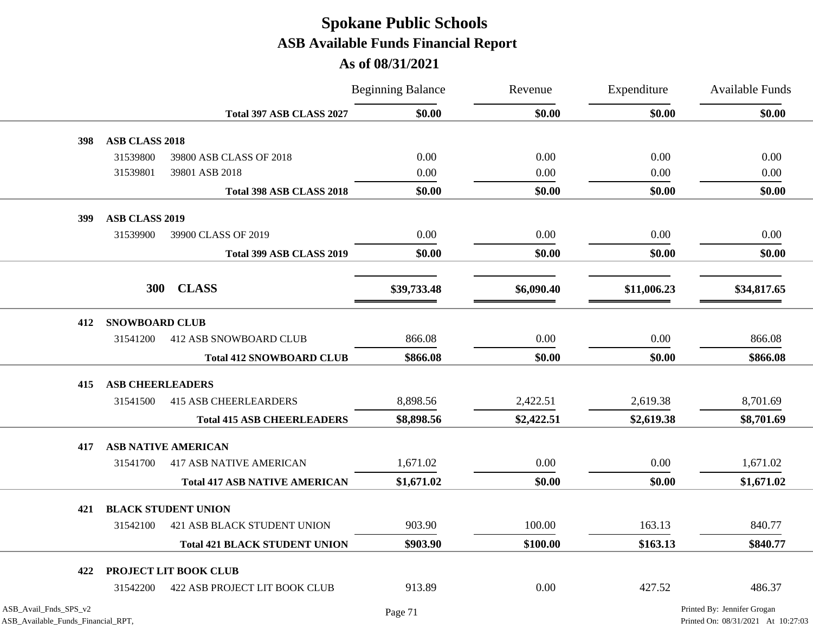**As of 08/31/2021**

|                                                             |                         |                                      | <b>Beginning Balance</b> | Revenue    | Expenditure<br>\$0.00 | <b>Available Funds</b>                                            |
|-------------------------------------------------------------|-------------------------|--------------------------------------|--------------------------|------------|-----------------------|-------------------------------------------------------------------|
|                                                             |                         | Total 397 ASB CLASS 2027             | \$0.00                   | \$0.00     |                       | \$0.00                                                            |
| 398                                                         | <b>ASB CLASS 2018</b>   |                                      |                          |            |                       |                                                                   |
|                                                             | 31539800                | 39800 ASB CLASS OF 2018              | 0.00                     | 0.00       | 0.00                  | 0.00                                                              |
|                                                             | 31539801                | 39801 ASB 2018                       | 0.00                     | 0.00       | 0.00                  | 0.00                                                              |
|                                                             |                         | Total 398 ASB CLASS 2018             | \$0.00                   | \$0.00     | \$0.00                | \$0.00                                                            |
| <b>399</b>                                                  | ASB CLASS 2019          |                                      |                          |            |                       |                                                                   |
|                                                             | 31539900                | 39900 CLASS OF 2019                  | 0.00                     | 0.00       | 0.00                  | 0.00                                                              |
|                                                             |                         | Total 399 ASB CLASS 2019             | \$0.00                   | \$0.00     | \$0.00                | \$0.00                                                            |
|                                                             | <b>300</b>              | <b>CLASS</b>                         | \$39,733.48              | \$6,090.40 | \$11,006.23           | \$34,817.65                                                       |
| 412                                                         | <b>SNOWBOARD CLUB</b>   |                                      |                          |            |                       |                                                                   |
|                                                             | 31541200                | 412 ASB SNOWBOARD CLUB               | 866.08                   | 0.00       | 0.00                  | 866.08                                                            |
|                                                             |                         | <b>Total 412 SNOWBOARD CLUB</b>      | \$866.08                 | \$0.00     | \$0.00                | \$866.08                                                          |
| 415                                                         | <b>ASB CHEERLEADERS</b> |                                      |                          |            |                       |                                                                   |
|                                                             | 31541500                | <b>415 ASB CHEERLEARDERS</b>         | 8,898.56                 | 2,422.51   | 2,619.38              | 8,701.69                                                          |
|                                                             |                         | <b>Total 415 ASB CHEERLEADERS</b>    | \$8,898.56               | \$2,422.51 | \$2,619.38            | \$8,701.69                                                        |
| 417                                                         |                         | <b>ASB NATIVE AMERICAN</b>           |                          |            |                       |                                                                   |
|                                                             | 31541700                | <b>417 ASB NATIVE AMERICAN</b>       | 1,671.02                 | 0.00       | 0.00                  | 1,671.02                                                          |
|                                                             |                         | <b>Total 417 ASB NATIVE AMERICAN</b> | \$1,671.02               | \$0.00     | \$0.00                | \$1,671.02                                                        |
| 421                                                         |                         | <b>BLACK STUDENT UNION</b>           |                          |            |                       |                                                                   |
|                                                             | 31542100                | <b>421 ASB BLACK STUDENT UNION</b>   | 903.90                   | 100.00     | 163.13                | 840.77                                                            |
|                                                             |                         | <b>Total 421 BLACK STUDENT UNION</b> | \$903.90                 | \$100.00   | \$163.13              | \$840.77                                                          |
| 422                                                         |                         | PROJECT LIT BOOK CLUB                |                          |            |                       |                                                                   |
|                                                             | 31542200                | 422 ASB PROJECT LIT BOOK CLUB        | 913.89                   | 0.00       | 427.52                | 486.37                                                            |
| ASB_Avail_Fnds_SPS_v2<br>ASB_Available_Funds_Financial_RPT, |                         |                                      | Page 71                  |            |                       | Printed By: Jennifer Grogan<br>Printed On: 08/31/2021 At 10:27:03 |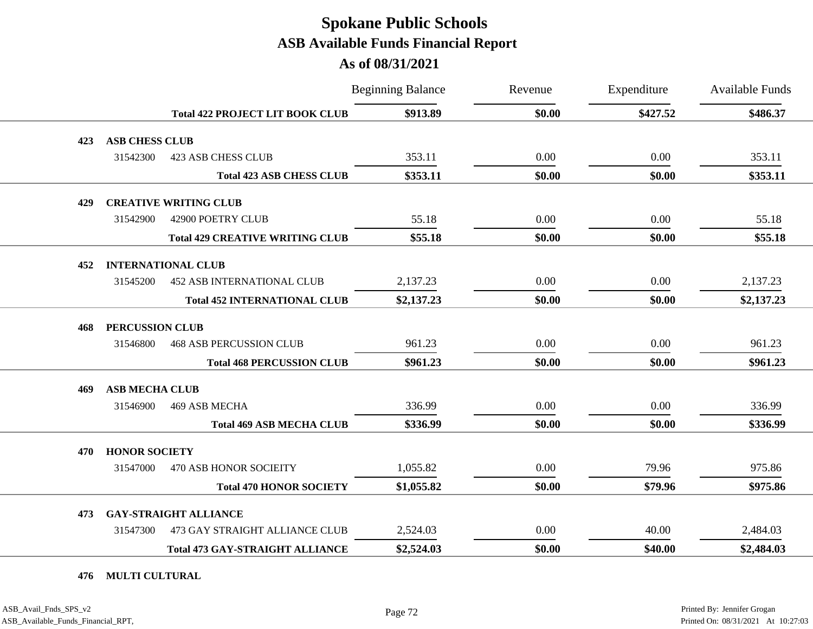| As of 08/31/2021 |  |
|------------------|--|
|------------------|--|

|     |                       |                                        | <b>Beginning Balance</b> | Revenue | Expenditure | <b>Available Funds</b> |
|-----|-----------------------|----------------------------------------|--------------------------|---------|-------------|------------------------|
|     |                       | <b>Total 422 PROJECT LIT BOOK CLUB</b> | \$913.89                 | \$0.00  | \$427.52    | \$486.37               |
| 423 | <b>ASB CHESS CLUB</b> |                                        |                          |         |             |                        |
|     | 31542300              | <b>423 ASB CHESS CLUB</b>              | 353.11                   | 0.00    | 0.00        | 353.11                 |
|     |                       | <b>Total 423 ASB CHESS CLUB</b>        | \$353.11                 | \$0.00  | \$0.00      | \$353.11               |
| 429 |                       | <b>CREATIVE WRITING CLUB</b>           |                          |         |             |                        |
|     | 31542900              | 42900 POETRY CLUB                      | 55.18                    | 0.00    | 0.00        | 55.18                  |
|     |                       | <b>Total 429 CREATIVE WRITING CLUB</b> | \$55.18                  | \$0.00  | \$0.00      | \$55.18                |
| 452 |                       | <b>INTERNATIONAL CLUB</b>              |                          |         |             |                        |
|     | 31545200              | <b>452 ASB INTERNATIONAL CLUB</b>      | 2,137.23                 | 0.00    | 0.00        | 2,137.23               |
|     |                       | <b>Total 452 INTERNATIONAL CLUB</b>    | \$2,137.23               | \$0.00  | \$0.00      | \$2,137.23             |
| 468 | PERCUSSION CLUB       |                                        |                          |         |             |                        |
|     | 31546800              | <b>468 ASB PERCUSSION CLUB</b>         | 961.23                   | 0.00    | 0.00        | 961.23                 |
|     |                       | <b>Total 468 PERCUSSION CLUB</b>       | \$961.23                 | \$0.00  | \$0.00      | \$961.23               |
| 469 | <b>ASB MECHA CLUB</b> |                                        |                          |         |             |                        |
|     | 31546900              | 469 ASB MECHA                          | 336.99                   | 0.00    | 0.00        | 336.99                 |
|     |                       | <b>Total 469 ASB MECHA CLUB</b>        | \$336.99                 | \$0.00  | \$0.00      | \$336.99               |
| 470 | <b>HONOR SOCIETY</b>  |                                        |                          |         |             |                        |
|     | 31547000              | 470 ASB HONOR SOCIEITY                 | 1,055.82                 | 0.00    | 79.96       | 975.86                 |
|     |                       | <b>Total 470 HONOR SOCIETY</b>         | \$1,055.82               | \$0.00  | \$79.96     | \$975.86               |
| 473 |                       | <b>GAY-STRAIGHT ALLIANCE</b>           |                          |         |             |                        |
|     | 31547300              | 473 GAY STRAIGHT ALLIANCE CLUB         | 2,524.03                 | 0.00    | 40.00       | 2,484.03               |
|     |                       | <b>Total 473 GAY-STRAIGHT ALLIANCE</b> | \$2,524.03               | \$0.00  | \$40.00     | \$2,484.03             |
|     |                       |                                        |                          |         |             |                        |

#### **476 MULTI CULTURAL**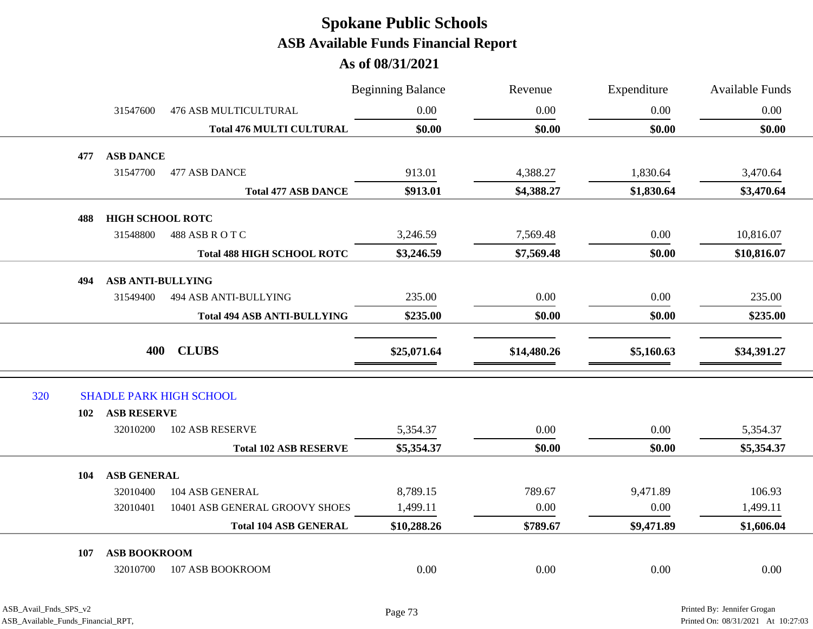|     |     |                          |                                    | <b>Beginning Balance</b> | Revenue     | Expenditure | Available Funds |
|-----|-----|--------------------------|------------------------------------|--------------------------|-------------|-------------|-----------------|
|     |     | 31547600                 | 476 ASB MULTICULTURAL              | $0.00\,$                 | 0.00        | 0.00        | 0.00            |
|     |     |                          | <b>Total 476 MULTI CULTURAL</b>    | \$0.00                   | \$0.00      | \$0.00      | \$0.00          |
|     | 477 | <b>ASB DANCE</b>         |                                    |                          |             |             |                 |
|     |     | 31547700                 | 477 ASB DANCE                      | 913.01                   | 4,388.27    | 1,830.64    | 3,470.64        |
|     |     |                          | <b>Total 477 ASB DANCE</b>         | \$913.01                 | \$4,388.27  | \$1,830.64  | \$3,470.64      |
|     | 488 | <b>HIGH SCHOOL ROTC</b>  |                                    |                          |             |             |                 |
|     |     | 31548800                 | 488 ASB ROTC                       | 3,246.59                 | 7,569.48    | 0.00        | 10,816.07       |
|     |     |                          | <b>Total 488 HIGH SCHOOL ROTC</b>  | \$3,246.59               | \$7,569.48  | \$0.00      | \$10,816.07     |
|     | 494 | <b>ASB ANTI-BULLYING</b> |                                    |                          |             |             |                 |
|     |     | 31549400                 | 494 ASB ANTI-BULLYING              | 235.00                   | 0.00        | 0.00        | 235.00          |
|     |     |                          | <b>Total 494 ASB ANTI-BULLYING</b> | \$235.00                 | \$0.00      | \$0.00      | \$235.00        |
|     |     |                          |                                    |                          |             |             |                 |
|     |     | 400                      | <b>CLUBS</b>                       | \$25,071.64              | \$14,480.26 | \$5,160.63  | \$34,391.27     |
| 320 |     |                          | <b>SHADLE PARK HIGH SCHOOL</b>     |                          |             |             |                 |
|     | 102 | <b>ASB RESERVE</b>       |                                    |                          |             |             |                 |
|     |     | 32010200                 | 102 ASB RESERVE                    | 5,354.37                 | 0.00        | 0.00        | 5,354.37        |
|     |     |                          | <b>Total 102 ASB RESERVE</b>       | \$5,354.37               | \$0.00      | \$0.00      | \$5,354.37      |
|     | 104 | <b>ASB GENERAL</b>       |                                    |                          |             |             |                 |
|     |     | 32010400                 | 104 ASB GENERAL                    | 8,789.15                 | 789.67      | 9,471.89    | 106.93          |
|     |     | 32010401                 | 10401 ASB GENERAL GROOVY SHOES     | 1,499.11                 | 0.00        | 0.00        | 1,499.11        |
|     |     |                          | <b>Total 104 ASB GENERAL</b>       | \$10,288.26              | \$789.67    | \$9,471.89  | \$1,606.04      |
|     | 107 | <b>ASB BOOKROOM</b>      |                                    |                          |             |             |                 |
|     |     | 32010700                 | 107 ASB BOOKROOM                   | 0.00                     | 0.00        | 0.00        | 0.00            |
|     |     |                          |                                    |                          |             |             |                 |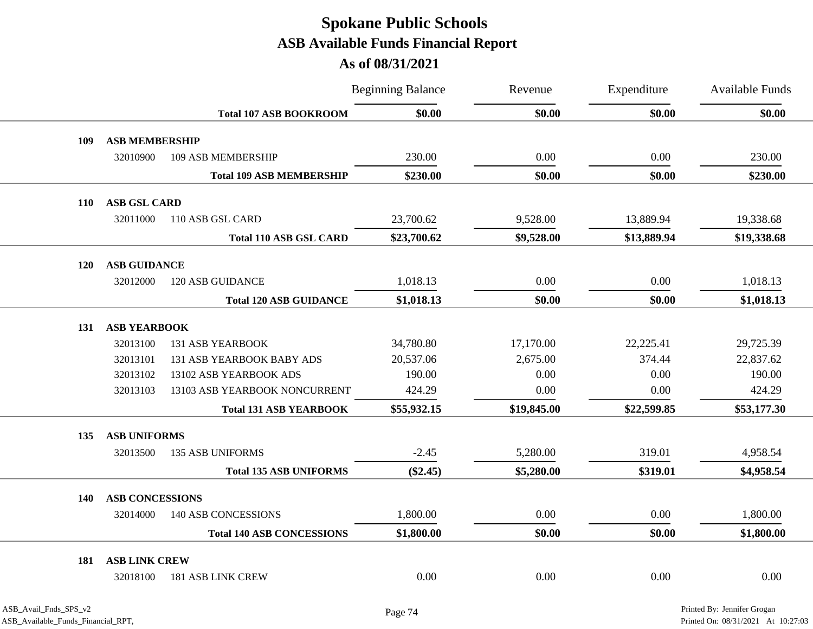**As of 08/31/2021**

|            |                                 |                                  | <b>Beginning Balance</b> | Revenue     | Expenditure | <b>Available Funds</b> |
|------------|---------------------------------|----------------------------------|--------------------------|-------------|-------------|------------------------|
|            |                                 | <b>Total 107 ASB BOOKROOM</b>    | \$0.00                   | \$0.00      | \$0.00      | \$0.00                 |
| 109        | <b>ASB MEMBERSHIP</b>           |                                  |                          |             |             |                        |
|            | 32010900                        | 109 ASB MEMBERSHIP               | 230.00                   | 0.00        | 0.00        | 230.00                 |
|            |                                 | <b>Total 109 ASB MEMBERSHIP</b>  | \$230.00                 | \$0.00      | \$0.00      | \$230.00               |
| <b>110</b> | <b>ASB GSL CARD</b>             |                                  |                          |             |             |                        |
|            | 32011000                        | 110 ASB GSL CARD                 | 23,700.62                | 9,528.00    | 13,889.94   | 19,338.68              |
|            |                                 | <b>Total 110 ASB GSL CARD</b>    | \$23,700.62              | \$9,528.00  | \$13,889.94 | \$19,338.68            |
|            |                                 |                                  |                          |             |             |                        |
| <b>120</b> | <b>ASB GUIDANCE</b><br>32012000 | <b>120 ASB GUIDANCE</b>          | 1,018.13                 | 0.00        | 0.00        | 1,018.13               |
|            |                                 | <b>Total 120 ASB GUIDANCE</b>    | \$1,018.13               | \$0.00      | \$0.00      | \$1,018.13             |
|            |                                 |                                  |                          |             |             |                        |
| 131        | <b>ASB YEARBOOK</b>             |                                  |                          |             |             |                        |
|            | 32013100                        | <b>131 ASB YEARBOOK</b>          | 34,780.80                | 17,170.00   | 22,225.41   | 29,725.39              |
|            | 32013101                        | <b>131 ASB YEARBOOK BABY ADS</b> | 20,537.06                | 2,675.00    | 374.44      | 22,837.62              |
|            | 32013102                        | 13102 ASB YEARBOOK ADS           | 190.00                   | 0.00        | 0.00        | 190.00                 |
|            | 32013103                        | 13103 ASB YEARBOOK NONCURRENT    | 424.29                   | 0.00        | 0.00        | 424.29                 |
|            |                                 | <b>Total 131 ASB YEARBOOK</b>    | \$55,932.15              | \$19,845.00 | \$22,599.85 | \$53,177.30            |
| 135        | <b>ASB UNIFORMS</b>             |                                  |                          |             |             |                        |
|            | 32013500                        | <b>135 ASB UNIFORMS</b>          | $-2.45$                  | 5,280.00    | 319.01      | 4,958.54               |
|            |                                 | <b>Total 135 ASB UNIFORMS</b>    | $(\$2.45)$               | \$5,280.00  | \$319.01    | \$4,958.54             |
| <b>140</b> | <b>ASB CONCESSIONS</b>          |                                  |                          |             |             |                        |
|            | 32014000                        | <b>140 ASB CONCESSIONS</b>       | 1,800.00                 | 0.00        | 0.00        | 1,800.00               |
|            |                                 | <b>Total 140 ASB CONCESSIONS</b> | \$1,800.00               | \$0.00      | \$0.00      | \$1,800.00             |
| 181        | <b>ASB LINK CREW</b>            |                                  |                          |             |             |                        |
|            | 32018100                        | <b>181 ASB LINK CREW</b>         | 0.00                     | $0.00\,$    | 0.00        | 0.00                   |
|            |                                 |                                  |                          |             |             |                        |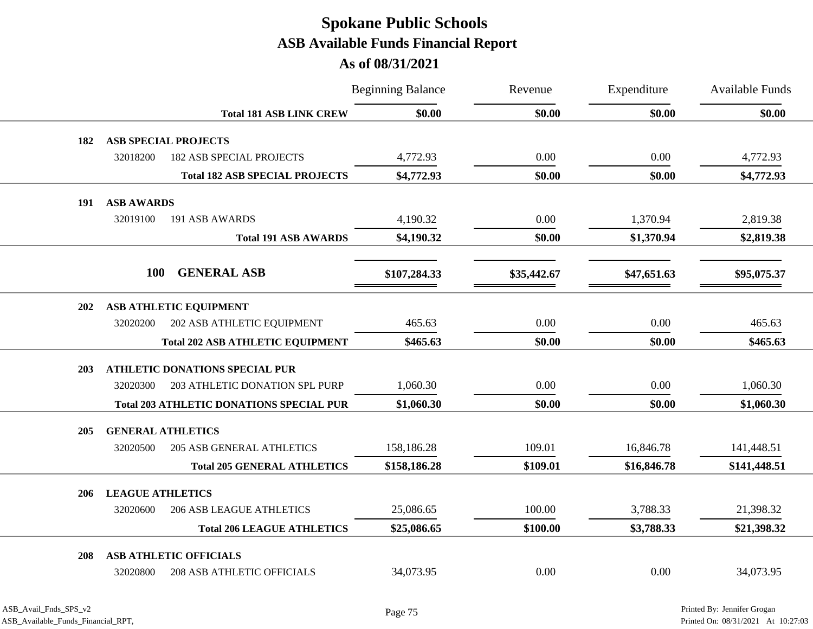**As of 08/31/2021**

|            |                                       |                                                 | <b>Beginning Balance</b> | Revenue     | Expenditure | <b>Available Funds</b> |
|------------|---------------------------------------|-------------------------------------------------|--------------------------|-------------|-------------|------------------------|
|            |                                       | <b>Total 181 ASB LINK CREW</b>                  | \$0.00                   | \$0.00      | \$0.00      | \$0.00                 |
| 182        | <b>ASB SPECIAL PROJECTS</b>           |                                                 |                          |             |             |                        |
|            | 32018200                              | <b>182 ASB SPECIAL PROJECTS</b>                 | 4,772.93                 | 0.00        | 0.00        | 4,772.93               |
|            |                                       | <b>Total 182 ASB SPECIAL PROJECTS</b>           | \$4,772.93               | \$0.00      | \$0.00      | \$4,772.93             |
| 191        | <b>ASB AWARDS</b>                     |                                                 |                          |             |             |                        |
|            | 32019100<br>191 ASB AWARDS            |                                                 | 4,190.32                 | 0.00        | 1,370.94    | 2,819.38               |
|            |                                       | <b>Total 191 ASB AWARDS</b>                     | \$4,190.32               | \$0.00      | \$1,370.94  | \$2,819.38             |
|            |                                       |                                                 |                          |             |             |                        |
|            | <b>100</b><br><b>GENERAL ASB</b>      |                                                 | \$107,284.33             | \$35,442.67 | \$47,651.63 | \$95,075.37            |
| 202        | ASB ATHLETIC EQUIPMENT                |                                                 |                          |             |             |                        |
|            | 32020200                              | 202 ASB ATHLETIC EQUIPMENT                      | 465.63                   | 0.00        | 0.00        | 465.63                 |
|            |                                       | <b>Total 202 ASB ATHLETIC EQUIPMENT</b>         | \$465.63                 | \$0.00      | \$0.00      | \$465.63               |
| <b>203</b> | <b>ATHLETIC DONATIONS SPECIAL PUR</b> |                                                 |                          |             |             |                        |
|            | 32020300                              | 203 ATHLETIC DONATION SPL PURP                  | 1,060.30                 | 0.00        | 0.00        | 1,060.30               |
|            |                                       | <b>Total 203 ATHLETIC DONATIONS SPECIAL PUR</b> | \$1,060.30               | \$0.00      | \$0.00      | \$1,060.30             |
| 205        | <b>GENERAL ATHLETICS</b>              |                                                 |                          |             |             |                        |
|            | 32020500                              | <b>205 ASB GENERAL ATHLETICS</b>                | 158,186.28               | 109.01      | 16,846.78   | 141,448.51             |
|            |                                       | <b>Total 205 GENERAL ATHLETICS</b>              | \$158,186.28             | \$109.01    | \$16,846.78 | \$141,448.51           |
| 206        | <b>LEAGUE ATHLETICS</b>               |                                                 |                          |             |             |                        |
|            | 32020600                              | <b>206 ASB LEAGUE ATHLETICS</b>                 | 25,086.65                | 100.00      | 3,788.33    | 21,398.32              |
|            |                                       | <b>Total 206 LEAGUE ATHLETICS</b>               | \$25,086.65              | \$100.00    | \$3,788.33  | \$21,398.32            |
| 208        | <b>ASB ATHLETIC OFFICIALS</b>         |                                                 |                          |             |             |                        |
|            | 32020800                              | <b>208 ASB ATHLETIC OFFICIALS</b>               | 34,073.95                | 0.00        | 0.00        | 34,073.95              |
|            |                                       |                                                 |                          |             |             |                        |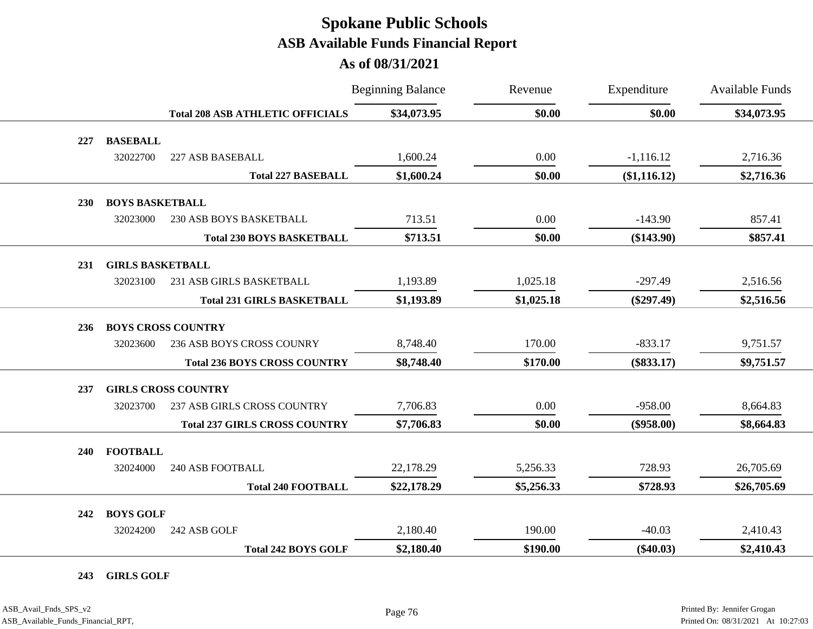|     |                                     |                                         | <b>Beginning Balance</b> | Revenue    | Expenditure  | <b>Available Funds</b> |
|-----|-------------------------------------|-----------------------------------------|--------------------------|------------|--------------|------------------------|
|     |                                     | <b>Total 208 ASB ATHLETIC OFFICIALS</b> | \$34,073.95              | \$0.00     | \$0.00       | \$34,073.95            |
| 227 | <b>BASEBALL</b>                     |                                         |                          |            |              |                        |
|     | 32022700                            | 227 ASB BASEBALL                        | 1,600.24                 | 0.00       | $-1,116.12$  | 2,716.36               |
|     |                                     | <b>Total 227 BASEBALL</b>               | \$1,600.24               | \$0.00     | (\$1,116.12) | \$2,716.36             |
| 230 | <b>BOYS BASKETBALL</b>              |                                         |                          |            |              |                        |
|     | 32023000                            | <b>230 ASB BOYS BASKETBALL</b>          | 713.51                   | 0.00       | $-143.90$    | 857.41                 |
|     |                                     | <b>Total 230 BOYS BASKETBALL</b>        | \$713.51                 | \$0.00     | (\$143.90)   | \$857.41               |
|     |                                     |                                         |                          |            |              |                        |
| 231 | <b>GIRLS BASKETBALL</b><br>32023100 | 231 ASB GIRLS BASKETBALL                | 1,193.89                 | 1,025.18   | $-297.49$    | 2,516.56               |
|     |                                     | <b>Total 231 GIRLS BASKETBALL</b>       | \$1,193.89               | \$1,025.18 | $(\$297.49)$ | \$2,516.56             |
|     |                                     |                                         |                          |            |              |                        |
| 236 |                                     | <b>BOYS CROSS COUNTRY</b>               |                          |            |              |                        |
|     | 32023600                            | 236 ASB BOYS CROSS COUNRY               | 8,748.40                 | 170.00     | $-833.17$    | 9,751.57               |
|     |                                     | <b>Total 236 BOYS CROSS COUNTRY</b>     | \$8,748.40               | \$170.00   | $(\$833.17)$ | \$9,751.57             |
| 237 |                                     | <b>GIRLS CROSS COUNTRY</b>              |                          |            |              |                        |
|     | 32023700                            | 237 ASB GIRLS CROSS COUNTRY             | 7,706.83                 | 0.00       | $-958.00$    | 8,664.83               |
|     |                                     | <b>Total 237 GIRLS CROSS COUNTRY</b>    | \$7,706.83               | \$0.00     | $(\$958.00)$ | \$8,664.83             |
| 240 | <b>FOOTBALL</b>                     |                                         |                          |            |              |                        |
|     | 32024000                            | <b>240 ASB FOOTBALL</b>                 | 22,178.29                | 5,256.33   | 728.93       | 26,705.69              |
|     |                                     | <b>Total 240 FOOTBALL</b>               | \$22,178.29              | \$5,256.33 | \$728.93     | \$26,705.69            |
|     |                                     |                                         |                          |            |              |                        |
| 242 | <b>BOYS GOLF</b><br>32024200        | 242 ASB GOLF                            | 2,180.40                 | 190.00     | $-40.03$     | 2,410.43               |
|     |                                     | <b>Total 242 BOYS GOLF</b>              | \$2,180.40               | \$190.00   | $(\$40.03)$  | \$2,410.43             |
|     |                                     |                                         |                          |            |              |                        |

**243 GIRLS GOLF**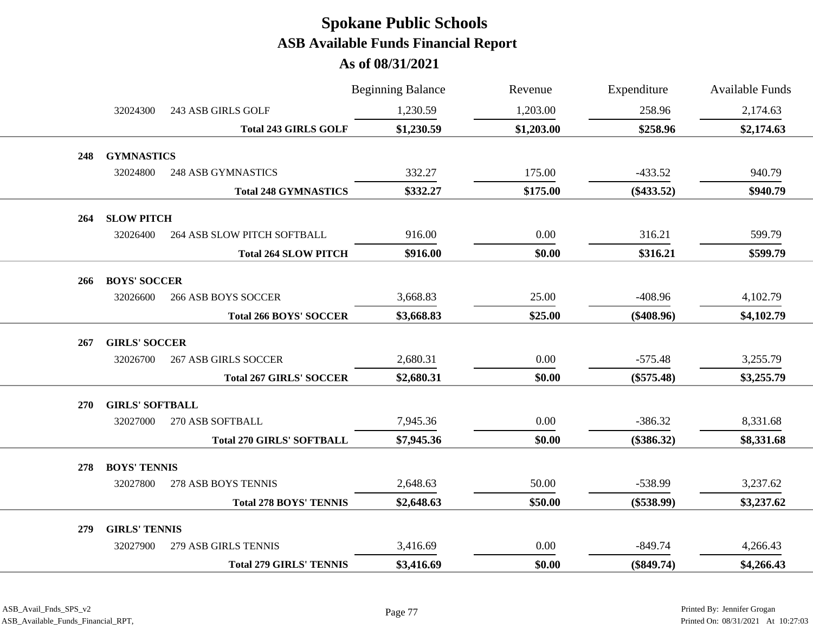|     |                                    |                                  | <b>Beginning Balance</b> | Revenue    | Expenditure  | Available Funds |
|-----|------------------------------------|----------------------------------|--------------------------|------------|--------------|-----------------|
|     | 32024300                           | 243 ASB GIRLS GOLF               | 1,230.59                 | 1,203.00   | 258.96       | 2,174.63        |
|     |                                    | <b>Total 243 GIRLS GOLF</b>      | \$1,230.59               | \$1,203.00 | \$258.96     | \$2,174.63      |
| 248 | <b>GYMNASTICS</b>                  |                                  |                          |            |              |                 |
|     | 32024800                           | <b>248 ASB GYMNASTICS</b>        | 332.27                   | 175.00     | $-433.52$    | 940.79          |
|     |                                    | <b>Total 248 GYMNASTICS</b>      | \$332.27                 | \$175.00   | $(\$433.52)$ | \$940.79        |
| 264 | <b>SLOW PITCH</b>                  |                                  |                          |            |              |                 |
|     | 32026400                           | 264 ASB SLOW PITCH SOFTBALL      | 916.00                   | 0.00       | 316.21       | 599.79          |
|     |                                    | <b>Total 264 SLOW PITCH</b>      | \$916.00                 | \$0.00     | \$316.21     | \$599.79        |
| 266 | <b>BOYS' SOCCER</b>                |                                  |                          |            |              |                 |
|     | 32026600                           | 266 ASB BOYS SOCCER              | 3,668.83                 | 25.00      | $-408.96$    | 4,102.79        |
|     |                                    | <b>Total 266 BOYS' SOCCER</b>    | \$3,668.83               | \$25.00    | $(\$408.96)$ | \$4,102.79      |
|     | <b>GIRLS' SOCCER</b>               |                                  |                          |            |              |                 |
| 267 | 32026700                           | <b>267 ASB GIRLS SOCCER</b>      | 2,680.31                 | 0.00       | $-575.48$    | 3,255.79        |
|     |                                    | <b>Total 267 GIRLS' SOCCER</b>   | \$2,680.31               | \$0.00     | $(\$575.48)$ | \$3,255.79      |
|     |                                    |                                  |                          |            |              |                 |
| 270 | <b>GIRLS' SOFTBALL</b><br>32027000 | 270 ASB SOFTBALL                 | 7,945.36                 | 0.00       | $-386.32$    | 8,331.68        |
|     |                                    | <b>Total 270 GIRLS' SOFTBALL</b> | \$7,945.36               | \$0.00     | $(\$386.32)$ | \$8,331.68      |
|     |                                    |                                  |                          |            |              |                 |
| 278 | <b>BOYS' TENNIS</b>                |                                  |                          |            |              |                 |
|     | 32027800                           | 278 ASB BOYS TENNIS              | 2,648.63                 | 50.00      | -538.99      | 3,237.62        |
|     |                                    | <b>Total 278 BOYS' TENNIS</b>    | \$2,648.63               | \$50.00    | $(\$538.99)$ | \$3,237.62      |
| 279 | <b>GIRLS' TENNIS</b>               |                                  |                          |            |              |                 |
|     | 32027900                           | 279 ASB GIRLS TENNIS             | 3,416.69                 | 0.00       | $-849.74$    | 4,266.43        |
|     |                                    | <b>Total 279 GIRLS' TENNIS</b>   | \$3,416.69               | \$0.00     | $(\$849.74)$ | \$4,266.43      |
|     |                                    |                                  |                          |            |              |                 |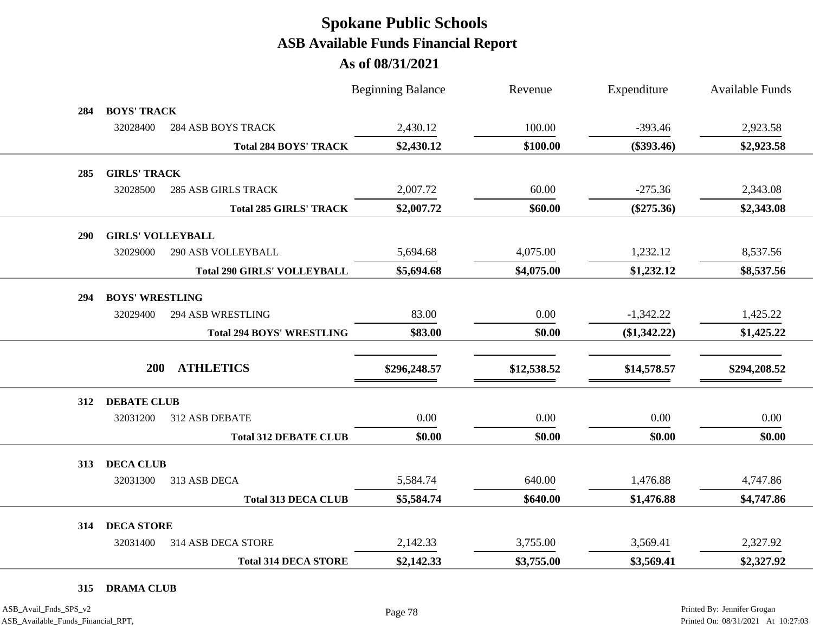|     |                          |                                    | <b>Beginning Balance</b> | Revenue     | Expenditure    | <b>Available Funds</b> |
|-----|--------------------------|------------------------------------|--------------------------|-------------|----------------|------------------------|
| 284 | <b>BOYS' TRACK</b>       |                                    |                          |             |                |                        |
|     | 32028400                 | <b>284 ASB BOYS TRACK</b>          | 2,430.12                 | 100.00      | $-393.46$      | 2,923.58               |
|     |                          | <b>Total 284 BOYS' TRACK</b>       | \$2,430.12               | \$100.00    | $(\$393.46)$   | \$2,923.58             |
| 285 | <b>GIRLS' TRACK</b>      |                                    |                          |             |                |                        |
|     | 32028500                 | <b>285 ASB GIRLS TRACK</b>         | 2,007.72                 | 60.00       | $-275.36$      | 2,343.08               |
|     |                          | <b>Total 285 GIRLS' TRACK</b>      | \$2,007.72               | \$60.00     | $(\$275.36)$   | \$2,343.08             |
| 290 | <b>GIRLS' VOLLEYBALL</b> |                                    |                          |             |                |                        |
|     | 32029000                 | 290 ASB VOLLEYBALL                 | 5,694.68                 | 4,075.00    | 1,232.12       | 8,537.56               |
|     |                          | <b>Total 290 GIRLS' VOLLEYBALL</b> | \$5,694.68               | \$4,075.00  | \$1,232.12     | \$8,537.56             |
|     |                          |                                    |                          |             |                |                        |
| 294 | <b>BOYS' WRESTLING</b>   |                                    |                          |             |                |                        |
|     | 32029400                 | <b>294 ASB WRESTLING</b>           | 83.00                    | 0.00        | $-1,342.22$    | 1,425.22               |
|     |                          | <b>Total 294 BOYS' WRESTLING</b>   | \$83.00                  | \$0.00      | $(\$1,342.22)$ | \$1,425.22             |
|     | 200                      | <b>ATHLETICS</b>                   | \$296,248.57             | \$12,538.52 | \$14,578.57    | \$294,208.52           |
| 312 | <b>DEBATE CLUB</b>       |                                    |                          |             |                |                        |
|     | 32031200                 | 312 ASB DEBATE                     | 0.00                     | 0.00        | 0.00           | 0.00                   |
|     |                          | <b>Total 312 DEBATE CLUB</b>       | \$0.00                   | \$0.00      | \$0.00         | \$0.00                 |
| 313 | <b>DECA CLUB</b>         |                                    |                          |             |                |                        |
|     | 32031300                 | 313 ASB DECA                       | 5,584.74                 | 640.00      | 1,476.88       | 4,747.86               |
|     |                          | <b>Total 313 DECA CLUB</b>         | \$5,584.74               | \$640.00    | \$1,476.88     | \$4,747.86             |
|     | <b>DECA STORE</b>        |                                    |                          |             |                |                        |
| 314 |                          | 314 ASB DECA STORE                 | 2,142.33                 | 3,755.00    | 3,569.41       | 2,327.92               |
|     | 32031400                 |                                    |                          |             |                |                        |

**315 DRAMA CLUB**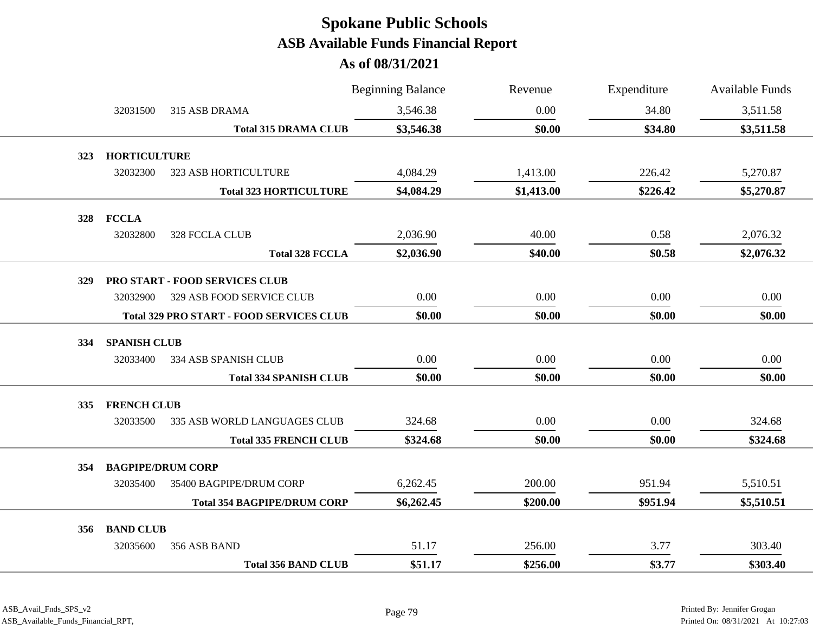|     |                              |                                                 | <b>Beginning Balance</b> | Revenue    | Expenditure | <b>Available Funds</b> |
|-----|------------------------------|-------------------------------------------------|--------------------------|------------|-------------|------------------------|
|     | 32031500                     | 315 ASB DRAMA                                   | 3,546.38                 | 0.00       | 34.80       | 3,511.58               |
|     |                              | <b>Total 315 DRAMA CLUB</b>                     | \$3,546.38               | \$0.00     | \$34.80     | \$3,511.58             |
| 323 | <b>HORTICULTURE</b>          |                                                 |                          |            |             |                        |
|     | 32032300                     | 323 ASB HORTICULTURE                            | 4,084.29                 | 1,413.00   | 226.42      | 5,270.87               |
|     |                              | <b>Total 323 HORTICULTURE</b>                   | \$4,084.29               | \$1,413.00 | \$226.42    | \$5,270.87             |
| 328 | <b>FCCLA</b>                 |                                                 |                          |            |             |                        |
|     | 32032800                     | 328 FCCLA CLUB                                  | 2,036.90                 | 40.00      | 0.58        | 2,076.32               |
|     |                              | <b>Total 328 FCCLA</b>                          | \$2,036.90               | \$40.00    | \$0.58      | \$2,076.32             |
| 329 |                              | PRO START - FOOD SERVICES CLUB                  |                          |            |             |                        |
|     | 32032900                     | 329 ASB FOOD SERVICE CLUB                       | 0.00                     | 0.00       | 0.00        | 0.00                   |
|     |                              | <b>Total 329 PRO START - FOOD SERVICES CLUB</b> | \$0.00                   | \$0.00     | \$0.00      | \$0.00                 |
| 334 | <b>SPANISH CLUB</b>          |                                                 |                          |            |             |                        |
|     | 32033400                     | 334 ASB SPANISH CLUB                            | $0.00\,$                 | 0.00       | 0.00        | $0.00\,$               |
|     |                              | <b>Total 334 SPANISH CLUB</b>                   | \$0.00                   | \$0.00     | \$0.00      | \$0.00                 |
| 335 | <b>FRENCH CLUB</b>           |                                                 |                          |            |             |                        |
|     | 32033500                     | 335 ASB WORLD LANGUAGES CLUB                    | 324.68                   | 0.00       | 0.00        | 324.68                 |
|     |                              | <b>Total 335 FRENCH CLUB</b>                    | \$324.68                 | \$0.00     | \$0.00      | \$324.68               |
| 354 | <b>BAGPIPE/DRUM CORP</b>     |                                                 |                          |            |             |                        |
|     | 32035400                     | 35400 BAGPIPE/DRUM CORP                         | 6,262.45                 | 200.00     | 951.94      | 5,510.51               |
|     |                              | <b>Total 354 BAGPIPE/DRUM CORP</b>              | \$6,262.45               | \$200.00   | \$951.94    | \$5,510.51             |
|     |                              |                                                 |                          |            |             |                        |
| 356 | <b>BAND CLUB</b><br>32035600 | 356 ASB BAND                                    | 51.17                    | 256.00     | 3.77        | 303.40                 |
|     |                              | <b>Total 356 BAND CLUB</b>                      | \$51.17                  | \$256.00   | \$3.77      | \$303.40               |
|     |                              |                                                 |                          |            |             |                        |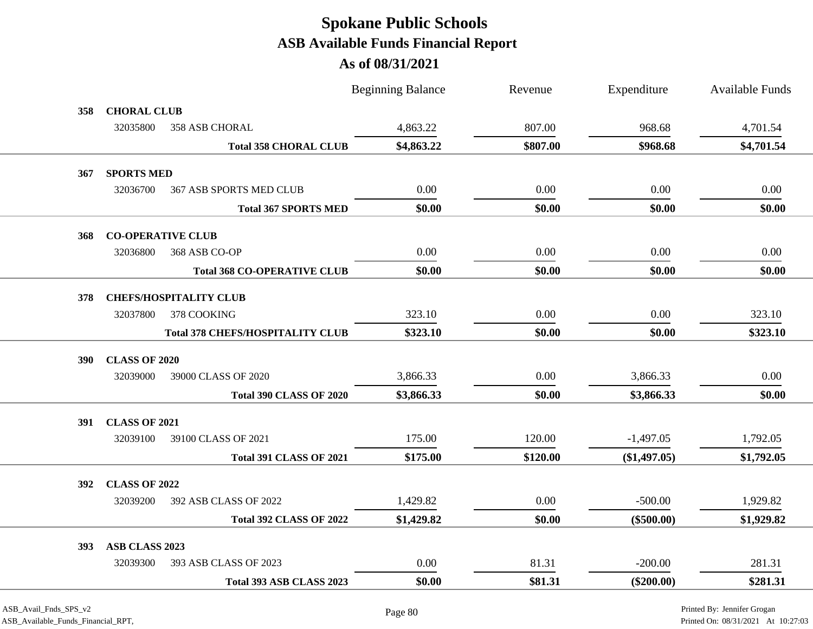|            |                      |                                         | <b>Beginning Balance</b> | Revenue  | Expenditure  | <b>Available Funds</b> |
|------------|----------------------|-----------------------------------------|--------------------------|----------|--------------|------------------------|
| 358        | <b>CHORAL CLUB</b>   |                                         |                          |          |              |                        |
|            | 32035800             | <b>358 ASB CHORAL</b>                   | 4,863.22                 | 807.00   | 968.68       | 4,701.54               |
|            |                      | <b>Total 358 CHORAL CLUB</b>            | \$4,863.22               | \$807.00 | \$968.68     | \$4,701.54             |
| 367        | <b>SPORTS MED</b>    |                                         |                          |          |              |                        |
|            | 32036700             | 367 ASB SPORTS MED CLUB                 | 0.00                     | 0.00     | 0.00         | 0.00                   |
|            |                      | <b>Total 367 SPORTS MED</b>             | \$0.00                   | \$0.00   | \$0.00       | \$0.00                 |
| 368        |                      | <b>CO-OPERATIVE CLUB</b>                |                          |          |              |                        |
|            | 32036800             | 368 ASB CO-OP                           | 0.00                     | 0.00     | 0.00         | 0.00                   |
|            |                      | <b>Total 368 CO-OPERATIVE CLUB</b>      | \$0.00                   | \$0.00   | \$0.00       | \$0.00                 |
| 378        |                      | <b>CHEFS/HOSPITALITY CLUB</b>           |                          |          |              |                        |
|            | 32037800             | 378 COOKING                             | 323.10                   | 0.00     | 0.00         | 323.10                 |
|            |                      | <b>Total 378 CHEFS/HOSPITALITY CLUB</b> | \$323.10                 | \$0.00   | \$0.00       | \$323.10               |
|            |                      |                                         |                          |          |              |                        |
| <b>390</b> | <b>CLASS OF 2020</b> |                                         |                          |          |              |                        |
|            | 32039000             | 39000 CLASS OF 2020                     | 3,866.33                 | 0.00     | 3,866.33     | 0.00                   |
|            |                      | <b>Total 390 CLASS OF 2020</b>          | \$3,866.33               | \$0.00   | \$3,866.33   | \$0.00                 |
| <b>391</b> | <b>CLASS OF 2021</b> |                                         |                          |          |              |                        |
|            | 32039100             | 39100 CLASS OF 2021                     | 175.00                   | 120.00   | $-1,497.05$  | 1,792.05               |
|            |                      | <b>Total 391 CLASS OF 2021</b>          | \$175.00                 | \$120.00 | (\$1,497.05) | \$1,792.05             |
| <b>392</b> | <b>CLASS OF 2022</b> |                                         |                          |          |              |                        |
|            | 32039200             | 392 ASB CLASS OF 2022                   | 1,429.82                 | 0.00     | $-500.00$    | 1,929.82               |
|            |                      | <b>Total 392 CLASS OF 2022</b>          | \$1,429.82               | \$0.00   | $(\$500.00)$ | \$1,929.82             |
| 393        | ASB CLASS 2023       |                                         |                          |          |              |                        |
|            | 32039300             | 393 ASB CLASS OF 2023                   | 0.00                     | 81.31    | $-200.00$    | 281.31                 |
|            |                      | Total 393 ASB CLASS 2023                | \$0.00                   | \$81.31  | $(\$200.00)$ | \$281.31               |
|            |                      |                                         |                          |          |              |                        |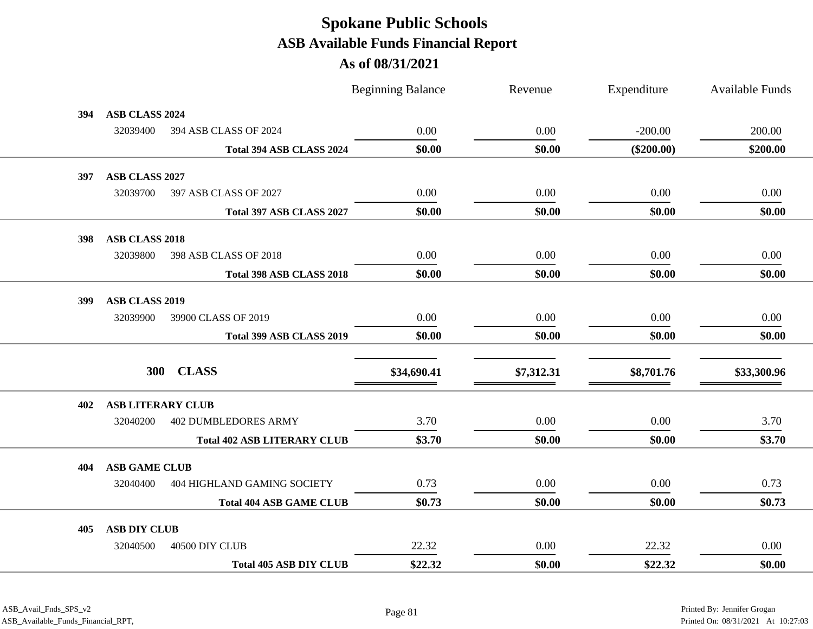|     |                            |                                    | <b>Beginning Balance</b> | Revenue    | Expenditure  | <b>Available Funds</b> |
|-----|----------------------------|------------------------------------|--------------------------|------------|--------------|------------------------|
| 394 | ASB CLASS 2024             |                                    |                          |            |              |                        |
|     | 32039400                   | 394 ASB CLASS OF 2024              | 0.00                     | 0.00       | $-200.00$    | 200.00                 |
|     |                            | Total 394 ASB CLASS 2024           | \$0.00                   | \$0.00     | $(\$200.00)$ | \$200.00               |
| 397 | ASB CLASS 2027             |                                    |                          |            |              |                        |
|     | 32039700                   | 397 ASB CLASS OF 2027              | 0.00                     | 0.00       | 0.00         | 0.00                   |
|     |                            | Total 397 ASB CLASS 2027           | \$0.00                   | \$0.00     | \$0.00       | \$0.00                 |
| 398 | <b>ASB CLASS 2018</b>      |                                    |                          |            |              |                        |
|     | 32039800                   | 398 ASB CLASS OF 2018              | 0.00                     | 0.00       | 0.00         | 0.00                   |
|     |                            | Total 398 ASB CLASS 2018           | \$0.00                   | \$0.00     | \$0.00       | \$0.00                 |
|     |                            |                                    |                          |            |              |                        |
| 399 | ASB CLASS 2019<br>32039900 | 39900 CLASS OF 2019                | 0.00                     | 0.00       | 0.00         | 0.00                   |
|     |                            | Total 399 ASB CLASS 2019           | \$0.00                   | \$0.00     | \$0.00       | \$0.00                 |
|     |                            |                                    |                          |            |              |                        |
|     | 300                        | <b>CLASS</b>                       | \$34,690.41              | \$7,312.31 | \$8,701.76   | \$33,300.96            |
| 402 | <b>ASB LITERARY CLUB</b>   |                                    |                          |            |              |                        |
|     | 32040200                   | <b>402 DUMBLEDORES ARMY</b>        | 3.70                     | 0.00       | 0.00         | 3.70                   |
|     |                            | <b>Total 402 ASB LITERARY CLUB</b> | \$3.70                   | \$0.00     | \$0.00       | \$3.70                 |
| 404 | <b>ASB GAME CLUB</b>       |                                    |                          |            |              |                        |
|     | 32040400                   | 404 HIGHLAND GAMING SOCIETY        | 0.73                     | 0.00       | 0.00         | 0.73                   |
|     |                            | <b>Total 404 ASB GAME CLUB</b>     | \$0.73                   | \$0.00     | \$0.00       | \$0.73                 |
| 405 | <b>ASB DIY CLUB</b>        |                                    |                          |            |              |                        |
|     | 32040500                   | 40500 DIY CLUB                     | 22.32                    | 0.00       | 22.32        | 0.00                   |
|     |                            | <b>Total 405 ASB DIY CLUB</b>      | \$22.32                  | \$0.00     | \$22.32      | \$0.00                 |
|     |                            |                                    |                          |            |              |                        |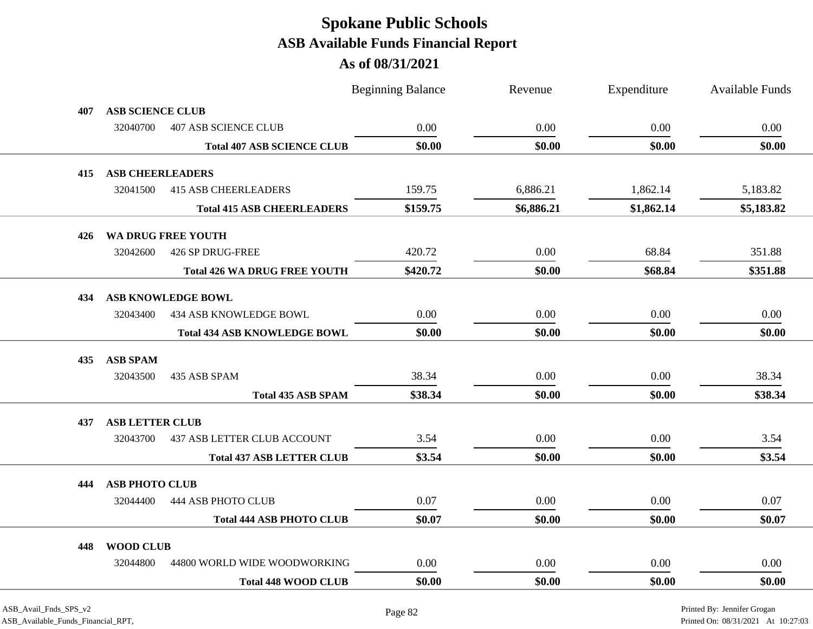|     |                         |                                     | <b>Beginning Balance</b> | Revenue    | Expenditure | Available Funds |
|-----|-------------------------|-------------------------------------|--------------------------|------------|-------------|-----------------|
| 407 | <b>ASB SCIENCE CLUB</b> |                                     |                          |            |             |                 |
|     | 32040700                | <b>407 ASB SCIENCE CLUB</b>         | 0.00                     | 0.00       | 0.00        | 0.00            |
|     |                         | <b>Total 407 ASB SCIENCE CLUB</b>   | \$0.00                   | \$0.00     | \$0.00      | \$0.00          |
| 415 | <b>ASB CHEERLEADERS</b> |                                     |                          |            |             |                 |
|     | 32041500                | <b>415 ASB CHEERLEADERS</b>         | 159.75                   | 6,886.21   | 1,862.14    | 5,183.82        |
|     |                         | <b>Total 415 ASB CHEERLEADERS</b>   | \$159.75                 | \$6,886.21 | \$1,862.14  | \$5,183.82      |
| 426 |                         | <b>WA DRUG FREE YOUTH</b>           |                          |            |             |                 |
|     | 32042600                | 426 SP DRUG-FREE                    | 420.72                   | 0.00       | 68.84       | 351.88          |
|     |                         | <b>Total 426 WA DRUG FREE YOUTH</b> | \$420.72                 | \$0.00     | \$68.84     | \$351.88        |
| 434 |                         | <b>ASB KNOWLEDGE BOWL</b>           |                          |            |             |                 |
|     | 32043400                | 434 ASB KNOWLEDGE BOWL              | 0.00                     | 0.00       | 0.00        | 0.00            |
|     |                         | <b>Total 434 ASB KNOWLEDGE BOWL</b> | \$0.00                   | \$0.00     | \$0.00      | \$0.00          |
|     |                         |                                     |                          |            |             |                 |
| 435 | <b>ASB SPAM</b>         |                                     |                          |            |             |                 |
|     | 32043500                | 435 ASB SPAM                        | 38.34                    | 0.00       | 0.00        | 38.34           |
|     |                         | <b>Total 435 ASB SPAM</b>           | \$38.34                  | \$0.00     | \$0.00      | \$38.34         |
| 437 | <b>ASB LETTER CLUB</b>  |                                     |                          |            |             |                 |
|     | 32043700                | <b>437 ASB LETTER CLUB ACCOUNT</b>  | 3.54                     | 0.00       | 0.00        | 3.54            |
|     |                         | <b>Total 437 ASB LETTER CLUB</b>    | \$3.54                   | \$0.00     | \$0.00      | \$3.54          |
| 444 | <b>ASB PHOTO CLUB</b>   |                                     |                          |            |             |                 |
|     | 32044400                | 444 ASB PHOTO CLUB                  | 0.07                     | 0.00       | 0.00        | 0.07            |
|     |                         | <b>Total 444 ASB PHOTO CLUB</b>     | \$0.07                   | \$0.00     | \$0.00      | \$0.07          |
| 448 | <b>WOOD CLUB</b>        |                                     |                          |            |             |                 |
|     | 32044800                | 44800 WORLD WIDE WOODWORKING        | 0.00                     | 0.00       | 0.00        | 0.00            |
|     |                         | <b>Total 448 WOOD CLUB</b>          | \$0.00                   | \$0.00     | \$0.00      | \$0.00          |
|     |                         |                                     |                          |            |             |                 |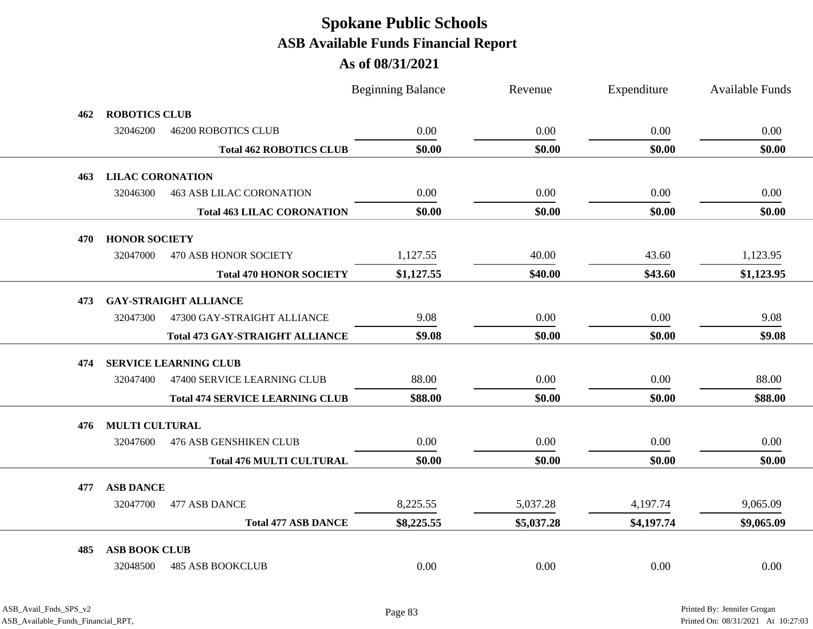|     |                         |                                        | <b>Beginning Balance</b> | Revenue    | Expenditure | <b>Available Funds</b> |  |  |  |
|-----|-------------------------|----------------------------------------|--------------------------|------------|-------------|------------------------|--|--|--|
| 462 | <b>ROBOTICS CLUB</b>    |                                        |                          |            |             |                        |  |  |  |
|     | 32046200                | <b>46200 ROBOTICS CLUB</b>             | 0.00                     | 0.00       | 0.00        | 0.00                   |  |  |  |
|     |                         | <b>Total 462 ROBOTICS CLUB</b>         | \$0.00                   | \$0.00     | \$0.00      | \$0.00                 |  |  |  |
| 463 | <b>LILAC CORONATION</b> |                                        |                          |            |             |                        |  |  |  |
|     | 32046300                | <b>463 ASB LILAC CORONATION</b>        | 0.00                     | 0.00       | 0.00        | 0.00                   |  |  |  |
|     |                         | <b>Total 463 LILAC CORONATION</b>      | \$0.00                   | \$0.00     | \$0.00      | \$0.00                 |  |  |  |
| 470 |                         | <b>HONOR SOCIETY</b>                   |                          |            |             |                        |  |  |  |
|     | 32047000                | 470 ASB HONOR SOCIETY                  | 1,127.55                 | 40.00      | 43.60       | 1,123.95               |  |  |  |
|     |                         | <b>Total 470 HONOR SOCIETY</b>         | \$1,127.55               | \$40.00    | \$43.60     | \$1,123.95             |  |  |  |
| 473 |                         | <b>GAY-STRAIGHT ALLIANCE</b>           |                          |            |             |                        |  |  |  |
|     | 32047300                | 47300 GAY-STRAIGHT ALLIANCE            | 9.08                     | 0.00       | 0.00        | 9.08                   |  |  |  |
|     |                         | <b>Total 473 GAY-STRAIGHT ALLIANCE</b> | \$9.08                   | \$0.00     | \$0.00      | \$9.08                 |  |  |  |
| 474 |                         | <b>SERVICE LEARNING CLUB</b>           |                          |            |             |                        |  |  |  |
|     | 32047400                | 47400 SERVICE LEARNING CLUB            | 88.00                    | 0.00       | 0.00        | 88.00                  |  |  |  |
|     |                         | <b>Total 474 SERVICE LEARNING CLUB</b> | \$88.00                  | \$0.00     | \$0.00      | \$88.00                |  |  |  |
| 476 | <b>MULTI CULTURAL</b>   |                                        |                          |            |             |                        |  |  |  |
|     | 32047600                | <b>476 ASB GENSHIKEN CLUB</b>          | 0.00                     | 0.00       | 0.00        | 0.00                   |  |  |  |
|     |                         | <b>Total 476 MULTI CULTURAL</b>        | \$0.00                   | \$0.00     | \$0.00      | \$0.00                 |  |  |  |
| 477 | <b>ASB DANCE</b>        |                                        |                          |            |             |                        |  |  |  |
|     | 32047700                | 477 ASB DANCE                          | 8,225.55                 | 5,037.28   | 4,197.74    | 9,065.09               |  |  |  |
|     |                         | <b>Total 477 ASB DANCE</b>             | \$8,225.55               | \$5,037.28 | \$4,197.74  | \$9,065.09             |  |  |  |
|     |                         |                                        |                          |            |             |                        |  |  |  |
| 485 | <b>ASB BOOK CLUB</b>    | <b>485 ASB BOOKCLUB</b>                | 0.00                     | 0.00       | 0.00        | 0.00                   |  |  |  |
|     | 32048500                |                                        |                          |            |             |                        |  |  |  |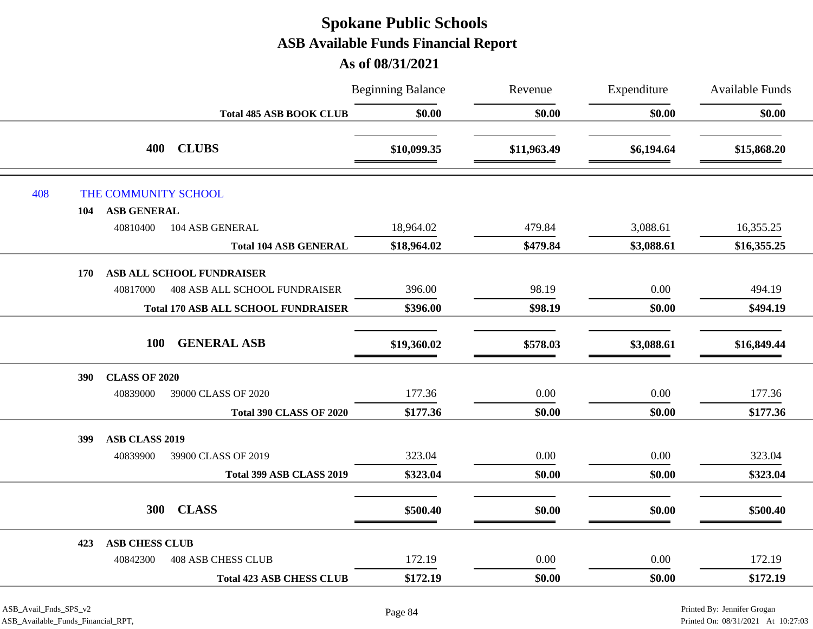### **As of 08/31/2021**

|                              |                                            | <b>Beginning Balance</b> | Revenue     | Expenditure | <b>Available Funds</b> |
|------------------------------|--------------------------------------------|--------------------------|-------------|-------------|------------------------|
|                              | <b>Total 485 ASB BOOK CLUB</b>             | \$0.00                   | \$0.00      | \$0.00      | \$0.00                 |
|                              | 400 CLUBS                                  | \$10,099.35              | \$11,963.49 | \$6,194.64  | \$15,868.20            |
| 408<br>THE COMMUNITY SCHOOL  |                                            |                          |             |             |                        |
| <b>ASB GENERAL</b><br>104    |                                            |                          |             |             |                        |
| 40810400                     | 104 ASB GENERAL                            | 18,964.02                | 479.84      | 3,088.61    | 16,355.25              |
|                              | <b>Total 104 ASB GENERAL</b>               | \$18,964.02              | \$479.84    | \$3,088.61  | \$16,355.25            |
| 170                          | ASB ALL SCHOOL FUNDRAISER                  |                          |             |             |                        |
| 40817000                     | <b>408 ASB ALL SCHOOL FUNDRAISER</b>       | 396.00                   | 98.19       | 0.00        | 494.19                 |
|                              | <b>Total 170 ASB ALL SCHOOL FUNDRAISER</b> | \$396.00                 | \$98.19     | \$0.00      | \$494.19               |
|                              |                                            |                          |             |             |                        |
| <b>100</b>                   | <b>GENERAL ASB</b>                         | \$19,360.02              | \$578.03    | \$3,088.61  | \$16,849.44            |
| <b>CLASS OF 2020</b><br>390  |                                            |                          |             |             |                        |
| 40839000                     | 39000 CLASS OF 2020                        | 177.36                   | $0.00\,$    | $0.00\,$    | 177.36                 |
|                              | <b>Total 390 CLASS OF 2020</b>             | \$177.36                 | \$0.00      | \$0.00      | \$177.36               |
| <b>ASB CLASS 2019</b><br>399 |                                            |                          |             |             |                        |
| 40839900                     | 39900 CLASS OF 2019                        | 323.04                   | 0.00        | 0.00        | 323.04                 |
|                              | Total 399 ASB CLASS 2019                   | \$323.04                 | \$0.00      | \$0.00      | \$323.04               |
|                              |                                            |                          |             |             |                        |
| 300                          | <b>CLASS</b>                               | \$500.40                 | \$0.00      | \$0.00      | \$500.40               |
| <b>ASB CHESS CLUB</b><br>423 |                                            |                          |             |             |                        |
| 40842300                     | <b>408 ASB CHESS CLUB</b>                  | 172.19                   | 0.00        | 0.00        | 172.19                 |
|                              | <b>Total 423 ASB CHESS CLUB</b>            | \$172.19                 | \$0.00      | \$0.00      | \$172.19               |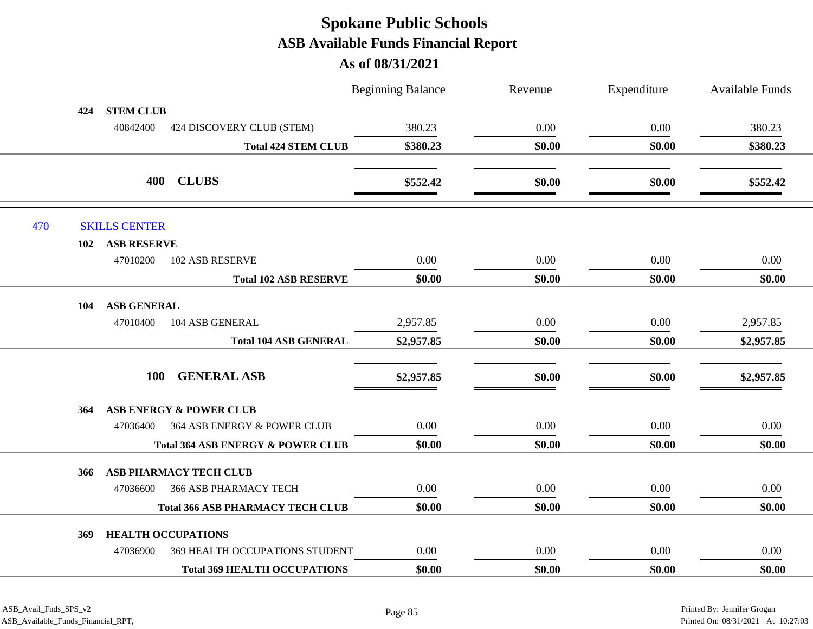|     |                      |                                              | <b>Beginning Balance</b> | Revenue | Expenditure | <b>Available Funds</b> |
|-----|----------------------|----------------------------------------------|--------------------------|---------|-------------|------------------------|
| 424 | <b>STEM CLUB</b>     |                                              |                          |         |             |                        |
|     | 40842400             | 424 DISCOVERY CLUB (STEM)                    | 380.23                   | 0.00    | 0.00        | 380.23                 |
|     |                      | <b>Total 424 STEM CLUB</b>                   | \$380.23                 | \$0.00  | \$0.00      | \$380.23               |
|     |                      | 400 CLUBS                                    | \$552.42                 | \$0.00  | \$0.00      | \$552.42               |
| 470 | <b>SKILLS CENTER</b> |                                              |                          |         |             |                        |
| 102 | <b>ASB RESERVE</b>   |                                              |                          |         |             |                        |
|     | 47010200             | <b>102 ASB RESERVE</b>                       | $0.00\,$                 | 0.00    | 0.00        | 0.00                   |
|     |                      | <b>Total 102 ASB RESERVE</b>                 | \$0.00                   | \$0.00  | \$0.00      | \$0.00                 |
| 104 | <b>ASB GENERAL</b>   |                                              |                          |         |             |                        |
|     | 47010400             | 104 ASB GENERAL                              | 2,957.85                 | 0.00    | 0.00        | 2,957.85               |
|     |                      | <b>Total 104 ASB GENERAL</b>                 | \$2,957.85               | \$0.00  | \$0.00      | \$2,957.85             |
|     | 100                  | <b>GENERAL ASB</b>                           | \$2,957.85               | \$0.00  | \$0.00      | \$2,957.85             |
| 364 |                      | <b>ASB ENERGY &amp; POWER CLUB</b>           |                          |         |             |                        |
|     | 47036400             | 364 ASB ENERGY & POWER CLUB                  | $0.00\,$                 | 0.00    | 0.00        | 0.00                   |
|     |                      | <b>Total 364 ASB ENERGY &amp; POWER CLUB</b> | \$0.00                   | \$0.00  | \$0.00      | \$0.00                 |
| 366 |                      | <b>ASB PHARMACY TECH CLUB</b>                |                          |         |             |                        |
|     | 47036600             | <b>366 ASB PHARMACY TECH</b>                 | 0.00                     | 0.00    | 0.00        | 0.00                   |
|     |                      | <b>Total 366 ASB PHARMACY TECH CLUB</b>      | \$0.00                   | \$0.00  | \$0.00      | \$0.00                 |
| 369 |                      | <b>HEALTH OCCUPATIONS</b>                    |                          |         |             |                        |
|     | 47036900             | 369 HEALTH OCCUPATIONS STUDENT               | 0.00                     | 0.00    | 0.00        | 0.00                   |
|     |                      | <b>Total 369 HEALTH OCCUPATIONS</b>          | \$0.00                   | \$0.00  | \$0.00      | \$0.00                 |
|     |                      |                                              |                          |         |             |                        |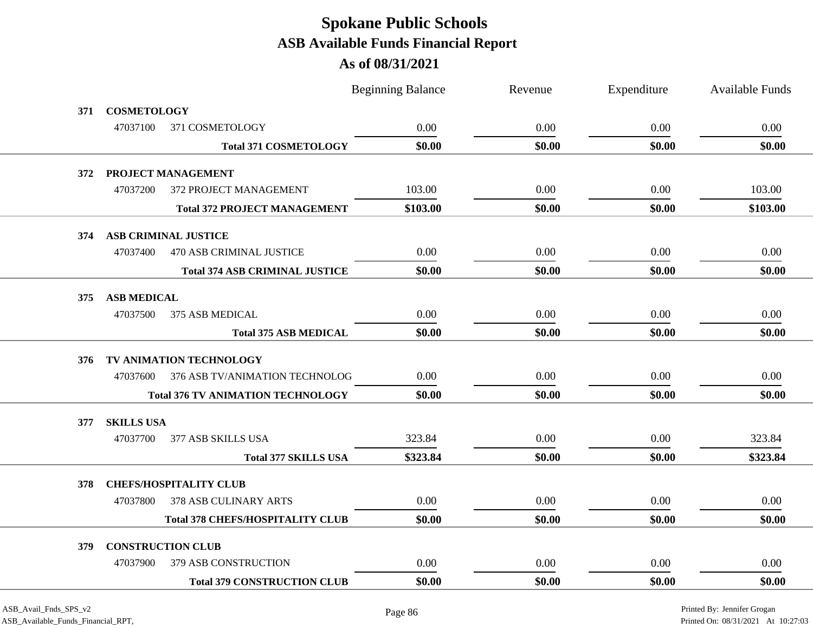|     |                          |                                          | <b>Beginning Balance</b> | Revenue | Expenditure | <b>Available Funds</b> |  |  |
|-----|--------------------------|------------------------------------------|--------------------------|---------|-------------|------------------------|--|--|
| 371 | <b>COSMETOLOGY</b>       |                                          |                          |         |             |                        |  |  |
|     | 47037100                 | 371 COSMETOLOGY                          | 0.00                     | 0.00    | 0.00        | 0.00                   |  |  |
|     |                          | <b>Total 371 COSMETOLOGY</b>             | \$0.00                   | \$0.00  | \$0.00      | \$0.00                 |  |  |
| 372 |                          | PROJECT MANAGEMENT                       |                          |         |             |                        |  |  |
|     | 47037200                 | 372 PROJECT MANAGEMENT                   | 103.00                   | 0.00    | 0.00        | 103.00                 |  |  |
|     |                          | <b>Total 372 PROJECT MANAGEMENT</b>      | \$103.00                 | \$0.00  | \$0.00      | \$103.00               |  |  |
| 374 | ASB CRIMINAL JUSTICE     |                                          |                          |         |             |                        |  |  |
|     | 47037400                 | <b>470 ASB CRIMINAL JUSTICE</b>          | 0.00                     | 0.00    | 0.00        | 0.00                   |  |  |
|     |                          | <b>Total 374 ASB CRIMINAL JUSTICE</b>    | \$0.00                   | \$0.00  | \$0.00      | \$0.00                 |  |  |
| 375 | <b>ASB MEDICAL</b>       |                                          |                          |         |             |                        |  |  |
|     | 47037500                 | 375 ASB MEDICAL                          | 0.00                     | 0.00    | 0.00        | 0.00                   |  |  |
|     |                          | <b>Total 375 ASB MEDICAL</b>             | \$0.00                   | \$0.00  | \$0.00      | \$0.00                 |  |  |
|     |                          |                                          |                          |         |             |                        |  |  |
| 376 |                          | TV ANIMATION TECHNOLOGY                  |                          |         |             |                        |  |  |
|     | 47037600                 | 376 ASB TV/ANIMATION TECHNOLOG           | 0.00                     | 0.00    | 0.00        | 0.00                   |  |  |
|     |                          | <b>Total 376 TV ANIMATION TECHNOLOGY</b> | \$0.00                   | \$0.00  | \$0.00      | \$0.00                 |  |  |
| 377 | <b>SKILLS USA</b>        |                                          |                          |         |             |                        |  |  |
|     | 47037700                 | 377 ASB SKILLS USA                       | 323.84                   | 0.00    | 0.00        | 323.84                 |  |  |
|     |                          | <b>Total 377 SKILLS USA</b>              | \$323.84                 | \$0.00  | \$0.00      | \$323.84               |  |  |
| 378 |                          | <b>CHEFS/HOSPITALITY CLUB</b>            |                          |         |             |                        |  |  |
|     | 47037800                 | <b>378 ASB CULINARY ARTS</b>             | 0.00                     | 0.00    | 0.00        | 0.00                   |  |  |
|     |                          | <b>Total 378 CHEFS/HOSPITALITY CLUB</b>  | \$0.00                   | \$0.00  | \$0.00      | \$0.00                 |  |  |
| 379 | <b>CONSTRUCTION CLUB</b> |                                          |                          |         |             |                        |  |  |
|     | 47037900                 | 379 ASB CONSTRUCTION                     | 0.00                     | 0.00    | 0.00        | 0.00                   |  |  |
|     |                          | <b>Total 379 CONSTRUCTION CLUB</b>       | \$0.00                   | \$0.00  | \$0.00      | \$0.00                 |  |  |
|     |                          |                                          |                          |         |             |                        |  |  |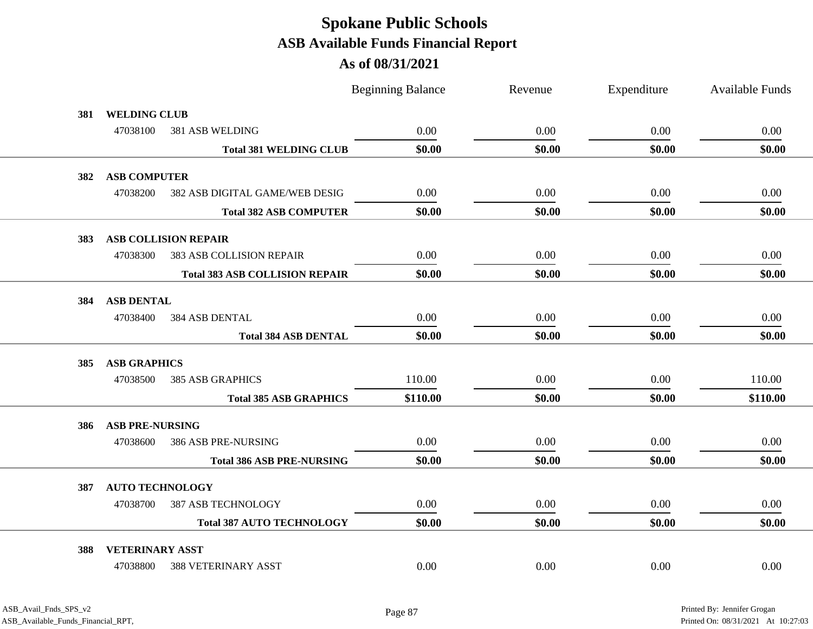|            |                        |                                       | <b>Beginning Balance</b> | Revenue | Expenditure | Available Funds |  |
|------------|------------------------|---------------------------------------|--------------------------|---------|-------------|-----------------|--|
| 381        | <b>WELDING CLUB</b>    |                                       |                          |         |             |                 |  |
|            | 47038100               | 381 ASB WELDING                       | $0.00\,$                 | 0.00    | 0.00        | 0.00            |  |
|            |                        | <b>Total 381 WELDING CLUB</b>         | \$0.00                   | \$0.00  | \$0.00      | \$0.00          |  |
| 382        | <b>ASB COMPUTER</b>    |                                       |                          |         |             |                 |  |
|            | 47038200               | 382 ASB DIGITAL GAME/WEB DESIG        | 0.00                     | 0.00    | 0.00        | 0.00            |  |
|            |                        | <b>Total 382 ASB COMPUTER</b>         | \$0.00                   | \$0.00  | \$0.00      | \$0.00          |  |
| <b>383</b> |                        | <b>ASB COLLISION REPAIR</b>           |                          |         |             |                 |  |
|            | 47038300               | 383 ASB COLLISION REPAIR              | 0.00                     | 0.00    | 0.00        | 0.00            |  |
|            |                        | <b>Total 383 ASB COLLISION REPAIR</b> | \$0.00                   | \$0.00  | \$0.00      | \$0.00          |  |
| 384        | <b>ASB DENTAL</b>      |                                       |                          |         |             |                 |  |
|            | 47038400               | 384 ASB DENTAL                        | 0.00                     | 0.00    | 0.00        | $0.00\,$        |  |
|            |                        | <b>Total 384 ASB DENTAL</b>           | \$0.00                   | \$0.00  | \$0.00      | \$0.00          |  |
| 385        | <b>ASB GRAPHICS</b>    |                                       |                          |         |             |                 |  |
|            | 47038500               | <b>385 ASB GRAPHICS</b>               | 110.00                   | 0.00    | 0.00        | 110.00          |  |
|            |                        | <b>Total 385 ASB GRAPHICS</b>         | \$110.00                 | \$0.00  | \$0.00      | \$110.00        |  |
| 386        | <b>ASB PRE-NURSING</b> |                                       |                          |         |             |                 |  |
|            | 47038600               | 386 ASB PRE-NURSING                   | 0.00                     | 0.00    | 0.00        | 0.00            |  |
|            |                        | <b>Total 386 ASB PRE-NURSING</b>      | \$0.00                   | \$0.00  | \$0.00      | \$0.00          |  |
| 387        | <b>AUTO TECHNOLOGY</b> |                                       |                          |         |             |                 |  |
|            | 47038700               | <b>387 ASB TECHNOLOGY</b>             | 0.00                     | 0.00    | 0.00        | $0.00\,$        |  |
|            |                        | <b>Total 387 AUTO TECHNOLOGY</b>      | \$0.00                   | \$0.00  | \$0.00      | \$0.00          |  |
|            |                        |                                       |                          |         |             |                 |  |
| 388        | <b>VETERINARY ASST</b> | <b>388 VETERINARY ASST</b>            | 0.00                     | 0.00    | 0.00        | 0.00            |  |
|            | 47038800               |                                       |                          |         |             |                 |  |